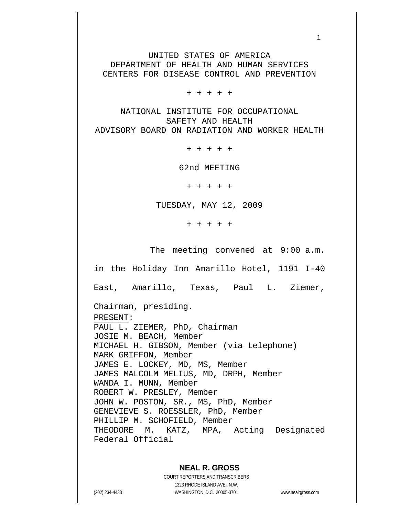UNITED STATES OF AMERICA DEPARTMENT OF HEALTH AND HUMAN SERVICES CENTERS FOR DISEASE CONTROL AND PREVENTION

 $1$ 

+ + + + +

NATIONAL INSTITUTE FOR OCCUPATIONAL SAFETY AND HEALTH ADVISORY BOARD ON RADIATION AND WORKER HEALTH

+ + + + +

62nd MEETING

+ + + + +

TUESDAY, MAY 12, 2009

+ + + + +

The meeting convened at 9:00 a.m.

in the Holiday Inn Amarillo Hotel, 1191 I-40

East, Amarillo, Texas, Paul L. Ziemer,

Chairman, presiding.

PRESENT:

PAUL L. ZIEMER, PhD, Chairman JOSIE M. BEACH, Member MICHAEL H. GIBSON, Member (via telephone) MARK GRIFFON, Member JAMES E. LOCKEY, MD, MS, Member JAMES MALCOLM MELIUS, MD, DRPH, Member WANDA I. MUNN, Member ROBERT W. PRESLEY, Member JOHN W. POSTON, SR., MS, PhD, Member GENEVIEVE S. ROESSLER, PhD, Member PHILLIP M. SCHOFIELD, Member THEODORE M. KATZ, MPA, Acting Designated Federal Official

### **NEAL R. GROSS**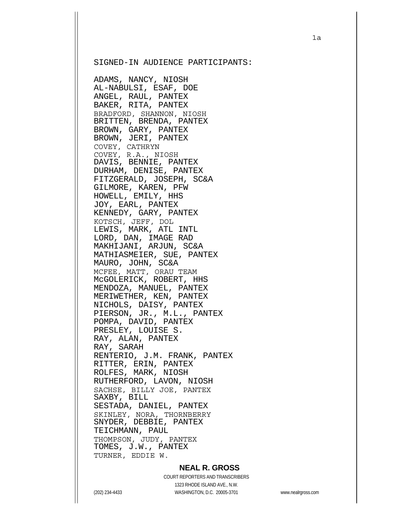#### SIGNED-IN AUDIENCE PARTICIPANTS:

ADAMS, NANCY, NIOSH AL-NABULSI, ESAF, DOE ANGEL, RAUL, PANTEX BAKER, RITA, PANTEX BRADFORD, SHANNON, NIOSH BRITTEN, BRENDA, PANTEX BROWN, GARY, PANTEX BROWN, JERI, PANTEX COVEY, CATHRYN COVEY, R.A., NIOSH DAVIS, BENNIE, PANTEX DURHAM, DENISE, PANTEX FITZGERALD, JOSEPH, SC&A GILMORE, KAREN, PFW HOWELL, EMILY, HHS JOY, EARL, PANTEX KENNEDY, GARY, PANTEX KOTSCH, JEFF, DOL LEWIS, MARK, ATL INTL LORD, DAN, IMAGE RAD MAKHIJANI, ARJUN, SC&A MATHIASMEIER, SUE, PANTEX MAURO, JOHN, SC&A MCFEE, MATT, ORAU TEAM McGOLERICK, ROBERT, HHS MENDOZA, MANUEL, PANTEX MERIWETHER, KEN, PANTEX NICHOLS, DAISY, PANTEX PIERSON, JR., M.L., PANTEX POMPA, DAVID, PANTEX PRESLEY, LOUISE S. RAY, ALAN, PANTEX RAY, SARAH RENTERIO, J.M. FRANK, PANTEX RITTER, ERIN, PANTEX ROLFES, MARK, NIOSH RUTHERFORD, LAVON, NIOSH SACHSE, BILLY JOE, PANTEX SAXBY, BILL SESTADA, DANIEL, PANTEX SKINLEY, NORA, THORNBERRY SNYDER, DEBBIE, PANTEX TEICHMANN, PAUL THOMPSON, JUDY, PANTEX TOMES, J.W., PANTEX TURNER, EDDIE W.

#### **NEAL R. GROSS**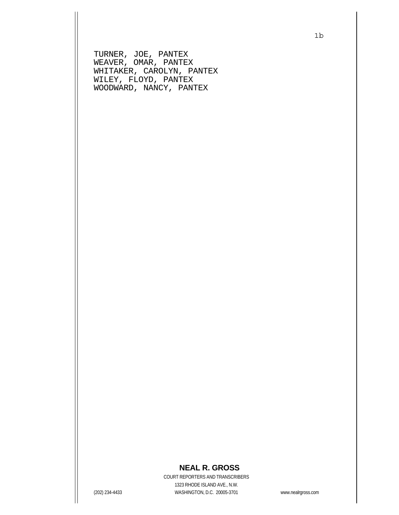TURNER, JOE, PANTEX WEAVER, OMAR, PANTEX WHITAKER, CAROLYN, PANTEX WILEY, FLOYD, PANTEX WOODWARD, NANCY, PANTEX

## **NEAL R. GROSS**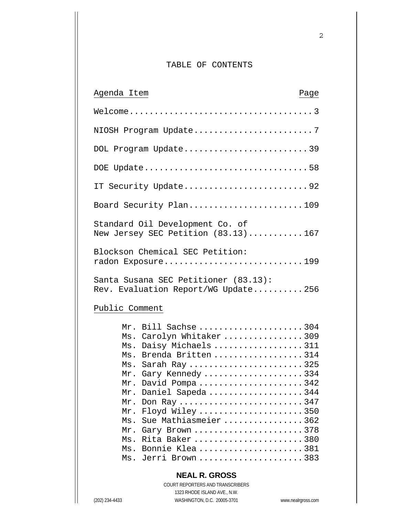## TABLE OF CONTENTS

| Agenda Item                                                                 |                                                                                                                                                                                                                                                                                                                              | Page |
|-----------------------------------------------------------------------------|------------------------------------------------------------------------------------------------------------------------------------------------------------------------------------------------------------------------------------------------------------------------------------------------------------------------------|------|
|                                                                             |                                                                                                                                                                                                                                                                                                                              |      |
|                                                                             | NIOSH Program Update7                                                                                                                                                                                                                                                                                                        |      |
|                                                                             | DOL Program Update39                                                                                                                                                                                                                                                                                                         |      |
|                                                                             | DOE Update58                                                                                                                                                                                                                                                                                                                 |      |
|                                                                             | IT Security Update92                                                                                                                                                                                                                                                                                                         |      |
|                                                                             | Board Security Plan109                                                                                                                                                                                                                                                                                                       |      |
|                                                                             | Standard Oil Development Co. of<br>New Jersey SEC Petition $(83.13)$ 167                                                                                                                                                                                                                                                     |      |
|                                                                             | Blockson Chemical SEC Petition:<br>radon Exposure199                                                                                                                                                                                                                                                                         |      |
| Santa Susana SEC Petitioner (83.13):<br>Rev. Evaluation Report/WG Update256 |                                                                                                                                                                                                                                                                                                                              |      |
| Public Comment                                                              |                                                                                                                                                                                                                                                                                                                              |      |
| Mr.<br>Mr.<br>Mr.<br>Mr.<br>Ms.<br>Mr.<br>Ms.<br>Ms.                        | Mr. Bill Sachse 304<br>Ms. Carolyn Whitaker309<br>Ms. Daisy Michaels 311<br>Ms. Brenda Britten 314<br>Ms. Sarah Ray325<br>Mr. Gary Kennedy 334<br>David Pompa342<br>Daniel Sapeda 344<br>Don Ray 347<br>Floyd Wiley 350<br>Sue Mathiasmeier 362<br>Gary Brown 378<br>Rita Baker 380<br>Bonnie Klea 381<br>Ms. Jerri Brown383 |      |
|                                                                             | <b>NEAL R. GROSS</b>                                                                                                                                                                                                                                                                                                         |      |
|                                                                             | COURT REPORTERS AND TRANSCRIBERS                                                                                                                                                                                                                                                                                             |      |

1323 RHODE ISLAND AVE., N.W.

(202) 234-4433 WASHINGTON, D.C. 20005-3701 www.nealrgross.com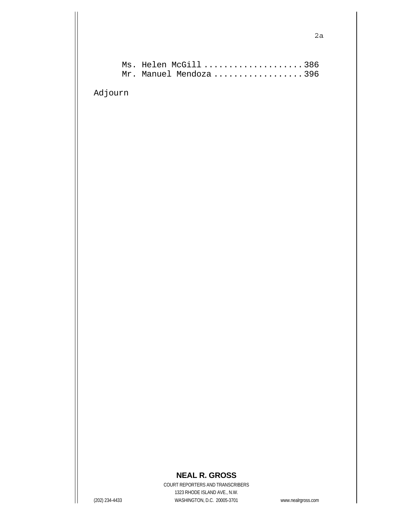Adjourn

# **NEAL R. GROSS**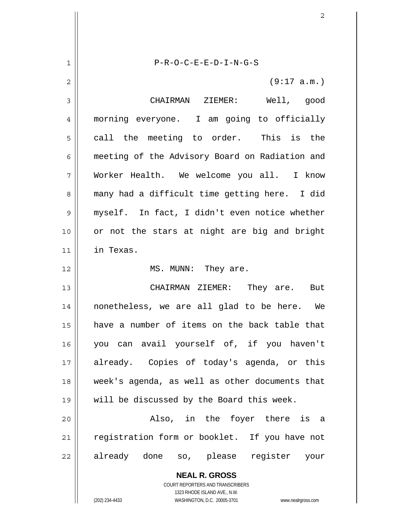| 1  | $P-R-O-C-E-E-D-I-N-G-S$                                  |
|----|----------------------------------------------------------|
| 2  | (9:17 a.m.)                                              |
| 3  | CHAIRMAN ZIEMER: Well, good                              |
| 4  | morning everyone. I am going to officially               |
| 5  | call the meeting to order. This is the                   |
| 6  | meeting of the Advisory Board on Radiation and           |
| 7  | Worker Health. We welcome you all. I know                |
| 8  | many had a difficult time getting here. I did            |
| 9  | myself. In fact, I didn't even notice whether            |
| 10 | or not the stars at night are big and bright             |
| 11 | in Texas.                                                |
| 12 | MS. MUNN: They are.                                      |
| 13 | CHAIRMAN ZIEMER: They are. But                           |
| 14 | nonetheless, we are all glad to be here. We              |
| 15 | have a number of items on the back table that            |
| 16 | you can avail yourself of, if you haven't                |
| 17 | already. Copies of today's agenda, or this               |
| 18 | week's agenda, as well as other documents that           |
| 19 | will be discussed by the Board this week.                |
| 20 | Also, in the foyer there is a                            |
| 21 | registration form or booklet. If you have not            |
| 22 | already done so, please register your                    |
|    | <b>NEAL R. GROSS</b><br>COURT REPORTERS AND TRANSCRIBERS |

1323 RHODE ISLAND AVE., N.W.

 $\prod$ 

 $\overline{\phantom{a}}$ 

(202) 234-4433 WASHINGTON, D.C. 20005-3701 www.nealrgross.com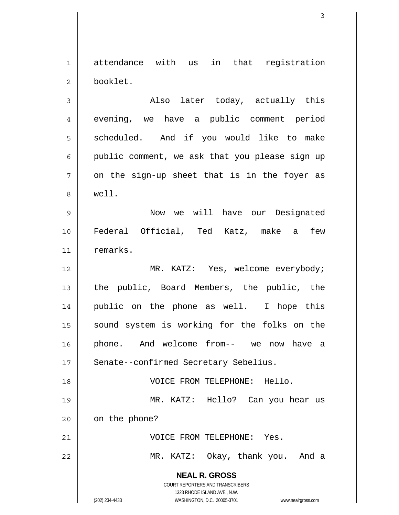1 2 attendance with us in that registration booklet.

3 4 5 6 7 8 Also later today, actually this evening, we have a public comment period scheduled. And if you would like to make public comment, we ask that you please sign up on the sign-up sheet that is in the foyer as well.

9 10 11 Now we will have our Designated Federal Official, Ted Katz, make a few remarks.

12 13 14 15 16 17 MR. KATZ: Yes, welcome everybody; the public, Board Members, the public, the public on the phone as well. I hope this sound system is working for the folks on the phone. And welcome from-- we now have a Senate--confirmed Secretary Sebelius.

18 19 20 21 VOICE FROM TELEPHONE: Hello. MR. KATZ: Hello? Can you hear us on the phone? VOICE FROM TELEPHONE: Yes.

22

MR. KATZ: Okay, thank you. And a

**NEAL R. GROSS**

COURT REPORTERS AND TRANSCRIBERS 1323 RHODE ISLAND AVE., N.W. (202) 234-4433 WASHINGTON, D.C. 20005-3701 www.nealrgross.com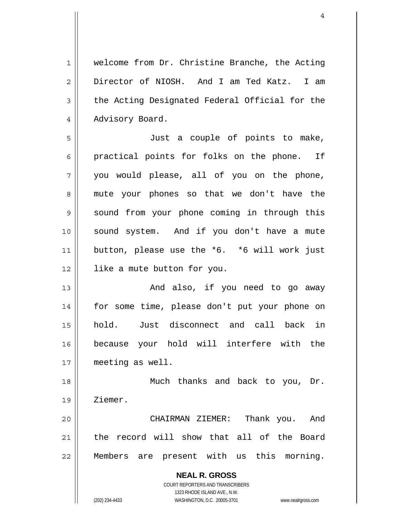1 2 3 4 welcome from Dr. Christine Branche, the Acting Director of NIOSH. And I am Ted Katz. I am the Acting Designated Federal Official for the Advisory Board.

5 6 7 8 9 10 11 12 Just a couple of points to make, practical points for folks on the phone. If you would please, all of you on the phone, mute your phones so that we don't have the sound from your phone coming in through this sound system. And if you don't have a mute button, please use the \*6. \*6 will work just like a mute button for you.

13 14 15 16 17 And also, if you need to go away for some time, please don't put your phone on hold. Just disconnect and call back in because your hold will interfere with the meeting as well.

18 19 Much thanks and back to you, Dr. Ziemer.

20 21 22 CHAIRMAN ZIEMER: Thank you. And the record will show that all of the Board Members are present with us this morning.

> **NEAL R. GROSS** COURT REPORTERS AND TRANSCRIBERS 1323 RHODE ISLAND AVE., N.W. (202) 234-4433 WASHINGTON, D.C. 20005-3701 www.nealrgross.com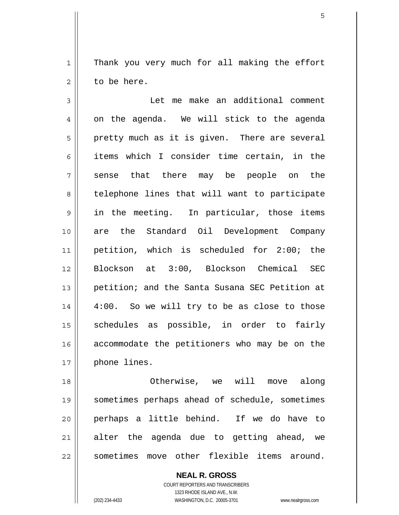1 2 Thank you very much for all making the effort to be here.

3 4 5 6 7 8 9 10 11 12 13 14 15 16 17 Let me make an additional comment on the agenda. We will stick to the agenda pretty much as it is given. There are several items which I consider time certain, in the sense that there may be people on the telephone lines that will want to participate in the meeting. In particular, those items are the Standard Oil Development Company petition, which is scheduled for 2:00; the Blockson at 3:00, Blockson Chemical SEC petition; and the Santa Susana SEC Petition at 4:00. So we will try to be as close to those schedules as possible, in order to fairly accommodate the petitioners who may be on the phone lines.

18 19 20 21 22 Otherwise, we will move along sometimes perhaps ahead of schedule, sometimes perhaps a little behind. If we do have to alter the agenda due to getting ahead, we sometimes move other flexible items around.

> **NEAL R. GROSS** COURT REPORTERS AND TRANSCRIBERS 1323 RHODE ISLAND AVE., N.W. (202) 234-4433 WASHINGTON, D.C. 20005-3701 www.nealrgross.com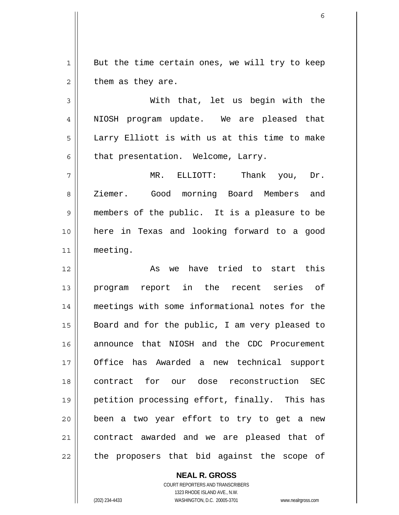1 2 But the time certain ones, we will try to keep them as they are.

3 4 5 6 With that, let us begin with the NIOSH program update. We are pleased that Larry Elliott is with us at this time to make that presentation. Welcome, Larry.

7 8 9 10 11 MR. ELLIOTT: Thank you, Dr. Ziemer. Good morning Board Members and members of the public. It is a pleasure to be here in Texas and looking forward to a good meeting.

12 13 14 15 16 17 18 19 20 21 22 As we have tried to start this program report in the recent series of meetings with some informational notes for the Board and for the public, I am very pleased to announce that NIOSH and the CDC Procurement Office has Awarded a new technical support contract for our dose reconstruction SEC petition processing effort, finally. This has been a two year effort to try to get a new contract awarded and we are pleased that of the proposers that bid against the scope of

> **NEAL R. GROSS** COURT REPORTERS AND TRANSCRIBERS 1323 RHODE ISLAND AVE., N.W. (202) 234-4433 WASHINGTON, D.C. 20005-3701 www.nealrgross.com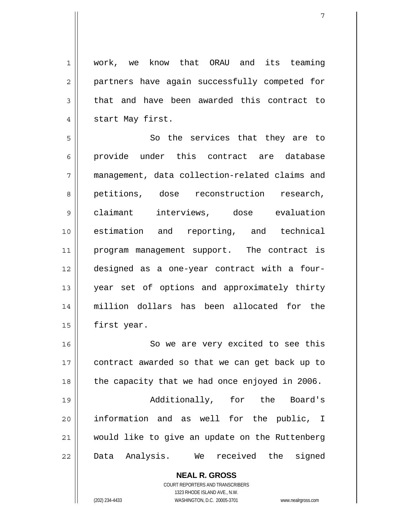1 2 3 4 work, we know that ORAU and its teaming partners have again successfully competed for that and have been awarded this contract to start May first.

5 6 7 8 9 10 11 12 13 14 15 So the services that they are to provide under this contract are database management, data collection-related claims and petitions, dose reconstruction research, claimant interviews, dose evaluation estimation and reporting, and technical program management support. The contract is designed as a one-year contract with a fouryear set of options and approximately thirty million dollars has been allocated for the first year.

16 17 18 19 20 21 22 So we are very excited to see this contract awarded so that we can get back up to the capacity that we had once enjoyed in 2006. Additionally, for the Board's information and as well for the public, I would like to give an update on the Ruttenberg Data Analysis. We received the signed

> **NEAL R. GROSS** COURT REPORTERS AND TRANSCRIBERS 1323 RHODE ISLAND AVE., N.W. (202) 234-4433 WASHINGTON, D.C. 20005-3701 www.nealrgross.com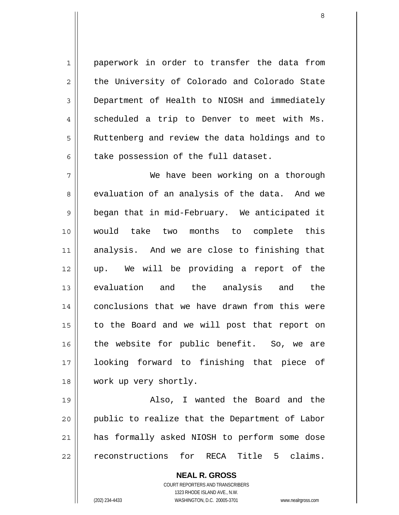paperwork in order to transfer the data from the University of Colorado and Colorado State Department of Health to NIOSH and immediately scheduled a trip to Denver to meet with Ms. Ruttenberg and review the data holdings and to take possession of the full dataset.

7 8 9 10 11 12 13 14 15 16 17 18 We have been working on a thorough evaluation of an analysis of the data. And we began that in mid-February. We anticipated it would take two months to complete this analysis. And we are close to finishing that up. We will be providing a report of the evaluation and the analysis and the conclusions that we have drawn from this were to the Board and we will post that report on the website for public benefit. So, we are looking forward to finishing that piece of work up very shortly.

19 20 21 22 Also, I wanted the Board and the public to realize that the Department of Labor has formally asked NIOSH to perform some dose reconstructions for RECA Title 5 claims.

> **NEAL R. GROSS** COURT REPORTERS AND TRANSCRIBERS 1323 RHODE ISLAND AVE., N.W. (202) 234-4433 WASHINGTON, D.C. 20005-3701 www.nealrgross.com

1

2

3

4

5

6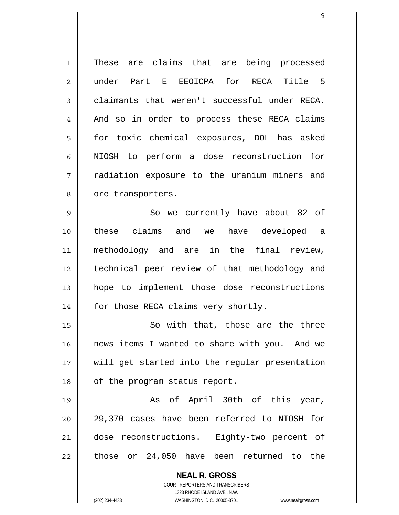1 2 3 4 5 6 7 8 9 These are claims that are being processed under Part E EEOICPA for RECA Title 5 claimants that weren't successful under RECA. And so in order to process these RECA claims for toxic chemical exposures, DOL has asked NIOSH to perform a dose reconstruction for radiation exposure to the uranium miners and ore transporters. So we currently have about 82 of

10 11 12 13 14 these claims and we have developed a methodology and are in the final review, technical peer review of that methodology and hope to implement those dose reconstructions for those RECA claims very shortly.

15 16 17 18 So with that, those are the three news items I wanted to share with you. And we will get started into the regular presentation of the program status report.

19 20 21 22 As of April 30th of this year, 29,370 cases have been referred to NIOSH for dose reconstructions. Eighty-two percent of those or 24,050 have been returned to the

> **NEAL R. GROSS** COURT REPORTERS AND TRANSCRIBERS 1323 RHODE ISLAND AVE., N.W.

(202) 234-4433 WASHINGTON, D.C. 20005-3701 www.nealrgross.com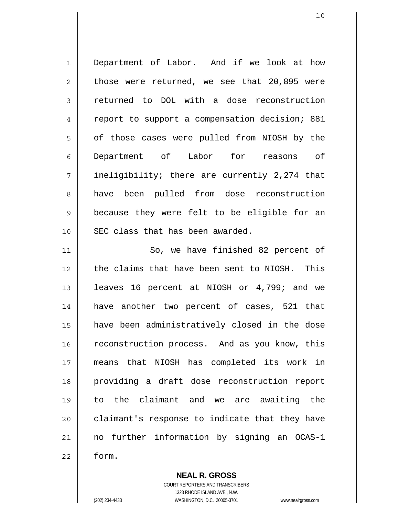1 2 3 4 5 6 7 8 9 10 11 Department of Labor. And if we look at how those were returned, we see that 20,895 were returned to DOL with a dose reconstruction report to support a compensation decision; 881 of those cases were pulled from NIOSH by the Department of Labor for reasons of ineligibility; there are currently 2,274 that have been pulled from dose reconstruction because they were felt to be eligible for an SEC class that has been awarded. So, we have finished 82 percent of

12 13 14 15 16 17 18 19 20 21 22 the claims that have been sent to NIOSH. This leaves 16 percent at NIOSH or 4,799; and we have another two percent of cases, 521 that have been administratively closed in the dose reconstruction process. And as you know, this means that NIOSH has completed its work in providing a draft dose reconstruction report to the claimant and we are awaiting the claimant's response to indicate that they have no further information by signing an OCAS-1 form.

> **NEAL R. GROSS** COURT REPORTERS AND TRANSCRIBERS 1323 RHODE ISLAND AVE., N.W. (202) 234-4433 WASHINGTON, D.C. 20005-3701 www.nealrgross.com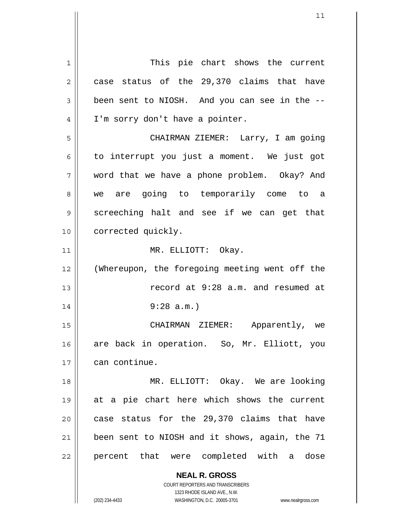**NEAL R. GROSS** COURT REPORTERS AND TRANSCRIBERS 1 2 3 4 5 6 7 8 9 10 11 12 13 14 15 16 17 18 19 20 21 22 This pie chart shows the current case status of the 29,370 claims that have been sent to NIOSH. And you can see in the -- I'm sorry don't have a pointer. CHAIRMAN ZIEMER: Larry, I am going to interrupt you just a moment. We just got word that we have a phone problem. Okay? And we are going to temporarily come to a screeching halt and see if we can get that corrected quickly. MR. ELLIOTT: Okay. (Whereupon, the foregoing meeting went off the record at 9:28 a.m. and resumed at 9:28 a.m.) CHAIRMAN ZIEMER: Apparently, we are back in operation. So, Mr. Elliott, you can continue. MR. ELLIOTT: Okay. We are looking at a pie chart here which shows the current case status for the 29,370 claims that have been sent to NIOSH and it shows, again, the 71 percent that were completed with a dose

11

(202) 234-4433 WASHINGTON, D.C. 20005-3701 www.nealrgross.com

1323 RHODE ISLAND AVE., N.W.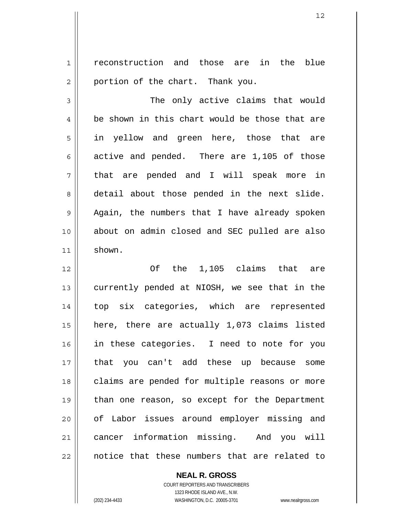1 2 reconstruction and those are in the blue portion of the chart. Thank you.

3 4 5 6 7 8 9 10 11 The only active claims that would be shown in this chart would be those that are in yellow and green here, those that are active and pended. There are 1,105 of those that are pended and I will speak more in detail about those pended in the next slide. Again, the numbers that I have already spoken about on admin closed and SEC pulled are also shown.

12 13 14 15 16 17 18 19 20 21 22 Of the 1,105 claims that are currently pended at NIOSH, we see that in the top six categories, which are represented here, there are actually 1,073 claims listed in these categories. I need to note for you that you can't add these up because some claims are pended for multiple reasons or more than one reason, so except for the Department of Labor issues around employer missing and cancer information missing. And you will notice that these numbers that are related to

**NEAL R. GROSS**

COURT REPORTERS AND TRANSCRIBERS 1323 RHODE ISLAND AVE., N.W. (202) 234-4433 WASHINGTON, D.C. 20005-3701 www.nealrgross.com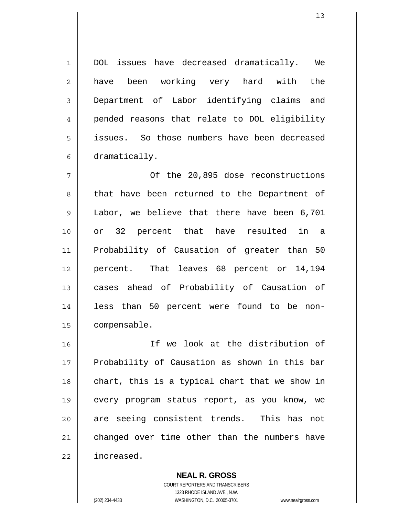DOL issues have decreased dramatically. We have been working very hard with the Department of Labor identifying claims and pended reasons that relate to DOL eligibility issues. So those numbers have been decreased dramatically.

7 8 9 10 11 12 13 14 15 Of the 20,895 dose reconstructions that have been returned to the Department of Labor, we believe that there have been 6,701 or 32 percent that have resulted in a Probability of Causation of greater than 50 percent. That leaves 68 percent or 14,194 cases ahead of Probability of Causation of less than 50 percent were found to be noncompensable.

16 17 18 19 20 21 22 If we look at the distribution of Probability of Causation as shown in this bar chart, this is a typical chart that we show in every program status report, as you know, we are seeing consistent trends. This has not changed over time other than the numbers have increased.

> **NEAL R. GROSS** COURT REPORTERS AND TRANSCRIBERS 1323 RHODE ISLAND AVE., N.W. (202) 234-4433 WASHINGTON, D.C. 20005-3701 www.nealrgross.com

1

2

3

4

5

6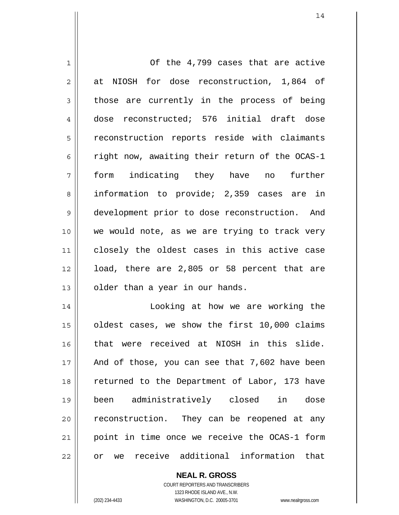| $\mathbf 1$    | Of the 4,799 cases that are active              |
|----------------|-------------------------------------------------|
| $\overline{2}$ | at NIOSH for dose reconstruction, 1,864 of      |
| 3              | those are currently in the process of being     |
| 4              | dose reconstructed; 576 initial draft dose      |
| 5              | reconstruction reports reside with claimants    |
| 6              | right now, awaiting their return of the OCAS-1  |
| 7              | form indicating they have no further            |
| 8              | information to provide; 2,359 cases are in      |
| 9              | development prior to dose reconstruction. And   |
| 10             | we would note, as we are trying to track very   |
| 11             | closely the oldest cases in this active case    |
| 12             | load, there are 2,805 or 58 percent that are    |
| 13             | older than a year in our hands.                 |
| 14             | Looking at how we are working the               |
| 15             | oldest cases, we show the first 10,000 claims   |
| 16             | that were received at NIOSH in this slide.      |
| 17             | And of those, you can see that 7,602 have been  |
| 18             | returned to the Department of Labor, 173 have   |
| 19             | been administratively closed in dose            |
| 20             | reconstruction. They can be reopened at any     |
| 21             | point in time once we receive the OCAS-1 form   |
| 22             | we receive additional information<br>that<br>or |

**NEAL R. GROSS** COURT REPORTERS AND TRANSCRIBERS 1323 RHODE ISLAND AVE., N.W.

 $\mathsf{II}$ 

(202) 234-4433 WASHINGTON, D.C. 20005-3701 www.nealrgross.com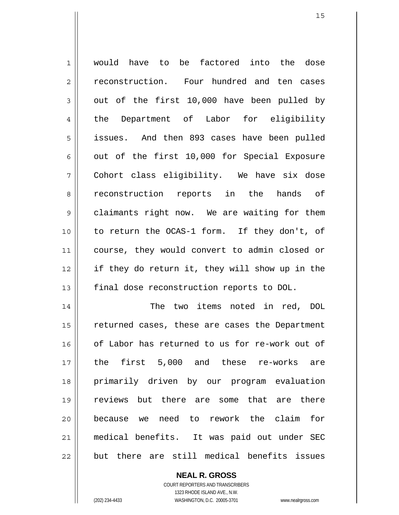| $\mathbf 1$ | would have to be factored into the dose        |
|-------------|------------------------------------------------|
| 2           | reconstruction. Four hundred and ten cases     |
| 3           | out of the first 10,000 have been pulled by    |
| 4           | the Department of Labor for eligibility        |
| 5           | issues. And then 893 cases have been pulled    |
| 6           | out of the first 10,000 for Special Exposure   |
| 7           | Cohort class eligibility. We have six dose     |
| 8           | reconstruction reports in the hands of         |
| 9           | claimants right now. We are waiting for them   |
| 10          | to return the OCAS-1 form. If they don't, of   |
| 11          | course, they would convert to admin closed or  |
| 12          | if they do return it, they will show up in the |
| 13          | final dose reconstruction reports to DOL.      |
| 14          | two items noted in red, DOL<br>The             |
| 15          | returned cases, these are cases the Department |
| 16          | of Labor has returned to us for re-work out of |
| 17          | the first 5,000 and these re-works are         |
| 18          | primarily driven by our program evaluation     |
| 19          | reviews<br>but there are some that are there   |
| 20          | because we need to rework the claim<br>for     |
| 21          | medical benefits. It was paid out under SEC    |
| 22          | but there are still medical benefits issues    |

**NEAL R. GROSS** COURT REPORTERS AND TRANSCRIBERS 1323 RHODE ISLAND AVE., N.W.

 $\mathbf{I}$ 

(202) 234-4433 WASHINGTON, D.C. 20005-3701 www.nealrgross.com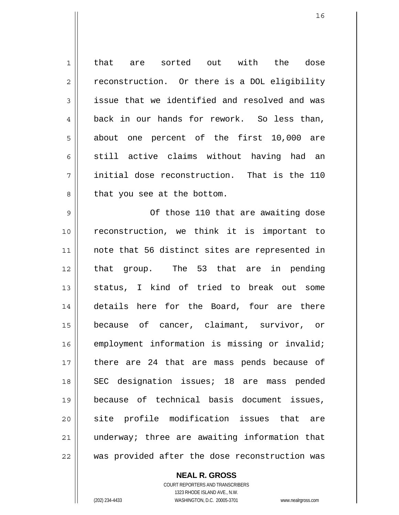1 2 3 4 5 6 7 8 that are sorted out with the dose reconstruction. Or there is a DOL eligibility issue that we identified and resolved and was back in our hands for rework. So less than, about one percent of the first 10,000 are still active claims without having had an initial dose reconstruction. That is the 110 that you see at the bottom.

9 10 11 12 13 14 15 16 17 18 19 20 21 22 Of those 110 that are awaiting dose reconstruction, we think it is important to note that 56 distinct sites are represented in that group. The 53 that are in pending status, I kind of tried to break out some details here for the Board, four are there because of cancer, claimant, survivor, or employment information is missing or invalid; there are 24 that are mass pends because of SEC designation issues; 18 are mass pended because of technical basis document issues, site profile modification issues that are underway; three are awaiting information that was provided after the dose reconstruction was

> COURT REPORTERS AND TRANSCRIBERS 1323 RHODE ISLAND AVE., N.W. (202) 234-4433 WASHINGTON, D.C. 20005-3701 www.nealrgross.com

**NEAL R. GROSS**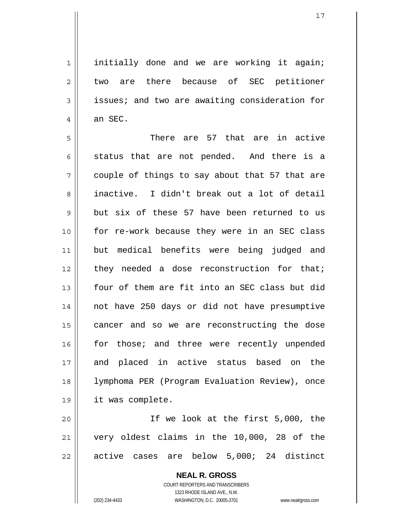1 2 3 4 initially done and we are working it again; two are there because of SEC petitioner issues; and two are awaiting consideration for an SEC.

5 6 7 8 9 10 11 12 13 14 15 16 17 18 19 There are 57 that are in active status that are not pended. And there is a couple of things to say about that 57 that are inactive. I didn't break out a lot of detail but six of these 57 have been returned to us for re-work because they were in an SEC class but medical benefits were being judged and they needed a dose reconstruction for that; four of them are fit into an SEC class but did not have 250 days or did not have presumptive cancer and so we are reconstructing the dose for those; and three were recently unpended and placed in active status based on the lymphoma PER (Program Evaluation Review), once it was complete.

20 21 22 If we look at the first 5,000, the very oldest claims in the 10,000, 28 of the active cases are below 5,000; 24 distinct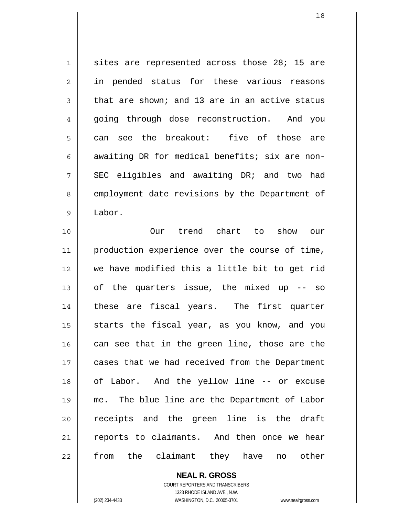1 2 3 4 5 6 7 8 9 sites are represented across those 28; 15 are in pended status for these various reasons that are shown; and 13 are in an active status going through dose reconstruction. And you can see the breakout: five of those are awaiting DR for medical benefits; six are non-SEC eligibles and awaiting DR; and two had employment date revisions by the Department of Labor.

10 11 12 13 14 15 16 17 18 19 20 21 22 Our trend chart to show our production experience over the course of time, we have modified this a little bit to get rid of the quarters issue, the mixed up -- so these are fiscal years. The first quarter starts the fiscal year, as you know, and you can see that in the green line, those are the cases that we had received from the Department of Labor. And the yellow line -- or excuse me. The blue line are the Department of Labor receipts and the green line is the draft reports to claimants. And then once we hear from the claimant they have no other

> **NEAL R. GROSS** COURT REPORTERS AND TRANSCRIBERS 1323 RHODE ISLAND AVE., N.W. (202) 234-4433 WASHINGTON, D.C. 20005-3701 www.nealrgross.com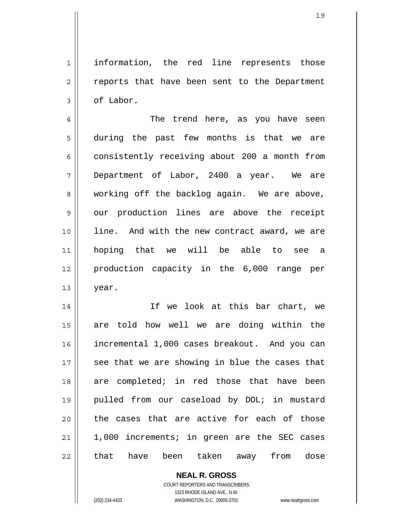1 2 3 information, the red line represents those reports that have been sent to the Department of Labor.

4 5 6 7 8 9 10 11 12 13 The trend here, as you have seen during the past few months is that we are consistently receiving about 200 a month from Department of Labor, 2400 a year. We are working off the backlog again. We are above, our production lines are above the receipt line. And with the new contract award, we are hoping that we will be able to see a production capacity in the 6,000 range per year.

14 15 16 17 18 19 20 21 22 If we look at this bar chart, we are told how well we are doing within the incremental 1,000 cases breakout. And you can see that we are showing in blue the cases that are completed; in red those that have been pulled from our caseload by DOL; in mustard the cases that are active for each of those 1,000 increments; in green are the SEC cases that have been taken away from dose

> **NEAL R. GROSS** COURT REPORTERS AND TRANSCRIBERS 1323 RHODE ISLAND AVE., N.W.

(202) 234-4433 WASHINGTON, D.C. 20005-3701 www.nealrgross.com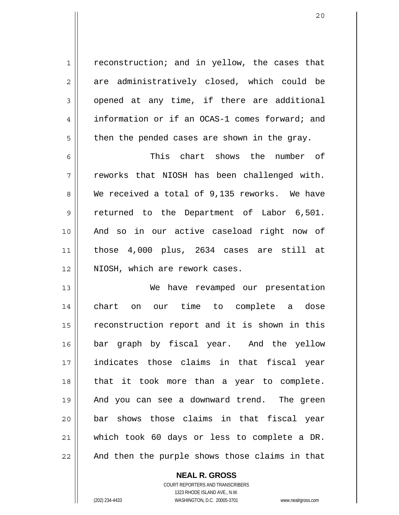reconstruction; and in yellow, the cases that are administratively closed, which could be opened at any time, if there are additional information or if an OCAS-1 comes forward; and then the pended cases are shown in the gray.

6 7 8 9 10 11 12 This chart shows the number of reworks that NIOSH has been challenged with. We received a total of 9,135 reworks. We have returned to the Department of Labor 6,501. And so in our active caseload right now of those 4,000 plus, 2634 cases are still at NIOSH, which are rework cases.

13 14 15 16 17 18 19 20 21 22 We have revamped our presentation chart on our time to complete a dose reconstruction report and it is shown in this bar graph by fiscal year. And the yellow indicates those claims in that fiscal year that it took more than a year to complete. And you can see a downward trend. The green bar shows those claims in that fiscal year which took 60 days or less to complete a DR. And then the purple shows those claims in that

> **NEAL R. GROSS** COURT REPORTERS AND TRANSCRIBERS 1323 RHODE ISLAND AVE., N.W. (202) 234-4433 WASHINGTON, D.C. 20005-3701 www.nealrgross.com

1

2

3

4

5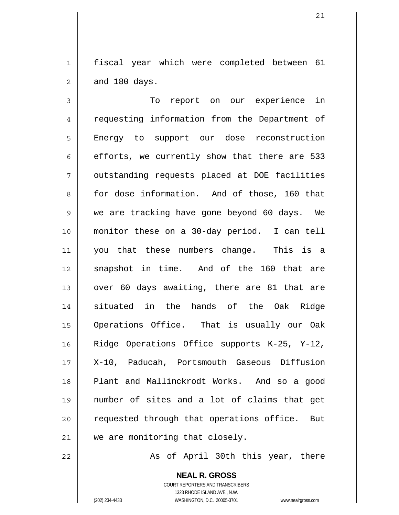1 2 fiscal year which were completed between 61 and 180 days.

3 4 5 6 7 8 9 10 11 12 13 14 15 16 17 18 19 20 21 To report on our experience in requesting information from the Department of Energy to support our dose reconstruction efforts, we currently show that there are 533 outstanding requests placed at DOE facilities for dose information. And of those, 160 that we are tracking have gone beyond 60 days. We monitor these on a 30-day period. I can tell you that these numbers change. This is a snapshot in time. And of the 160 that are over 60 days awaiting, there are 81 that are situated in the hands of the Oak Ridge Operations Office. That is usually our Oak Ridge Operations Office supports K-25, Y-12, X-10, Paducah, Portsmouth Gaseous Diffusion Plant and Mallinckrodt Works. And so a good number of sites and a lot of claims that get requested through that operations office. But we are monitoring that closely.

As of April 30th this year, there

**NEAL R. GROSS** COURT REPORTERS AND TRANSCRIBERS 1323 RHODE ISLAND AVE., N.W. (202) 234-4433 WASHINGTON, D.C. 20005-3701 www.nealrgross.com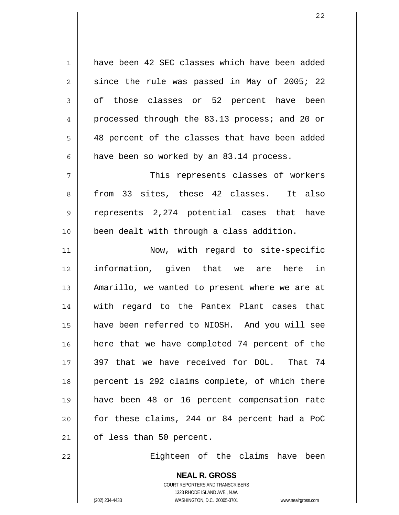1 2 3 4 5 6 7 8 9 10 11 12 13 14 15 16 17 18 19 20 21 have been 42 SEC classes which have been added since the rule was passed in May of 2005; 22 of those classes or 52 percent have been processed through the 83.13 process; and 20 or 48 percent of the classes that have been added have been so worked by an 83.14 process. This represents classes of workers from 33 sites, these 42 classes. It also represents 2,274 potential cases that have been dealt with through a class addition. Now, with regard to site-specific information, given that we are here in Amarillo, we wanted to present where we are at with regard to the Pantex Plant cases that have been referred to NIOSH. And you will see here that we have completed 74 percent of the 397 that we have received for DOL. That 74 percent is 292 claims complete, of which there have been 48 or 16 percent compensation rate for these claims, 244 or 84 percent had a PoC of less than 50 percent.

Eighteen of the claims have been

**NEAL R. GROSS** COURT REPORTERS AND TRANSCRIBERS 1323 RHODE ISLAND AVE., N.W. (202) 234-4433 WASHINGTON, D.C. 20005-3701 www.nealrgross.com

22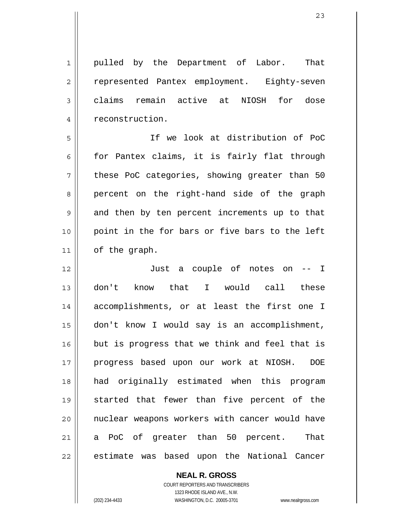1 2 3 4 pulled by the Department of Labor. That represented Pantex employment. Eighty-seven claims remain active at NIOSH for dose reconstruction.

5 6 7 8 9 10 11 If we look at distribution of PoC for Pantex claims, it is fairly flat through these PoC categories, showing greater than 50 percent on the right-hand side of the graph and then by ten percent increments up to that point in the for bars or five bars to the left of the graph.

12 13 14 15 16 17 18 19 20 21 22 Just a couple of notes on -- I don't know that I would call these accomplishments, or at least the first one I don't know I would say is an accomplishment, but is progress that we think and feel that is progress based upon our work at NIOSH. DOE had originally estimated when this program started that fewer than five percent of the nuclear weapons workers with cancer would have a PoC of greater than 50 percent. That estimate was based upon the National Cancer

> **NEAL R. GROSS** COURT REPORTERS AND TRANSCRIBERS 1323 RHODE ISLAND AVE., N.W. (202) 234-4433 WASHINGTON, D.C. 20005-3701 www.nealrgross.com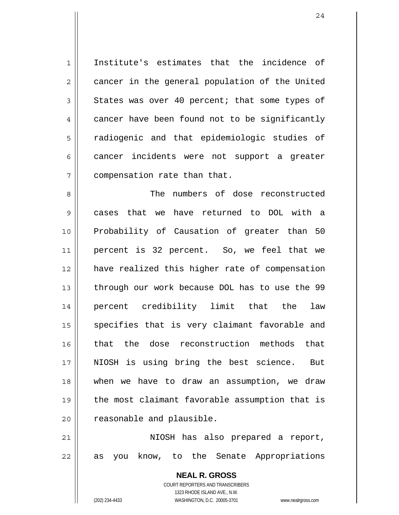1 2 3 4 5 6 7 Institute's estimates that the incidence of cancer in the general population of the United States was over 40 percent; that some types of cancer have been found not to be significantly radiogenic and that epidemiologic studies of cancer incidents were not support a greater compensation rate than that.

8 9 10 11 12 13 14 15 16 17 18 19 20 The numbers of dose reconstructed cases that we have returned to DOL with a Probability of Causation of greater than 50 percent is 32 percent. So, we feel that we have realized this higher rate of compensation through our work because DOL has to use the 99 percent credibility limit that the law specifies that is very claimant favorable and that the dose reconstruction methods that NIOSH is using bring the best science. But when we have to draw an assumption, we draw the most claimant favorable assumption that is reasonable and plausible.

21 22 NIOSH has also prepared a report, as you know, to the Senate Appropriations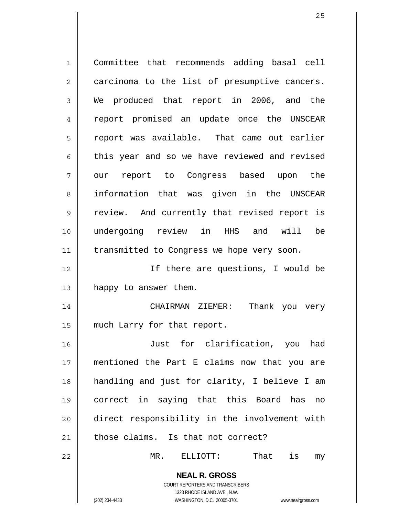**NEAL R. GROSS** COURT REPORTERS AND TRANSCRIBERS 1 2 3 4 5 6 7 8 9 10 11 12 13 14 15 16 17 18 19 20 21 22 Committee that recommends adding basal cell carcinoma to the list of presumptive cancers. We produced that report in 2006, and the report promised an update once the UNSCEAR report was available. That came out earlier this year and so we have reviewed and revised our report to Congress based upon the information that was given in the UNSCEAR review. And currently that revised report is undergoing review in HHS and will be transmitted to Congress we hope very soon. If there are questions, I would be happy to answer them. CHAIRMAN ZIEMER: Thank you very much Larry for that report. Just for clarification, you had mentioned the Part E claims now that you are handling and just for clarity, I believe I am correct in saying that this Board has no direct responsibility in the involvement with those claims. Is that not correct? MR. ELLIOTT: That is my

1323 RHODE ISLAND AVE., N.W.

(202) 234-4433 WASHINGTON, D.C. 20005-3701 www.nealrgross.com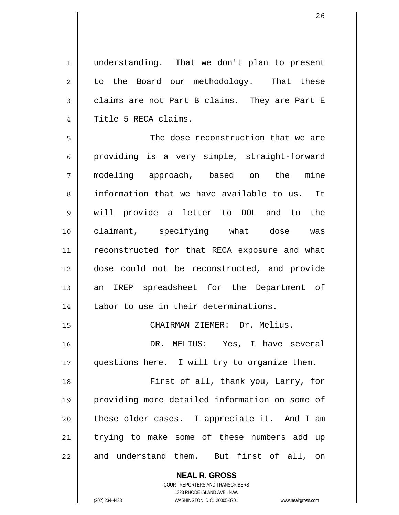1 2 3 4 understanding. That we don't plan to present to the Board our methodology. That these claims are not Part B claims. They are Part E Title 5 RECA claims.

5 6 7 8 9 10 11 12 13 14 The dose reconstruction that we are providing is a very simple, straight-forward modeling approach, based on the mine information that we have available to us. It will provide a letter to DOL and to the claimant, specifying what dose was reconstructed for that RECA exposure and what dose could not be reconstructed, and provide an IREP spreadsheet for the Department of Labor to use in their determinations.

CHAIRMAN ZIEMER: Dr. Melius.

16 17 DR. MELIUS: Yes, I have several questions here. I will try to organize them.

15

18 19 20 21 22 First of all, thank you, Larry, for providing more detailed information on some of these older cases. I appreciate it. And I am trying to make some of these numbers add up and understand them. But first of all, on

> **NEAL R. GROSS** COURT REPORTERS AND TRANSCRIBERS 1323 RHODE ISLAND AVE., N.W. (202) 234-4433 WASHINGTON, D.C. 20005-3701 www.nealrgross.com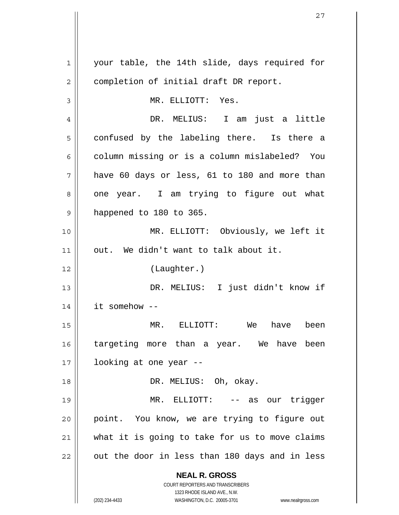| $\mathbf 1$ | your table, the 14th slide, days required for                                                       |
|-------------|-----------------------------------------------------------------------------------------------------|
| 2           | completion of initial draft DR report.                                                              |
| 3           | MR. ELLIOTT: Yes.                                                                                   |
| 4           | DR. MELIUS: I am just a little                                                                      |
| 5           | confused by the labeling there. Is there a                                                          |
| 6           | column missing or is a column mislabeled? You                                                       |
| 7           | have 60 days or less, 61 to 180 and more than                                                       |
| 8           | one year. I am trying to figure out what                                                            |
| 9           | happened to 180 to 365.                                                                             |
| 10          | MR. ELLIOTT: Obviously, we left it                                                                  |
| 11          | out. We didn't want to talk about it.                                                               |
| 12          | (Laughter.)                                                                                         |
| 13          | DR. MELIUS: I just didn't know if                                                                   |
| 14          | it somehow --                                                                                       |
| 15          | MR. ELLIOTT: We<br>been<br>have                                                                     |
| 16          | targeting more than a year. We have been                                                            |
| 17          | looking at one year --                                                                              |
| 18          | DR. MELIUS: Oh, okay.                                                                               |
| 19          | MR.<br>ELLIOTT: -- as our trigger                                                                   |
| 20          | point. You know, we are trying to figure out                                                        |
| 21          | what it is going to take for us to move claims                                                      |
| 22          | out the door in less than 180 days and in less                                                      |
|             | <b>NEAL R. GROSS</b>                                                                                |
|             | COURT REPORTERS AND TRANSCRIBERS                                                                    |
|             | 1323 RHODE ISLAND AVE., N.W.<br>(202) 234-4433<br>WASHINGTON, D.C. 20005-3701<br>www.nealrgross.com |

 $\mathsf{II}$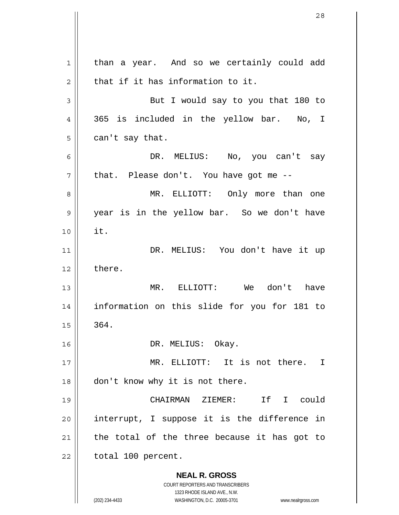**NEAL R. GROSS** COURT REPORTERS AND TRANSCRIBERS 1323 RHODE ISLAND AVE., N.W. (202) 234-4433 WASHINGTON, D.C. 20005-3701 www.nealrgross.com 1 2 3 4 5 6 7 8 9 10 11 12 13 14 15 16 17 18 19 20 21 22 than a year. And so we certainly could add that if it has information to it. But I would say to you that 180 to 365 is included in the yellow bar. No, I can't say that. DR. MELIUS: No, you can't say that. Please don't. You have got me -- MR. ELLIOTT: Only more than one year is in the yellow bar. So we don't have it. DR. MELIUS: You don't have it up there. MR. ELLIOTT: We don't have information on this slide for you for 181 to 364. DR. MELIUS: Okay. MR. ELLIOTT: It is not there. I don't know why it is not there. CHAIRMAN ZIEMER: If I could interrupt, I suppose it is the difference in the total of the three because it has got to total 100 percent.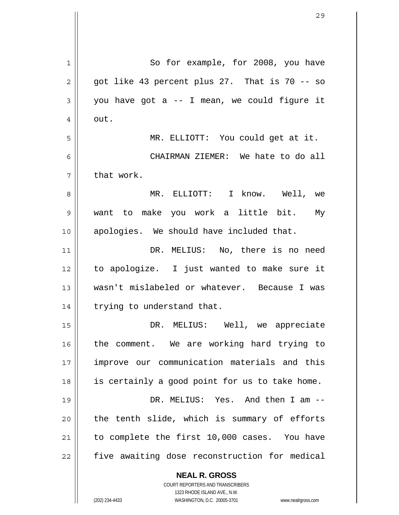| 1  | So for example, for 2008, you have                                  |
|----|---------------------------------------------------------------------|
| 2  | got like 43 percent plus 27. That is 70 -- so                       |
| 3  | you have got a -- I mean, we could figure it                        |
| 4  | out.                                                                |
| 5  | MR. ELLIOTT: You could get at it.                                   |
| 6  | CHAIRMAN ZIEMER: We hate to do all                                  |
| 7  | that work.                                                          |
| 8  | MR. ELLIOTT: I know. Well, we                                       |
| 9  | want to make you work a little bit. My                              |
| 10 | apologies. We should have included that.                            |
| 11 | DR. MELIUS: No, there is no need                                    |
| 12 | to apologize. I just wanted to make sure it                         |
| 13 | wasn't mislabeled or whatever. Because I was                        |
| 14 | trying to understand that.                                          |
| 15 | DR. MELIUS: Well, we appreciate                                     |
| 16 | the comment. We are working hard trying to                          |
| 17 | improve our communication materials and this                        |
| 18 | is certainly a good point for us to take home.                      |
| 19 | DR. MELIUS: Yes. And then I am --                                   |
| 20 | the tenth slide, which is summary of efforts                        |
| 21 | to complete the first 10,000 cases. You have                        |
| 22 | five awaiting dose reconstruction for medical                       |
|    | <b>NEAL R. GROSS</b><br><b>COURT REPORTERS AND TRANSCRIBERS</b>     |
|    | 1323 RHODE ISLAND AVE., N.W.                                        |
|    | (202) 234-4433<br>WASHINGTON, D.C. 20005-3701<br>www.nealrgross.com |

 $\overline{\phantom{a}}$ 

 $\mathbf{\mathcal{L}}$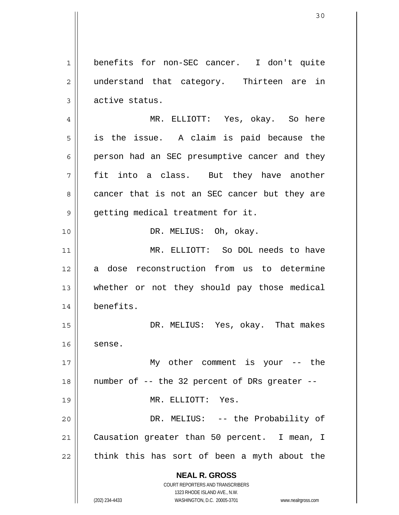**NEAL R. GROSS** COURT REPORTERS AND TRANSCRIBERS 1323 RHODE ISLAND AVE., N.W. (202) 234-4433 WASHINGTON, D.C. 20005-3701 www.nealrgross.com 1 2 3 4 5 6 7 8 9 10 11 12 13 14 15 16 17 18 19 20 21 22 benefits for non-SEC cancer. I don't quite understand that category. Thirteen are in active status. MR. ELLIOTT: Yes, okay. So here is the issue. A claim is paid because the person had an SEC presumptive cancer and they fit into a class. But they have another cancer that is not an SEC cancer but they are getting medical treatment for it. DR. MELIUS: Oh, okay. MR. ELLIOTT: So DOL needs to have a dose reconstruction from us to determine whether or not they should pay those medical benefits. DR. MELIUS: Yes, okay. That makes sense. My other comment is your -- the number of -- the 32 percent of DRs greater -- MR. ELLIOTT: Yes. DR. MELIUS: -- the Probability of Causation greater than 50 percent. I mean, I think this has sort of been a myth about the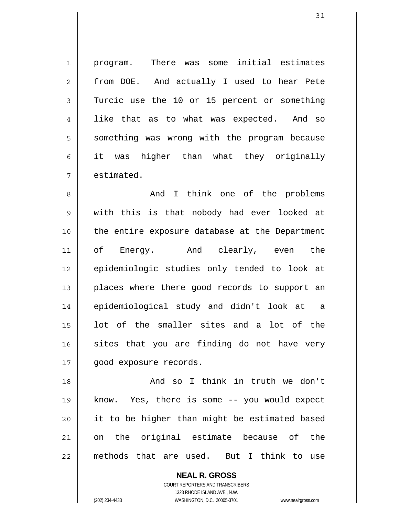1 2 3 4 5 6 7 program. There was some initial estimates from DOE. And actually I used to hear Pete Turcic use the 10 or 15 percent or something like that as to what was expected. And so something was wrong with the program because it was higher than what they originally estimated.

8 9 10 11 12 13 14 15 16 17 And I think one of the problems with this is that nobody had ever looked at the entire exposure database at the Department of Energy. And clearly, even the epidemiologic studies only tended to look at places where there good records to support an epidemiological study and didn't look at a lot of the smaller sites and a lot of the sites that you are finding do not have very good exposure records.

18 19 20 21 22 And so I think in truth we don't know. Yes, there is some -- you would expect it to be higher than might be estimated based on the original estimate because of the methods that are used. But I think to use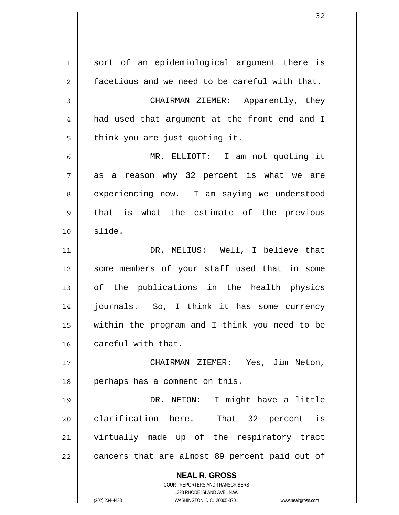**NEAL R. GROSS** COURT REPORTERS AND TRANSCRIBERS 1323 RHODE ISLAND AVE., N.W. (202) 234-4433 WASHINGTON, D.C. 20005-3701 www.nealrgross.com 1 2 3 4 5 6 7 8 9 10 11 12 13 14 15 16 17 18 19 20 21 22 sort of an epidemiological argument there is facetious and we need to be careful with that. CHAIRMAN ZIEMER: Apparently, they had used that argument at the front end and I think you are just quoting it. MR. ELLIOTT: I am not quoting it as a reason why 32 percent is what we are experiencing now. I am saying we understood that is what the estimate of the previous slide. DR. MELIUS: Well, I believe that some members of your staff used that in some of the publications in the health physics journals. So, I think it has some currency within the program and I think you need to be careful with that. CHAIRMAN ZIEMER: Yes, Jim Neton, perhaps has a comment on this. DR. NETON: I might have a little clarification here. That 32 percent is virtually made up of the respiratory tract cancers that are almost 89 percent paid out of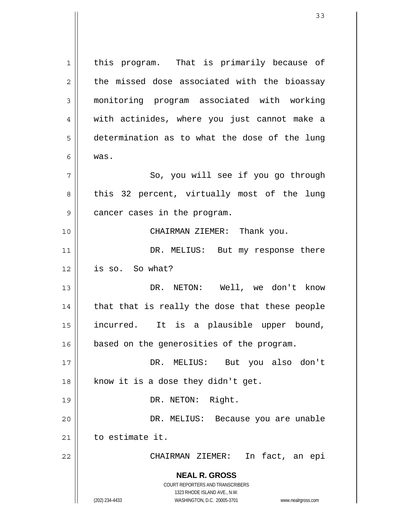**NEAL R. GROSS** COURT REPORTERS AND TRANSCRIBERS 1323 RHODE ISLAND AVE., N.W. (202) 234-4433 WASHINGTON, D.C. 20005-3701 www.nealrgross.com 1 2 3 4 5 6 7 8 9 10 11 12 13 14 15 16 17 18 19 20 21 22 this program. That is primarily because of the missed dose associated with the bioassay monitoring program associated with working with actinides, where you just cannot make a determination as to what the dose of the lung was. So, you will see if you go through this 32 percent, virtually most of the lung cancer cases in the program. CHAIRMAN ZIEMER: Thank you. DR. MELIUS: But my response there is so. So what? DR. NETON: Well, we don't know that that is really the dose that these people incurred. It is a plausible upper bound, based on the generosities of the program. DR. MELIUS: But you also don't know it is a dose they didn't get. DR. NETON: Right. DR. MELIUS: Because you are unable to estimate it. CHAIRMAN ZIEMER: In fact, an epi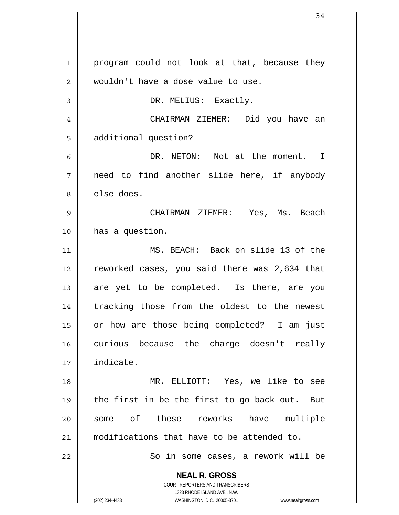**NEAL R. GROSS** COURT REPORTERS AND TRANSCRIBERS 1323 RHODE ISLAND AVE., N.W. (202) 234-4433 WASHINGTON, D.C. 20005-3701 www.nealrgross.com 1 2 3 4 5 6 7 8 9 10 11 12 13 14 15 16 17 18 19 20 21 22 program could not look at that, because they wouldn't have a dose value to use. DR. MELIUS: Exactly. CHAIRMAN ZIEMER: Did you have an additional question? DR. NETON: Not at the moment. I need to find another slide here, if anybody else does. CHAIRMAN ZIEMER: Yes, Ms. Beach has a question. MS. BEACH: Back on slide 13 of the reworked cases, you said there was 2,634 that are yet to be completed. Is there, are you tracking those from the oldest to the newest or how are those being completed? I am just curious because the charge doesn't really indicate. MR. ELLIOTT: Yes, we like to see the first in be the first to go back out. But some of these reworks have multiple modifications that have to be attended to. So in some cases, a rework will be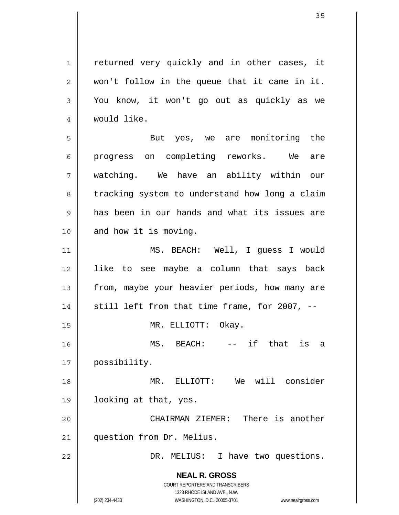1 2 3 4 returned very quickly and in other cases, it won't follow in the queue that it came in it. You know, it won't go out as quickly as we would like.

5 6 7 8 9 10 But yes, we are monitoring the progress on completing reworks. We are watching. We have an ability within our tracking system to understand how long a claim has been in our hands and what its issues are and how it is moving.

11 12 13 14 15 16 17 18 MS. BEACH: Well, I guess I would like to see maybe a column that says back from, maybe your heavier periods, how many are still left from that time frame, for 2007, -- MR. ELLIOTT: Okay. MS. BEACH: -- if that is a possibility. MR. ELLIOTT: We will consider

20 21 CHAIRMAN ZIEMER: There is another question from Dr. Melius.

looking at that, yes.

DR. MELIUS: I have two questions.

**NEAL R. GROSS** COURT REPORTERS AND TRANSCRIBERS 1323 RHODE ISLAND AVE., N.W.

19

22

(202) 234-4433 WASHINGTON, D.C. 20005-3701 www.nealrgross.com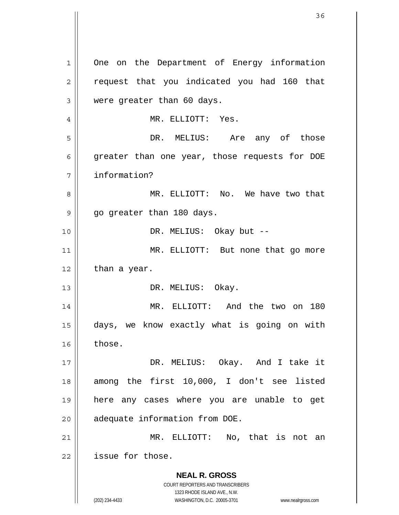**NEAL R. GROSS** COURT REPORTERS AND TRANSCRIBERS 1323 RHODE ISLAND AVE., N.W. (202) 234-4433 WASHINGTON, D.C. 20005-3701 www.nealrgross.com 1 2 3 4 5 6 7 8 9 10 11 12 13 14 15 16 17 18 19 20 21 22 One on the Department of Energy information request that you indicated you had 160 that were greater than 60 days. MR. ELLIOTT: Yes. DR. MELIUS: Are any of those greater than one year, those requests for DOE information? MR. ELLIOTT: No. We have two that go greater than 180 days. DR. MELIUS: Okay but -- MR. ELLIOTT: But none that go more than a year. DR. MELIUS: Okay. MR. ELLIOTT: And the two on 180 days, we know exactly what is going on with those. DR. MELIUS: Okay. And I take it among the first 10,000, I don't see listed here any cases where you are unable to get adequate information from DOE. MR. ELLIOTT: No, that is not an issue for those.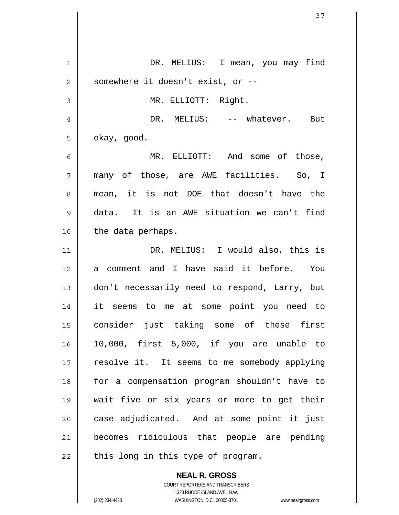1 2 3 4 5 6 7 8 9 10 11 12 13 14 15 16 17 18 19 20 21 22 DR. MELIUS: I mean, you may find somewhere it doesn't exist, or -- MR. ELLIOTT: Right. DR. MELIUS: -- whatever. But okay, good. MR. ELLIOTT: And some of those, many of those, are AWE facilities. So, I mean, it is not DOE that doesn't have the data. It is an AWE situation we can't find the data perhaps. DR. MELIUS: I would also, this is a comment and I have said it before. You don't necessarily need to respond, Larry, but it seems to me at some point you need to consider just taking some of these first 10,000, first 5,000, if you are unable to resolve it. It seems to me somebody applying for a compensation program shouldn't have to wait five or six years or more to get their case adjudicated. And at some point it just becomes ridiculous that people are pending this long in this type of program.

> COURT REPORTERS AND TRANSCRIBERS 1323 RHODE ISLAND AVE., N.W. (202) 234-4433 WASHINGTON, D.C. 20005-3701 www.nealrgross.com

**NEAL R. GROSS**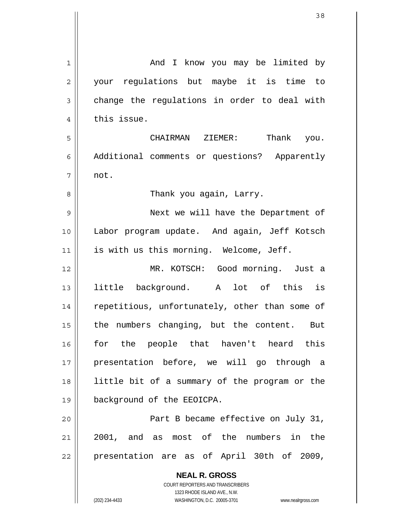| 1              | And I know you may be limited by                                                                    |
|----------------|-----------------------------------------------------------------------------------------------------|
| $\overline{2}$ | your regulations but maybe it is time to                                                            |
| 3              | change the regulations in order to deal with                                                        |
| 4              | this issue.                                                                                         |
| 5              | CHAIRMAN ZIEMER: Thank you.                                                                         |
| 6              | Additional comments or questions? Apparently                                                        |
| 7              | not.                                                                                                |
| 8              | Thank you again, Larry.                                                                             |
| 9              | Next we will have the Department of                                                                 |
| 10             | Labor program update. And again, Jeff Kotsch                                                        |
| 11             | is with us this morning. Welcome, Jeff.                                                             |
| 12             | MR. KOTSCH: Good morning. Just a                                                                    |
| 13             | little background. A lot of this is                                                                 |
| 14             | repetitious, unfortunately, other than some of                                                      |
| 15             | the numbers changing, but the content. But                                                          |
| 16             | for the people that haven't heard this                                                              |
| 17             | presentation before, we will go through a                                                           |
| 18             | little bit of a summary of the program or the                                                       |
| 19             | background of the EEOICPA.                                                                          |
| 20             | Part B became effective on July 31,                                                                 |
| 21             | 2001, and as most of the numbers in the                                                             |
| 22             | presentation are as of April 30th of 2009,                                                          |
|                | <b>NEAL R. GROSS</b>                                                                                |
|                | <b>COURT REPORTERS AND TRANSCRIBERS</b>                                                             |
|                | 1323 RHODE ISLAND AVE., N.W.<br>(202) 234-4433<br>WASHINGTON, D.C. 20005-3701<br>www.nealrgross.com |

 $\mathbf{\mathbf{\mathsf{I}}}\mathbf{\mathsf{I}}$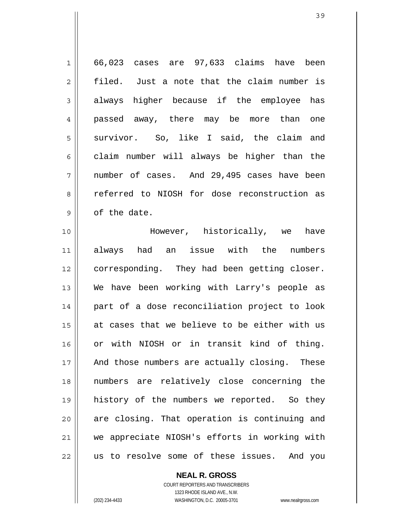| $\mathbf 1$    | 66,023 cases are 97,633 claims have been      |
|----------------|-----------------------------------------------|
| $\overline{2}$ | filed. Just a note that the claim number is   |
| $\mathfrak{Z}$ | always higher because if the employee has     |
| $\overline{4}$ | passed away, there may be more than one       |
| 5              | survivor. So, like I said, the claim and      |
| 6              | claim number will always be higher than the   |
| 7              | number of cases. And 29,495 cases have been   |
| 8              | referred to NIOSH for dose reconstruction as  |
| $\mathsf 9$    | of the date.                                  |
| 10             | However, historically, we have                |
| 11             | always had an issue with the<br>numbers       |
| 12             | corresponding. They had been getting closer.  |
| 13             | We have been working with Larry's people as   |
| 14             | part of a dose reconciliation project to look |
| 15             | at cases that we believe to be either with us |
| 16             | or with NIOSH or in transit kind of thing.    |
| 17             | And those numbers are actually closing. These |
| 18             | numbers are relatively close concerning the   |
| 19             | history of the numbers we reported. So they   |
| 20             | are closing. That operation is continuing and |
| 21             | we appreciate NIOSH's efforts in working with |
| 22             | us to resolve some of these issues. And you   |

**NEAL R. GROSS** COURT REPORTERS AND TRANSCRIBERS

1323 RHODE ISLAND AVE., N.W.

 $\mathsf{II}$ 

(202) 234-4433 WASHINGTON, D.C. 20005-3701 www.nealrgross.com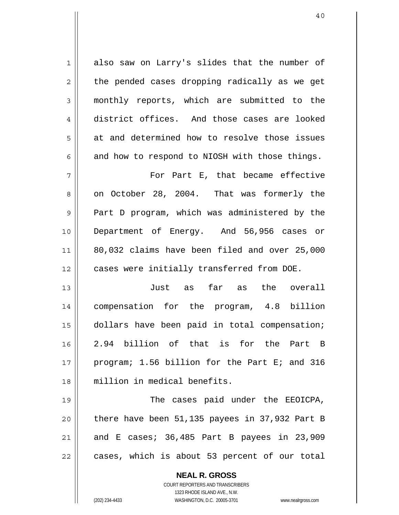1 2 3 4 5 6 also saw on Larry's slides that the number of the pended cases dropping radically as we get monthly reports, which are submitted to the district offices. And those cases are looked at and determined how to resolve those issues and how to respond to NIOSH with those things.

7 8 9 10 11 12 For Part E, that became effective on October 28, 2004. That was formerly the Part D program, which was administered by the Department of Energy. And 56,956 cases or 80,032 claims have been filed and over 25,000 cases were initially transferred from DOE.

13 14 15 16 17 18 Just as far as the overall compensation for the program, 4.8 billion dollars have been paid in total compensation; 2.94 billion of that is for the Part B program; 1.56 billion for the Part E; and 316 million in medical benefits.

19 20 21 22 The cases paid under the EEOICPA, there have been 51,135 payees in 37,932 Part B and E cases; 36,485 Part B payees in 23,909 cases, which is about 53 percent of our total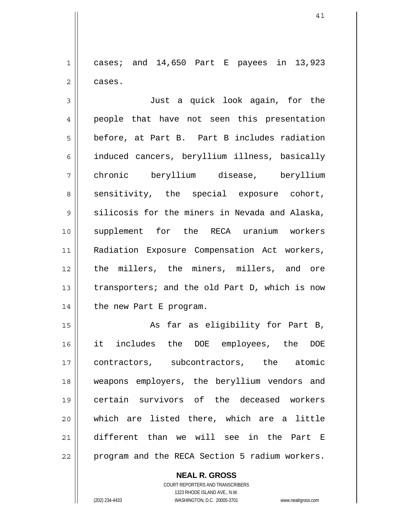1 2 cases; and 14,650 Part E payees in 13,923 cases.

3 4 5 6 7 8 9 10 11 12 13 14 Just a quick look again, for the people that have not seen this presentation before, at Part B. Part B includes radiation induced cancers, beryllium illness, basically chronic beryllium disease, beryllium sensitivity, the special exposure cohort, silicosis for the miners in Nevada and Alaska, supplement for the RECA uranium workers Radiation Exposure Compensation Act workers, the millers, the miners, millers, and ore transporters; and the old Part D, which is now the new Part E program.

15 16 17 18 19 20 21 22 As far as eligibility for Part B, it includes the DOE employees, the DOE contractors, subcontractors, the atomic weapons employers, the beryllium vendors and certain survivors of the deceased workers which are listed there, which are a little different than we will see in the Part E program and the RECA Section 5 radium workers.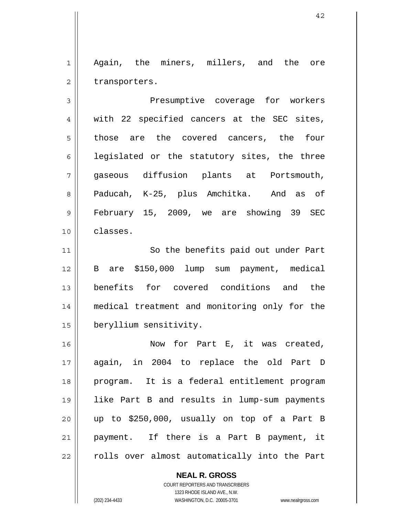1 2 Again, the miners, millers, and the ore transporters.

3 4 5 6 7 8 9 10 Presumptive coverage for workers with 22 specified cancers at the SEC sites, those are the covered cancers, the four legislated or the statutory sites, the three gaseous diffusion plants at Portsmouth, Paducah, K-25, plus Amchitka. And as of February 15, 2009, we are showing 39 SEC classes.

11 12 13 14 15 So the benefits paid out under Part B are \$150,000 lump sum payment, medical benefits for covered conditions and the medical treatment and monitoring only for the beryllium sensitivity.

16 17 18 19 20 21 22 Now for Part E, it was created, again, in 2004 to replace the old Part D program. It is a federal entitlement program like Part B and results in lump-sum payments up to \$250,000, usually on top of a Part B payment. If there is a Part B payment, it rolls over almost automatically into the Part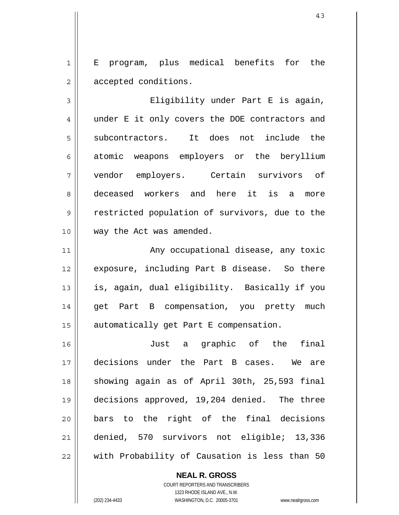1 2 E program, plus medical benefits for the accepted conditions.

3 4 5 6 7 8 9 10 Eligibility under Part E is again, under E it only covers the DOE contractors and subcontractors. It does not include the atomic weapons employers or the beryllium vendor employers. Certain survivors of deceased workers and here it is a more restricted population of survivors, due to the way the Act was amended.

11 12 13 14 15 Any occupational disease, any toxic exposure, including Part B disease. So there is, again, dual eligibility. Basically if you get Part B compensation, you pretty much automatically get Part E compensation.

16 17 18 19 20 21 22 Just a graphic of the final decisions under the Part B cases. We are showing again as of April 30th, 25,593 final decisions approved, 19,204 denied. The three bars to the right of the final decisions denied, 570 survivors not eligible; 13,336 with Probability of Causation is less than 50

> **NEAL R. GROSS** COURT REPORTERS AND TRANSCRIBERS 1323 RHODE ISLAND AVE., N.W.

(202) 234-4433 WASHINGTON, D.C. 20005-3701 www.nealrgross.com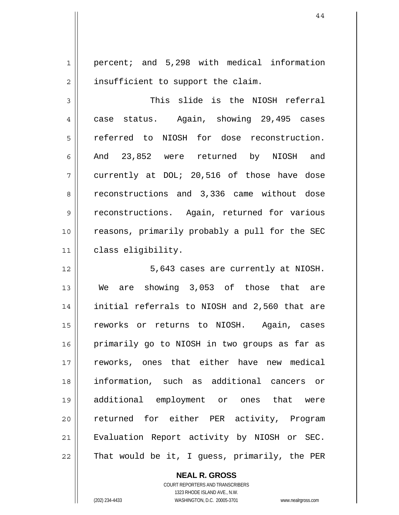1 2 percent; and 5,298 with medical information insufficient to support the claim.

3 4 5 6 7 8 9 10 11 This slide is the NIOSH referral case status. Again, showing 29,495 cases referred to NIOSH for dose reconstruction. And 23,852 were returned by NIOSH and currently at DOL; 20,516 of those have dose reconstructions and 3,336 came without dose reconstructions. Again, returned for various reasons, primarily probably a pull for the SEC class eligibility.

12 13 14 15 16 17 18 19 20 21 22 5,643 cases are currently at NIOSH. We are showing 3,053 of those that are initial referrals to NIOSH and 2,560 that are reworks or returns to NIOSH. Again, cases primarily go to NIOSH in two groups as far as reworks, ones that either have new medical information, such as additional cancers or additional employment or ones that were returned for either PER activity, Program Evaluation Report activity by NIOSH or SEC. That would be it, I guess, primarily, the PER

**NEAL R. GROSS**

COURT REPORTERS AND TRANSCRIBERS 1323 RHODE ISLAND AVE., N.W. (202) 234-4433 WASHINGTON, D.C. 20005-3701 www.nealrgross.com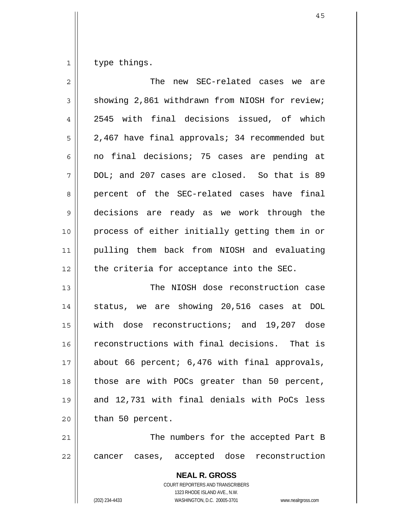1 type things.

| $\overline{2}$ | The new SEC-related cases we are               |
|----------------|------------------------------------------------|
| 3              | showing 2,861 withdrawn from NIOSH for review; |
| 4              | 2545 with final decisions issued, of which     |
| 5              | 2,467 have final approvals; 34 recommended but |
| 6              | no final decisions; 75 cases are pending at    |
| 7              | DOL; and 207 cases are closed. So that is 89   |
| 8              | percent of the SEC-related cases have final    |
| 9              | decisions are ready as we work through the     |
| 10             | process of either initially getting them in or |
| 11             | pulling them back from NIOSH and evaluating    |
| 12             | the criteria for acceptance into the SEC.      |
| 13             | The NIOSH dose reconstruction case             |
| 14             | status, we are showing 20,516 cases at DOL     |
| 15             | with dose reconstructions; and 19,207 dose     |
| 16             | reconstructions with final decisions. That is  |
| 17             | about 66 percent; 6,476 with final approvals,  |
| 18             | those are with POCs greater than 50 percent,   |
| 19             | and 12,731 with final denials with PoCs less   |
| 20             | than 50 percent.                               |
| 21             | The numbers for the accepted Part B            |
| 22             | cancer cases, accepted dose reconstruction     |
|                | <b>NEAL R. GROSS</b>                           |

COURT REPORTERS AND TRANSCRIBERS 1323 RHODE ISLAND AVE., N.W.

 $\mathsf{I}$ 

(202) 234-4433 WASHINGTON, D.C. 20005-3701 www.nealrgross.com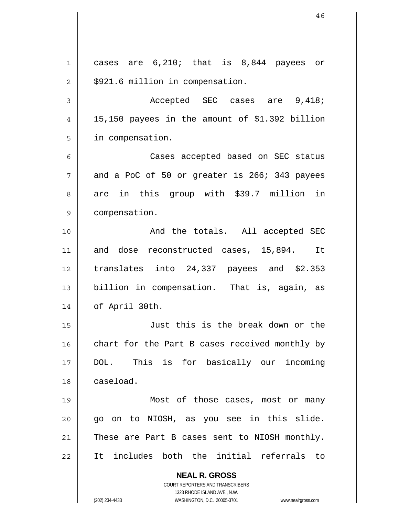**NEAL R. GROSS** COURT REPORTERS AND TRANSCRIBERS 1323 RHODE ISLAND AVE., N.W. (202) 234-4433 WASHINGTON, D.C. 20005-3701 www.nealrgross.com 1 2 3 4 5 6 7 8 9 10 11 12 13 14 15 16 17 18 19 20 21 22 cases are 6,210; that is 8,844 payees or \$921.6 million in compensation. Accepted SEC cases are 9,418; 15,150 payees in the amount of \$1.392 billion in compensation. Cases accepted based on SEC status and a PoC of 50 or greater is 266; 343 payees are in this group with \$39.7 million in compensation. And the totals. All accepted SEC and dose reconstructed cases, 15,894. It translates into 24,337 payees and \$2.353 billion in compensation. That is, again, as of April 30th. Just this is the break down or the chart for the Part B cases received monthly by DOL. This is for basically our incoming caseload. Most of those cases, most or many go on to NIOSH, as you see in this slide. These are Part B cases sent to NIOSH monthly. It includes both the initial referrals to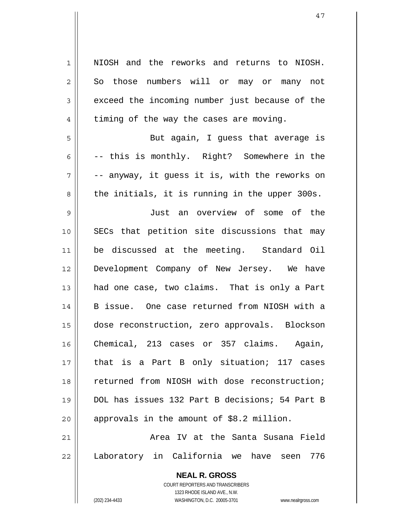**NEAL R. GROSS** 1 2 3 4 5 6 7 8 9 10 11 12 13 14 15 16 17 18 19 20 21 22 NIOSH and the reworks and returns to NIOSH. So those numbers will or may or many not exceed the incoming number just because of the timing of the way the cases are moving. But again, I guess that average is -- this is monthly. Right? Somewhere in the -- anyway, it guess it is, with the reworks on the initials, it is running in the upper 300s. Just an overview of some of the SECs that petition site discussions that may be discussed at the meeting. Standard Oil Development Company of New Jersey. We have had one case, two claims. That is only a Part B issue. One case returned from NIOSH with a dose reconstruction, zero approvals. Blockson Chemical, 213 cases or 357 claims. Again, that is a Part B only situation; 117 cases returned from NIOSH with dose reconstruction; DOL has issues 132 Part B decisions; 54 Part B approvals in the amount of \$8.2 million. Area IV at the Santa Susana Field Laboratory in California we have seen 776

> COURT REPORTERS AND TRANSCRIBERS 1323 RHODE ISLAND AVE., N.W.

(202) 234-4433 WASHINGTON, D.C. 20005-3701 www.nealrgross.com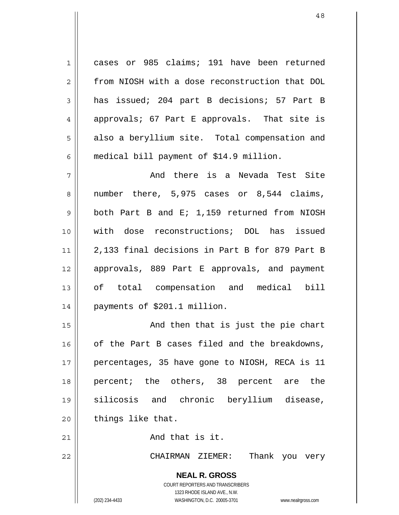1 2 3 4 5 6 cases or 985 claims; 191 have been returned from NIOSH with a dose reconstruction that DOL has issued; 204 part B decisions; 57 Part B approvals; 67 Part E approvals. That site is also a beryllium site. Total compensation and medical bill payment of \$14.9 million.

7 8 9 10 11 12 13 14 And there is a Nevada Test Site number there, 5,975 cases or 8,544 claims, both Part B and E; 1,159 returned from NIOSH with dose reconstructions; DOL has issued 2,133 final decisions in Part B for 879 Part B approvals, 889 Part E approvals, and payment of total compensation and medical bill payments of \$201.1 million.

15 16 17 18 19 20 And then that is just the pie chart of the Part B cases filed and the breakdowns, percentages, 35 have gone to NIOSH, RECA is 11 percent; the others, 38 percent are the silicosis and chronic beryllium disease, things like that.

And that is it.

22

21

CHAIRMAN ZIEMER: Thank you very

**NEAL R. GROSS** COURT REPORTERS AND TRANSCRIBERS 1323 RHODE ISLAND AVE., N.W.

(202) 234-4433 WASHINGTON, D.C. 20005-3701 www.nealrgross.com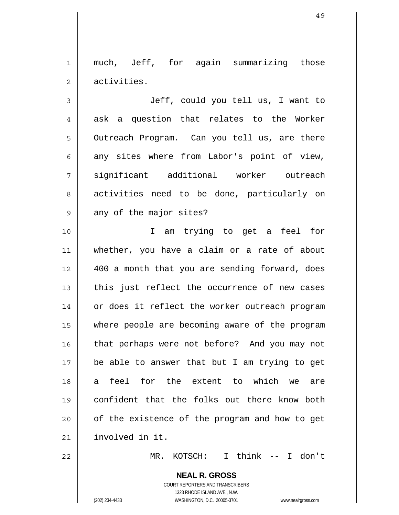1 2 much, Jeff, for again summarizing those activities.

3 4 5 6 7 8 9 Jeff, could you tell us, I want to ask a question that relates to the Worker Outreach Program. Can you tell us, are there any sites where from Labor's point of view, significant additional worker outreach activities need to be done, particularly on any of the major sites?

10 11 12 13 14 15 16 17 18 19 20 21 I am trying to get a feel for whether, you have a claim or a rate of about 400 a month that you are sending forward, does this just reflect the occurrence of new cases or does it reflect the worker outreach program where people are becoming aware of the program that perhaps were not before? And you may not be able to answer that but I am trying to get a feel for the extent to which we are confident that the folks out there know both of the existence of the program and how to get involved in it.

22

MR. KOTSCH: I think -- I don't

**NEAL R. GROSS** COURT REPORTERS AND TRANSCRIBERS 1323 RHODE ISLAND AVE., N.W. (202) 234-4433 WASHINGTON, D.C. 20005-3701 www.nealrgross.com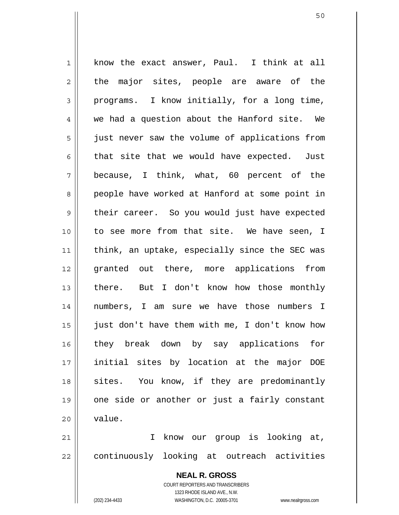1 2 3 4 5 6 7 8 9 10 11 12 13 14 15 16 17 18 19 20 know the exact answer, Paul. I think at all the major sites, people are aware of the programs. I know initially, for a long time, we had a question about the Hanford site. We just never saw the volume of applications from that site that we would have expected. Just because, I think, what, 60 percent of the people have worked at Hanford at some point in their career. So you would just have expected to see more from that site. We have seen, I think, an uptake, especially since the SEC was granted out there, more applications from there. But I don't know how those monthly numbers, I am sure we have those numbers I just don't have them with me, I don't know how they break down by say applications for initial sites by location at the major DOE sites. You know, if they are predominantly one side or another or just a fairly constant value.

21 22 I know our group is looking at, continuously looking at outreach activities

> **NEAL R. GROSS** COURT REPORTERS AND TRANSCRIBERS 1323 RHODE ISLAND AVE., N.W. (202) 234-4433 WASHINGTON, D.C. 20005-3701 www.nealrgross.com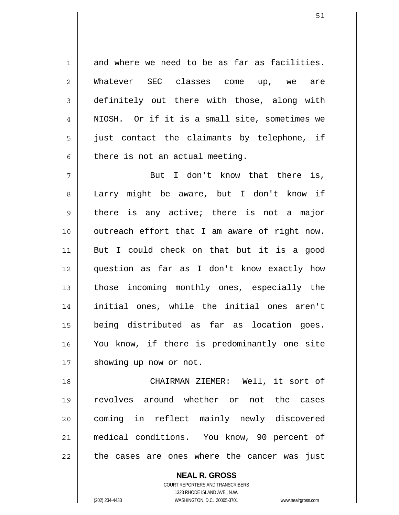and where we need to be as far as facilities. Whatever SEC classes come up, we are definitely out there with those, along with NIOSH. Or if it is a small site, sometimes we just contact the claimants by telephone, if there is not an actual meeting.

7 8 9 10 11 12 13 14 15 16 17 But I don't know that there is, Larry might be aware, but I don't know if there is any active; there is not a major outreach effort that I am aware of right now. But I could check on that but it is a good question as far as I don't know exactly how those incoming monthly ones, especially the initial ones, while the initial ones aren't being distributed as far as location goes. You know, if there is predominantly one site showing up now or not.

18 19 20 21 22 CHAIRMAN ZIEMER: Well, it sort of revolves around whether or not the cases coming in reflect mainly newly discovered medical conditions. You know, 90 percent of the cases are ones where the cancer was just

> COURT REPORTERS AND TRANSCRIBERS 1323 RHODE ISLAND AVE., N.W. (202) 234-4433 WASHINGTON, D.C. 20005-3701 www.nealrgross.com

**NEAL R. GROSS**

1

2

3

4

5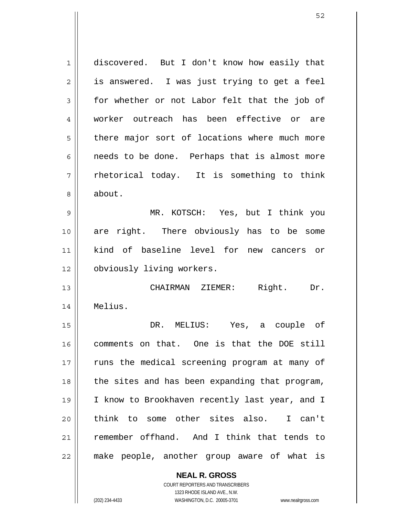1 2 3 4 5 6 7 8 9 10 11 12 13 14 15 16 17 18 19 20 21 22 discovered. But I don't know how easily that is answered. I was just trying to get a feel for whether or not Labor felt that the job of worker outreach has been effective or are there major sort of locations where much more needs to be done. Perhaps that is almost more rhetorical today. It is something to think about. MR. KOTSCH: Yes, but I think you are right. There obviously has to be some kind of baseline level for new cancers or obviously living workers. CHAIRMAN ZIEMER: Right. Dr. Melius. DR. MELIUS: Yes, a couple of comments on that. One is that the DOE still runs the medical screening program at many of the sites and has been expanding that program, I know to Brookhaven recently last year, and I think to some other sites also. I can't remember offhand. And I think that tends to make people, another group aware of what is

> **NEAL R. GROSS** COURT REPORTERS AND TRANSCRIBERS

1323 RHODE ISLAND AVE., N.W. (202) 234-4433 WASHINGTON, D.C. 20005-3701 www.nealrgross.com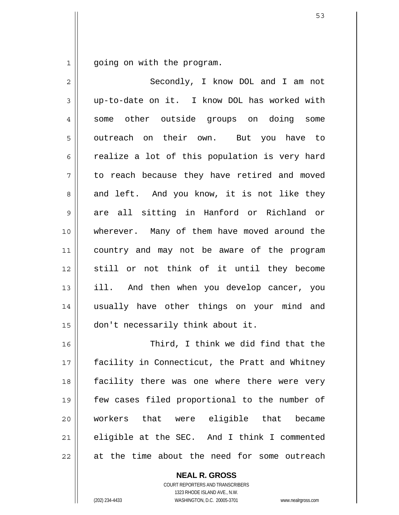1 going on with the program.

| $\overline{2}$ | Secondly, I know DOL and I am not              |
|----------------|------------------------------------------------|
| 3              | up-to-date on it. I know DOL has worked with   |
| 4              | some other outside groups on doing some        |
| 5              | outreach on their own. But you have to         |
| 6              | realize a lot of this population is very hard  |
| 7              | to reach because they have retired and moved   |
| 8              | and left. And you know, it is not like they    |
| 9              | are all sitting in Hanford or Richland or      |
| 10             | wherever. Many of them have moved around the   |
| 11             | country and may not be aware of the program    |
| 12             | still or not think of it until they become     |
| 13             | ill. And then when you develop cancer, you     |
| 14             | usually have other things on your mind and     |
| 15             | don't necessarily think about it.              |
| 16             | Third, I think we did find that the            |
| 17             | facility in Connecticut, the Pratt and Whitney |
| 18             | facility there was one where there were very   |
| 19             | few cases filed proportional to the number of  |
| 20             | workers that were eligible that became         |
| 21             | eligible at the SEC. And I think I commented   |
| 22             | at the time about the need for some outreach   |

**NEAL R. GROSS** COURT REPORTERS AND TRANSCRIBERS 1323 RHODE ISLAND AVE., N.W. (202) 234-4433 WASHINGTON, D.C. 20005-3701 www.nealrgross.com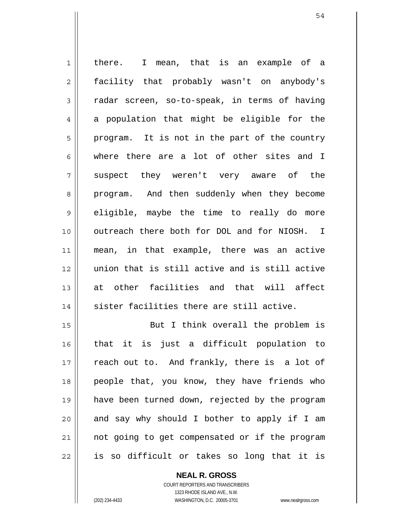1 2 3 4 5 6 7 8 9 10 11 12 13 14 there. I mean, that is an example of a facility that probably wasn't on anybody's radar screen, so-to-speak, in terms of having a population that might be eligible for the program. It is not in the part of the country where there are a lot of other sites and I suspect they weren't very aware of the program. And then suddenly when they become eligible, maybe the time to really do more outreach there both for DOL and for NIOSH. I mean, in that example, there was an active union that is still active and is still active at other facilities and that will affect sister facilities there are still active. But I think overall the problem is

15 16 17 18 19 20 21 22 that it is just a difficult population to reach out to. And frankly, there is a lot of people that, you know, they have friends who have been turned down, rejected by the program and say why should I bother to apply if I am not going to get compensated or if the program is so difficult or takes so long that it is

> COURT REPORTERS AND TRANSCRIBERS 1323 RHODE ISLAND AVE., N.W. (202) 234-4433 WASHINGTON, D.C. 20005-3701 www.nealrgross.com

**NEAL R. GROSS**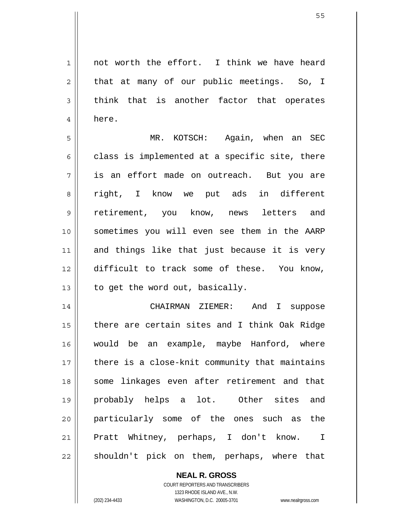1 2 3 4 not worth the effort. I think we have heard that at many of our public meetings. So, I think that is another factor that operates here.

5 6 7 8 9 10 11 12 13 MR. KOTSCH: Again, when an SEC class is implemented at a specific site, there is an effort made on outreach. But you are right, I know we put ads in different retirement, you know, news letters and sometimes you will even see them in the AARP and things like that just because it is very difficult to track some of these. You know, to get the word out, basically.

14 15 16 17 18 19 20 21 22 CHAIRMAN ZIEMER: And I suppose there are certain sites and I think Oak Ridge would be an example, maybe Hanford, where there is a close-knit community that maintains some linkages even after retirement and that probably helps a lot. Other sites and particularly some of the ones such as the Pratt Whitney, perhaps, I don't know. I shouldn't pick on them, perhaps, where that

> **NEAL R. GROSS** COURT REPORTERS AND TRANSCRIBERS 1323 RHODE ISLAND AVE., N.W. (202) 234-4433 WASHINGTON, D.C. 20005-3701 www.nealrgross.com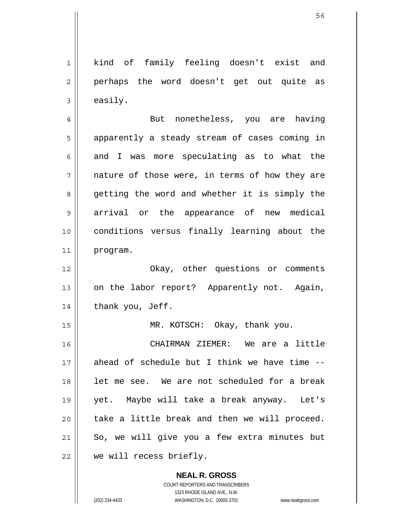1 2 3 4 5 6 7 8 9 10 11 12 13 14 15 16 17 18 19 20 21 22 kind of family feeling doesn't exist and perhaps the word doesn't get out quite as easily. But nonetheless, you are having apparently a steady stream of cases coming in and I was more speculating as to what the nature of those were, in terms of how they are getting the word and whether it is simply the arrival or the appearance of new medical conditions versus finally learning about the program. Okay, other questions or comments on the labor report? Apparently not. Again, thank you, Jeff. MR. KOTSCH: Okay, thank you. CHAIRMAN ZIEMER: We are a little ahead of schedule but I think we have time - let me see. We are not scheduled for a break yet. Maybe will take a break anyway. Let's take a little break and then we will proceed. So, we will give you a few extra minutes but we will recess briefly.

> **NEAL R. GROSS** COURT REPORTERS AND TRANSCRIBERS 1323 RHODE ISLAND AVE., N.W. (202) 234-4433 WASHINGTON, D.C. 20005-3701 www.nealrgross.com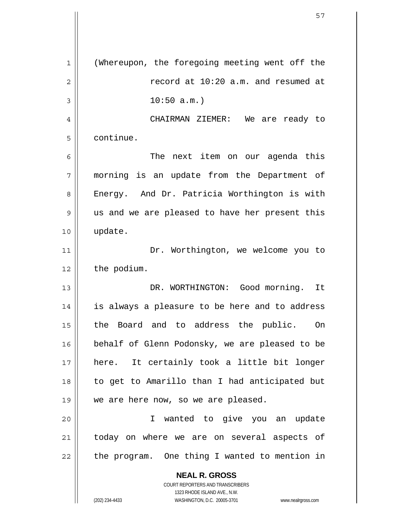**NEAL R. GROSS** COURT REPORTERS AND TRANSCRIBERS 1323 RHODE ISLAND AVE., N.W. 1 2 3 4 5 6 7 8 9 10 11 12 13 14 15 16 17 18 19 20 21 22 (Whereupon, the foregoing meeting went off the record at 10:20 a.m. and resumed at  $10:50$  a.m.) CHAIRMAN ZIEMER: We are ready to continue. The next item on our agenda this morning is an update from the Department of Energy. And Dr. Patricia Worthington is with us and we are pleased to have her present this update. Dr. Worthington, we welcome you to the podium. DR. WORTHINGTON: Good morning. It is always a pleasure to be here and to address the Board and to address the public. On behalf of Glenn Podonsky, we are pleased to be here. It certainly took a little bit longer to get to Amarillo than I had anticipated but we are here now, so we are pleased. I wanted to give you an update today on where we are on several aspects of the program. One thing I wanted to mention in

(202) 234-4433 WASHINGTON, D.C. 20005-3701 www.nealrgross.com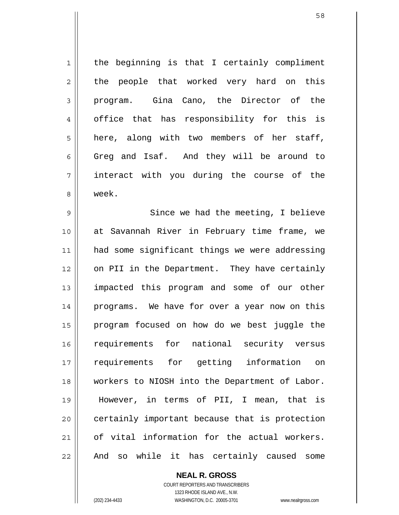1 2 3 4 5 6 7 8 9 10 11 12 13 14 15 16 17 18 19 20 21 22 the beginning is that I certainly compliment the people that worked very hard on this program. Gina Cano, the Director of the office that has responsibility for this is here, along with two members of her staff, Greg and Isaf. And they will be around to interact with you during the course of the week. Since we had the meeting, I believe at Savannah River in February time frame, we had some significant things we were addressing on PII in the Department. They have certainly impacted this program and some of our other programs. We have for over a year now on this program focused on how do we best juggle the requirements for national security versus requirements for getting information on workers to NIOSH into the Department of Labor. However, in terms of PII, I mean, that is certainly important because that is protection of vital information for the actual workers. And so while it has certainly caused some

> **NEAL R. GROSS** COURT REPORTERS AND TRANSCRIBERS 1323 RHODE ISLAND AVE., N.W. (202) 234-4433 WASHINGTON, D.C. 20005-3701 www.nealrgross.com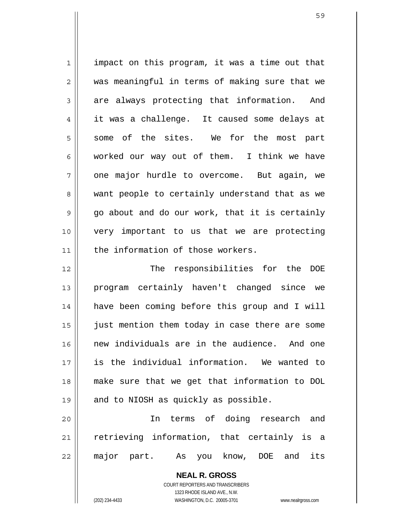1 2 3 4 5 6 7 8 9 10 11 impact on this program, it was a time out that was meaningful in terms of making sure that we are always protecting that information. And it was a challenge. It caused some delays at some of the sites. We for the most part worked our way out of them. I think we have one major hurdle to overcome. But again, we want people to certainly understand that as we go about and do our work, that it is certainly very important to us that we are protecting the information of those workers.

12 13 14 15 16 17 18 19 The responsibilities for the DOE program certainly haven't changed since we have been coming before this group and I will just mention them today in case there are some new individuals are in the audience. And one is the individual information. We wanted to make sure that we get that information to DOL and to NIOSH as quickly as possible.

20 21 22 In terms of doing research and retrieving information, that certainly is a major part. As you know, DOE and its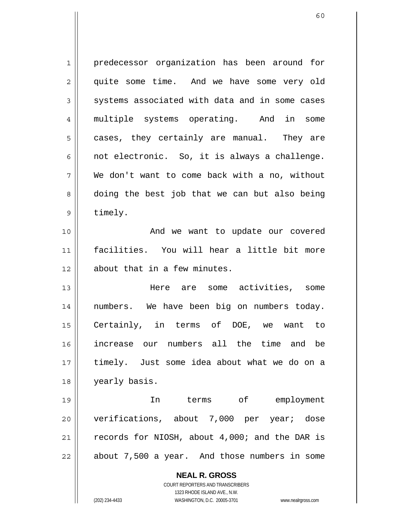| $\mathbf{1}$   | predecessor organization has been around for                        |
|----------------|---------------------------------------------------------------------|
| $\overline{2}$ | quite some time. And we have some very old                          |
| 3              | systems associated with data and in some cases                      |
| $\overline{4}$ | multiple systems operating. And in<br>some                          |
| 5              | cases, they certainly are manual. They are                          |
| 6              | not electronic. So, it is always a challenge.                       |
| 7              | We don't want to come back with a no, without                       |
| 8              | doing the best job that we can but also being                       |
| $\mathsf 9$    | timely.                                                             |
| 10             | And we want to update our covered                                   |
| 11             | facilities. You will hear a little bit more                         |
| 12             | about that in a few minutes.                                        |
| 13             | Here are some activities, some                                      |
| 14             | numbers. We have been big on numbers today.                         |
| 15             | Certainly, in terms of DOE, we want to                              |
| 16             | increase our numbers all the time and be                            |
| 17             | timely. Just some idea about what we do on a                        |
| 18             | yearly basis.                                                       |
| 19             | terms of employment<br>In                                           |
| 20             | verifications, about 7,000 per year; dose                           |
| 21             | records for NIOSH, about 4,000; and the DAR is                      |
| 22             | about 7,500 a year. And those numbers in some                       |
|                |                                                                     |
|                | <b>NEAL R. GROSS</b>                                                |
|                | COURT REPORTERS AND TRANSCRIBERS<br>1323 RHODE ISLAND AVE., N.W.    |
|                | (202) 234-4433<br>WASHINGTON, D.C. 20005-3701<br>www.nealrgross.com |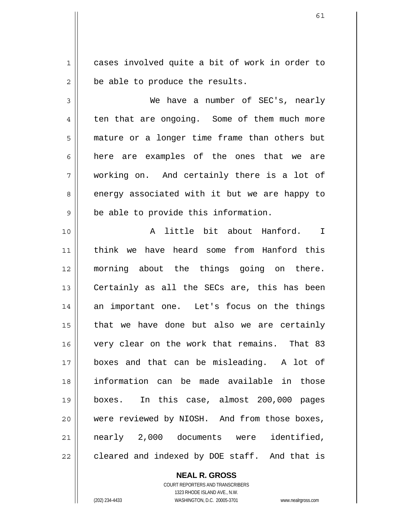1 2 cases involved quite a bit of work in order to be able to produce the results.

3 4 5 6 7 8 9 We have a number of SEC's, nearly ten that are ongoing. Some of them much more mature or a longer time frame than others but here are examples of the ones that we are working on. And certainly there is a lot of energy associated with it but we are happy to be able to provide this information.

10 11 12 13 14 15 16 17 18 19 20 21 22 A little bit about Hanford. I think we have heard some from Hanford this morning about the things going on there. Certainly as all the SECs are, this has been an important one. Let's focus on the things that we have done but also we are certainly very clear on the work that remains. That 83 boxes and that can be misleading. A lot of information can be made available in those boxes. In this case, almost 200,000 pages were reviewed by NIOSH. And from those boxes, nearly 2,000 documents were identified, cleared and indexed by DOE staff. And that is

> **NEAL R. GROSS** COURT REPORTERS AND TRANSCRIBERS 1323 RHODE ISLAND AVE., N.W. (202) 234-4433 WASHINGTON, D.C. 20005-3701 www.nealrgross.com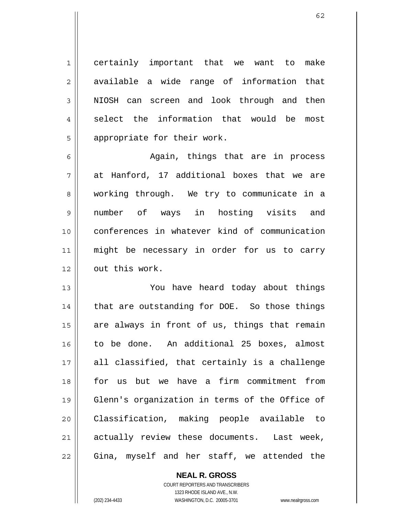certainly important that we want to make available a wide range of information that NIOSH can screen and look through and then select the information that would be most appropriate for their work.

6 7 8 9 10 11 12 Again, things that are in process at Hanford, 17 additional boxes that we are working through. We try to communicate in a number of ways in hosting visits and conferences in whatever kind of communication might be necessary in order for us to carry out this work.

13 14 15 16 17 18 19 20 21 22 You have heard today about things that are outstanding for DOE. So those things are always in front of us, things that remain to be done. An additional 25 boxes, almost all classified, that certainly is a challenge for us but we have a firm commitment from Glenn's organization in terms of the Office of Classification, making people available to actually review these documents. Last week, Gina, myself and her staff, we attended the

> **NEAL R. GROSS** COURT REPORTERS AND TRANSCRIBERS 1323 RHODE ISLAND AVE., N.W. (202) 234-4433 WASHINGTON, D.C. 20005-3701 www.nealrgross.com

1

2

3

4

5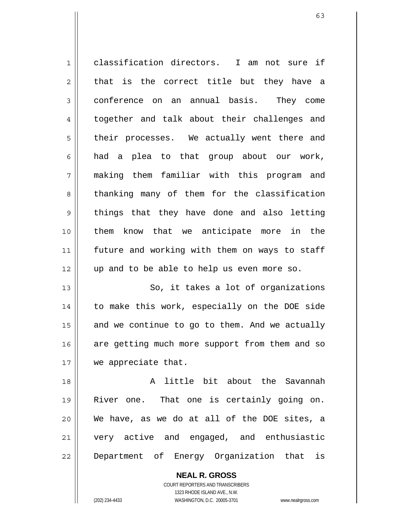1 2 3 4 5 6 7 8 9 10 11 12 13 14 classification directors. I am not sure if that is the correct title but they have a conference on an annual basis. They come together and talk about their challenges and their processes. We actually went there and had a plea to that group about our work, making them familiar with this program and thanking many of them for the classification things that they have done and also letting them know that we anticipate more in the future and working with them on ways to staff up and to be able to help us even more so. So, it takes a lot of organizations to make this work, especially on the DOE side

15 16 17 and we continue to go to them. And we actually are getting much more support from them and so we appreciate that.

18 19 20 21 22 A little bit about the Savannah River one. That one is certainly going on. We have, as we do at all of the DOE sites, a very active and engaged, and enthusiastic Department of Energy Organization that is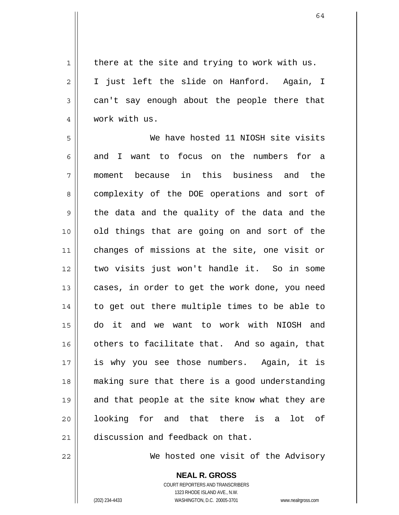1 2 3 4 there at the site and trying to work with us. I just left the slide on Hanford. Again, I can't say enough about the people there that work with us.

5 6 7 8 9 10 11 12 13 14 15 16 17 18 19 20 21 We have hosted 11 NIOSH site visits and I want to focus on the numbers for a moment because in this business and the complexity of the DOE operations and sort of the data and the quality of the data and the old things that are going on and sort of the changes of missions at the site, one visit or two visits just won't handle it. So in some cases, in order to get the work done, you need to get out there multiple times to be able to do it and we want to work with NIOSH and others to facilitate that. And so again, that is why you see those numbers. Again, it is making sure that there is a good understanding and that people at the site know what they are looking for and that there is a lot of discussion and feedback on that.

22

We hosted one visit of the Advisory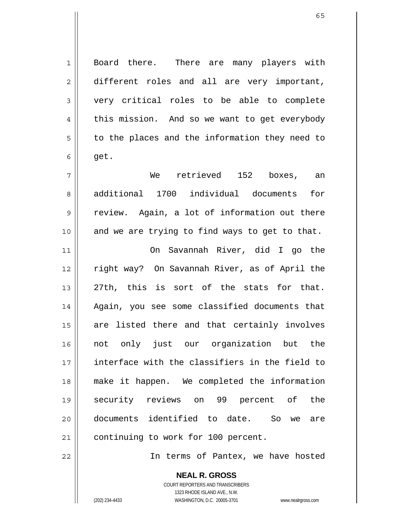Board there. There are many players with different roles and all are very important, very critical roles to be able to complete this mission. And so we want to get everybody to the places and the information they need to get.

 We retrieved 152 boxes, an additional 1700 individual documents for review. Again, a lot of information out there and we are trying to find ways to get to that.

11 12 13 14 15 16 17 18 19 20 21 On Savannah River, did I go the right way? On Savannah River, as of April the 27th, this is sort of the stats for that. Again, you see some classified documents that are listed there and that certainly involves not only just our organization but the interface with the classifiers in the field to make it happen. We completed the information security reviews on 99 percent of the documents identified to date. So we are continuing to work for 100 percent.

In terms of Pantex, we have hosted

**NEAL R. GROSS** COURT REPORTERS AND TRANSCRIBERS 1323 RHODE ISLAND AVE., N.W. (202) 234-4433 WASHINGTON, D.C. 20005-3701 www.nealrgross.com

1

2

3

4

5

6

7

8

9

10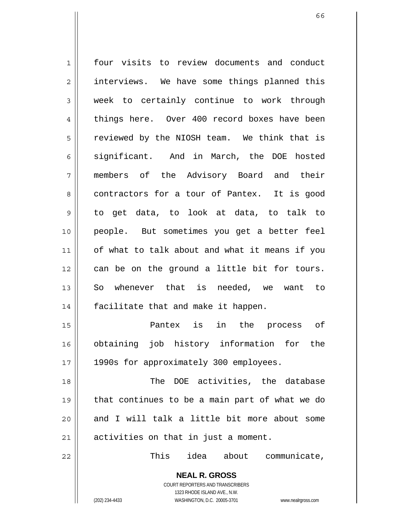1 2 3 4 5 6 7 8 9 10 11 12 13 14 15 16 17 18 19 20 four visits to review documents and conduct interviews. We have some things planned this week to certainly continue to work through things here. Over 400 record boxes have been reviewed by the NIOSH team. We think that is significant. And in March, the DOE hosted members of the Advisory Board and their contractors for a tour of Pantex. It is good to get data, to look at data, to talk to people. But sometimes you get a better feel of what to talk about and what it means if you can be on the ground a little bit for tours. So whenever that is needed, we want to facilitate that and make it happen. Pantex is in the process of obtaining job history information for the 1990s for approximately 300 employees. The DOE activities, the database that continues to be a main part of what we do and I will talk a little bit more about some

activities on that in just a moment.

This idea about communicate,

COURT REPORTERS AND TRANSCRIBERS 1323 RHODE ISLAND AVE., N.W.

**NEAL R. GROSS**

(202) 234-4433 WASHINGTON, D.C. 20005-3701 www.nealrgross.com

21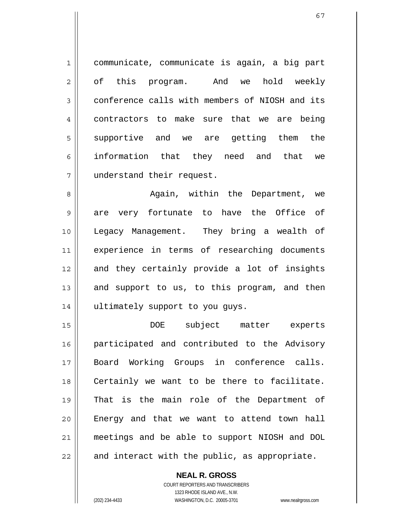1 2 3 4 5 6 7 communicate, communicate is again, a big part of this program. And we hold weekly conference calls with members of NIOSH and its contractors to make sure that we are being supportive and we are getting them the information that they need and that we understand their request.

8 9 10 11 12 13 14 Again, within the Department, we are very fortunate to have the Office of Legacy Management. They bring a wealth of experience in terms of researching documents and they certainly provide a lot of insights and support to us, to this program, and then ultimately support to you guys.

15 16 17 18 19 20 21 22 DOE subject matter experts participated and contributed to the Advisory Board Working Groups in conference calls. Certainly we want to be there to facilitate. That is the main role of the Department of Energy and that we want to attend town hall meetings and be able to support NIOSH and DOL and interact with the public, as appropriate.

> COURT REPORTERS AND TRANSCRIBERS 1323 RHODE ISLAND AVE., N.W. (202) 234-4433 WASHINGTON, D.C. 20005-3701 www.nealrgross.com

**NEAL R. GROSS**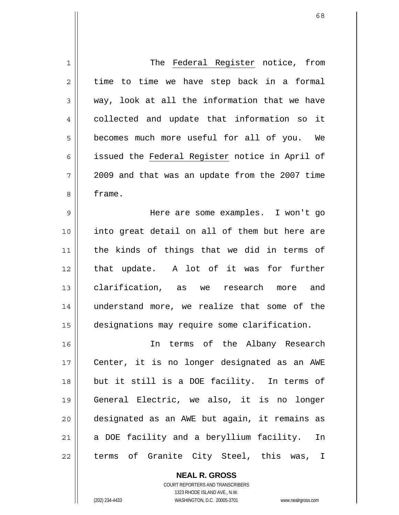| $\mathbf 1$    | The Federal Register notice, from              |
|----------------|------------------------------------------------|
|                |                                                |
| $\overline{2}$ | time to time we have step back in a formal     |
| 3              | way, look at all the information that we have  |
| 4              | collected and update that information so it    |
| 5              | becomes much more useful for all of you. We    |
| 6              | issued the Federal Register notice in April of |
| 7              | 2009 and that was an update from the 2007 time |
| 8              | frame.                                         |
| 9              | Here are some examples. I won't go             |
| 10             | into great detail on all of them but here are  |
| 11             | the kinds of things that we did in terms of    |
| 12             | that update. A lot of it was for further       |
| 13             | clarification, as we research more and         |
| 14             | understand more, we realize that some of the   |
| 15             | designations may require some clarification.   |
| 16             | In terms of the Albany Research                |
| 17             | Center, it is no longer designated as an AWE   |
| 18             | but it still is a DOE facility. In terms of    |
| 19             | General Electric, we also, it is no longer     |
| 20             | designated as an AWE but again, it remains as  |
| 21             | a DOE facility and a beryllium facility.<br>In |
| 22             | terms of Granite City Steel, this was, I       |

COURT REPORTERS AND TRANSCRIBERS 1323 RHODE ISLAND AVE., N.W. (202) 234-4433 WASHINGTON, D.C. 20005-3701 www.nealrgross.com

**NEAL R. GROSS**

 $\mathsf{II}$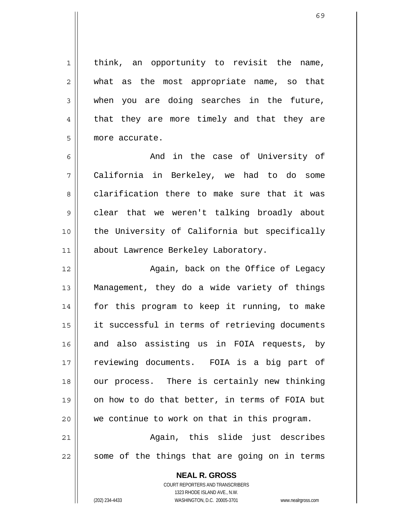think, an opportunity to revisit the name, what as the most appropriate name, so that when you are doing searches in the future, that they are more timely and that they are more accurate.

6 7 8 9 10 11 And in the case of University of California in Berkeley, we had to do some clarification there to make sure that it was clear that we weren't talking broadly about the University of California but specifically about Lawrence Berkeley Laboratory.

12 13 14 15 16 17 18 19 20 Again, back on the Office of Legacy Management, they do a wide variety of things for this program to keep it running, to make it successful in terms of retrieving documents and also assisting us in FOIA requests, by reviewing documents. FOIA is a big part of our process. There is certainly new thinking on how to do that better, in terms of FOIA but we continue to work on that in this program.

21 22 Again, this slide just describes some of the things that are going on in terms

> **NEAL R. GROSS** COURT REPORTERS AND TRANSCRIBERS 1323 RHODE ISLAND AVE., N.W. (202) 234-4433 WASHINGTON, D.C. 20005-3701 www.nealrgross.com

1

2

3

4

5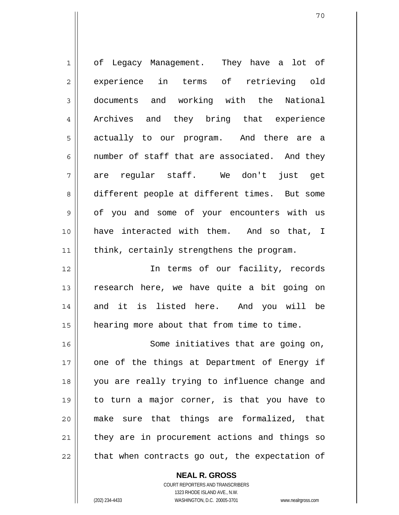| 1  | of Legacy Management. They have a lot of       |
|----|------------------------------------------------|
| 2  | experience in terms of retrieving old          |
| 3  | documents and working with the National        |
| 4  | Archives and they bring that experience        |
| 5  | actually to our program. And there are a       |
| 6  | number of staff that are associated. And they  |
| 7  | are regular staff. We don't just get           |
| 8  | different people at different times. But some  |
| 9  | of you and some of your encounters with us     |
| 10 | have interacted with them. And so that, I      |
| 11 | think, certainly strengthens the program.      |
| 12 | In terms of our facility, records              |
| 13 | research here, we have quite a bit going on    |
| 14 | and it is listed here. And you will be         |
| 15 | hearing more about that from time to time.     |
| 16 | Some initiatives that are going on,            |
| 17 | one of the things at Department of Energy if   |
| 18 | you are really trying to influence change and  |
| 19 | to turn a major corner, is that you have to    |
| 20 | make sure that things are formalized, that     |
| 21 | they are in procurement actions and things so  |
| 22 | that when contracts go out, the expectation of |

**NEAL R. GROSS** COURT REPORTERS AND TRANSCRIBERS

1323 RHODE ISLAND AVE., N.W.

(202) 234-4433 WASHINGTON, D.C. 20005-3701 www.nealrgross.com

 $\mathbf{I}$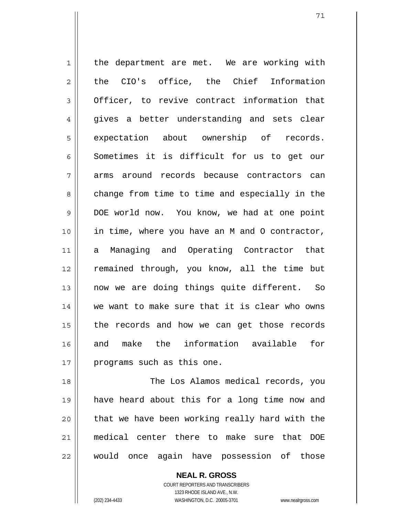1 2 3 4 5 6 7 8 9 10 11 12 13 14 15 16 17 the department are met. We are working with the CIO's office, the Chief Information Officer, to revive contract information that gives a better understanding and sets clear expectation about ownership of records. Sometimes it is difficult for us to get our arms around records because contractors can change from time to time and especially in the DOE world now. You know, we had at one point in time, where you have an M and O contractor, a Managing and Operating Contractor that remained through, you know, all the time but now we are doing things quite different. So we want to make sure that it is clear who owns the records and how we can get those records and make the information available for programs such as this one.

18 19 20 21 22 The Los Alamos medical records, you have heard about this for a long time now and that we have been working really hard with the medical center there to make sure that DOE would once again have possession of those

> **NEAL R. GROSS** COURT REPORTERS AND TRANSCRIBERS 1323 RHODE ISLAND AVE., N.W. (202) 234-4433 WASHINGTON, D.C. 20005-3701 www.nealrgross.com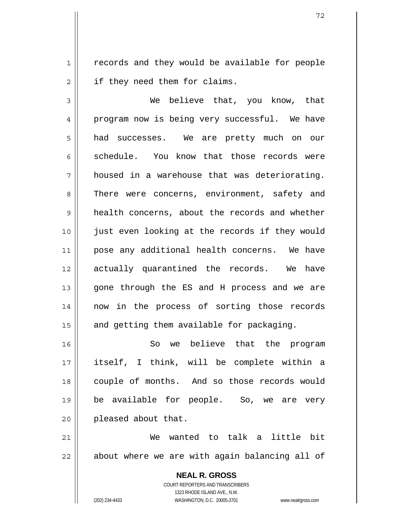1 2 records and they would be available for people if they need them for claims.

3 4 5 6 7 8 9 10 11 12 13 14 15 We believe that, you know, that program now is being very successful. We have had successes. We are pretty much on our schedule. You know that those records were housed in a warehouse that was deteriorating. There were concerns, environment, safety and health concerns, about the records and whether just even looking at the records if they would pose any additional health concerns. We have actually quarantined the records. We have gone through the ES and H process and we are now in the process of sorting those records and getting them available for packaging.

16 17 18 19 20 So we believe that the program itself, I think, will be complete within a couple of months. And so those records would be available for people. So, we are very pleased about that.

21 22 We wanted to talk a little bit about where we are with again balancing all of

> **NEAL R. GROSS** COURT REPORTERS AND TRANSCRIBERS 1323 RHODE ISLAND AVE., N.W. (202) 234-4433 WASHINGTON, D.C. 20005-3701 www.nealrgross.com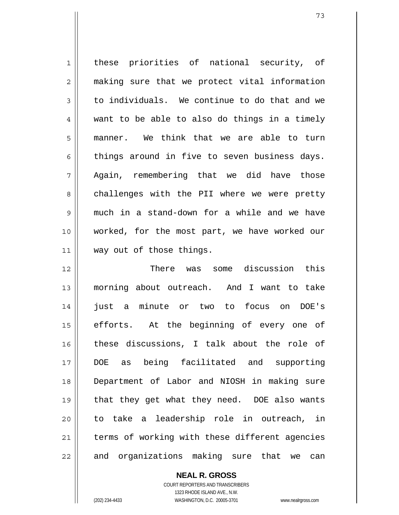1 2 3 4 5 6 7 8 9 10 11 12 13 14 15 16 17 18 19 20 21 22 these priorities of national security, of making sure that we protect vital information to individuals. We continue to do that and we want to be able to also do things in a timely manner. We think that we are able to turn things around in five to seven business days. Again, remembering that we did have those challenges with the PII where we were pretty much in a stand-down for a while and we have worked, for the most part, we have worked our way out of those things. There was some discussion this morning about outreach. And I want to take just a minute or two to focus on DOE's efforts. At the beginning of every one of these discussions, I talk about the role of DOE as being facilitated and supporting Department of Labor and NIOSH in making sure that they get what they need. DOE also wants to take a leadership role in outreach, in terms of working with these different agencies and organizations making sure that we can

**NEAL R. GROSS**

COURT REPORTERS AND TRANSCRIBERS 1323 RHODE ISLAND AVE., N.W. (202) 234-4433 WASHINGTON, D.C. 20005-3701 www.nealrgross.com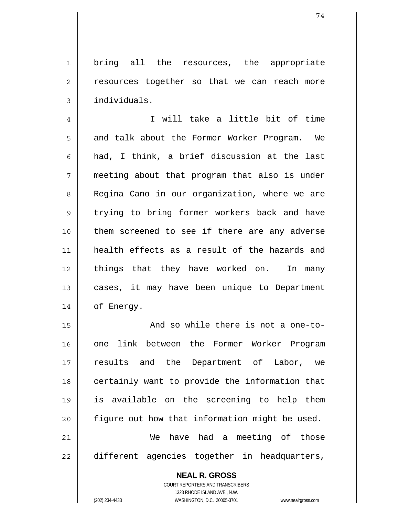1 2 3 bring all the resources, the appropriate resources together so that we can reach more individuals.

4 5 6 7 8 9 10 11 12 13 14 I will take a little bit of time and talk about the Former Worker Program. We had, I think, a brief discussion at the last meeting about that program that also is under Regina Cano in our organization, where we are trying to bring former workers back and have them screened to see if there are any adverse health effects as a result of the hazards and things that they have worked on. In many cases, it may have been unique to Department of Energy.

15 16 17 18 19 20 21 22 And so while there is not a one-toone link between the Former Worker Program results and the Department of Labor, we certainly want to provide the information that is available on the screening to help them figure out how that information might be used. We have had a meeting of those different agencies together in headquarters,

**NEAL R. GROSS**

COURT REPORTERS AND TRANSCRIBERS 1323 RHODE ISLAND AVE., N.W. (202) 234-4433 WASHINGTON, D.C. 20005-3701 www.nealrgross.com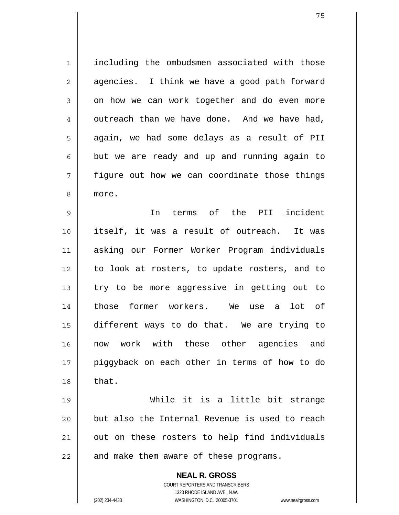1 2 3 4 5 6 7 8 including the ombudsmen associated with those agencies. I think we have a good path forward on how we can work together and do even more outreach than we have done. And we have had, again, we had some delays as a result of PII but we are ready and up and running again to figure out how we can coordinate those things more.

9 10 11 12 13 14 15 16 17 18 In terms of the PII incident itself, it was a result of outreach. It was asking our Former Worker Program individuals to look at rosters, to update rosters, and to try to be more aggressive in getting out to those former workers. We use a lot of different ways to do that. We are trying to now work with these other agencies and piggyback on each other in terms of how to do that.

19 20 21 22 While it is a little bit strange but also the Internal Revenue is used to reach out on these rosters to help find individuals and make them aware of these programs.

> **NEAL R. GROSS** COURT REPORTERS AND TRANSCRIBERS 1323 RHODE ISLAND AVE., N.W. (202) 234-4433 WASHINGTON, D.C. 20005-3701 www.nealrgross.com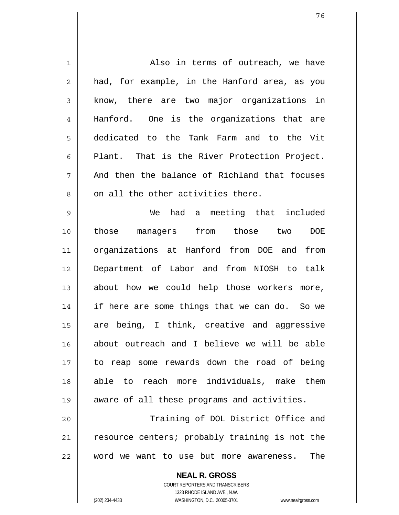| 1  | Also in terms of outreach, we have             |
|----|------------------------------------------------|
| 2  | had, for example, in the Hanford area, as you  |
| 3  | know, there are two major organizations in     |
| 4  | Hanford. One is the organizations that are     |
| 5  | dedicated to the Tank Farm and to the Vit      |
| 6  | Plant. That is the River Protection Project.   |
| 7  | And then the balance of Richland that focuses  |
| 8  | on all the other activities there.             |
| 9  | We had a meeting that included                 |
| 10 | those managers from those two<br>DOE           |
| 11 | organizations at Hanford from DOE and<br>from  |
| 12 | Department of Labor and from NIOSH to talk     |
| 13 | about how we could help those workers more,    |
| 14 | if here are some things that we can do. So we  |
| 15 | are being, I think, creative and aggressive    |
| 16 | about outreach and I believe we will be able   |
| 17 | to reap some rewards down the road of being    |
| 18 | able to reach more individuals, make them      |
| 19 | aware of all these programs and activities.    |
| 20 | Training of DOL District Office and            |
| 21 | resource centers; probably training is not the |
| 22 | word we want to use but more awareness.<br>The |
|    |                                                |

**NEAL R. GROSS** COURT REPORTERS AND TRANSCRIBERS 1323 RHODE ISLAND AVE., N.W.

 $\mathbf{I}$ 

(202) 234-4433 WASHINGTON, D.C. 20005-3701 www.nealrgross.com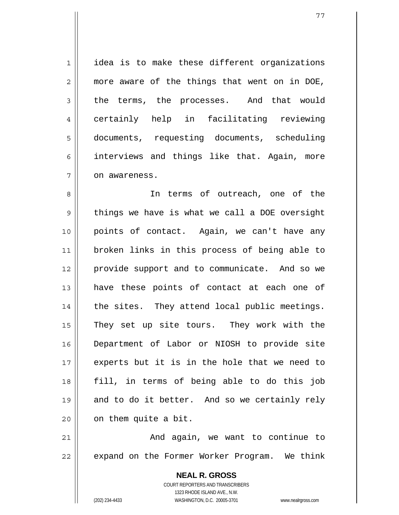1 2 3 4 5 6 7 idea is to make these different organizations more aware of the things that went on in DOE, the terms, the processes. And that would certainly help in facilitating reviewing documents, requesting documents, scheduling interviews and things like that. Again, more on awareness.

8 9 10 11 12 13 14 15 16 17 18 19 20 In terms of outreach, one of the things we have is what we call a DOE oversight points of contact. Again, we can't have any broken links in this process of being able to provide support and to communicate. And so we have these points of contact at each one of the sites. They attend local public meetings. They set up site tours. They work with the Department of Labor or NIOSH to provide site experts but it is in the hole that we need to fill, in terms of being able to do this job and to do it better. And so we certainly rely on them quite a bit.

21 22 And again, we want to continue to expand on the Former Worker Program. We think

> **NEAL R. GROSS** COURT REPORTERS AND TRANSCRIBERS 1323 RHODE ISLAND AVE., N.W. (202) 234-4433 WASHINGTON, D.C. 20005-3701 www.nealrgross.com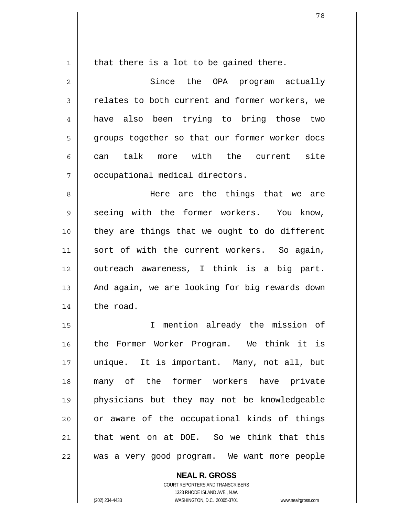1

that there is a lot to be gained there.

2 3 4 5 6 7 Since the OPA program actually relates to both current and former workers, we have also been trying to bring those two groups together so that our former worker docs can talk more with the current site occupational medical directors.

8 9 10 11 12 13 14 Here are the things that we are seeing with the former workers. You know, they are things that we ought to do different sort of with the current workers. So again, outreach awareness, I think is a big part. And again, we are looking for big rewards down the road.

15 16 17 18 19 20 21 22 I mention already the mission of the Former Worker Program. We think it is unique. It is important. Many, not all, but many of the former workers have private physicians but they may not be knowledgeable or aware of the occupational kinds of things that went on at DOE. So we think that this was a very good program. We want more people

> COURT REPORTERS AND TRANSCRIBERS 1323 RHODE ISLAND AVE., N.W. (202) 234-4433 WASHINGTON, D.C. 20005-3701 www.nealrgross.com

**NEAL R. GROSS**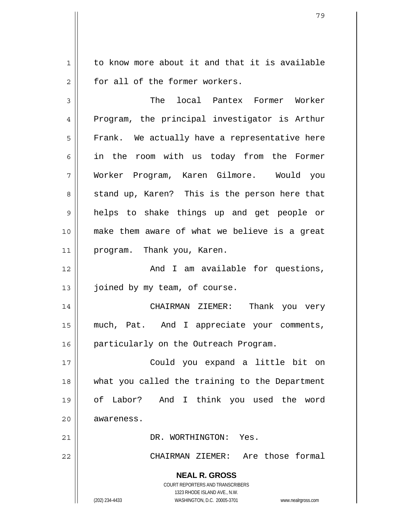1 2 to know more about it and that it is available for all of the former workers.

3 4 5 6 7 8 9 10 11 12 13 14 15 16 17 18 19 20 21 The local Pantex Former Worker Program, the principal investigator is Arthur Frank. We actually have a representative here in the room with us today from the Former Worker Program, Karen Gilmore. Would you stand up, Karen? This is the person here that helps to shake things up and get people or make them aware of what we believe is a great program. Thank you, Karen. And I am available for questions, joined by my team, of course. CHAIRMAN ZIEMER: Thank you very much, Pat. And I appreciate your comments, particularly on the Outreach Program. Could you expand a little bit on what you called the training to the Department of Labor? And I think you used the word awareness. DR. WORTHINGTON: Yes.

22

CHAIRMAN ZIEMER: Are those formal

**NEAL R. GROSS** COURT REPORTERS AND TRANSCRIBERS

1323 RHODE ISLAND AVE., N.W. (202) 234-4433 WASHINGTON, D.C. 20005-3701 www.nealrgross.com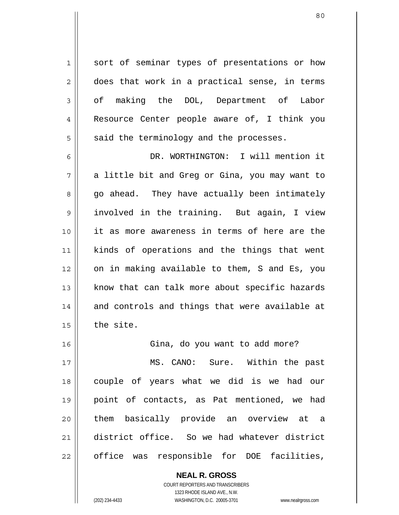sort of seminar types of presentations or how does that work in a practical sense, in terms of making the DOL, Department of Labor Resource Center people aware of, I think you said the terminology and the processes.

6 7 8 9 10 11 12 13 14 15 DR. WORTHINGTON: I will mention it a little bit and Greg or Gina, you may want to go ahead. They have actually been intimately involved in the training. But again, I view it as more awareness in terms of here are the kinds of operations and the things that went on in making available to them, S and Es, you know that can talk more about specific hazards and controls and things that were available at the site.

16 17 18 19 20 21 22 Gina, do you want to add more? MS. CANO: Sure. Within the past couple of years what we did is we had our point of contacts, as Pat mentioned, we had them basically provide an overview at a district office. So we had whatever district office was responsible for DOE facilities,

> **NEAL R. GROSS** COURT REPORTERS AND TRANSCRIBERS 1323 RHODE ISLAND AVE., N.W. (202) 234-4433 WASHINGTON, D.C. 20005-3701 www.nealrgross.com

1

2

3

4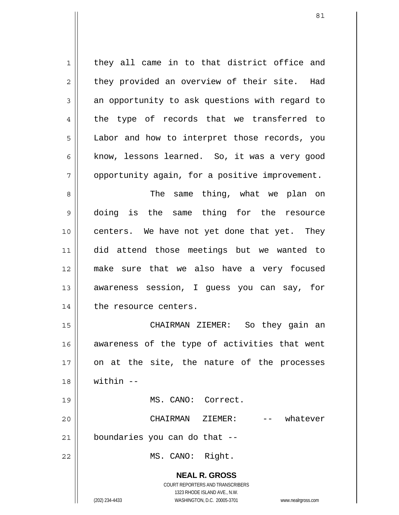**NEAL R. GROSS** COURT REPORTERS AND TRANSCRIBERS 1323 RHODE ISLAND AVE., N.W. (202) 234-4433 WASHINGTON, D.C. 20005-3701 www.nealrgross.com 1 2 3 4 5 6 7 8 9 10 11 12 13 14 15 16 17 18 19 20 21 22 they all came in to that district office and they provided an overview of their site. Had an opportunity to ask questions with regard to the type of records that we transferred to Labor and how to interpret those records, you know, lessons learned. So, it was a very good opportunity again, for a positive improvement. The same thing, what we plan on doing is the same thing for the resource centers. We have not yet done that yet. They did attend those meetings but we wanted to make sure that we also have a very focused awareness session, I guess you can say, for the resource centers. CHAIRMAN ZIEMER: So they gain an awareness of the type of activities that went on at the site, the nature of the processes  $within -$  MS. CANO: Correct. CHAIRMAN ZIEMER: -- whatever boundaries you can do that -- MS. CANO: Right.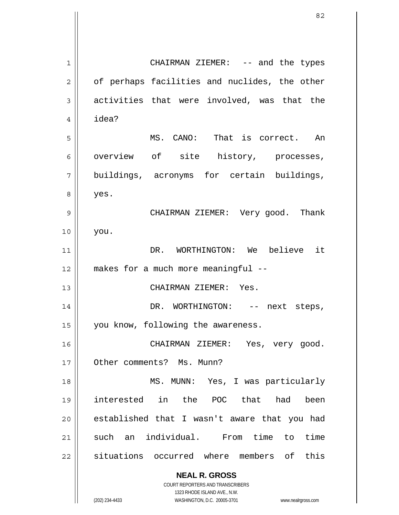**NEAL R. GROSS** COURT REPORTERS AND TRANSCRIBERS 1323 RHODE ISLAND AVE., N.W. 1 2 3 4 5 6 7 8 9 10 11 12 13 14 15 16 17 18 19 20 21 22 CHAIRMAN ZIEMER: -- and the types of perhaps facilities and nuclides, the other activities that were involved, was that the idea? MS. CANO: That is correct. An overview of site history, processes, buildings, acronyms for certain buildings, yes. CHAIRMAN ZIEMER: Very good. Thank you. DR. WORTHINGTON: We believe it makes for a much more meaningful -- CHAIRMAN ZIEMER: Yes. DR. WORTHINGTON: -- next steps, you know, following the awareness. CHAIRMAN ZIEMER: Yes, very good. Other comments? Ms. Munn? MS. MUNN: Yes, I was particularly interested in the POC that had been established that I wasn't aware that you had such an individual. From time to time situations occurred where members of this

(202) 234-4433 WASHINGTON, D.C. 20005-3701 www.nealrgross.com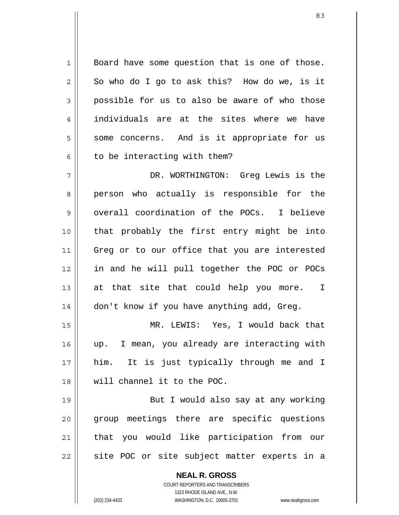**NEAL R. GROSS** 1 2 3 4 5 6 7 8 9 10 11 12 13 14 15 16 17 18 19 20 21 22 Board have some question that is one of those. So who do I go to ask this? How do we, is it possible for us to also be aware of who those individuals are at the sites where we have some concerns. And is it appropriate for us to be interacting with them? DR. WORTHINGTON: Greg Lewis is the person who actually is responsible for the overall coordination of the POCs. I believe that probably the first entry might be into Greg or to our office that you are interested in and he will pull together the POC or POCs at that site that could help you more. I don't know if you have anything add, Greg. MR. LEWIS: Yes, I would back that up. I mean, you already are interacting with him. It is just typically through me and I will channel it to the POC. But I would also say at any working group meetings there are specific questions that you would like participation from our site POC or site subject matter experts in a

> COURT REPORTERS AND TRANSCRIBERS 1323 RHODE ISLAND AVE., N.W.

(202) 234-4433 WASHINGTON, D.C. 20005-3701 www.nealrgross.com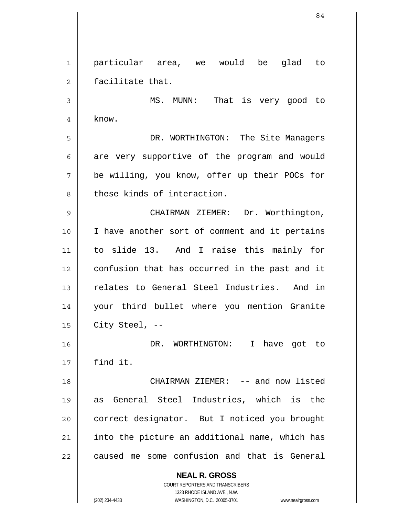**NEAL R. GROSS** COURT REPORTERS AND TRANSCRIBERS 1 2 3 4 5 6 7 8 9 10 11 12 13 14 15 16 17 18 19 20 21 22 particular area, we would be glad to facilitate that. MS. MUNN: That is very good to know. DR. WORTHINGTON: The Site Managers are very supportive of the program and would be willing, you know, offer up their POCs for these kinds of interaction. CHAIRMAN ZIEMER: Dr. Worthington, I have another sort of comment and it pertains to slide 13. And I raise this mainly for confusion that has occurred in the past and it relates to General Steel Industries. And in your third bullet where you mention Granite City Steel, -- DR. WORTHINGTON: I have got to find it. CHAIRMAN ZIEMER: -- and now listed as General Steel Industries, which is the correct designator. But I noticed you brought into the picture an additional name, which has caused me some confusion and that is General

1323 RHODE ISLAND AVE., N.W.

(202) 234-4433 WASHINGTON, D.C. 20005-3701 www.nealrgross.com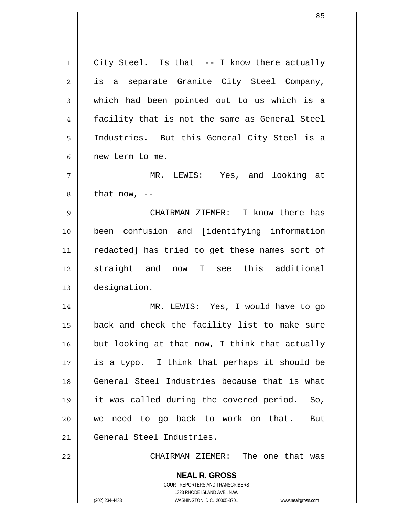**NEAL R. GROSS** COURT REPORTERS AND TRANSCRIBERS 1 2 3 4 5 6 7 8 9 10 11 12 13 14 15 16 17 18 19 20 21 22 City Steel. Is that -- I know there actually is a separate Granite City Steel Company, which had been pointed out to us which is a facility that is not the same as General Steel Industries. But this General City Steel is a new term to me. MR. LEWIS: Yes, and looking at that now,  $-$  CHAIRMAN ZIEMER: I know there has been confusion and [identifying information redacted] has tried to get these names sort of straight and now I see this additional designation. MR. LEWIS: Yes, I would have to go back and check the facility list to make sure but looking at that now, I think that actually is a typo. I think that perhaps it should be General Steel Industries because that is what it was called during the covered period. So, we need to go back to work on that. But General Steel Industries. CHAIRMAN ZIEMER: The one that was

1323 RHODE ISLAND AVE., N.W.

85

(202) 234-4433 WASHINGTON, D.C. 20005-3701 www.nealrgross.com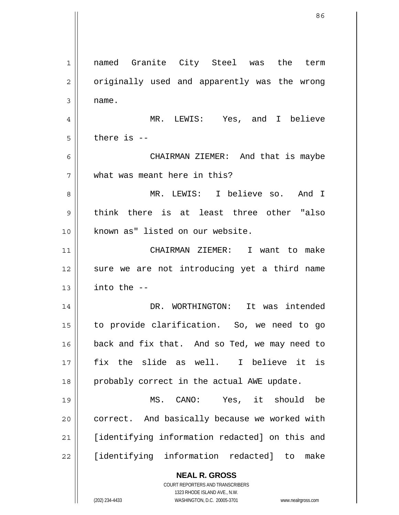**NEAL R. GROSS** COURT REPORTERS AND TRANSCRIBERS 1323 RHODE ISLAND AVE., N.W. 1 2 3 4 5 6 7 8 9 10 11 12 13 14 15 16 17 18 19 20 21 22 named Granite City Steel was the term originally used and apparently was the wrong name. MR. LEWIS: Yes, and I believe there is -- CHAIRMAN ZIEMER: And that is maybe what was meant here in this? MR. LEWIS: I believe so. And I think there is at least three other "also known as" listed on our website. CHAIRMAN ZIEMER: I want to make sure we are not introducing yet a third name into the -- DR. WORTHINGTON: It was intended to provide clarification. So, we need to go back and fix that. And so Ted, we may need to fix the slide as well. I believe it is probably correct in the actual AWE update. MS. CANO: Yes, it should be correct. And basically because we worked with [identifying information redacted] on this and [identifying information redacted] to make

(202) 234-4433 WASHINGTON, D.C. 20005-3701 www.nealrgross.com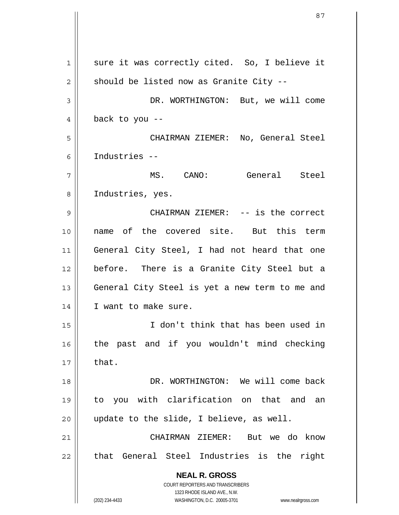**NEAL R. GROSS** COURT REPORTERS AND TRANSCRIBERS 1323 RHODE ISLAND AVE., N.W. (202) 234-4433 WASHINGTON, D.C. 20005-3701 www.nealrgross.com 1 2 3 4 5 6 7 8 9 10 11 12 13 14 15 16 17 18 19 20 21 22 sure it was correctly cited. So, I believe it should be listed now as Granite City -- DR. WORTHINGTON: But, we will come back to you -- CHAIRMAN ZIEMER: No, General Steel Industries -- MS. CANO: General Steel Industries, yes. CHAIRMAN ZIEMER: -- is the correct name of the covered site. But this term General City Steel, I had not heard that one before. There is a Granite City Steel but a General City Steel is yet a new term to me and I want to make sure. I don't think that has been used in the past and if you wouldn't mind checking that. DR. WORTHINGTON: We will come back to you with clarification on that and an update to the slide, I believe, as well. CHAIRMAN ZIEMER: But we do know that General Steel Industries is the right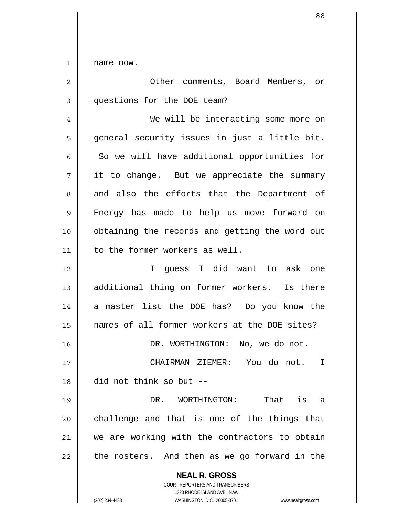1 name now.

| $\overline{2}$ | Other comments, Board Members, or                                                                                                                                      |
|----------------|------------------------------------------------------------------------------------------------------------------------------------------------------------------------|
| 3              | questions for the DOE team?                                                                                                                                            |
| 4              | We will be interacting some more on                                                                                                                                    |
| 5              | general security issues in just a little bit.                                                                                                                          |
| 6              | So we will have additional opportunities for                                                                                                                           |
| 7              | it to change. But we appreciate the summary                                                                                                                            |
| 8              | and also the efforts that the Department of                                                                                                                            |
| 9              | Energy has made to help us move forward on                                                                                                                             |
| 10             | obtaining the records and getting the word out                                                                                                                         |
| 11             | to the former workers as well.                                                                                                                                         |
| 12             | I quess I did want to ask<br>one                                                                                                                                       |
| 13             | additional thing on former workers. Is there                                                                                                                           |
| 14             | a master list the DOE has? Do you know the                                                                                                                             |
| 15             | names of all former workers at the DOE sites?                                                                                                                          |
| 16             | DR. WORTHINGTON: No, we do not.                                                                                                                                        |
| 17             | CHAIRMAN ZIEMER: You do not.<br>I                                                                                                                                      |
| 18             | did not think so but --                                                                                                                                                |
| 19             | DR. WORTHINGTON:<br>That is<br>a                                                                                                                                       |
| 20             | challenge and that is one of the things that                                                                                                                           |
| 21             | we are working with the contractors to obtain                                                                                                                          |
| 22             | the rosters. And then as we go forward in the                                                                                                                          |
|                | <b>NEAL R. GROSS</b><br><b>COURT REPORTERS AND TRANSCRIBERS</b><br>1323 RHODE ISLAND AVE., N.W.<br>(202) 234-4433<br>WASHINGTON, D.C. 20005-3701<br>www.nealrgross.com |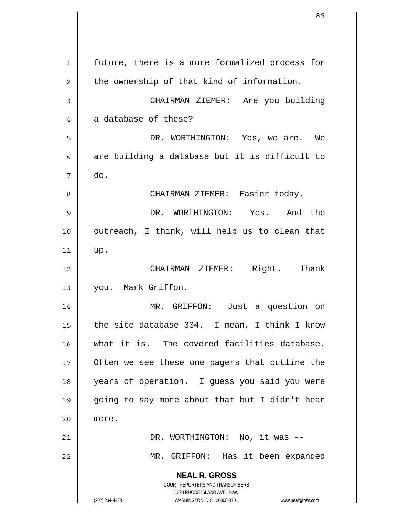**NEAL R. GROSS** COURT REPORTERS AND TRANSCRIBERS 1323 RHODE ISLAND AVE., N.W. (202) 234-4433 WASHINGTON, D.C. 20005-3701 www.nealrgross.com 1 2 3 4 5 6 7 8 9 10 11 12 13 14 15 16 17 18 19 20 21 22 future, there is a more formalized process for the ownership of that kind of information. CHAIRMAN ZIEMER: Are you building a database of these? DR. WORTHINGTON: Yes, we are. We are building a database but it is difficult to do. CHAIRMAN ZIEMER: Easier today. DR. WORTHINGTON: Yes. And the outreach, I think, will help us to clean that up. CHAIRMAN ZIEMER: Right. Thank you. Mark Griffon. MR. GRIFFON: Just a question on the site database 334. I mean, I think I know what it is. The covered facilities database. Often we see these one pagers that outline the years of operation. I guess you said you were going to say more about that but I didn't hear more. DR. WORTHINGTON: No, it was --MR. GRIFFON: Has it been expanded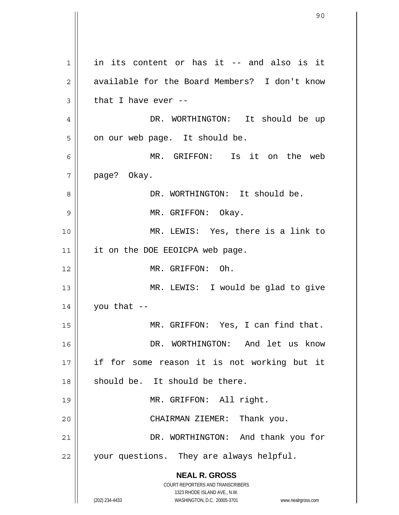**NEAL R. GROSS** COURT REPORTERS AND TRANSCRIBERS 1323 RHODE ISLAND AVE., N.W. (202) 234-4433 WASHINGTON, D.C. 20005-3701 www.nealrgross.com 1 2 3 4 5 6 7 8 9 10 11 12 13 14 15 16 17 18 19 20 21 22 in its content or has it -- and also is it available for the Board Members? I don't know that I have ever -- DR. WORTHINGTON: It should be up on our web page. It should be. MR. GRIFFON: Is it on the web page? Okay. DR. WORTHINGTON: It should be. MR. GRIFFON: Okay. MR. LEWIS: Yes, there is a link to it on the DOE EEOICPA web page. MR. GRIFFON: Oh. MR. LEWIS: I would be glad to give you that -- MR. GRIFFON: Yes, I can find that. DR. WORTHINGTON: And let us know if for some reason it is not working but it should be. It should be there. MR. GRIFFON: All right. CHAIRMAN ZIEMER: Thank you. DR. WORTHINGTON: And thank you for your questions. They are always helpful.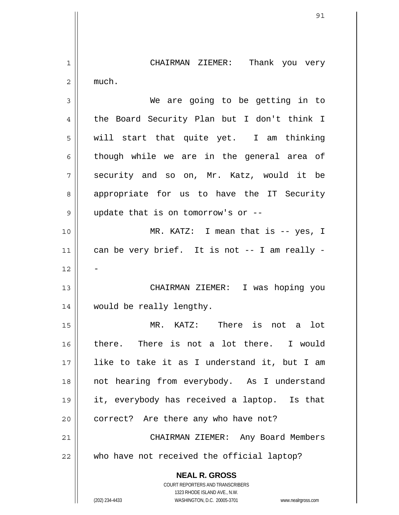**NEAL R. GROSS** COURT REPORTERS AND TRANSCRIBERS 1323 RHODE ISLAND AVE., N.W. 1 2 3 4 5 6 7 8 9 10 11 12 13 14 15 16 17 18 19 20 21 22 CHAIRMAN ZIEMER: Thank you very much. We are going to be getting in to the Board Security Plan but I don't think I will start that quite yet. I am thinking though while we are in the general area of security and so on, Mr. Katz, would it be appropriate for us to have the IT Security update that is on tomorrow's or -- MR. KATZ: I mean that is -- yes, I can be very brief. It is not -- I am really - - CHAIRMAN ZIEMER: I was hoping you would be really lengthy. MR. KATZ: There is not a lot there. There is not a lot there. I would like to take it as I understand it, but I am not hearing from everybody. As I understand it, everybody has received a laptop. Is that correct? Are there any who have not? CHAIRMAN ZIEMER: Any Board Members who have not received the official laptop?

(202) 234-4433 WASHINGTON, D.C. 20005-3701 www.nealrgross.com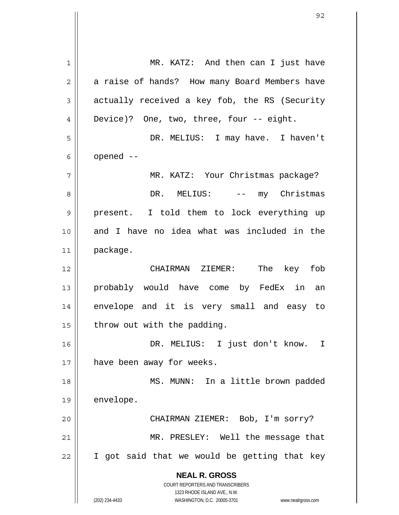**NEAL R. GROSS** COURT REPORTERS AND TRANSCRIBERS 1323 RHODE ISLAND AVE., N.W. (202) 234-4433 WASHINGTON, D.C. 20005-3701 www.nealrgross.com 1 2 3 4 5 6 7 8 9 10 11 12 13 14 15 16 17 18 19 20 21 22 MR. KATZ: And then can I just have a raise of hands? How many Board Members have actually received a key fob, the RS (Security Device)? One, two, three, four -- eight. DR. MELIUS: I may have. I haven't opened -- MR. KATZ: Your Christmas package? DR. MELIUS: -- my Christmas present. I told them to lock everything up and I have no idea what was included in the package. CHAIRMAN ZIEMER: The key fob probably would have come by FedEx in an envelope and it is very small and easy to throw out with the padding. DR. MELIUS: I just don't know. I have been away for weeks. MS. MUNN: In a little brown padded envelope. CHAIRMAN ZIEMER: Bob, I'm sorry? MR. PRESLEY: Well the message that I got said that we would be getting that key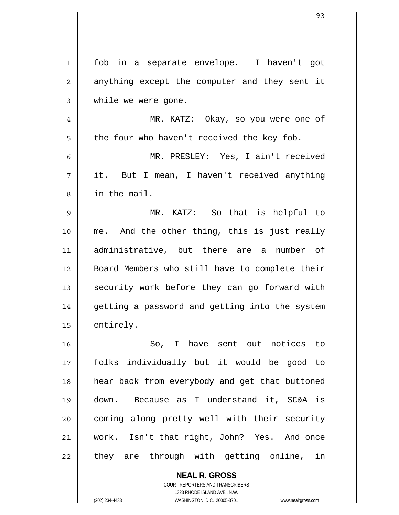| $1\,$          | fob in a separate envelope. I haven't got      |
|----------------|------------------------------------------------|
| $\overline{2}$ | anything except the computer and they sent it  |
| 3              | while we were gone.                            |
| 4              | MR. KATZ: Okay, so you were one of             |
| 5              | the four who haven't received the key fob.     |
| 6              | MR. PRESLEY: Yes, I ain't received             |
| 7              | it. But I mean, I haven't received anything    |
| 8              | in the mail.                                   |
| 9              | MR. KATZ: So that is helpful to                |
| 10             | me. And the other thing, this is just really   |
| 11             | administrative, but there are a number of      |
| 12             | Board Members who still have to complete their |
| 13             | security work before they can go forward with  |
| 14             | getting a password and getting into the system |
| 15             | entirely.                                      |
| 16             | So, I have sent out notices to                 |
| 17             | folks individually but it would be good to     |
| 18             | hear back from everybody and get that buttoned |
| 19             | down. Because as I understand it, SC&A is      |
| 20             | coming along pretty well with their security   |
| 21             | work. Isn't that right, John? Yes. And once    |
| 22             | they are through with getting online, in       |
|                |                                                |

**NEAL R. GROSS** COURT REPORTERS AND TRANSCRIBERS 1323 RHODE ISLAND AVE., N.W.

 $\mathsf{II}$ 

 $\mathsf{I}$ 

(202) 234-4433 WASHINGTON, D.C. 20005-3701 www.nealrgross.com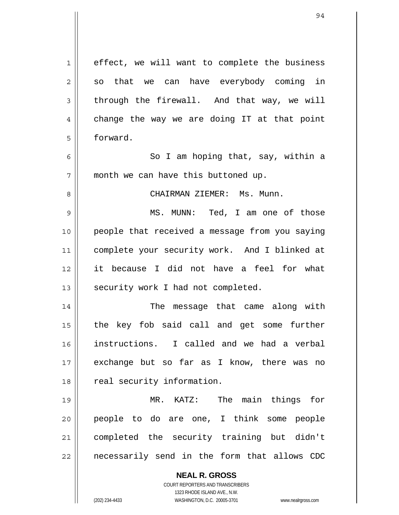| $\mathbf 1$ | effect, we will want to complete the business                       |
|-------------|---------------------------------------------------------------------|
| 2           | so that we can have everybody coming in                             |
| 3           | through the firewall. And that way, we will                         |
| 4           | change the way we are doing IT at that point                        |
| 5           | forward.                                                            |
| 6           | So I am hoping that, say, within a                                  |
| 7           | month we can have this buttoned up.                                 |
| 8           | CHAIRMAN ZIEMER: Ms. Munn.                                          |
| $\mathsf 9$ | MS. MUNN: Ted, I am one of those                                    |
| 10          | people that received a message from you saying                      |
| 11          | complete your security work. And I blinked at                       |
| 12          | it because I did not have a feel for what                           |
| 13          | security work I had not completed.                                  |
| 14          | The message that came along with                                    |
| 15          | the key fob said call and get some further                          |
| 16          | instructions. I called and we had a verbal                          |
| 17          | exchange but so far as I know, there was no                         |
| 18          | real security information.                                          |
| 19          | The main things<br>MR. KATZ:<br>for                                 |
| 20          | people to do are one, I think some people                           |
| 21          | completed the security training but didn't                          |
| 22          | necessarily send in the form that allows CDC                        |
|             |                                                                     |
|             | <b>NEAL R. GROSS</b><br>COURT REPORTERS AND TRANSCRIBERS            |
|             | 1323 RHODE ISLAND AVE., N.W.                                        |
|             | (202) 234-4433<br>WASHINGTON, D.C. 20005-3701<br>www.nealrgross.com |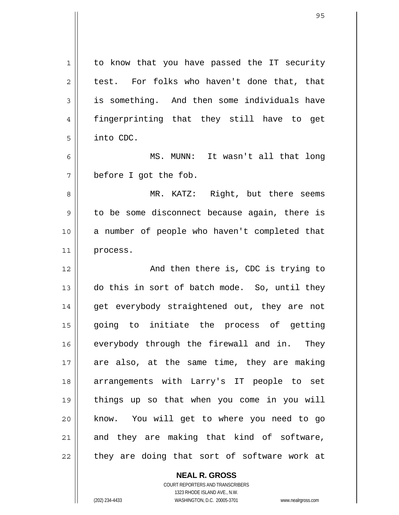| 1  | to know that you have passed the IT security  |
|----|-----------------------------------------------|
| 2  | test. For folks who haven't done that, that   |
| 3  | is something. And then some individuals have  |
| 4  | fingerprinting that they still have to get    |
| 5  | into CDC.                                     |
| 6  | MS. MUNN: It wasn't all that long             |
| 7  | before I got the fob.                         |
| 8  | MR. KATZ: Right, but there seems              |
| 9  | to be some disconnect because again, there is |
| 10 | a number of people who haven't completed that |
| 11 | process.                                      |
| 12 | And then there is, CDC is trying to           |
| 13 | do this in sort of batch mode. So, until they |
| 14 | get everybody straightened out, they are not  |
| 15 | going to initiate the process of<br>getting   |
| 16 | everybody through the firewall and in. They   |
| 17 | are also, at the same time, they are making   |
| 18 | arrangements with Larry's IT people to set    |
| 19 | things up so that when you come in you will   |
| 20 | know. You will get to where you need to go    |
| 21 | and they are making that kind of software,    |
| 22 | they are doing that sort of software work at  |

**NEAL R. GROSS** COURT REPORTERS AND TRANSCRIBERS

1323 RHODE ISLAND AVE., N.W.

(202) 234-4433 WASHINGTON, D.C. 20005-3701 www.nealrgross.com

 $\mathbf{I}$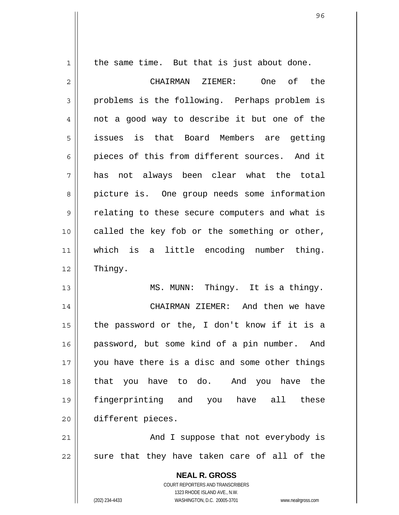the same time. But that is just about done.

1

13

2 3 4 5 6 7 8 9 10 11 12 CHAIRMAN ZIEMER: One of the problems is the following. Perhaps problem is not a good way to describe it but one of the issues is that Board Members are getting pieces of this from different sources. And it has not always been clear what the total picture is. One group needs some information relating to these secure computers and what is called the key fob or the something or other, which is a little encoding number thing. Thingy.

MS. MUNN: Thingy. It is a thingy.

14 15 16 17 18 19 20 CHAIRMAN ZIEMER: And then we have the password or the, I don't know if it is a password, but some kind of a pin number. And you have there is a disc and some other things that you have to do. And you have the fingerprinting and you have all these different pieces.

21 22 And I suppose that not everybody is sure that they have taken care of all of the

> **NEAL R. GROSS** COURT REPORTERS AND TRANSCRIBERS 1323 RHODE ISLAND AVE., N.W. (202) 234-4433 WASHINGTON, D.C. 20005-3701 www.nealrgross.com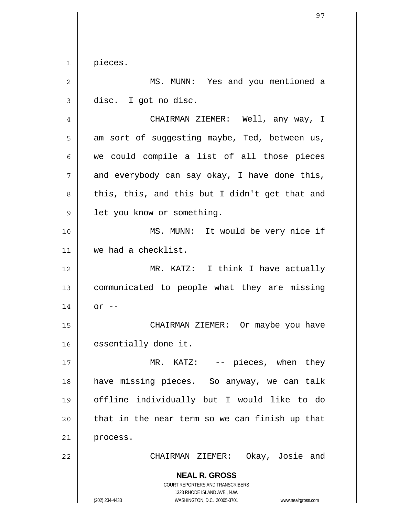$\begin{array}{c|c|c|c} 1 & 1 \end{array}$ pieces.

| $\overline{2}$ | MS. MUNN: Yes and you mentioned a                                                                                                                               |
|----------------|-----------------------------------------------------------------------------------------------------------------------------------------------------------------|
| $\mathsf 3$    | disc. I got no disc.                                                                                                                                            |
| 4              | CHAIRMAN ZIEMER: Well, any way, I                                                                                                                               |
| 5              | am sort of suggesting maybe, Ted, between us,                                                                                                                   |
| 6              | we could compile a list of all those pieces                                                                                                                     |
| 7              | and everybody can say okay, I have done this,                                                                                                                   |
| 8              | this, this, and this but I didn't get that and                                                                                                                  |
| 9              | let you know or something.                                                                                                                                      |
| 10             | MS. MUNN: It would be very nice if                                                                                                                              |
| 11             | we had a checklist.                                                                                                                                             |
| 12             | MR. KATZ: I think I have actually                                                                                                                               |
| 13             | communicated to people what they are missing                                                                                                                    |
| 14             | $or$ $--$                                                                                                                                                       |
| 15             | CHAIRMAN ZIEMER: Or maybe you have                                                                                                                              |
| 16             | essentially done it.                                                                                                                                            |
| 17             | MR. KATZ: -- pieces, when they                                                                                                                                  |
| 18             | have missing pieces. So anyway, we can talk                                                                                                                     |
| 19             | offline individually but I would like to do                                                                                                                     |
| 20             | that in the near term so we can finish up that                                                                                                                  |
| 21             | process.                                                                                                                                                        |
| 22             | CHAIRMAN ZIEMER: Okay, Josie and                                                                                                                                |
|                | <b>NEAL R. GROSS</b><br>COURT REPORTERS AND TRANSCRIBERS<br>1323 RHODE ISLAND AVE., N.W.<br>(202) 234-4433<br>WASHINGTON, D.C. 20005-3701<br>www.nealrgross.com |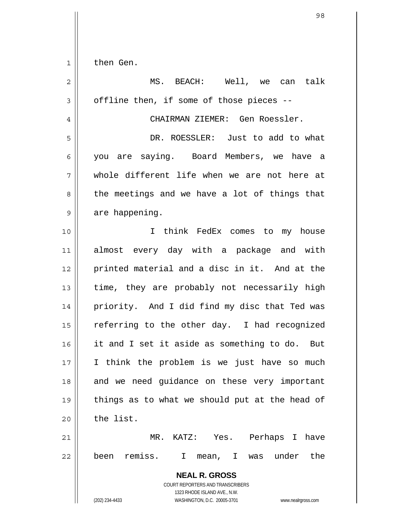| $1 \mid$ | then Gen. |  |
|----------|-----------|--|
|          |           |  |

| $\mathbf 2$    | MS. BEACH: Well, we can talk                                                                                                                                    |
|----------------|-----------------------------------------------------------------------------------------------------------------------------------------------------------------|
| 3              | offline then, if some of those pieces --                                                                                                                        |
| $\overline{4}$ | CHAIRMAN ZIEMER: Gen Roessler.                                                                                                                                  |
| 5              | DR. ROESSLER: Just to add to what                                                                                                                               |
| 6              | you are saying. Board Members, we have a                                                                                                                        |
| 7              | whole different life when we are not here at                                                                                                                    |
| 8              | the meetings and we have a lot of things that                                                                                                                   |
| 9              | are happening.                                                                                                                                                  |
| 10             | I think FedEx comes to my house                                                                                                                                 |
| 11             | almost every day with a package and with                                                                                                                        |
| 12             | printed material and a disc in it. And at the                                                                                                                   |
| 13             | time, they are probably not necessarily high                                                                                                                    |
| 14             | priority. And I did find my disc that Ted was                                                                                                                   |
| 15             | referring to the other day. I had recognized                                                                                                                    |
| 16             | it and I set it aside as something to do. But                                                                                                                   |
| 17             | I think the problem is we just have so much                                                                                                                     |
| 18             | and we need quidance on these very important                                                                                                                    |
| 19             | things as to what we should put at the head of                                                                                                                  |
| 20             | the list.                                                                                                                                                       |
| 21             | KATZ: Yes. Perhaps I have<br>MR.                                                                                                                                |
| 22             | been remiss.<br>I mean, I was under<br>the                                                                                                                      |
|                | <b>NEAL R. GROSS</b><br>COURT REPORTERS AND TRANSCRIBERS<br>1323 RHODE ISLAND AVE., N.W.<br>(202) 234-4433<br>WASHINGTON, D.C. 20005-3701<br>www.nealrgross.com |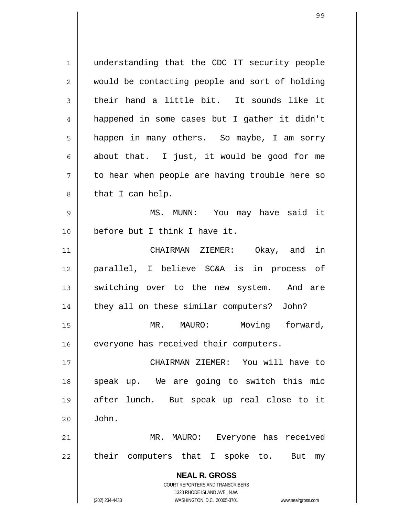**NEAL R. GROSS** COURT REPORTERS AND TRANSCRIBERS 1323 RHODE ISLAND AVE., N.W. 1 2 3 4 5 6 7 8 9 10 11 12 13 14 15 16 17 18 19 20 21 22 understanding that the CDC IT security people would be contacting people and sort of holding their hand a little bit. It sounds like it happened in some cases but I gather it didn't happen in many others. So maybe, I am sorry about that. I just, it would be good for me to hear when people are having trouble here so that I can help. MS. MUNN: You may have said it before but I think I have it. CHAIRMAN ZIEMER: Okay, and in parallel, I believe SC&A is in process of switching over to the new system. And are they all on these similar computers? John? MR. MAURO: Moving forward, everyone has received their computers. CHAIRMAN ZIEMER: You will have to speak up. We are going to switch this mic after lunch. But speak up real close to it John. MR. MAURO: Everyone has received their computers that I spoke to. But my

(202) 234-4433 WASHINGTON, D.C. 20005-3701 www.nealrgross.com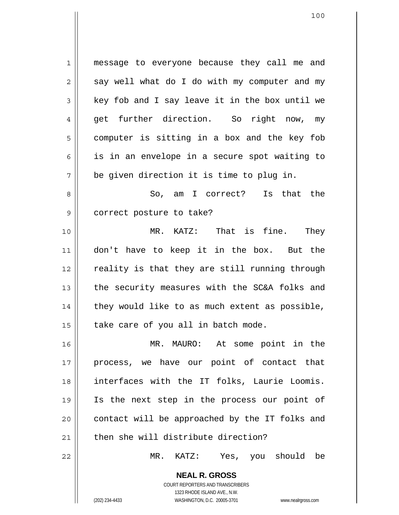1 2 3 4 5 6 7 8 9 10 11 12 13 14 15 16 17 18 19 20 21 22 message to everyone because they call me and say well what do I do with my computer and my key fob and I say leave it in the box until we get further direction. So right now, my computer is sitting in a box and the key fob is in an envelope in a secure spot waiting to be given direction it is time to plug in. So, am I correct? Is that the correct posture to take? MR. KATZ: That is fine. They don't have to keep it in the box. But the reality is that they are still running through the security measures with the SC&A folks and they would like to as much extent as possible, take care of you all in batch mode. MR. MAURO: At some point in the process, we have our point of contact that interfaces with the IT folks, Laurie Loomis. Is the next step in the process our point of contact will be approached by the IT folks and then she will distribute direction? MR. KATZ: Yes, you should be

> COURT REPORTERS AND TRANSCRIBERS 1323 RHODE ISLAND AVE., N.W. (202) 234-4433 WASHINGTON, D.C. 20005-3701 www.nealrgross.com

**NEAL R. GROSS**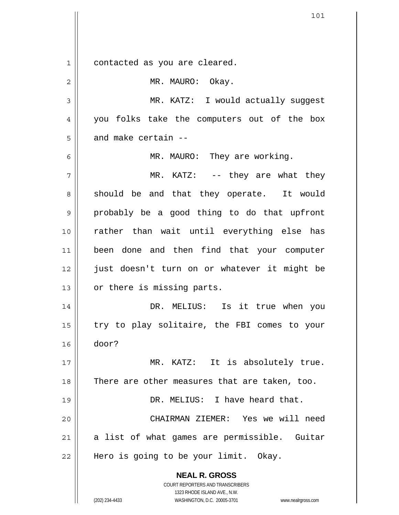**NEAL R. GROSS** COURT REPORTERS AND TRANSCRIBERS 1323 RHODE ISLAND AVE., N.W. 1 2 3 4 5 6 7 8 9 10 11 12 13 14 15 16 17 18 19 20 21 22 contacted as you are cleared. MR. MAURO: Okay. MR. KATZ: I would actually suggest you folks take the computers out of the box and make certain -- MR. MAURO: They are working. MR. KATZ: -- they are what they should be and that they operate. It would probably be a good thing to do that upfront rather than wait until everything else has been done and then find that your computer just doesn't turn on or whatever it might be or there is missing parts. DR. MELIUS: Is it true when you try to play solitaire, the FBI comes to your door? MR. KATZ: It is absolutely true. There are other measures that are taken, too. DR. MELIUS: I have heard that. CHAIRMAN ZIEMER: Yes we will need a list of what games are permissible. Guitar Hero is going to be your limit. Okay.

(202) 234-4433 WASHINGTON, D.C. 20005-3701 www.nealrgross.com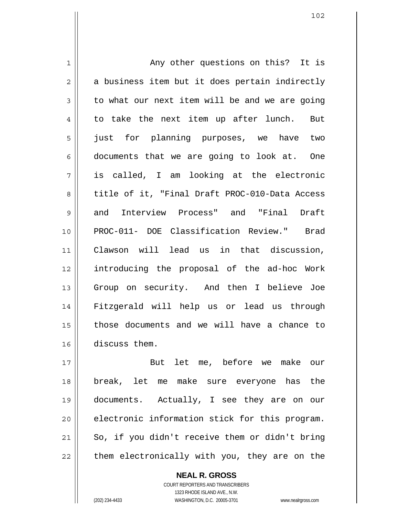1 2 3 4 5 6 7 8 9 10 11 12 13 14 15 16 Any other questions on this? It is a business item but it does pertain indirectly to what our next item will be and we are going to take the next item up after lunch. But just for planning purposes, we have two documents that we are going to look at. One is called, I am looking at the electronic title of it, "Final Draft PROC-010-Data Access and Interview Process" and "Final Draft PROC-011- DOE Classification Review." Brad Clawson will lead us in that discussion, introducing the proposal of the ad-hoc Work Group on security. And then I believe Joe Fitzgerald will help us or lead us through those documents and we will have a chance to discuss them.

17 18 19 20 21 22 But let me, before we make our break, let me make sure everyone has the documents. Actually, I see they are on our electronic information stick for this program. So, if you didn't receive them or didn't bring them electronically with you, they are on the

> COURT REPORTERS AND TRANSCRIBERS 1323 RHODE ISLAND AVE., N.W. (202) 234-4433 WASHINGTON, D.C. 20005-3701 www.nealrgross.com

**NEAL R. GROSS**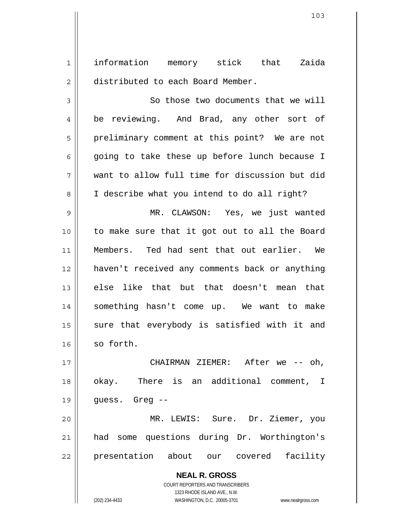1 2 information memory stick that Zaida distributed to each Board Member.

3 4 5 6 7 8 9 10 11 12 13 14 15 16 17 18 So those two documents that we will be reviewing. And Brad, any other sort of preliminary comment at this point? We are not going to take these up before lunch because I want to allow full time for discussion but did I describe what you intend to do all right? MR. CLAWSON: Yes, we just wanted to make sure that it got out to all the Board Members. Ted had sent that out earlier. We haven't received any comments back or anything else like that but that doesn't mean that something hasn't come up. We want to make sure that everybody is satisfied with it and so forth. CHAIRMAN ZIEMER: After we -- oh, okay. There is an additional comment, I

19 guess. Greg --

20 21 22 MR. LEWIS: Sure. Dr. Ziemer, you had some questions during Dr. Worthington's presentation about our covered facility

> **NEAL R. GROSS** COURT REPORTERS AND TRANSCRIBERS 1323 RHODE ISLAND AVE., N.W. (202) 234-4433 WASHINGTON, D.C. 20005-3701 www.nealrgross.com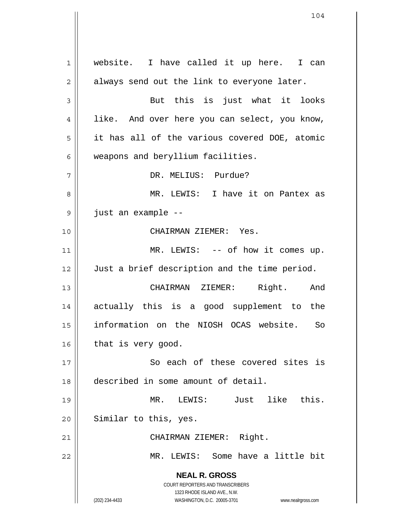**NEAL R. GROSS** COURT REPORTERS AND TRANSCRIBERS 1323 RHODE ISLAND AVE., N.W. (202) 234-4433 WASHINGTON, D.C. 20005-3701 www.nealrgross.com 1 2 3 4 5 6 7 8 9 10 11 12 13 14 15 16 17 18 19 20 21 22 website. I have called it up here. I can always send out the link to everyone later. But this is just what it looks like. And over here you can select, you know, it has all of the various covered DOE, atomic weapons and beryllium facilities. DR. MELIUS: Purdue? MR. LEWIS: I have it on Pantex as just an example -- CHAIRMAN ZIEMER: Yes. MR. LEWIS: -- of how it comes up. Just a brief description and the time period. CHAIRMAN ZIEMER: Right. And actually this is a good supplement to the information on the NIOSH OCAS website. So that is very good. So each of these covered sites is described in some amount of detail. MR. LEWIS: Just like this. Similar to this, yes. CHAIRMAN ZIEMER: Right. MR. LEWIS: Some have a little bit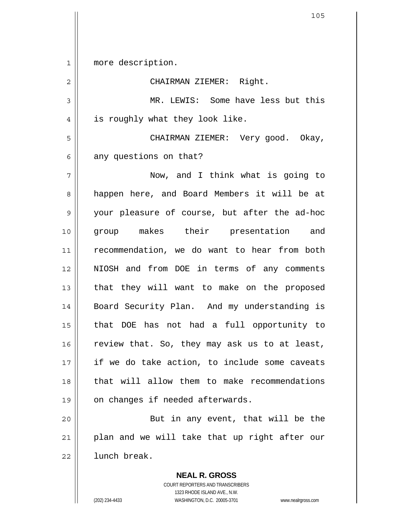1 2 3 4 5 6 7 8 9 10 11 12 13 14 15 16 17 18 19 20 21 22 more description. CHAIRMAN ZIEMER: Right. MR. LEWIS: Some have less but this is roughly what they look like. CHAIRMAN ZIEMER: Very good. Okay, any questions on that? Now, and I think what is going to happen here, and Board Members it will be at your pleasure of course, but after the ad-hoc group makes their presentation and recommendation, we do want to hear from both NIOSH and from DOE in terms of any comments that they will want to make on the proposed Board Security Plan. And my understanding is that DOE has not had a full opportunity to review that. So, they may ask us to at least, if we do take action, to include some caveats that will allow them to make recommendations on changes if needed afterwards. But in any event, that will be the plan and we will take that up right after our lunch break.

> COURT REPORTERS AND TRANSCRIBERS 1323 RHODE ISLAND AVE., N.W. (202) 234-4433 WASHINGTON, D.C. 20005-3701 www.nealrgross.com

**NEAL R. GROSS**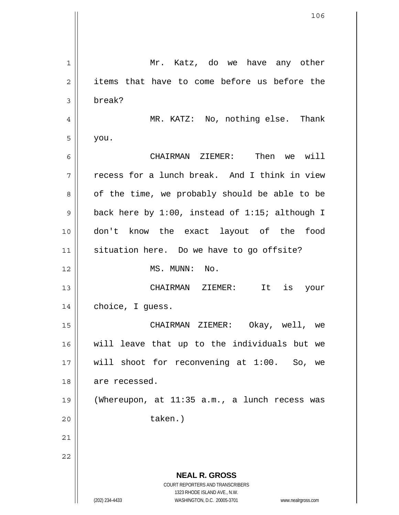**NEAL R. GROSS** COURT REPORTERS AND TRANSCRIBERS 1323 RHODE ISLAND AVE., N.W. (202) 234-4433 WASHINGTON, D.C. 20005-3701 www.nealrgross.com 1 2 3 4 5 6 7 8 9 10 11 12 13 14 15 16 17 18 19 20 21 22 Mr. Katz, do we have any other items that have to come before us before the break? MR. KATZ: No, nothing else. Thank you. CHAIRMAN ZIEMER: Then we will recess for a lunch break. And I think in view of the time, we probably should be able to be back here by 1:00, instead of 1:15; although I don't know the exact layout of the food situation here. Do we have to go offsite? MS. MUNN: No. CHAIRMAN ZIEMER: It is your choice, I guess. CHAIRMAN ZIEMER: Okay, well, we will leave that up to the individuals but we will shoot for reconvening at 1:00. So, we are recessed. (Whereupon, at 11:35 a.m., a lunch recess was taken.)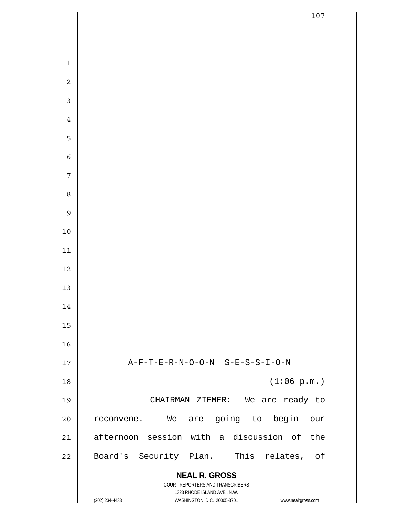|                         | 107                                                                 |
|-------------------------|---------------------------------------------------------------------|
|                         |                                                                     |
|                         |                                                                     |
| $\mathbf{1}$            |                                                                     |
| $\overline{c}$          |                                                                     |
| $\overline{\mathbf{3}}$ |                                                                     |
| $\overline{4}$          |                                                                     |
| 5                       |                                                                     |
| $\epsilon$              |                                                                     |
| 7                       |                                                                     |
| 8                       |                                                                     |
| 9                       |                                                                     |
| $10$                    |                                                                     |
| 11                      |                                                                     |
| 12                      |                                                                     |
| 13                      |                                                                     |
| 14                      |                                                                     |
| 15                      |                                                                     |
| 16                      |                                                                     |
| 17                      | A-F-T-E-R-N-O-O-N S-E-S-S-I-O-N                                     |
| 18                      | (1:06 p.m.)                                                         |
| 19                      | CHAIRMAN ZIEMER: We are ready to                                    |
| 20                      | We are going to begin<br>our<br>reconvene.                          |
| 21                      | afternoon session with a discussion of the                          |
| 22                      | Board's Security Plan. This relates, of                             |
|                         | <b>NEAL R. GROSS</b>                                                |
|                         | COURT REPORTERS AND TRANSCRIBERS<br>1323 RHODE ISLAND AVE., N.W.    |
|                         | WASHINGTON, D.C. 20005-3701<br>(202) 234-4433<br>www.nealrgross.com |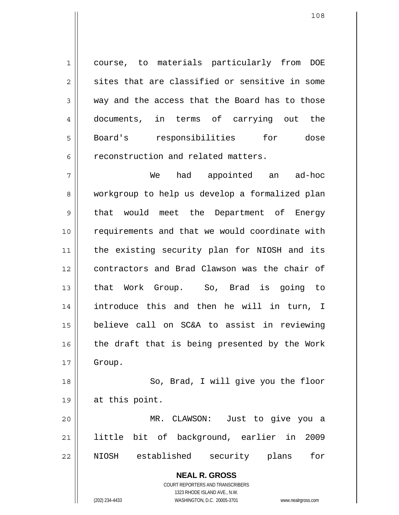1 2 3 4 5 6 course, to materials particularly from DOE sites that are classified or sensitive in some way and the access that the Board has to those documents, in terms of carrying out the Board's responsibilities for dose reconstruction and related matters.

7 8 9 10 11 12 13 14 15 16 17 We had appointed an ad-hoc workgroup to help us develop a formalized plan that would meet the Department of Energy requirements and that we would coordinate with the existing security plan for NIOSH and its contractors and Brad Clawson was the chair of that Work Group. So, Brad is going to introduce this and then he will in turn, I believe call on SC&A to assist in reviewing the draft that is being presented by the Work Group.

18 19 20 So, Brad, I will give you the floor at this point. MR. CLAWSON: Just to give you a

21 22 little bit of background, earlier in 2009 NIOSH established security plans for

> **NEAL R. GROSS** COURT REPORTERS AND TRANSCRIBERS 1323 RHODE ISLAND AVE., N.W. (202) 234-4433 WASHINGTON, D.C. 20005-3701 www.nealrgross.com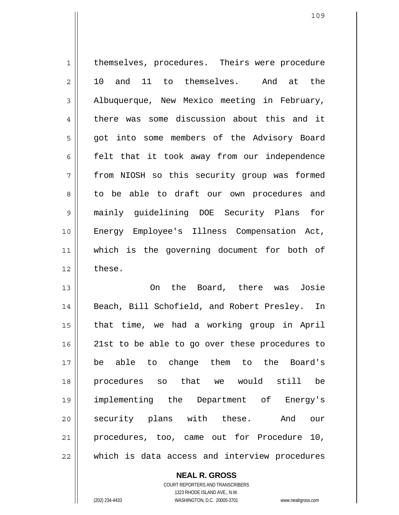1 2 3 4 5 6 7 8 9 10 11 12 13 14 15 16 17 18 19 themselves, procedures. Theirs were procedure 10 and 11 to themselves. And at the Albuquerque, New Mexico meeting in February, there was some discussion about this and it got into some members of the Advisory Board felt that it took away from our independence from NIOSH so this security group was formed to be able to draft our own procedures and mainly guidelining DOE Security Plans for Energy Employee's Illness Compensation Act, which is the governing document for both of these. On the Board, there was Josie Beach, Bill Schofield, and Robert Presley. In that time, we had a working group in April 21st to be able to go over these procedures to be able to change them to the Board's procedures so that we would still be

implementing the Department of Energy's security plans with these. And our procedures, too, came out for Procedure 10, which is data access and interview procedures

COURT REPORTERS AND TRANSCRIBERS 1323 RHODE ISLAND AVE., N.W. (202) 234-4433 WASHINGTON, D.C. 20005-3701 www.nealrgross.com

**NEAL R. GROSS**

20

21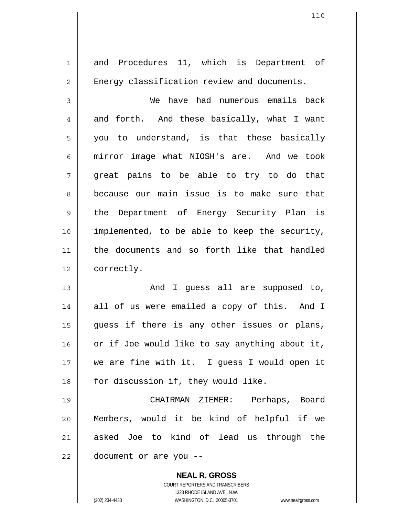1 2 3 4 5 6 7 8 9 10 11 12 13 14 15 16 17 18 19 20 21 22 and Procedures 11, which is Department of Energy classification review and documents. We have had numerous emails back and forth. And these basically, what I want you to understand, is that these basically mirror image what NIOSH's are. And we took great pains to be able to try to do that because our main issue is to make sure that the Department of Energy Security Plan is implemented, to be able to keep the security, the documents and so forth like that handled correctly. And I guess all are supposed to, all of us were emailed a copy of this. And I guess if there is any other issues or plans, or if Joe would like to say anything about it, we are fine with it. I guess I would open it for discussion if, they would like. CHAIRMAN ZIEMER: Perhaps, Board Members, would it be kind of helpful if we asked Joe to kind of lead us through the document or are you --

> **NEAL R. GROSS** COURT REPORTERS AND TRANSCRIBERS 1323 RHODE ISLAND AVE., N.W.

(202) 234-4433 WASHINGTON, D.C. 20005-3701 www.nealrgross.com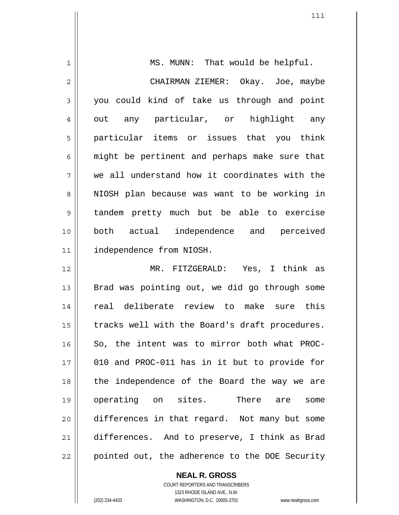| $\mathbf{1}$   | MS. MUNN: That would be helpful.               |
|----------------|------------------------------------------------|
| $\overline{2}$ | CHAIRMAN ZIEMER: Okay. Joe, maybe              |
| 3              | you could kind of take us through and point    |
| 4              | out any particular, or highlight any           |
| 5              | particular items or issues that you think      |
| 6              | might be pertinent and perhaps make sure that  |
| 7              | we all understand how it coordinates with the  |
| 8              | NIOSH plan because was want to be working in   |
| 9              | tandem pretty much but be able to exercise     |
| 10             | both actual independence and perceived         |
| 11             | independence from NIOSH.                       |
| 12             | MR. FITZGERALD: Yes, I think as                |
| 13             | Brad was pointing out, we did go through some  |
| 14             | real deliberate review to make sure this       |
| 15             | tracks well with the Board's draft procedures. |
| 16             | So, the intent was to mirror both what PROC-   |
| 17             | 010 and PROC-011 has in it but to provide for  |
| 18             | the independence of the Board the way we are   |
| 19             | operating on sites. There are<br>some          |
| 20             | differences in that regard. Not many but some  |
| 21             | differences. And to preserve, I think as Brad  |
| 22             | pointed out, the adherence to the DOE Security |

**NEAL R. GROSS**

 $\mathbf{I}$ 

COURT REPORTERS AND TRANSCRIBERS 1323 RHODE ISLAND AVE., N.W. (202) 234-4433 WASHINGTON, D.C. 20005-3701 www.nealrgross.com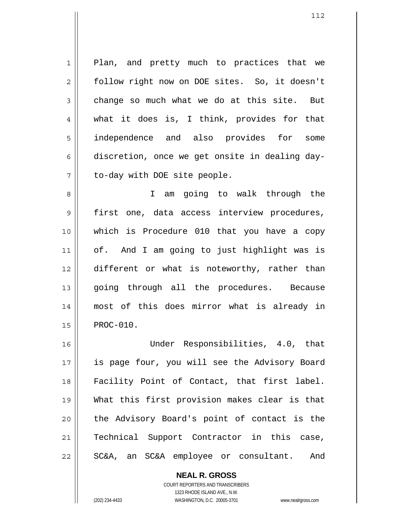1 2 3 4 5 6 7 Plan, and pretty much to practices that we follow right now on DOE sites. So, it doesn't change so much what we do at this site. But what it does is, I think, provides for that independence and also provides for some discretion, once we get onsite in dealing dayto-day with DOE site people.

8 9 10 11 12 13 14 15 I am going to walk through the first one, data access interview procedures, which is Procedure 010 that you have a copy of. And I am going to just highlight was is different or what is noteworthy, rather than going through all the procedures. Because most of this does mirror what is already in PROC-010.

16 17 18 19 20 21 22 Under Responsibilities, 4.0, that is page four, you will see the Advisory Board Facility Point of Contact, that first label. What this first provision makes clear is that the Advisory Board's point of contact is the Technical Support Contractor in this case, SC&A, an SC&A employee or consultant. And

> **NEAL R. GROSS** COURT REPORTERS AND TRANSCRIBERS 1323 RHODE ISLAND AVE., N.W. (202) 234-4433 WASHINGTON, D.C. 20005-3701 www.nealrgross.com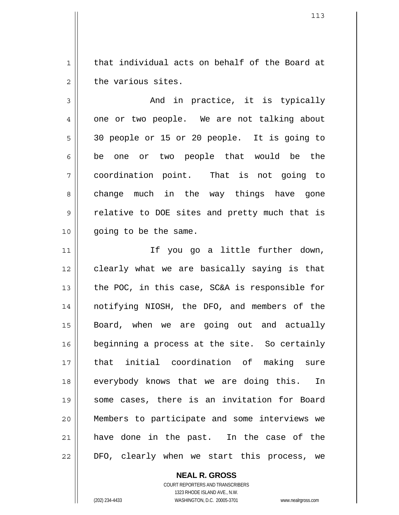1 2 that individual acts on behalf of the Board at the various sites.

3 4 5 6 7 8 9 10 And in practice, it is typically one or two people. We are not talking about 30 people or 15 or 20 people. It is going to be one or two people that would be the coordination point. That is not going to change much in the way things have gone relative to DOE sites and pretty much that is going to be the same.

11 12 13 14 15 16 17 18 19 20 21 22 If you go a little further down, clearly what we are basically saying is that the POC, in this case, SC&A is responsible for notifying NIOSH, the DFO, and members of the Board, when we are going out and actually beginning a process at the site. So certainly that initial coordination of making sure everybody knows that we are doing this. In some cases, there is an invitation for Board Members to participate and some interviews we have done in the past. In the case of the DFO, clearly when we start this process, we

> **NEAL R. GROSS** COURT REPORTERS AND TRANSCRIBERS 1323 RHODE ISLAND AVE., N.W.

(202) 234-4433 WASHINGTON, D.C. 20005-3701 www.nealrgross.com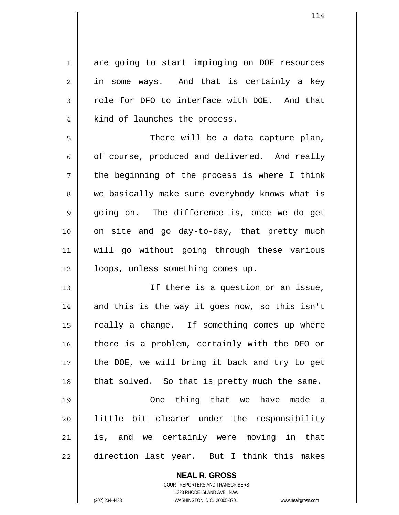1 2 3 4 5 6 7 8 9 10 11 12 13 14 15 16 17 18 19 20 21 22 are going to start impinging on DOE resources in some ways. And that is certainly a key role for DFO to interface with DOE. And that kind of launches the process. There will be a data capture plan, of course, produced and delivered. And really the beginning of the process is where I think we basically make sure everybody knows what is going on. The difference is, once we do get on site and go day-to-day, that pretty much will go without going through these various loops, unless something comes up. If there is a question or an issue, and this is the way it goes now, so this isn't really a change. If something comes up where there is a problem, certainly with the DFO or the DOE, we will bring it back and try to get that solved. So that is pretty much the same. One thing that we have made a little bit clearer under the responsibility is, and we certainly were moving in that direction last year. But I think this makes

> **NEAL R. GROSS** COURT REPORTERS AND TRANSCRIBERS

> > 1323 RHODE ISLAND AVE., N.W.

(202) 234-4433 WASHINGTON, D.C. 20005-3701 www.nealrgross.com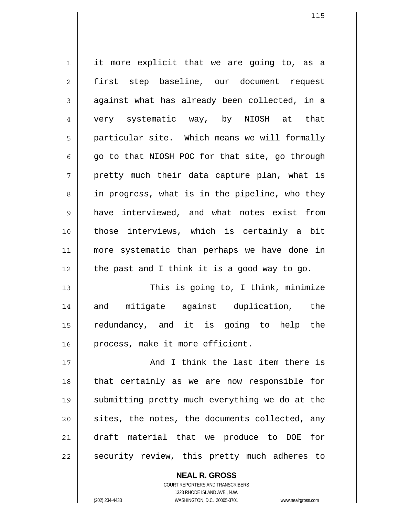1 2 3 4 5 6 7 8 9 10 11 12 13 14 15 16 it more explicit that we are going to, as a first step baseline, our document request against what has already been collected, in a very systematic way, by NIOSH at that particular site. Which means we will formally go to that NIOSH POC for that site, go through pretty much their data capture plan, what is in progress, what is in the pipeline, who they have interviewed, and what notes exist from those interviews, which is certainly a bit more systematic than perhaps we have done in the past and I think it is a good way to go. This is going to, I think, minimize and mitigate against duplication, the redundancy, and it is going to help the process, make it more efficient.

17 18 19 20 21 22 And I think the last item there is that certainly as we are now responsible for submitting pretty much everything we do at the sites, the notes, the documents collected, any draft material that we produce to DOE for security review, this pretty much adheres to

> **NEAL R. GROSS** COURT REPORTERS AND TRANSCRIBERS 1323 RHODE ISLAND AVE., N.W. (202) 234-4433 WASHINGTON, D.C. 20005-3701 www.nealrgross.com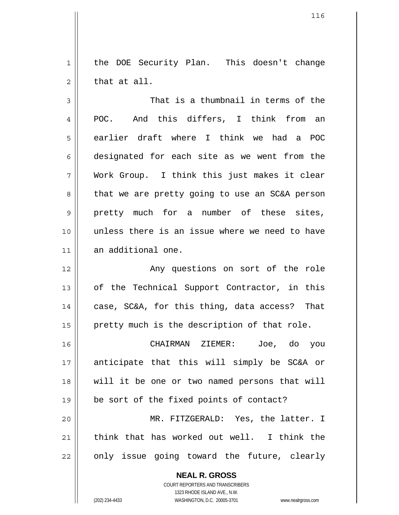1 2 the DOE Security Plan. This doesn't change that at all.

3 4 5 6 7 8 9 10 11 That is a thumbnail in terms of the POC. And this differs, I think from an earlier draft where I think we had a POC designated for each site as we went from the Work Group. I think this just makes it clear that we are pretty going to use an SC&A person pretty much for a number of these sites, unless there is an issue where we need to have an additional one.

12 13 14 15 Any questions on sort of the role of the Technical Support Contractor, in this case, SC&A, for this thing, data access? That pretty much is the description of that role.

16 17 18 19 20 21 22 CHAIRMAN ZIEMER: Joe, do you anticipate that this will simply be SC&A or will it be one or two named persons that will be sort of the fixed points of contact? MR. FITZGERALD: Yes, the latter. I think that has worked out well. I think the only issue going toward the future, clearly

> **NEAL R. GROSS** COURT REPORTERS AND TRANSCRIBERS 1323 RHODE ISLAND AVE., N.W. (202) 234-4433 WASHINGTON, D.C. 20005-3701 www.nealrgross.com

<sup>116</sup>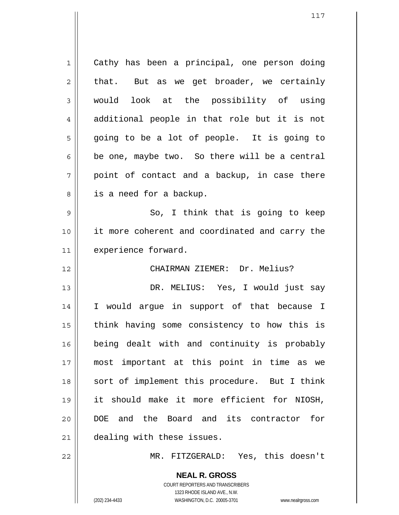1 2 3 4 5 6 7 8 9 10 11 12 13 14 15 16 17 18 19 20 21 22 Cathy has been a principal, one person doing that. But as we get broader, we certainly would look at the possibility of using additional people in that role but it is not going to be a lot of people. It is going to be one, maybe two. So there will be a central point of contact and a backup, in case there is a need for a backup. So, I think that is going to keep it more coherent and coordinated and carry the experience forward. CHAIRMAN ZIEMER: Dr. Melius? DR. MELIUS: Yes, I would just say I would argue in support of that because I think having some consistency to how this is being dealt with and continuity is probably most important at this point in time as we sort of implement this procedure. But I think it should make it more efficient for NIOSH, DOE and the Board and its contractor for dealing with these issues.

MR. FITZGERALD: Yes, this doesn't

**NEAL R. GROSS** COURT REPORTERS AND TRANSCRIBERS 1323 RHODE ISLAND AVE., N.W. (202) 234-4433 WASHINGTON, D.C. 20005-3701 www.nealrgross.com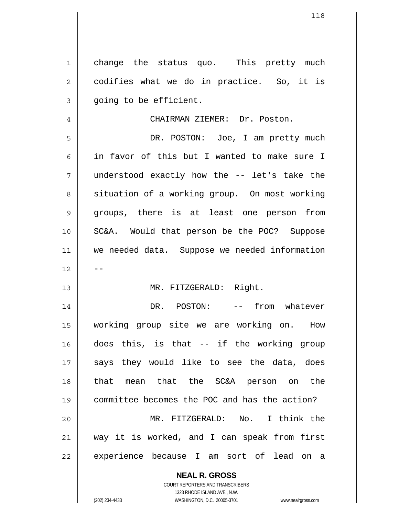1 2 3 change the status quo. This pretty much codifies what we do in practice. So, it is going to be efficient.

CHAIRMAN ZIEMER: Dr. Poston.

5 6 7 8 9 10 11 12 DR. POSTON: Joe, I am pretty much in favor of this but I wanted to make sure I understood exactly how the -- let's take the situation of a working group. On most working groups, there is at least one person from SC&A. Would that person be the POC? Suppose we needed data. Suppose we needed information --

## MR. FITZGERALD: Right.

14 15 16 17 18 19 20 21 22 DR. POSTON: -- from whatever working group site we are working on. How does this, is that -- if the working group says they would like to see the data, does that mean that the SC&A person on the committee becomes the POC and has the action? MR. FITZGERALD: No. I think the way it is worked, and I can speak from first experience because I am sort of lead on a

> **NEAL R. GROSS** COURT REPORTERS AND TRANSCRIBERS

4

13

1323 RHODE ISLAND AVE., N.W. (202) 234-4433 WASHINGTON, D.C. 20005-3701 www.nealrgross.com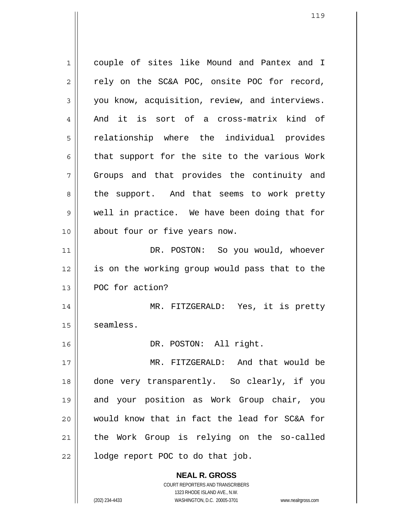**NEAL R. GROSS** COURT REPORTERS AND TRANSCRIBERS 1323 RHODE ISLAND AVE., N.W. 1 2 3 4 5 6 7 8 9 10 11 12 13 14 15 16 17 18 19 20 21 22 couple of sites like Mound and Pantex and I rely on the SC&A POC, onsite POC for record, you know, acquisition, review, and interviews. And it is sort of a cross-matrix kind of relationship where the individual provides that support for the site to the various Work Groups and that provides the continuity and the support. And that seems to work pretty well in practice. We have been doing that for about four or five years now. DR. POSTON: So you would, whoever is on the working group would pass that to the POC for action? MR. FITZGERALD: Yes, it is pretty seamless. DR. POSTON: All right. MR. FITZGERALD: And that would be done very transparently. So clearly, if you and your position as Work Group chair, you would know that in fact the lead for SC&A for the Work Group is relying on the so-called lodge report POC to do that job.

(202) 234-4433 WASHINGTON, D.C. 20005-3701 www.nealrgross.com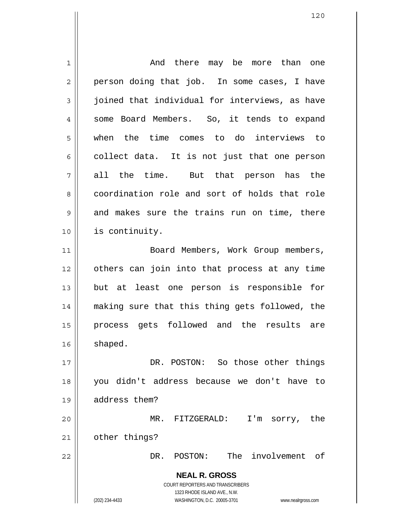| 1              | And there may be more than one                                      |
|----------------|---------------------------------------------------------------------|
| $\overline{2}$ | person doing that job. In some cases, I have                        |
| 3              | joined that individual for interviews, as have                      |
| 4              | some Board Members. So, it tends to expand                          |
| 5              | the time comes to do interviews to<br>when                          |
| 6              | collect data. It is not just that one person                        |
| 7              | all the time. But that person has the                               |
| 8              | coordination role and sort of holds that role                       |
| 9              | and makes sure the trains run on time, there                        |
| 10             | is continuity.                                                      |
| 11             | Board Members, Work Group members,                                  |
| 12             | others can join into that process at any time                       |
| 13             | but at least one person is responsible for                          |
| 14             | making sure that this thing gets followed, the                      |
| 15             | process gets followed and the results are                           |
| 16             | shaped.                                                             |
| 17             | DR. POSTON: So those other things                                   |
| 18             | you didn't address because we don't have to                         |
| 19             | address them?                                                       |
| 20             | MR. FITZGERALD:<br>I'm sorry, the                                   |
| 21             | other things?                                                       |
| 22             | The involvement of<br>DR. POSTON:                                   |
|                | <b>NEAL R. GROSS</b>                                                |
|                | <b>COURT REPORTERS AND TRANSCRIBERS</b>                             |
|                | 1323 RHODE ISLAND AVE., N.W.                                        |
|                | (202) 234-4433<br>WASHINGTON, D.C. 20005-3701<br>www.nealrgross.com |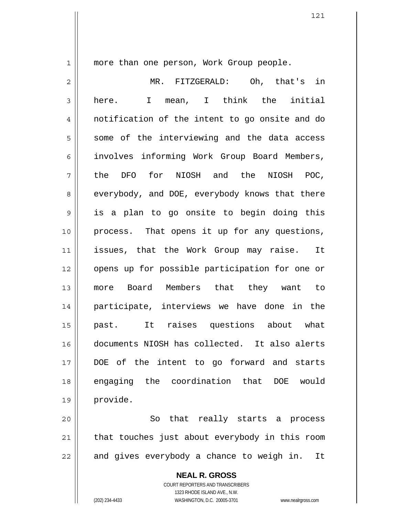1

more than one person, Work Group people.

2 3 4 5 6 7 8 9 10 11 12 13 14 15 16 17 18 19 20 MR. FITZGERALD: Oh, that's in here. I mean, I think the initial notification of the intent to go onsite and do some of the interviewing and the data access involves informing Work Group Board Members, the DFO for NIOSH and the NIOSH POC, everybody, and DOE, everybody knows that there is a plan to go onsite to begin doing this process. That opens it up for any questions, issues, that the Work Group may raise. It opens up for possible participation for one or more Board Members that they want to participate, interviews we have done in the past. It raises questions about what documents NIOSH has collected. It also alerts DOE of the intent to go forward and starts engaging the coordination that DOE would provide.

21 22 So that really starts a process that touches just about everybody in this room and gives everybody a chance to weigh in. It

> **NEAL R. GROSS** COURT REPORTERS AND TRANSCRIBERS 1323 RHODE ISLAND AVE., N.W. (202) 234-4433 WASHINGTON, D.C. 20005-3701 www.nealrgross.com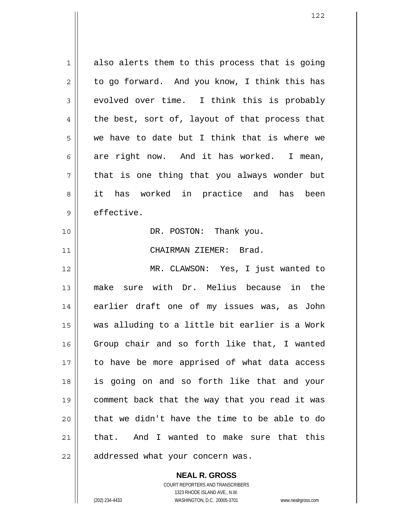1 2 3 4 5 6 7 8 9 10 11 12 13 14 15 16 17 18 19 20 21 22 also alerts them to this process that is going to go forward. And you know, I think this has evolved over time. I think this is probably the best, sort of, layout of that process that we have to date but I think that is where we are right now. And it has worked. I mean, that is one thing that you always wonder but it has worked in practice and has been effective. DR. POSTON: Thank you. CHAIRMAN ZIEMER: Brad. MR. CLAWSON: Yes, I just wanted to make sure with Dr. Melius because in the earlier draft one of my issues was, as John was alluding to a little bit earlier is a Work Group chair and so forth like that, I wanted to have be more apprised of what data access is going on and so forth like that and your comment back that the way that you read it was that we didn't have the time to be able to do that. And I wanted to make sure that this addressed what your concern was.

**NEAL R. GROSS**

COURT REPORTERS AND TRANSCRIBERS 1323 RHODE ISLAND AVE., N.W. (202) 234-4433 WASHINGTON, D.C. 20005-3701 www.nealrgross.com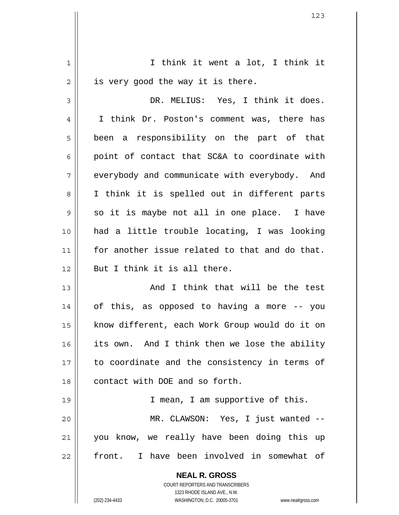| $\mathbf 1$    | I think it went a lot, I think it                                   |
|----------------|---------------------------------------------------------------------|
| $\overline{2}$ | is very good the way it is there.                                   |
| 3              | DR. MELIUS: Yes, I think it does.                                   |
| 4              | I think Dr. Poston's comment was, there has                         |
| 5              | been a responsibility on the part of that                           |
| 6              | point of contact that SC&A to coordinate with                       |
| 7              | everybody and communicate with everybody. And                       |
| 8              | I think it is spelled out in different parts                        |
| $\mathsf 9$    | so it is maybe not all in one place. I have                         |
| 10             | had a little trouble locating, I was looking                        |
| 11             | for another issue related to that and do that.                      |
| 12             | But I think it is all there.                                        |
| 13             | And I think that will be the test                                   |
| 14             | of this, as opposed to having a more -- you                         |
| 15             | know different, each Work Group would do it on                      |
| 16             | its own. And I think then we lose the ability                       |
| 17             | to coordinate and the consistency in terms of                       |
| 18             | contact with DOE and so forth.                                      |
| 19             | I mean, I am supportive of this.                                    |
| 20             | MR. CLAWSON: Yes, I just wanted --                                  |
| 21             | you know, we really have been doing this up                         |
| 22             | front. I have been involved in somewhat of                          |
|                | <b>NEAL R. GROSS</b>                                                |
|                | COURT REPORTERS AND TRANSCRIBERS<br>1323 RHODE ISLAND AVE., N.W.    |
|                | (202) 234-4433<br>WASHINGTON, D.C. 20005-3701<br>www.nealrgross.com |

 $\overline{\phantom{a}}$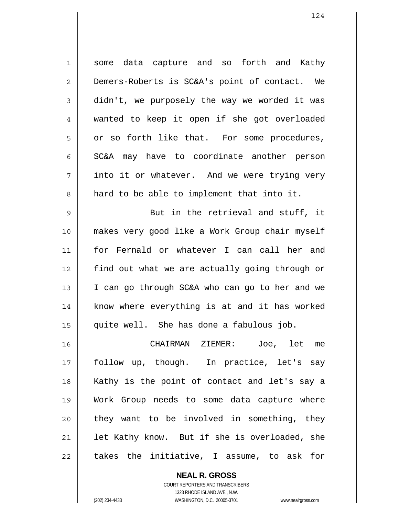1 2 3 4 5 6 7 8 some data capture and so forth and Kathy Demers-Roberts is SC&A's point of contact. We didn't, we purposely the way we worded it was wanted to keep it open if she got overloaded or so forth like that. For some procedures, SC&A may have to coordinate another person into it or whatever. And we were trying very hard to be able to implement that into it.

9 10 11 12 13 14 15 But in the retrieval and stuff, it makes very good like a Work Group chair myself for Fernald or whatever I can call her and find out what we are actually going through or I can go through SC&A who can go to her and we know where everything is at and it has worked quite well. She has done a fabulous job.

16 17 18 19 20 21 22 CHAIRMAN ZIEMER: Joe, let me follow up, though. In practice, let's say Kathy is the point of contact and let's say a Work Group needs to some data capture where they want to be involved in something, they let Kathy know. But if she is overloaded, she takes the initiative, I assume, to ask for

> **NEAL R. GROSS** COURT REPORTERS AND TRANSCRIBERS 1323 RHODE ISLAND AVE., N.W. (202) 234-4433 WASHINGTON, D.C. 20005-3701 www.nealrgross.com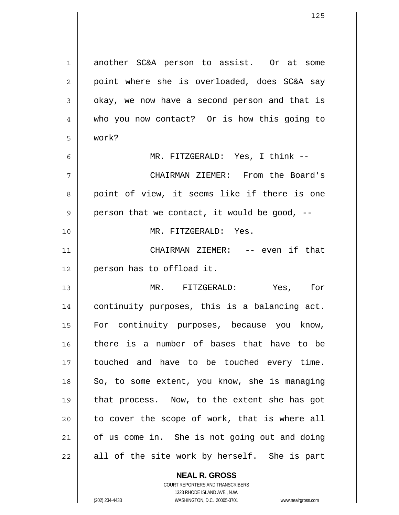1 2 3 4 5 6 7 8 9 10 11 12 13 14 15 16 17 18 19 20 21 22 another SC&A person to assist. Or at some point where she is overloaded, does SC&A say okay, we now have a second person and that is who you now contact? Or is how this going to work? MR. FITZGERALD: Yes, I think -- CHAIRMAN ZIEMER: From the Board's point of view, it seems like if there is one person that we contact, it would be good, -- MR. FITZGERALD: Yes. CHAIRMAN ZIEMER: -- even if that person has to offload it. MR. FITZGERALD: Yes, for continuity purposes, this is a balancing act. For continuity purposes, because you know, there is a number of bases that have to be touched and have to be touched every time. So, to some extent, you know, she is managing that process. Now, to the extent she has got to cover the scope of work, that is where all of us come in. She is not going out and doing all of the site work by herself. She is part

> **NEAL R. GROSS** COURT REPORTERS AND TRANSCRIBERS

> > 1323 RHODE ISLAND AVE., N.W.

(202) 234-4433 WASHINGTON, D.C. 20005-3701 www.nealrgross.com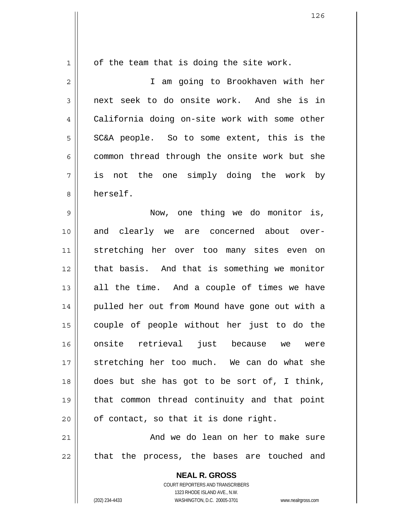1 2 3 4 5 6 7 8 9 10 11 12 13 14 15 16 17 18 19 20 21 22 of the team that is doing the site work. I am going to Brookhaven with her next seek to do onsite work. And she is in California doing on-site work with some other SC&A people. So to some extent, this is the common thread through the onsite work but she is not the one simply doing the work by herself. Now, one thing we do monitor is, and clearly we are concerned about overstretching her over too many sites even on that basis. And that is something we monitor all the time. And a couple of times we have pulled her out from Mound have gone out with a couple of people without her just to do the onsite retrieval just because we were stretching her too much. We can do what she does but she has got to be sort of, I think, that common thread continuity and that point of contact, so that it is done right. And we do lean on her to make sure that the process, the bases are touched and

> **NEAL R. GROSS** COURT REPORTERS AND TRANSCRIBERS 1323 RHODE ISLAND AVE., N.W.

(202) 234-4433 WASHINGTON, D.C. 20005-3701 www.nealrgross.com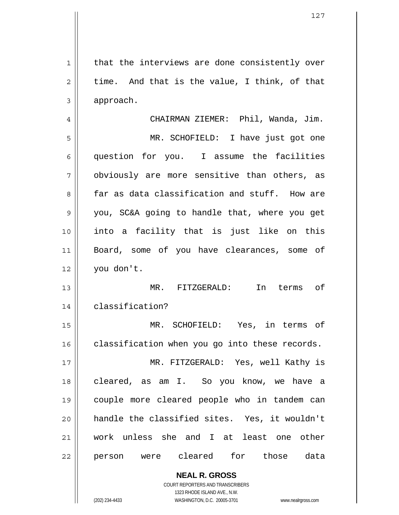1 2 3 4 5 6 7 8 9 10 11 12 13 14 15 16 17 18 19 20 21 22 that the interviews are done consistently over time. And that is the value, I think, of that approach. CHAIRMAN ZIEMER: Phil, Wanda, Jim. MR. SCHOFIELD: I have just got one question for you. I assume the facilities obviously are more sensitive than others, as far as data classification and stuff. How are you, SC&A going to handle that, where you get into a facility that is just like on this Board, some of you have clearances, some of you don't. MR. FITZGERALD: In terms of classification? MR. SCHOFIELD: Yes, in terms of classification when you go into these records. MR. FITZGERALD: Yes, well Kathy is cleared, as am I. So you know, we have a couple more cleared people who in tandem can handle the classified sites. Yes, it wouldn't work unless she and I at least one other person were cleared for those data

> **NEAL R. GROSS** COURT REPORTERS AND TRANSCRIBERS 1323 RHODE ISLAND AVE., N.W. (202) 234-4433 WASHINGTON, D.C. 20005-3701 www.nealrgross.com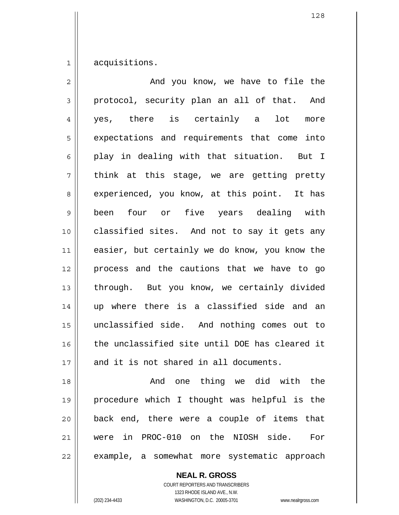1 acquisitions.

| And you know, we have to file the              |
|------------------------------------------------|
| protocol, security plan an all of that. And    |
| yes, there is certainly a lot<br>more          |
| expectations and requirements that come into   |
| play in dealing with that situation. But I     |
| think at this stage, we are getting pretty     |
| experienced, you know, at this point. It has   |
| four or five years dealing with<br>been        |
| classified sites. And not to say it gets any   |
| easier, but certainly we do know, you know the |
|                                                |
| process and the cautions that we have to go    |
| through. But you know, we certainly divided    |
| up where there is a classified side and an     |
| unclassified side. And nothing comes out to    |
| the unclassified site until DOE has cleared it |
| and it is not shared in all documents.         |
| And one thing we did with the                  |
| procedure which I thought was helpful is the   |
| back end, there were a couple of items that    |
|                                                |

example, a somewhat more systematic approach

**NEAL R. GROSS** COURT REPORTERS AND TRANSCRIBERS

22

1323 RHODE ISLAND AVE., N.W. (202) 234-4433 WASHINGTON, D.C. 20005-3701 www.nealrgross.com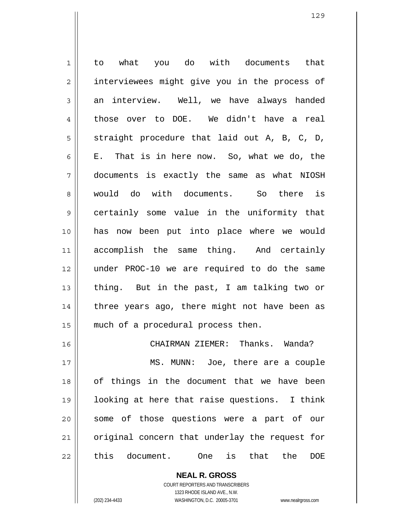1 2 3 4 5 6 7 8 9 10 11 12 13 14 15 16 17 18 19 20 21 22 to what you do with documents that interviewees might give you in the process of an interview. Well, we have always handed those over to DOE. We didn't have a real straight procedure that laid out A, B, C, D, E. That is in here now. So, what we do, the documents is exactly the same as what NIOSH would do with documents. So there is certainly some value in the uniformity that has now been put into place where we would accomplish the same thing. And certainly under PROC-10 we are required to do the same thing. But in the past, I am talking two or three years ago, there might not have been as much of a procedural process then. CHAIRMAN ZIEMER: Thanks. Wanda? MS. MUNN: Joe, there are a couple of things in the document that we have been looking at here that raise questions. I think some of those questions were a part of our original concern that underlay the request for this document. One is that the DOE

> **NEAL R. GROSS** COURT REPORTERS AND TRANSCRIBERS

> > 1323 RHODE ISLAND AVE., N.W.

(202) 234-4433 WASHINGTON, D.C. 20005-3701 www.nealrgross.com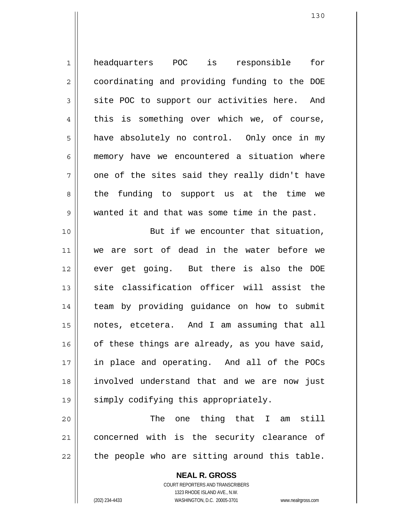| $\mathbf 1$    | headquarters POC is responsible for            |
|----------------|------------------------------------------------|
| $\overline{2}$ | coordinating and providing funding to the DOE  |
| $\mathfrak{Z}$ | site POC to support our activities here. And   |
| 4              | this is something over which we, of course,    |
| 5              | have absolutely no control. Only once in my    |
| 6              | memory have we encountered a situation where   |
| 7              | one of the sites said they really didn't have  |
| 8              | the funding to support us at the time we       |
| $\mathsf 9$    | wanted it and that was some time in the past.  |
| 10             | But if we encounter that situation,            |
| 11             | we are sort of dead in the water before we     |
| 12             | ever get going. But there is also the DOE      |
| 13             | site classification officer will assist the    |
| 14             | team by providing guidance on how to submit    |
| 15             | notes, etcetera. And I am assuming that all    |
| 16             | of these things are already, as you have said, |
| 17             | in place and operating. And all of the POCs    |
| 18             | involved understand that and we are now just   |
| 19             | simply codifying this appropriately.           |
| 20             | one thing that I<br>The<br>am still            |

21 22 concerned with is the security clearance of the people who are sitting around this table.

> **NEAL R. GROSS** COURT REPORTERS AND TRANSCRIBERS 1323 RHODE ISLAND AVE., N.W. (202) 234-4433 WASHINGTON, D.C. 20005-3701 www.nealrgross.com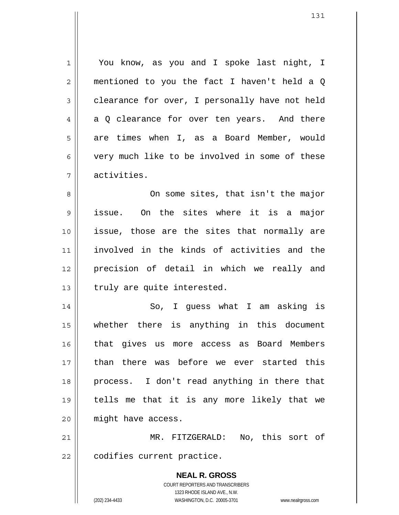1 2 3 4 5 6 7 You know, as you and I spoke last night, I mentioned to you the fact I haven't held a Q clearance for over, I personally have not held a Q clearance for over ten years. And there are times when I, as a Board Member, would very much like to be involved in some of these activities.

8 9 10 11 12 13 On some sites, that isn't the major issue. On the sites where it is a major issue, those are the sites that normally are involved in the kinds of activities and the precision of detail in which we really and truly are quite interested.

14 15 16 17 18 19 20 So, I guess what I am asking is whether there is anything in this document that gives us more access as Board Members than there was before we ever started this process. I don't read anything in there that tells me that it is any more likely that we might have access.

21 22 MR. FITZGERALD: No, this sort of codifies current practice.

> **NEAL R. GROSS** COURT REPORTERS AND TRANSCRIBERS 1323 RHODE ISLAND AVE., N.W. (202) 234-4433 WASHINGTON, D.C. 20005-3701 www.nealrgross.com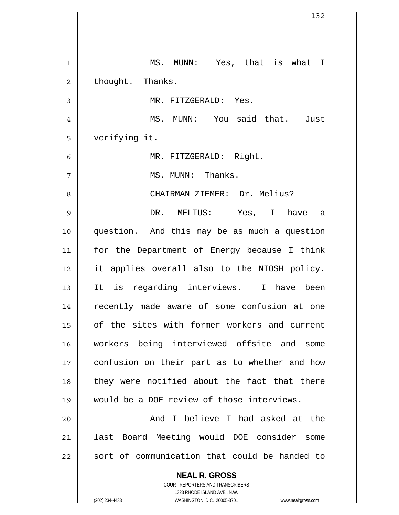**NEAL R. GROSS** COURT REPORTERS AND TRANSCRIBERS 1 2 3 4 5 6 7 8 9 10 11 12 13 14 15 16 17 18 19 20 21 22 MS. MUNN: Yes, that is what I thought. Thanks. MR. FITZGERALD: Yes. MS. MUNN: You said that. Just verifying it. MR. FITZGERALD: Right. MS. MUNN: Thanks. CHAIRMAN ZIEMER: Dr. Melius? DR. MELIUS: Yes, I have a question. And this may be as much a question for the Department of Energy because I think it applies overall also to the NIOSH policy. It is regarding interviews. I have been recently made aware of some confusion at one of the sites with former workers and current workers being interviewed offsite and some confusion on their part as to whether and how they were notified about the fact that there would be a DOE review of those interviews. And I believe I had asked at the last Board Meeting would DOE consider some sort of communication that could be handed to

1323 RHODE ISLAND AVE., N.W.

(202) 234-4433 WASHINGTON, D.C. 20005-3701 www.nealrgross.com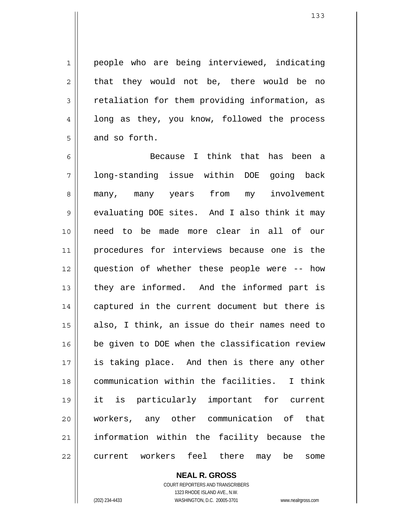people who are being interviewed, indicating that they would not be, there would be no retaliation for them providing information, as long as they, you know, followed the process and so forth.

6 7 8 9 10 11 12 13 14 15 16 17 18 19 20 21 22 Because I think that has been a long-standing issue within DOE going back many, many years from my involvement evaluating DOE sites. And I also think it may need to be made more clear in all of our procedures for interviews because one is the question of whether these people were -- how they are informed. And the informed part is captured in the current document but there is also, I think, an issue do their names need to be given to DOE when the classification review is taking place. And then is there any other communication within the facilities. I think it is particularly important for current workers, any other communication of that information within the facility because the current workers feel there may be some

> **NEAL R. GROSS** COURT REPORTERS AND TRANSCRIBERS 1323 RHODE ISLAND AVE., N.W. (202) 234-4433 WASHINGTON, D.C. 20005-3701 www.nealrgross.com

1

2

3

4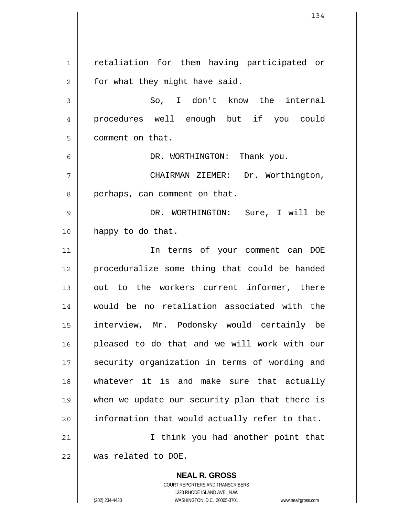**NEAL R. GROSS** 1 2 3 4 5 6 7 8 9 10 11 12 13 14 15 16 17 18 19 20 21 22 retaliation for them having participated or for what they might have said. So, I don't know the internal procedures well enough but if you could comment on that. DR. WORTHINGTON: Thank you. CHAIRMAN ZIEMER: Dr. Worthington, perhaps, can comment on that. DR. WORTHINGTON: Sure, I will be happy to do that. In terms of your comment can DOE proceduralize some thing that could be handed out to the workers current informer, there would be no retaliation associated with the interview, Mr. Podonsky would certainly be pleased to do that and we will work with our security organization in terms of wording and whatever it is and make sure that actually when we update our security plan that there is information that would actually refer to that. I think you had another point that was related to DOE.

> COURT REPORTERS AND TRANSCRIBERS 1323 RHODE ISLAND AVE., N.W.

(202) 234-4433 WASHINGTON, D.C. 20005-3701 www.nealrgross.com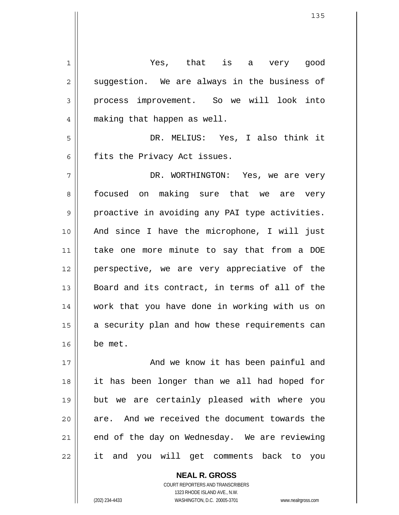1 2 3 4 5 6 7 8 9 10 11 12 13 14 15 16 17 18 19 20 21 22 Yes, that is a very good suggestion. We are always in the business of process improvement. So we will look into making that happen as well. DR. MELIUS: Yes, I also think it fits the Privacy Act issues. DR. WORTHINGTON: Yes, we are very focused on making sure that we are very proactive in avoiding any PAI type activities. And since I have the microphone, I will just take one more minute to say that from a DOE perspective, we are very appreciative of the Board and its contract, in terms of all of the work that you have done in working with us on a security plan and how these requirements can be met. And we know it has been painful and it has been longer than we all had hoped for but we are certainly pleased with where you are. And we received the document towards the end of the day on Wednesday. We are reviewing it and you will get comments back to you

> COURT REPORTERS AND TRANSCRIBERS 1323 RHODE ISLAND AVE., N.W. (202) 234-4433 WASHINGTON, D.C. 20005-3701 www.nealrgross.com

**NEAL R. GROSS**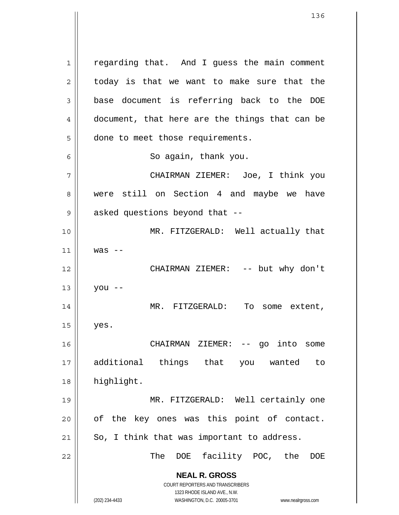**NEAL R. GROSS** COURT REPORTERS AND TRANSCRIBERS 1323 RHODE ISLAND AVE., N.W. 1 2 3 4 5 6 7 8 9 10 11 12 13 14 15 16 17 18 19 20 21 22 regarding that. And I guess the main comment today is that we want to make sure that the base document is referring back to the DOE document, that here are the things that can be done to meet those requirements. So again, thank you. CHAIRMAN ZIEMER: Joe, I think you were still on Section 4 and maybe we have asked questions beyond that -- MR. FITZGERALD: Well actually that was -- CHAIRMAN ZIEMER: -- but why don't you -- MR. FITZGERALD: To some extent, yes. CHAIRMAN ZIEMER: -- go into some additional things that you wanted to highlight. MR. FITZGERALD: Well certainly one of the key ones was this point of contact. So, I think that was important to address. The DOE facility POC, the DOE

(202) 234-4433 WASHINGTON, D.C. 20005-3701 www.nealrgross.com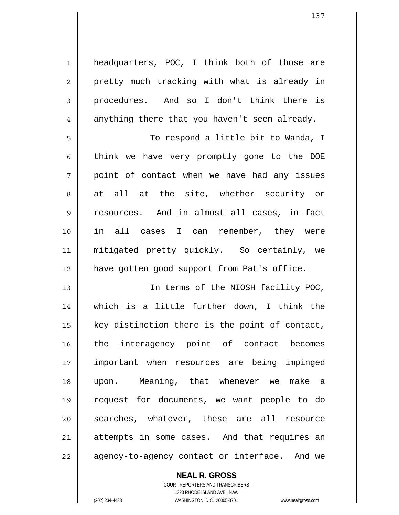headquarters, POC, I think both of those are pretty much tracking with what is already in procedures. And so I don't think there is anything there that you haven't seen already.

5 6 7 8 9 10 11 12 To respond a little bit to Wanda, I think we have very promptly gone to the DOE point of contact when we have had any issues at all at the site, whether security or resources. And in almost all cases, in fact in all cases I can remember, they were mitigated pretty quickly. So certainly, we have gotten good support from Pat's office.

13 14 15 16 17 18 19 20 21 22 In terms of the NIOSH facility POC, which is a little further down, I think the key distinction there is the point of contact, the interagency point of contact becomes important when resources are being impinged upon. Meaning, that whenever we make a request for documents, we want people to do searches, whatever, these are all resource attempts in some cases. And that requires an agency-to-agency contact or interface. And we

> COURT REPORTERS AND TRANSCRIBERS 1323 RHODE ISLAND AVE., N.W. (202) 234-4433 WASHINGTON, D.C. 20005-3701 www.nealrgross.com

**NEAL R. GROSS**

1

2

3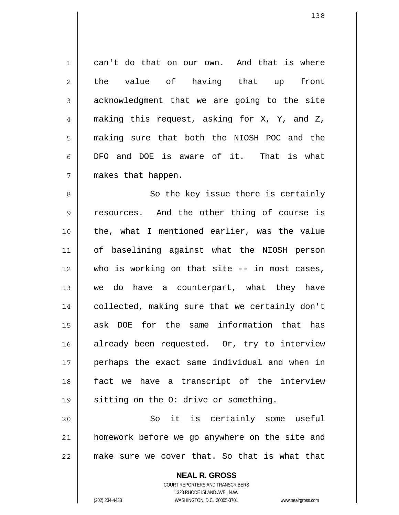7 can't do that on our own. And that is where the value of having that up front acknowledgment that we are going to the site making this request, asking for X, Y, and Z, making sure that both the NIOSH POC and the DFO and DOE is aware of it. That is what makes that happen.

8 9 10 11 12 13 14 15 16 17 18 19 So the key issue there is certainly resources. And the other thing of course is the, what I mentioned earlier, was the value of baselining against what the NIOSH person who is working on that site -- in most cases, we do have a counterpart, what they have collected, making sure that we certainly don't ask DOE for the same information that has already been requested. Or, try to interview perhaps the exact same individual and when in fact we have a transcript of the interview sitting on the O: drive or something.

20 21 22 So it is certainly some useful homework before we go anywhere on the site and make sure we cover that. So that is what that

> **NEAL R. GROSS** COURT REPORTERS AND TRANSCRIBERS 1323 RHODE ISLAND AVE., N.W. (202) 234-4433 WASHINGTON, D.C. 20005-3701 www.nealrgross.com

1

2

3

4

5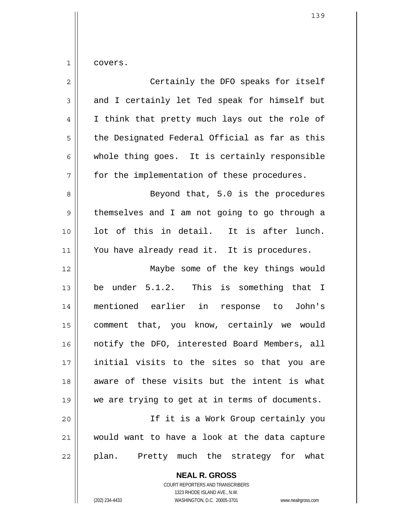covers.

1

| $\overline{2}$ | Certainly the DFO speaks for itself            |
|----------------|------------------------------------------------|
| $\mathfrak{Z}$ | and I certainly let Ted speak for himself but  |
| 4              | I think that pretty much lays out the role of  |
| 5              | the Designated Federal Official as far as this |
| 6              | whole thing goes. It is certainly responsible  |
| 7              | for the implementation of these procedures.    |
| 8              | Beyond that, 5.0 is the procedures             |
| $\mathsf 9$    | themselves and I am not going to go through a  |
| 10             | lot of this in detail. It is after lunch.      |
| 11             | You have already read it. It is procedures.    |
| 12             | Maybe some of the key things would             |
| 13             | be under 5.1.2. This is something that I       |
| 14             | mentioned earlier in response to John's        |
| 15             | comment that, you know, certainly we would     |
| 16             | notify the DFO, interested Board Members, all  |
| 17             | initial visits to the sites so that you are    |
| 18             | aware of these visits but the intent is what   |
| 19             | we are trying to get at in terms of documents. |
| 20             | If it is a Work Group certainly you            |
| 21             | would want to have a look at the data capture  |
| 22             | plan. Pretty much the strategy for what        |

**NEAL R. GROSS** COURT REPORTERS AND TRANSCRIBERS 1323 RHODE ISLAND AVE., N.W.

(202) 234-4433 WASHINGTON, D.C. 20005-3701 www.nealrgross.com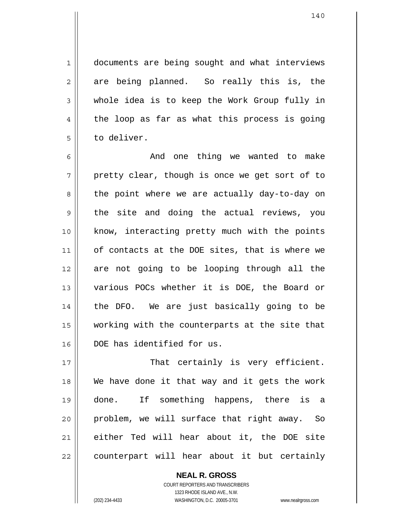documents are being sought and what interviews are being planned. So really this is, the whole idea is to keep the Work Group fully in the loop as far as what this process is going to deliver.

6 7 8 9 10 11 12 13 14 15 16 And one thing we wanted to make pretty clear, though is once we get sort of to the point where we are actually day-to-day on the site and doing the actual reviews, you know, interacting pretty much with the points of contacts at the DOE sites, that is where we are not going to be looping through all the various POCs whether it is DOE, the Board or the DFO. We are just basically going to be working with the counterparts at the site that DOE has identified for us.

17 18 19 20 21 22 That certainly is very efficient. We have done it that way and it gets the work done. If something happens, there is a problem, we will surface that right away. So either Ted will hear about it, the DOE site counterpart will hear about it but certainly

> **NEAL R. GROSS** COURT REPORTERS AND TRANSCRIBERS 1323 RHODE ISLAND AVE., N.W. (202) 234-4433 WASHINGTON, D.C. 20005-3701 www.nealrgross.com

1

2

3

4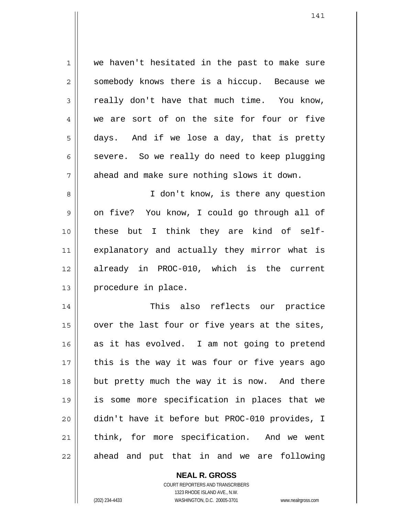1 2 3 4 5 6 7 8 9 10 11 12 13 14 15 16 17 18 19 20 21 22 we haven't hesitated in the past to make sure somebody knows there is a hiccup. Because we really don't have that much time. You know, we are sort of on the site for four or five days. And if we lose a day, that is pretty severe. So we really do need to keep plugging ahead and make sure nothing slows it down. I don't know, is there any question on five? You know, I could go through all of these but I think they are kind of selfexplanatory and actually they mirror what is already in PROC-010, which is the current procedure in place. This also reflects our practice over the last four or five years at the sites, as it has evolved. I am not going to pretend this is the way it was four or five years ago but pretty much the way it is now. And there is some more specification in places that we didn't have it before but PROC-010 provides, I think, for more specification. And we went ahead and put that in and we are following

> **NEAL R. GROSS** COURT REPORTERS AND TRANSCRIBERS

> > 1323 RHODE ISLAND AVE., N.W.

(202) 234-4433 WASHINGTON, D.C. 20005-3701 www.nealrgross.com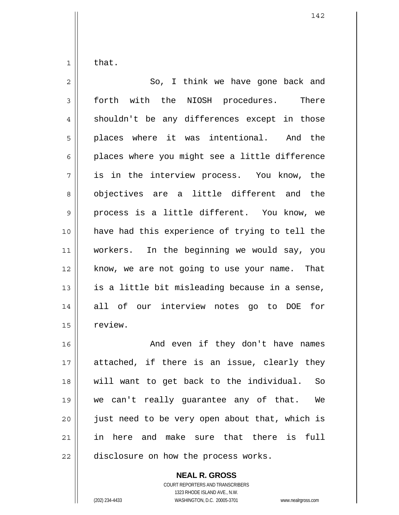1 that.

| $\mathbf{2}$ | So, I think we have gone back and              |
|--------------|------------------------------------------------|
| 3            | forth with the NIOSH procedures. There         |
| 4            | shouldn't be any differences except in those   |
| 5            | places where it was intentional. And the       |
| 6            | places where you might see a little difference |
| 7            | is in the interview process. You know, the     |
| 8            | objectives are a little different and the      |
| $\mathsf 9$  | process is a little different. You know, we    |
| 10           | have had this experience of trying to tell the |
| 11           | workers. In the beginning we would say, you    |
| 12           | know, we are not going to use your name. That  |
| 13           | is a little bit misleading because in a sense, |
| 14           | all of our interview notes go to DOE for       |
| 15           | review.                                        |
| 16           | And even if they don't have names              |
| 17           | attached, if there is an issue, clearly they   |
| 18           | will want to get back to the individual.<br>So |
| 19           | we can't really guarantee any of that.<br>We   |
| 20           | just need to be very open about that, which is |
| 21           | in here and make sure that there is full       |

22

## **NEAL R. GROSS**

disclosure on how the process works.

COURT REPORTERS AND TRANSCRIBERS 1323 RHODE ISLAND AVE., N.W. (202) 234-4433 WASHINGTON, D.C. 20005-3701 www.nealrgross.com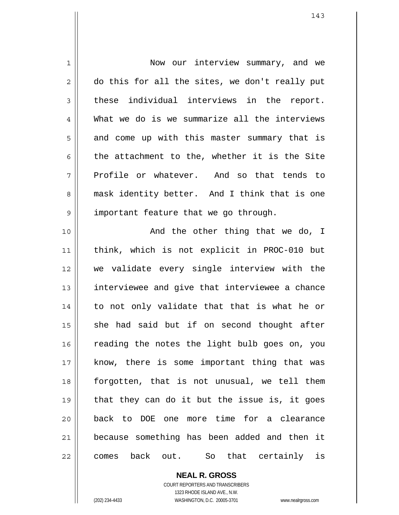| $\mathbf 1$    | Now our interview summary, and we                |
|----------------|--------------------------------------------------|
| $\overline{2}$ | do this for all the sites, we don't really put   |
| 3              | these individual interviews in the report.       |
| 4              | What we do is we summarize all the interviews    |
| 5              | and come up with this master summary that is     |
| 6              | the attachment to the, whether it is the Site    |
| 7              | Profile or whatever. And so that tends to        |
| 8              | mask identity better. And I think that is one    |
| 9              | important feature that we go through.            |
| 10             | And the other thing that we do, I                |
| 11             | think, which is not explicit in PROC-010 but     |
| 12             | we validate every single interview with the      |
| 13             | interviewee and give that interviewee a chance   |
| 14             | to not only validate that that is what he or     |
| 15             | she had said but if on second thought after      |
| 16             | reading the notes the light bulb goes on, you    |
| 17             | know, there is some important thing that was     |
| 18             | forgotten, that is not unusual, we tell them     |
| 19             | that they can do it but the issue is, it goes    |
| 20             | back to DOE one more time for a clearance        |
| 21             | because something has been added and then it     |
| 22             | back out.<br>that certainly<br>is<br>So<br>comes |

**NEAL R. GROSS** COURT REPORTERS AND TRANSCRIBERS 1323 RHODE ISLAND AVE., N.W. (202) 234-4433 WASHINGTON, D.C. 20005-3701 www.nealrgross.com

 $\mathsf{II}$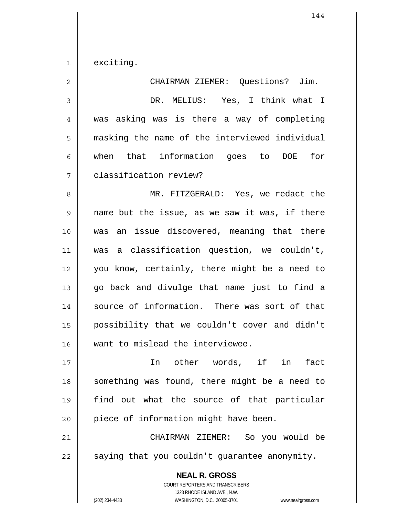1 exciting.

| $\overline{c}$ | CHAIRMAN ZIEMER: Questions? Jim.                         |
|----------------|----------------------------------------------------------|
| $\mathfrak{Z}$ | DR. MELIUS: Yes, I think what I                          |
| $\overline{4}$ | was asking was is there a way of completing              |
| 5              | masking the name of the interviewed individual           |
| 6              | when that information goes to DOE<br>for                 |
| 7              | classification review?                                   |
| 8              | MR. FITZGERALD: Yes, we redact the                       |
| 9              | name but the issue, as we saw it was, if there           |
| 10             | was an issue discovered, meaning that there              |
| 11             | was a classification question, we couldn't,              |
| 12             | you know, certainly, there might be a need to            |
| 13             | go back and divulge that name just to find a             |
| 14             | source of information. There was sort of that            |
| 15             | possibility that we couldn't cover and didn't            |
| 16             | want to mislead the interviewee.                         |
| 17             | other words, if in<br>fact<br>In                         |
| 18             | something was found, there might be a need to            |
| 19             | find out what the source of that particular              |
| 20             | piece of information might have been.                    |
| 21             | CHAIRMAN ZIEMER: So you would be                         |
| 22             | saying that you couldn't guarantee anonymity.            |
|                | <b>NEAL R. GROSS</b><br>COURT REPORTERS AND TRANSCRIBERS |

1323 RHODE ISLAND AVE., N.W.

 $\mathsf{II}$ 

(202) 234-4433 WASHINGTON, D.C. 20005-3701 www.nealrgross.com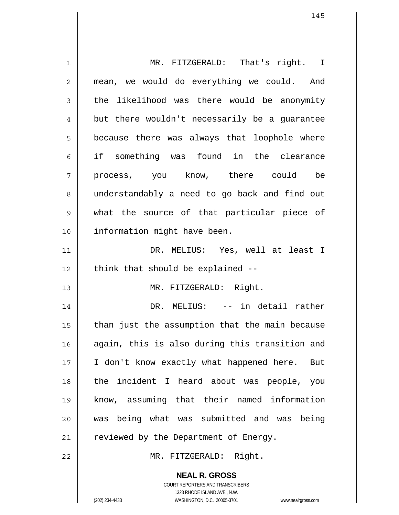1 2 3 4 5 6 7 8 9 10 11 12 13 14 15 16 17 18 19 20 21 22 MR. FITZGERALD: That's right. I mean, we would do everything we could. And the likelihood was there would be anonymity but there wouldn't necessarily be a guarantee because there was always that loophole where if something was found in the clearance process, you know, there could be understandably a need to go back and find out what the source of that particular piece of information might have been. DR. MELIUS: Yes, well at least I think that should be explained -- MR. FITZGERALD: Right. DR. MELIUS: -- in detail rather than just the assumption that the main because again, this is also during this transition and I don't know exactly what happened here. But the incident I heard about was people, you know, assuming that their named information was being what was submitted and was being reviewed by the Department of Energy. MR. FITZGERALD: Right.

> **NEAL R. GROSS** COURT REPORTERS AND TRANSCRIBERS 1323 RHODE ISLAND AVE., N.W.

(202) 234-4433 WASHINGTON, D.C. 20005-3701 www.nealrgross.com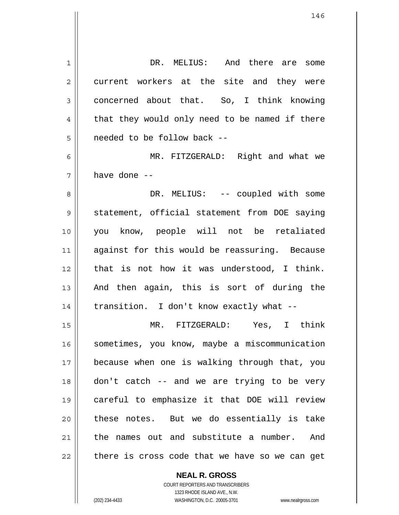| 1              | DR. MELIUS: And there are some                 |
|----------------|------------------------------------------------|
| $\overline{2}$ | current workers at the site and they were      |
| 3              | concerned about that. So, I think knowing      |
| 4              | that they would only need to be named if there |
| 5              | needed to be follow back --                    |
| 6              | MR. FITZGERALD: Right and what we              |
| 7              | have done --                                   |
| 8              | DR. MELIUS: -- coupled with some               |
| 9              | statement, official statement from DOE saying  |
| 10             | you know, people will not be retaliated        |
| 11             | against for this would be reassuring. Because  |
| 12             | that is not how it was understood, I think.    |
| 13             | And then again, this is sort of during the     |
| 14             | transition. I don't know exactly what --       |
| 15             | MR. FITZGERALD: Yes, I think                   |
| 16             | sometimes, you know, maybe a miscommunication  |
| 17             | because when one is walking through that, you  |
| 18             | don't catch -- and we are trying to be very    |
| 19             | careful to emphasize it that DOE will review   |
| 20             | these notes. But we do essentially is take     |
| 21             | the names out and substitute a number. And     |
| 22             | there is cross code that we have so we can get |

**NEAL R. GROSS** COURT REPORTERS AND TRANSCRIBERS 1323 RHODE ISLAND AVE., N.W.

 $\mathbf{I}$ 

(202) 234-4433 WASHINGTON, D.C. 20005-3701 www.nealrgross.com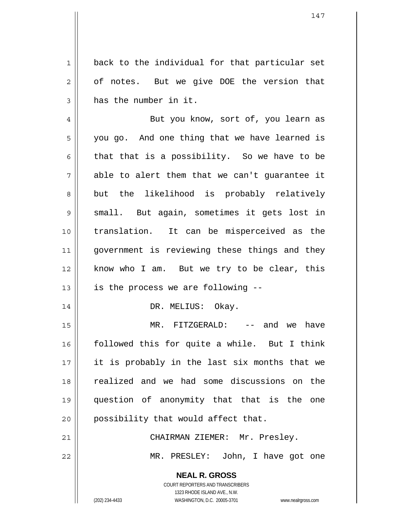back to the individual for that particular set of notes. But we give DOE the version that has the number in it.

4 5 6 7 8 9 10 11 12 13 But you know, sort of, you learn as you go. And one thing that we have learned is that that is a possibility. So we have to be able to alert them that we can't guarantee it but the likelihood is probably relatively small. But again, sometimes it gets lost in translation. It can be misperceived as the government is reviewing these things and they know who I am. But we try to be clear, this is the process we are following --

DR. MELIUS: Okay.

15 16 17 18 19 20 MR. FITZGERALD: -- and we have followed this for quite a while. But I think it is probably in the last six months that we realized and we had some discussions on the question of anonymity that that is the one possibility that would affect that.

21 22 CHAIRMAN ZIEMER: Mr. Presley. MR. PRESLEY: John, I have got one

> **NEAL R. GROSS** COURT REPORTERS AND TRANSCRIBERS 1323 RHODE ISLAND AVE., N.W. (202) 234-4433 WASHINGTON, D.C. 20005-3701 www.nealrgross.com

1

2

3

14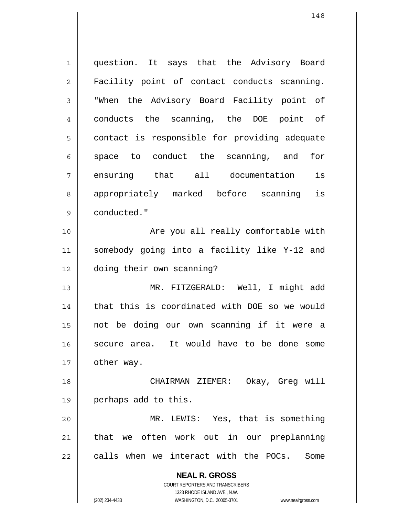**NEAL R. GROSS** COURT REPORTERS AND TRANSCRIBERS 1 2 3 4 5 6 7 8 9 10 11 12 13 14 15 16 17 18 19 20 21 22 question. It says that the Advisory Board Facility point of contact conducts scanning. "When the Advisory Board Facility point of conducts the scanning, the DOE point of contact is responsible for providing adequate space to conduct the scanning, and for ensuring that all documentation is appropriately marked before scanning is conducted." Are you all really comfortable with somebody going into a facility like Y-12 and doing their own scanning? MR. FITZGERALD: Well, I might add that this is coordinated with DOE so we would not be doing our own scanning if it were a secure area. It would have to be done some other way. CHAIRMAN ZIEMER: Okay, Greg will perhaps add to this. MR. LEWIS: Yes, that is something that we often work out in our preplanning calls when we interact with the POCs. Some

1323 RHODE ISLAND AVE., N.W.

(202) 234-4433 WASHINGTON, D.C. 20005-3701 www.nealrgross.com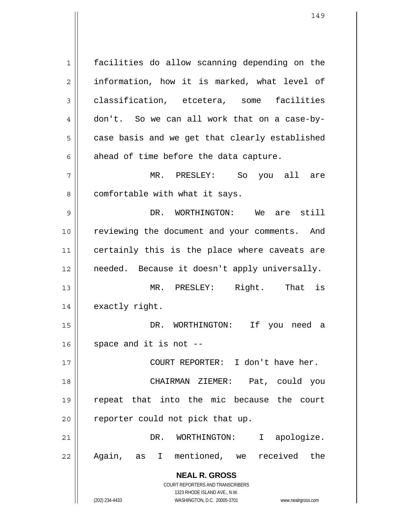**NEAL R. GROSS** COURT REPORTERS AND TRANSCRIBERS 1323 RHODE ISLAND AVE., N.W. 1 2 3 4 5 6 7 8 9 10 11 12 13 14 15 16 17 18 19 20 21 22 facilities do allow scanning depending on the information, how it is marked, what level of classification, etcetera, some facilities don't. So we can all work that on a case-bycase basis and we get that clearly established ahead of time before the data capture. MR. PRESLEY: So you all are comfortable with what it says. DR. WORTHINGTON: We are still reviewing the document and your comments. And certainly this is the place where caveats are needed. Because it doesn't apply universally. MR. PRESLEY: Right. That is exactly right. DR. WORTHINGTON: If you need a space and it is not -- COURT REPORTER: I don't have her. CHAIRMAN ZIEMER: Pat, could you repeat that into the mic because the court reporter could not pick that up. DR. WORTHINGTON: I apologize. Again, as I mentioned, we received the

(202) 234-4433 WASHINGTON, D.C. 20005-3701 www.nealrgross.com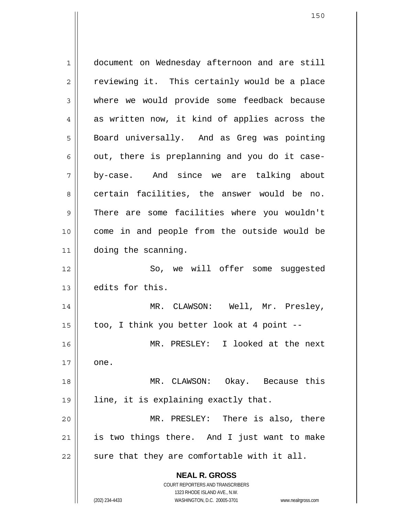**NEAL R. GROSS** COURT REPORTERS AND TRANSCRIBERS 1323 RHODE ISLAND AVE., N.W. 1 2 3 4 5 6 7 8 9 10 11 12 13 14 15 16 17 18 19 20 21 22 document on Wednesday afternoon and are still reviewing it. This certainly would be a place where we would provide some feedback because as written now, it kind of applies across the Board universally. And as Greg was pointing out, there is preplanning and you do it caseby-case. And since we are talking about certain facilities, the answer would be no. There are some facilities where you wouldn't come in and people from the outside would be doing the scanning. So, we will offer some suggested edits for this. MR. CLAWSON: Well, Mr. Presley, too, I think you better look at 4 point -- MR. PRESLEY: I looked at the next one. MR. CLAWSON: Okay. Because this line, it is explaining exactly that. MR. PRESLEY: There is also, there is two things there. And I just want to make sure that they are comfortable with it all.

(202) 234-4433 WASHINGTON, D.C. 20005-3701 www.nealrgross.com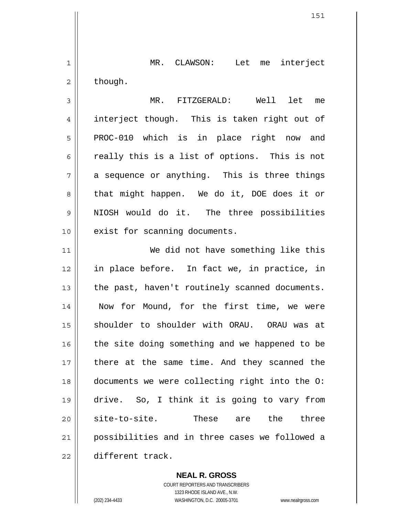1 2 MR. CLAWSON: Let me interject though.

3 4 5 6 7 8 9 10 MR. FITZGERALD: Well let me interject though. This is taken right out of PROC-010 which is in place right now and really this is a list of options. This is not a sequence or anything. This is three things that might happen. We do it, DOE does it or NIOSH would do it. The three possibilities exist for scanning documents.

11 12 13 14 15 16 17 18 19 20 21 22 We did not have something like this in place before. In fact we, in practice, in the past, haven't routinely scanned documents. Now for Mound, for the first time, we were shoulder to shoulder with ORAU. ORAU was at the site doing something and we happened to be there at the same time. And they scanned the documents we were collecting right into the O: drive. So, I think it is going to vary from site-to-site. These are the three possibilities and in three cases we followed a different track.

> **NEAL R. GROSS** COURT REPORTERS AND TRANSCRIBERS 1323 RHODE ISLAND AVE., N.W. (202) 234-4433 WASHINGTON, D.C. 20005-3701 www.nealrgross.com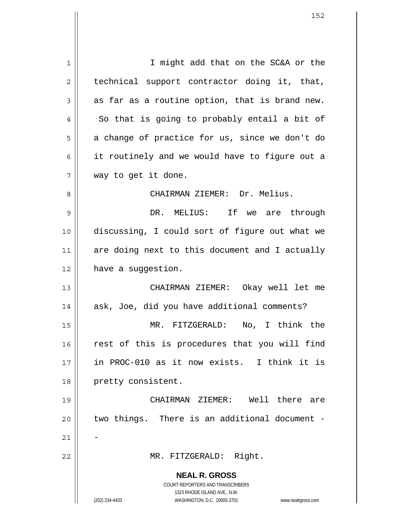**NEAL R. GROSS** COURT REPORTERS AND TRANSCRIBERS 1323 RHODE ISLAND AVE., N.W. (202) 234-4433 WASHINGTON, D.C. 20005-3701 www.nealrgross.com 1 2 3 4 5 6 7 8 9 10 11 12 13 14 15 16 17 18 19 20 21 22 I might add that on the SC&A or the technical support contractor doing it, that, as far as a routine option, that is brand new. So that is going to probably entail a bit of a change of practice for us, since we don't do it routinely and we would have to figure out a way to get it done. CHAIRMAN ZIEMER: Dr. Melius. DR. MELIUS: If we are through discussing, I could sort of figure out what we are doing next to this document and I actually have a suggestion. CHAIRMAN ZIEMER: Okay well let me ask, Joe, did you have additional comments? MR. FITZGERALD: No, I think the rest of this is procedures that you will find in PROC-010 as it now exists. I think it is pretty consistent. CHAIRMAN ZIEMER: Well there are two things. There is an additional document - - MR. FITZGERALD: Right.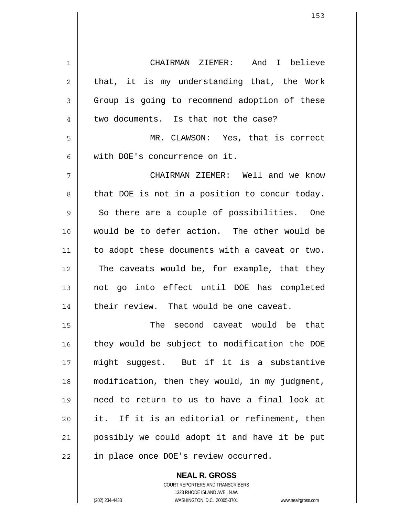1 2 3 4 5 6 7 8 9 10 11 12 13 14 15 16 17 18 19 20 21 22 CHAIRMAN ZIEMER: And I believe that, it is my understanding that, the Work Group is going to recommend adoption of these two documents. Is that not the case? MR. CLAWSON: Yes, that is correct with DOE's concurrence on it. CHAIRMAN ZIEMER: Well and we know that DOE is not in a position to concur today. So there are a couple of possibilities. One would be to defer action. The other would be to adopt these documents with a caveat or two. The caveats would be, for example, that they not go into effect until DOE has completed their review. That would be one caveat. The second caveat would be that they would be subject to modification the DOE might suggest. But if it is a substantive modification, then they would, in my judgment, need to return to us to have a final look at it. If it is an editorial or refinement, then possibly we could adopt it and have it be put in place once DOE's review occurred.

> COURT REPORTERS AND TRANSCRIBERS 1323 RHODE ISLAND AVE., N.W. (202) 234-4433 WASHINGTON, D.C. 20005-3701 www.nealrgross.com

**NEAL R. GROSS**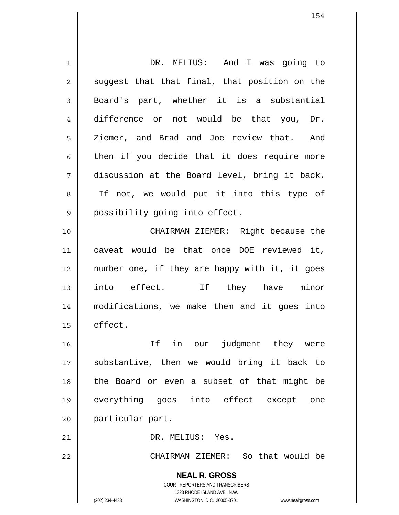**NEAL R. GROSS** COURT REPORTERS AND TRANSCRIBERS 1323 RHODE ISLAND AVE., N.W. 1 2 3 4 5 6 7 8 9 10 11 12 13 14 15 16 17 18 19 20 21 22 DR. MELIUS: And I was going to suggest that that final, that position on the Board's part, whether it is a substantial difference or not would be that you, Dr. Ziemer, and Brad and Joe review that. And then if you decide that it does require more discussion at the Board level, bring it back. If not, we would put it into this type of possibility going into effect. CHAIRMAN ZIEMER: Right because the caveat would be that once DOE reviewed it, number one, if they are happy with it, it goes into effect. If they have minor modifications, we make them and it goes into effect. If in our judgment they were substantive, then we would bring it back to the Board or even a subset of that might be everything goes into effect except one particular part. DR. MELIUS: Yes. CHAIRMAN ZIEMER: So that would be

(202) 234-4433 WASHINGTON, D.C. 20005-3701 www.nealrgross.com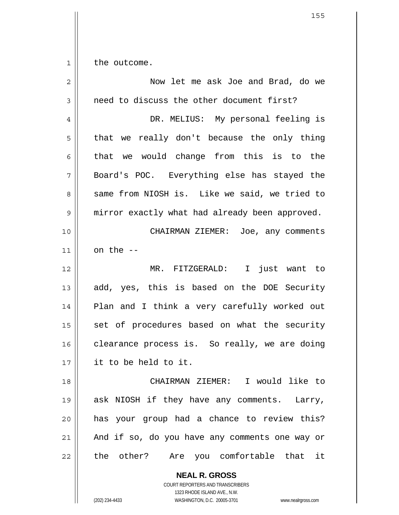1 the outcome.

| $\overline{2}$ | Now let me ask Joe and Brad, do we                              |
|----------------|-----------------------------------------------------------------|
| 3              | need to discuss the other document first?                       |
| 4              | DR. MELIUS: My personal feeling is                              |
| 5              | that we really don't because the only thing                     |
| 6              | we would change from this is to the<br>that                     |
| 7              | Board's POC. Everything else has stayed the                     |
| 8              | same from NIOSH is. Like we said, we tried to                   |
| 9              | mirror exactly what had already been approved.                  |
| 10             | CHAIRMAN ZIEMER: Joe, any comments                              |
| 11             | on the --                                                       |
| 12             | MR. FITZGERALD: I just want to                                  |
| 13             | add, yes, this is based on the DOE Security                     |
| 14             | Plan and I think a very carefully worked out                    |
| 15             | set of procedures based on what the security                    |
| 16             | clearance process is. So really, we are doing                   |
| 17             | it to be held to it.                                            |
| 18             | CHAIRMAN ZIEMER: I would like to                                |
| 19             | ask NIOSH if they have any comments. Larry,                     |
| 20             | has your group had a chance to review this?                     |
| 21             | And if so, do you have any comments one way or                  |
| 22             | the other? Are you comfortable that it                          |
|                | <b>NEAL R. GROSS</b><br><b>COURT REPORTERS AND TRANSCRIBERS</b> |

1323 RHODE ISLAND AVE., N.W.

 $\mathop{\text{||}}$ 

(202) 234-4433 WASHINGTON, D.C. 20005-3701 www.nealrgross.com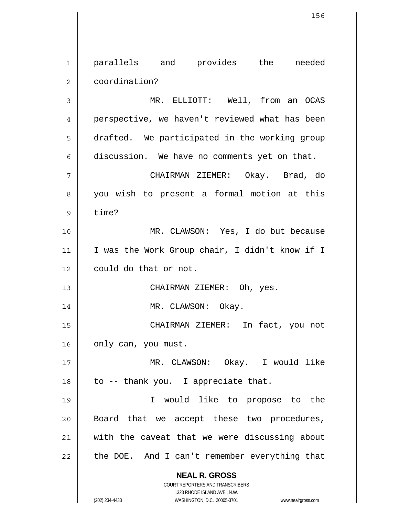**NEAL R. GROSS** COURT REPORTERS AND TRANSCRIBERS 1323 RHODE ISLAND AVE., N.W. (202) 234-4433 WASHINGTON, D.C. 20005-3701 www.nealrgross.com 1 2 3 4 5 6 7 8 9 10 11 12 13 14 15 16 17 18 19 20 21 22 parallels and provides the needed coordination? MR. ELLIOTT: Well, from an OCAS perspective, we haven't reviewed what has been drafted. We participated in the working group discussion. We have no comments yet on that. CHAIRMAN ZIEMER: Okay. Brad, do you wish to present a formal motion at this time? MR. CLAWSON: Yes, I do but because I was the Work Group chair, I didn't know if I could do that or not. CHAIRMAN ZIEMER: Oh, yes. MR. CLAWSON: Okay. CHAIRMAN ZIEMER: In fact, you not only can, you must. MR. CLAWSON: Okay. I would like to -- thank you. I appreciate that. I would like to propose to the Board that we accept these two procedures, with the caveat that we were discussing about the DOE. And I can't remember everything that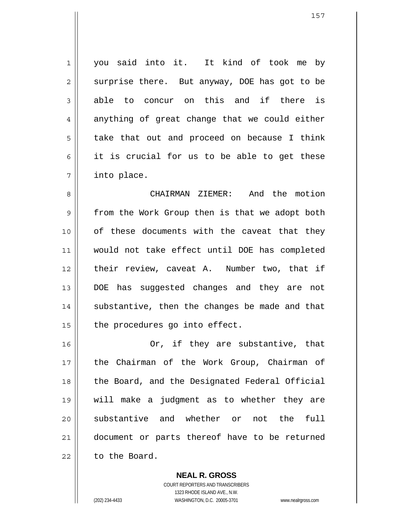1 2 3 4 5 6 7 you said into it. It kind of took me by surprise there. But anyway, DOE has got to be able to concur on this and if there is anything of great change that we could either take that out and proceed on because I think it is crucial for us to be able to get these into place.

8 9 10 11 12 13 14 15 CHAIRMAN ZIEMER: And the motion from the Work Group then is that we adopt both of these documents with the caveat that they would not take effect until DOE has completed their review, caveat A. Number two, that if DOE has suggested changes and they are not substantive, then the changes be made and that the procedures go into effect.

16 17 18 19 20 21 22 Or, if they are substantive, that the Chairman of the Work Group, Chairman of the Board, and the Designated Federal Official will make a judgment as to whether they are substantive and whether or not the full document or parts thereof have to be returned to the Board.

> **NEAL R. GROSS** COURT REPORTERS AND TRANSCRIBERS 1323 RHODE ISLAND AVE., N.W. (202) 234-4433 WASHINGTON, D.C. 20005-3701 www.nealrgross.com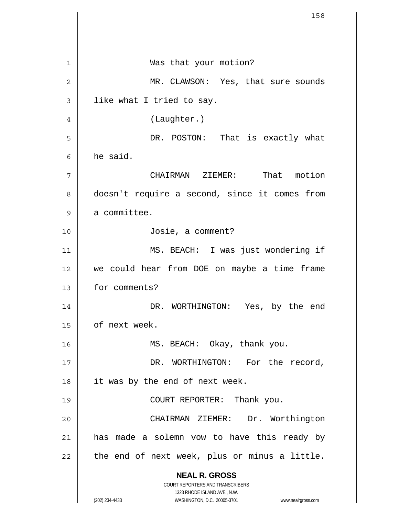**NEAL R. GROSS** COURT REPORTERS AND TRANSCRIBERS 1323 RHODE ISLAND AVE., N.W. (202) 234-4433 WASHINGTON, D.C. 20005-3701 www.nealrgross.com 1 2 3 4 5 6 7 8 9 10 11 12 13 14 15 16 17 18 19 20 21 22 Was that your motion? MR. CLAWSON: Yes, that sure sounds like what I tried to say. (Laughter.) DR. POSTON: That is exactly what he said. CHAIRMAN ZIEMER: That motion doesn't require a second, since it comes from a committee. Josie, a comment? MS. BEACH: I was just wondering if we could hear from DOE on maybe a time frame for comments? DR. WORTHINGTON: Yes, by the end of next week. MS. BEACH: Okay, thank you. DR. WORTHINGTON: For the record, it was by the end of next week. COURT REPORTER: Thank you. CHAIRMAN ZIEMER: Dr. Worthington has made a solemn vow to have this ready by the end of next week, plus or minus a little.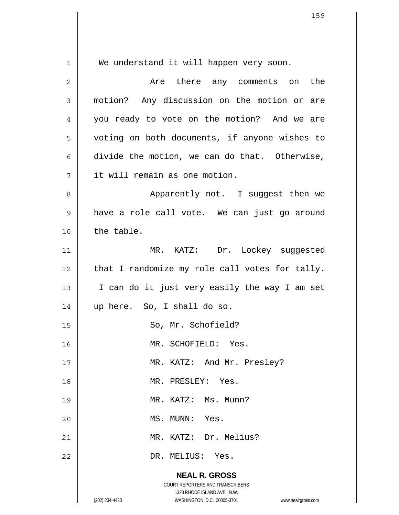| Are there any comments on the                  |
|------------------------------------------------|
| motion? Any discussion on the motion or are    |
| you ready to vote on the motion? And we are    |
| voting on both documents, if anyone wishes to  |
| divide the motion, we can do that. Otherwise,  |
|                                                |
| Apparently not. I suggest then we              |
| have a role call vote. We can just go around   |
|                                                |
| MR. KATZ: Dr. Lockey suggested                 |
| that I randomize my role call votes for tally. |
| I can do it just very easily the way I am set  |
|                                                |
|                                                |
|                                                |
|                                                |
|                                                |
|                                                |
|                                                |
|                                                |
|                                                |
|                                                |
|                                                |
| www.nealrgross.com                             |
|                                                |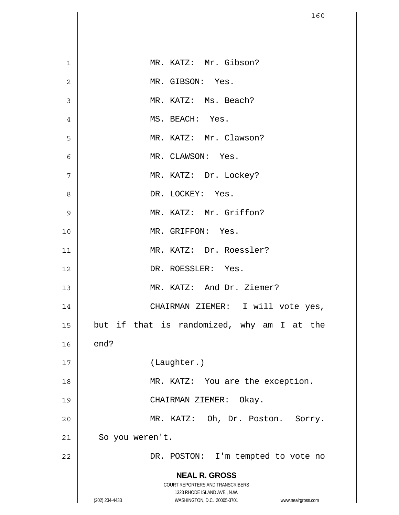|                | 160                                                                                                 |
|----------------|-----------------------------------------------------------------------------------------------------|
|                |                                                                                                     |
| 1              | MR. KATZ: Mr. Gibson?                                                                               |
| $\overline{2}$ | MR. GIBSON: Yes.                                                                                    |
| 3              | MR. KATZ: Ms. Beach?                                                                                |
| 4              | MS. BEACH: Yes.                                                                                     |
| 5              | MR. KATZ: Mr. Clawson?                                                                              |
| 6              | MR. CLAWSON: Yes.                                                                                   |
| 7              | MR. KATZ: Dr. Lockey?                                                                               |
| 8              | DR. LOCKEY: Yes.                                                                                    |
| 9              | MR. KATZ: Mr. Griffon?                                                                              |
| 10             | MR. GRIFFON: Yes.                                                                                   |
| 11             | MR. KATZ: Dr. Roessler?                                                                             |
| 12             | DR. ROESSLER: Yes.                                                                                  |
| 13             | MR. KATZ: And Dr. Ziemer?                                                                           |
| 14             | CHAIRMAN ZIEMER: I will vote yes,                                                                   |
| 15             | but if that is randomized, why am I at the                                                          |
| 16             | end?                                                                                                |
| 17             | (Laughter.)                                                                                         |
| 18             | MR. KATZ: You are the exception.                                                                    |
| 19             | CHAIRMAN ZIEMER: Okay.                                                                              |
| 20             | MR. KATZ: Oh, Dr. Poston. Sorry.                                                                    |
| 21             | So you weren't.                                                                                     |
| 22             | DR. POSTON: I'm tempted to vote no                                                                  |
|                | <b>NEAL R. GROSS</b>                                                                                |
|                | COURT REPORTERS AND TRANSCRIBERS                                                                    |
|                | 1323 RHODE ISLAND AVE., N.W.<br>(202) 234-4433<br>WASHINGTON, D.C. 20005-3701<br>www.nealrgross.com |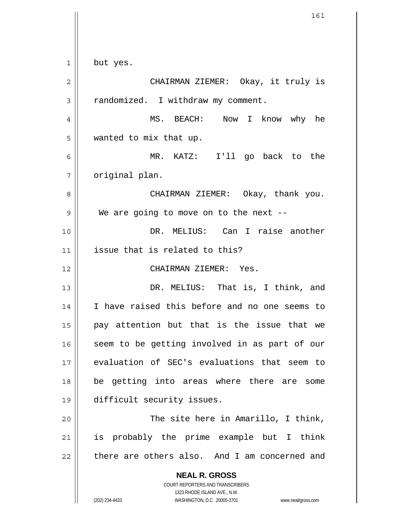**NEAL R. GROSS** COURT REPORTERS AND TRANSCRIBERS 1323 RHODE ISLAND AVE., N.W. (202) 234-4433 WASHINGTON, D.C. 20005-3701 www.nealrgross.com 1 2 3 4 5 6 7 8 9 10 11 12 13 14 15 16 17 18 19 20 21 22 but yes. CHAIRMAN ZIEMER: Okay, it truly is randomized. I withdraw my comment. MS. BEACH: Now I know why he wanted to mix that up. MR. KATZ: I'll go back to the original plan. CHAIRMAN ZIEMER: Okay, thank you. We are going to move on to the next -- DR. MELIUS: Can I raise another issue that is related to this? CHAIRMAN ZIEMER: Yes. DR. MELIUS: That is, I think, and I have raised this before and no one seems to pay attention but that is the issue that we seem to be getting involved in as part of our evaluation of SEC's evaluations that seem to be getting into areas where there are some difficult security issues. The site here in Amarillo, I think, is probably the prime example but I think there are others also. And I am concerned and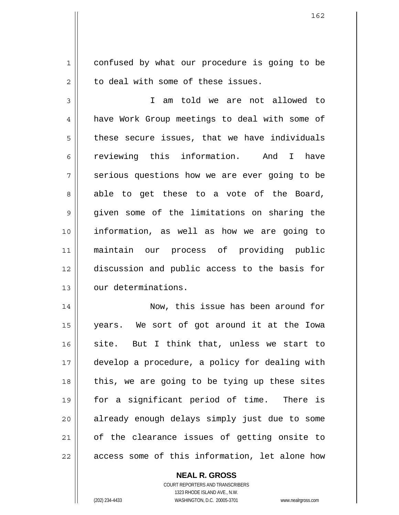1 2 confused by what our procedure is going to be to deal with some of these issues.

3 4 5 6 7 8 9 10 11 12 13 I am told we are not allowed to have Work Group meetings to deal with some of these secure issues, that we have individuals reviewing this information. And I have serious questions how we are ever going to be able to get these to a vote of the Board, given some of the limitations on sharing the information, as well as how we are going to maintain our process of providing public discussion and public access to the basis for our determinations.

14 15 16 17 18 19 20 21 22 Now, this issue has been around for years. We sort of got around it at the Iowa site. But I think that, unless we start to develop a procedure, a policy for dealing with this, we are going to be tying up these sites for a significant period of time. There is already enough delays simply just due to some of the clearance issues of getting onsite to access some of this information, let alone how

## **NEAL R. GROSS**

COURT REPORTERS AND TRANSCRIBERS 1323 RHODE ISLAND AVE., N.W. (202) 234-4433 WASHINGTON, D.C. 20005-3701 www.nealrgross.com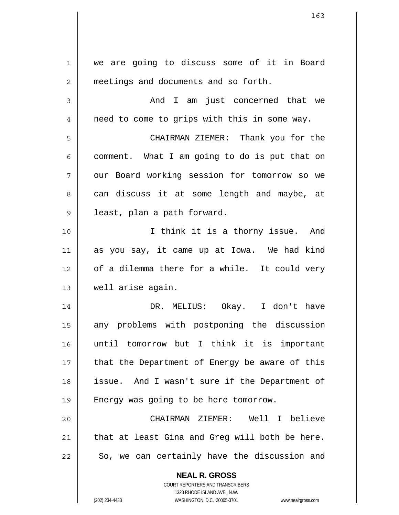**NEAL R. GROSS** COURT REPORTERS AND TRANSCRIBERS 1 2 3 4 5 6 7 8 9 10 11 12 13 14 15 16 17 18 19 20 21 22 we are going to discuss some of it in Board meetings and documents and so forth. And I am just concerned that we need to come to grips with this in some way. CHAIRMAN ZIEMER: Thank you for the comment. What I am going to do is put that on our Board working session for tomorrow so we can discuss it at some length and maybe, at least, plan a path forward. I think it is a thorny issue. And as you say, it came up at Iowa. We had kind of a dilemma there for a while. It could very well arise again. DR. MELIUS: Okay. I don't have any problems with postponing the discussion until tomorrow but I think it is important that the Department of Energy be aware of this issue. And I wasn't sure if the Department of Energy was going to be here tomorrow. CHAIRMAN ZIEMER: Well I believe that at least Gina and Greg will both be here. So, we can certainly have the discussion and

1323 RHODE ISLAND AVE., N.W.

(202) 234-4433 WASHINGTON, D.C. 20005-3701 www.nealrgross.com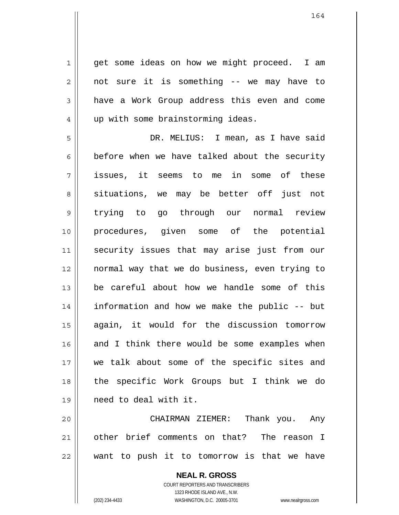1 2 3 4 get some ideas on how we might proceed. I am not sure it is something -- we may have to have a Work Group address this even and come up with some brainstorming ideas.

5 6 7 8 9 10 11 12 13 14 15 16 17 18 19 DR. MELIUS: I mean, as I have said before when we have talked about the security issues, it seems to me in some of these situations, we may be better off just not trying to go through our normal review procedures, given some of the potential security issues that may arise just from our normal way that we do business, even trying to be careful about how we handle some of this information and how we make the public -- but again, it would for the discussion tomorrow and I think there would be some examples when we talk about some of the specific sites and the specific Work Groups but I think we do need to deal with it.

20 21 22 CHAIRMAN ZIEMER: Thank you. Any other brief comments on that? The reason I want to push it to tomorrow is that we have

> **NEAL R. GROSS** COURT REPORTERS AND TRANSCRIBERS 1323 RHODE ISLAND AVE., N.W. (202) 234-4433 WASHINGTON, D.C. 20005-3701 www.nealrgross.com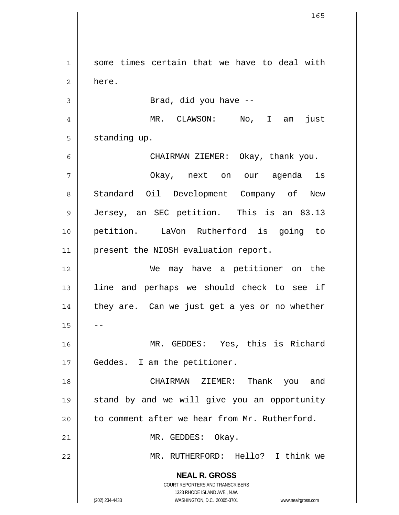**NEAL R. GROSS** COURT REPORTERS AND TRANSCRIBERS 1323 RHODE ISLAND AVE., N.W. 1 2 3 4 5 6 7 8 9 10 11 12 13 14 15 16 17 18 19 20 21 22 some times certain that we have to deal with here. Brad, did you have -- MR. CLAWSON: No, I am just standing up. CHAIRMAN ZIEMER: Okay, thank you. Okay, next on our agenda is Standard Oil Development Company of New Jersey, an SEC petition. This is an 83.13 petition. LaVon Rutherford is going to present the NIOSH evaluation report. We may have a petitioner on the line and perhaps we should check to see if they are. Can we just get a yes or no whether -- MR. GEDDES: Yes, this is Richard Geddes. I am the petitioner. CHAIRMAN ZIEMER: Thank you and stand by and we will give you an opportunity to comment after we hear from Mr. Rutherford. MR. GEDDES: Okay. MR. RUTHERFORD: Hello? I think we

(202) 234-4433 WASHINGTON, D.C. 20005-3701 www.nealrgross.com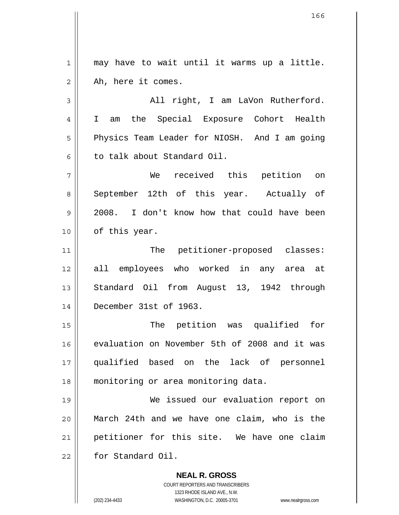**NEAL R. GROSS** COURT REPORTERS AND TRANSCRIBERS 1 2 3 4 5 6 7 8 9 10 11 12 13 14 15 16 17 18 19 20 21 22 may have to wait until it warms up a little. Ah, here it comes. All right, I am LaVon Rutherford. I am the Special Exposure Cohort Health Physics Team Leader for NIOSH. And I am going to talk about Standard Oil. We received this petition on September 12th of this year. Actually of 2008. I don't know how that could have been of this year. The petitioner-proposed classes: all employees who worked in any area at Standard Oil from August 13, 1942 through December 31st of 1963. The petition was qualified for evaluation on November 5th of 2008 and it was qualified based on the lack of personnel monitoring or area monitoring data. We issued our evaluation report on March 24th and we have one claim, who is the petitioner for this site. We have one claim for Standard Oil.

1323 RHODE ISLAND AVE., N.W.

(202) 234-4433 WASHINGTON, D.C. 20005-3701 www.nealrgross.com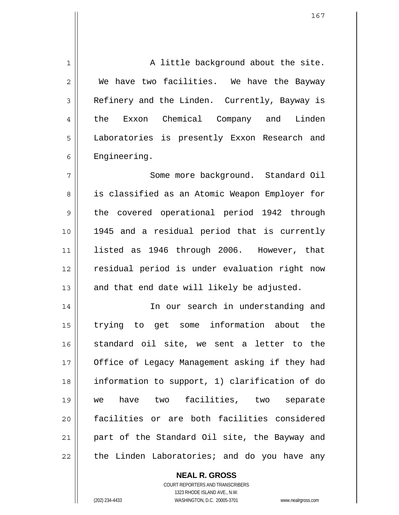1 2 3 4 5 6 7 8 9 10 11 12 13 14 15 16 17 18 19 20 21 22 A little background about the site. We have two facilities. We have the Bayway Refinery and the Linden. Currently, Bayway is the Exxon Chemical Company and Linden Laboratories is presently Exxon Research and Engineering. Some more background. Standard Oil is classified as an Atomic Weapon Employer for the covered operational period 1942 through 1945 and a residual period that is currently listed as 1946 through 2006. However, that residual period is under evaluation right now and that end date will likely be adjusted. In our search in understanding and trying to get some information about the standard oil site, we sent a letter to the Office of Legacy Management asking if they had information to support, 1) clarification of do we have two facilities, two separate facilities or are both facilities considered part of the Standard Oil site, the Bayway and the Linden Laboratories; and do you have any

> COURT REPORTERS AND TRANSCRIBERS 1323 RHODE ISLAND AVE., N.W. (202) 234-4433 WASHINGTON, D.C. 20005-3701 www.nealrgross.com

**NEAL R. GROSS**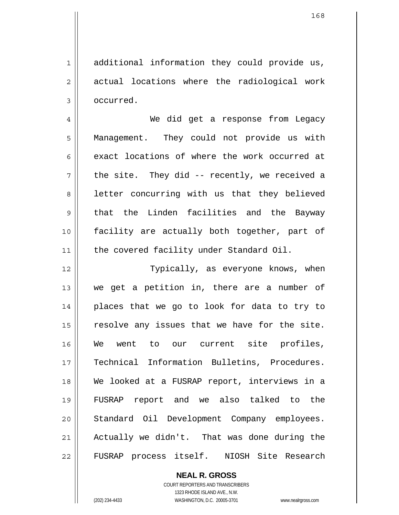additional information they could provide us, actual locations where the radiological work occurred.

4 5 6 7 8 9 10 11 We did get a response from Legacy Management. They could not provide us with exact locations of where the work occurred at the site. They did -- recently, we received a letter concurring with us that they believed that the Linden facilities and the Bayway facility are actually both together, part of the covered facility under Standard Oil.

12 13 14 15 16 17 18 19 20 21 22 Typically, as everyone knows, when we get a petition in, there are a number of places that we go to look for data to try to resolve any issues that we have for the site. We went to our current site profiles, Technical Information Bulletins, Procedures. We looked at a FUSRAP report, interviews in a FUSRAP report and we also talked to the Standard Oil Development Company employees. Actually we didn't. That was done during the FUSRAP process itself. NIOSH Site Research

> **NEAL R. GROSS** COURT REPORTERS AND TRANSCRIBERS 1323 RHODE ISLAND AVE., N.W. (202) 234-4433 WASHINGTON, D.C. 20005-3701 www.nealrgross.com

1

2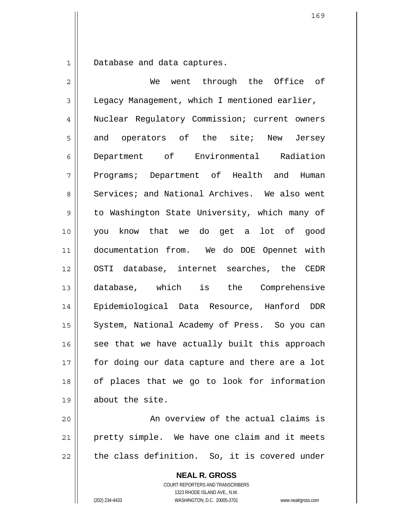1 Database and data captures.

2 3 4 5 6 7 8 9 10 11 12 13 14 15 16 17 18 19 20 We went through the Office of Legacy Management, which I mentioned earlier, Nuclear Regulatory Commission; current owners and operators of the site; New Jersey Department of Environmental Radiation Programs; Department of Health and Human Services; and National Archives. We also went to Washington State University, which many of you know that we do get a lot of good documentation from. We do DOE Opennet with OSTI database, internet searches, the CEDR database, which is the Comprehensive Epidemiological Data Resource, Hanford DDR System, National Academy of Press. So you can see that we have actually built this approach for doing our data capture and there are a lot of places that we go to look for information about the site. An overview of the actual claims is

21 22 pretty simple. We have one claim and it meets the class definition. So, it is covered under

> **NEAL R. GROSS** COURT REPORTERS AND TRANSCRIBERS 1323 RHODE ISLAND AVE., N.W. (202) 234-4433 WASHINGTON, D.C. 20005-3701 www.nealrgross.com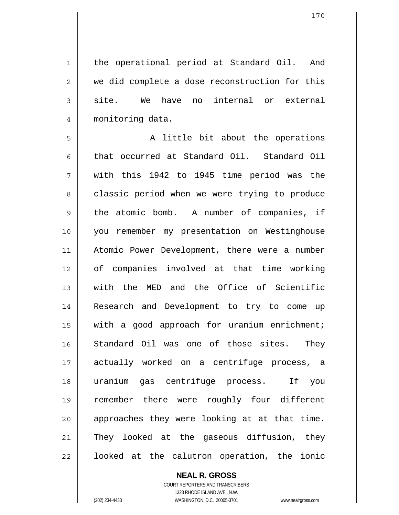1 2 3 4 the operational period at Standard Oil. And we did complete a dose reconstruction for this site. We have no internal or external monitoring data.

5 6 7 8 9 10 11 12 13 14 15 16 17 18 19 20 21 22 A little bit about the operations that occurred at Standard Oil. Standard Oil with this 1942 to 1945 time period was the classic period when we were trying to produce the atomic bomb. A number of companies, if you remember my presentation on Westinghouse Atomic Power Development, there were a number of companies involved at that time working with the MED and the Office of Scientific Research and Development to try to come up with a good approach for uranium enrichment; Standard Oil was one of those sites. They actually worked on a centrifuge process, a uranium gas centrifuge process. If you remember there were roughly four different approaches they were looking at at that time. They looked at the gaseous diffusion, they looked at the calutron operation, the ionic

> **NEAL R. GROSS** COURT REPORTERS AND TRANSCRIBERS

> > 1323 RHODE ISLAND AVE., N.W.

(202) 234-4433 WASHINGTON, D.C. 20005-3701 www.nealrgross.com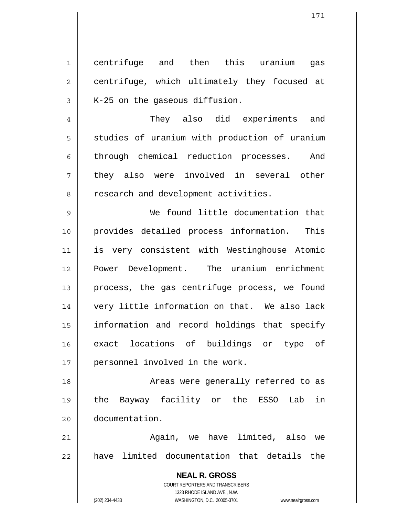1 2 3 centrifuge and then this uranium gas centrifuge, which ultimately they focused at K-25 on the gaseous diffusion.

7 They also did experiments and studies of uranium with production of uranium through chemical reduction processes. And they also were involved in several other research and development activities.

9 10 11 12 13 14 15 16 17 We found little documentation that provides detailed process information. This is very consistent with Westinghouse Atomic Power Development. The uranium enrichment process, the gas centrifuge process, we found very little information on that. We also lack information and record holdings that specify exact locations of buildings or type of personnel involved in the work.

18 19 20 Areas were generally referred to as the Bayway facility or the ESSO Lab in documentation.

21 22 Again, we have limited, also we have limited documentation that details the

> **NEAL R. GROSS** COURT REPORTERS AND TRANSCRIBERS 1323 RHODE ISLAND AVE., N.W. (202) 234-4433 WASHINGTON, D.C. 20005-3701 www.nealrgross.com

4

5

6

8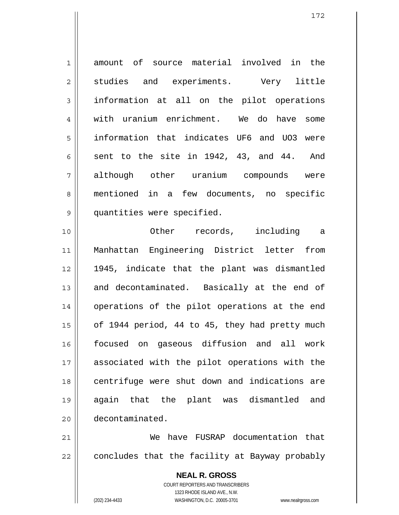1 2 3 4 5 6 7 8 9 10 amount of source material involved in the studies and experiments. Very little information at all on the pilot operations with uranium enrichment. We do have some information that indicates UF6 and UO3 were sent to the site in 1942, 43, and 44. And although other uranium compounds were mentioned in a few documents, no specific quantities were specified. Other records, including a Manhattan Engineering District letter from

11 12 13 14 15 16 17 18 19 20 1945, indicate that the plant was dismantled and decontaminated. Basically at the end of operations of the pilot operations at the end of 1944 period, 44 to 45, they had pretty much focused on gaseous diffusion and all work associated with the pilot operations with the centrifuge were shut down and indications are again that the plant was dismantled and decontaminated.

21 22 We have FUSRAP documentation that concludes that the facility at Bayway probably

> **NEAL R. GROSS** COURT REPORTERS AND TRANSCRIBERS 1323 RHODE ISLAND AVE., N.W. (202) 234-4433 WASHINGTON, D.C. 20005-3701 www.nealrgross.com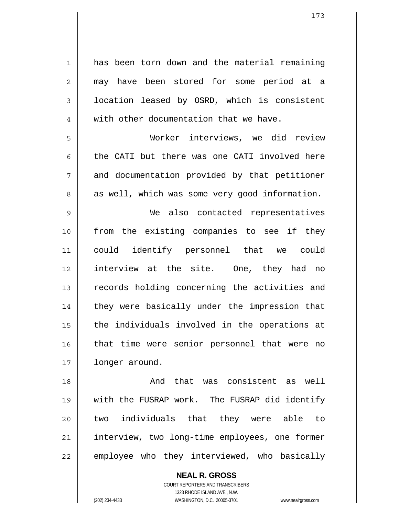1 2 3 4 5 6 7 8 9 10 11 12 13 14 15 16 17 18 19 20 has been torn down and the material remaining may have been stored for some period at a location leased by OSRD, which is consistent with other documentation that we have. Worker interviews, we did review the CATI but there was one CATI involved here and documentation provided by that petitioner as well, which was some very good information. We also contacted representatives from the existing companies to see if they could identify personnel that we could interview at the site. One, they had no records holding concerning the activities and they were basically under the impression that the individuals involved in the operations at that time were senior personnel that were no longer around. And that was consistent as well with the FUSRAP work. The FUSRAP did identify two individuals that they were able to

21 22 interview, two long-time employees, one former employee who they interviewed, who basically

> **NEAL R. GROSS** COURT REPORTERS AND TRANSCRIBERS 1323 RHODE ISLAND AVE., N.W. (202) 234-4433 WASHINGTON, D.C. 20005-3701 www.nealrgross.com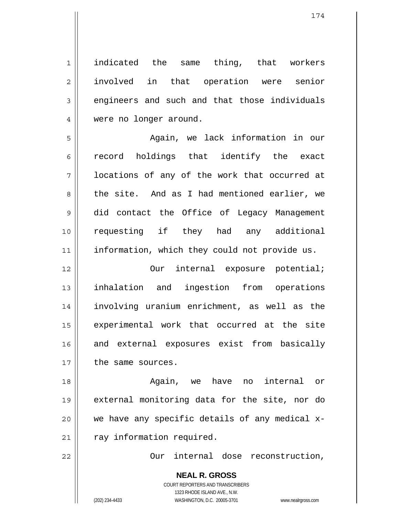indicated the same thing, that workers involved in that operation were senior engineers and such and that those individuals were no longer around.

5 6 7 8 9 10 11 Again, we lack information in our record holdings that identify the exact locations of any of the work that occurred at the site. And as I had mentioned earlier, we did contact the Office of Legacy Management requesting if they had any additional information, which they could not provide us.

12 13 14 15 16 17 Our internal exposure potential; inhalation and ingestion from operations involving uranium enrichment, as well as the experimental work that occurred at the site and external exposures exist from basically the same sources.

18 19 20 21 Again, we have no internal or external monitoring data for the site, nor do we have any specific details of any medical xray information required.

Our internal dose reconstruction,

**NEAL R. GROSS** COURT REPORTERS AND TRANSCRIBERS 1323 RHODE ISLAND AVE., N.W. (202) 234-4433 WASHINGTON, D.C. 20005-3701 www.nealrgross.com

22

1

2

3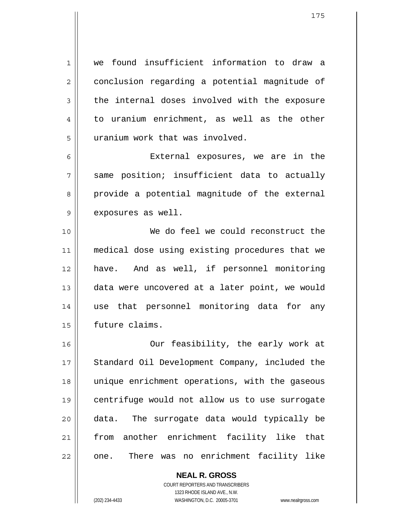1 2 3 4 5 we found insufficient information to draw a conclusion regarding a potential magnitude of the internal doses involved with the exposure to uranium enrichment, as well as the other uranium work that was involved.

 External exposures, we are in the same position; insufficient data to actually provide a potential magnitude of the external exposures as well.

10 11 12 13 14 15 We do feel we could reconstruct the medical dose using existing procedures that we have. And as well, if personnel monitoring data were uncovered at a later point, we would use that personnel monitoring data for any future claims.

16 17 18 19 20 21 22 Our feasibility, the early work at Standard Oil Development Company, included the unique enrichment operations, with the gaseous centrifuge would not allow us to use surrogate data. The surrogate data would typically be from another enrichment facility like that one. There was no enrichment facility like

> **NEAL R. GROSS** COURT REPORTERS AND TRANSCRIBERS 1323 RHODE ISLAND AVE., N.W. (202) 234-4433 WASHINGTON, D.C. 20005-3701 www.nealrgross.com

6

7

8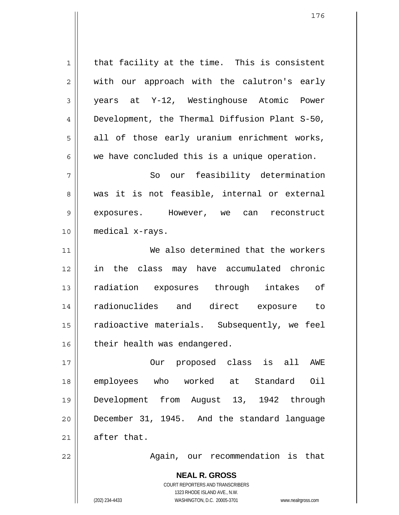**NEAL R. GROSS** 1 2 3 4 5 6 7 8 9 10 11 12 13 14 15 16 17 18 19 20 21 22 that facility at the time. This is consistent with our approach with the calutron's early years at Y-12, Westinghouse Atomic Power Development, the Thermal Diffusion Plant S-50, all of those early uranium enrichment works, we have concluded this is a unique operation. So our feasibility determination was it is not feasible, internal or external exposures. However, we can reconstruct medical x-rays. We also determined that the workers in the class may have accumulated chronic radiation exposures through intakes of radionuclides and direct exposure to radioactive materials. Subsequently, we feel their health was endangered. Our proposed class is all AWE employees who worked at Standard Oil Development from August 13, 1942 through December 31, 1945. And the standard language after that. Again, our recommendation is that

> COURT REPORTERS AND TRANSCRIBERS 1323 RHODE ISLAND AVE., N.W.

(202) 234-4433 WASHINGTON, D.C. 20005-3701 www.nealrgross.com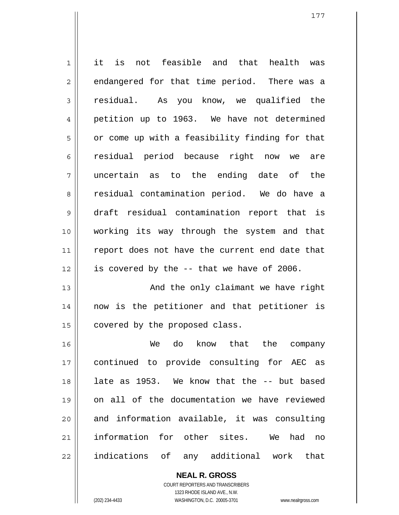1 2 3 4 5 6 7 8 9 10 11 12 13 14 15 16 17 18 19 20 21 22 it is not feasible and that health was endangered for that time period. There was a residual. As you know, we qualified the petition up to 1963. We have not determined or come up with a feasibility finding for that residual period because right now we are uncertain as to the ending date of the residual contamination period. We do have a draft residual contamination report that is working its way through the system and that report does not have the current end date that is covered by the -- that we have of 2006. And the only claimant we have right now is the petitioner and that petitioner is covered by the proposed class. We do know that the company continued to provide consulting for AEC as late as 1953. We know that the -- but based on all of the documentation we have reviewed and information available, it was consulting information for other sites. We had no indications of any additional work that

> **NEAL R. GROSS** COURT REPORTERS AND TRANSCRIBERS 1323 RHODE ISLAND AVE., N.W.

(202) 234-4433 WASHINGTON, D.C. 20005-3701 www.nealrgross.com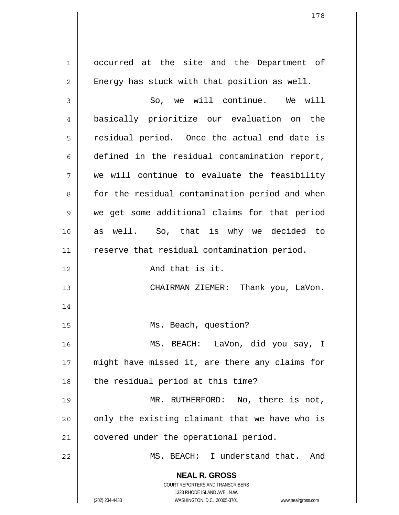**NEAL R. GROSS** COURT REPORTERS AND TRANSCRIBERS 1323 RHODE ISLAND AVE., N.W. 1 2 3 4 5 6 7 8 9 10 11 12 13 14 15 16 17 18 19 20 21 22 occurred at the site and the Department of Energy has stuck with that position as well. So, we will continue. We will basically prioritize our evaluation on the residual period. Once the actual end date is defined in the residual contamination report, we will continue to evaluate the feasibility for the residual contamination period and when we get some additional claims for that period as well. So, that is why we decided to reserve that residual contamination period. And that is it. CHAIRMAN ZIEMER: Thank you, LaVon. Ms. Beach, question? MS. BEACH: LaVon, did you say, I might have missed it, are there any claims for the residual period at this time? MR. RUTHERFORD: No, there is not, only the existing claimant that we have who is covered under the operational period. MS. BEACH: I understand that. And

(202) 234-4433 WASHINGTON, D.C. 20005-3701 www.nealrgross.com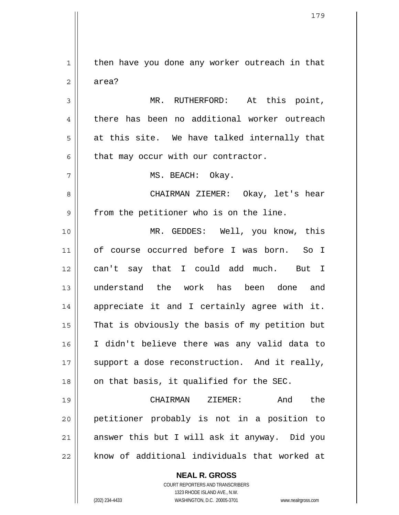1 2 3 4 5 6 7 8 9 10 11 12 13 14 15 16 17 18 19 20 21 22 then have you done any worker outreach in that area? MR. RUTHERFORD: At this point, there has been no additional worker outreach at this site. We have talked internally that that may occur with our contractor. MS. BEACH: Okay. CHAIRMAN ZIEMER: Okay, let's hear from the petitioner who is on the line. MR. GEDDES: Well, you know, this of course occurred before I was born. So I can't say that I could add much. But I understand the work has been done and appreciate it and I certainly agree with it. That is obviously the basis of my petition but I didn't believe there was any valid data to support a dose reconstruction. And it really, on that basis, it qualified for the SEC. CHAIRMAN ZIEMER: And the petitioner probably is not in a position to answer this but I will ask it anyway. Did you know of additional individuals that worked at

> COURT REPORTERS AND TRANSCRIBERS 1323 RHODE ISLAND AVE., N.W.

**NEAL R. GROSS**

(202) 234-4433 WASHINGTON, D.C. 20005-3701 www.nealrgross.com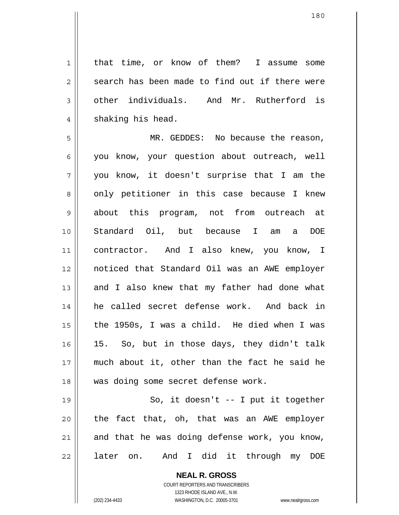that time, or know of them? I assume some search has been made to find out if there were other individuals. And Mr. Rutherford is shaking his head.

5 6 7 8 9 10 11 12 13 14 15 16 17 18 MR. GEDDES: No because the reason, you know, your question about outreach, well you know, it doesn't surprise that I am the only petitioner in this case because I knew about this program, not from outreach at Standard Oil, but because I am a DOE contractor. And I also knew, you know, I noticed that Standard Oil was an AWE employer and I also knew that my father had done what he called secret defense work. And back in the 1950s, I was a child. He died when I was 15. So, but in those days, they didn't talk much about it, other than the fact he said he was doing some secret defense work.

19 20 21 22 So, it doesn't -- I put it together the fact that, oh, that was an AWE employer and that he was doing defense work, you know, later on. And I did it through my DOE

> **NEAL R. GROSS** COURT REPORTERS AND TRANSCRIBERS 1323 RHODE ISLAND AVE., N.W. (202) 234-4433 WASHINGTON, D.C. 20005-3701 www.nealrgross.com

1

2

3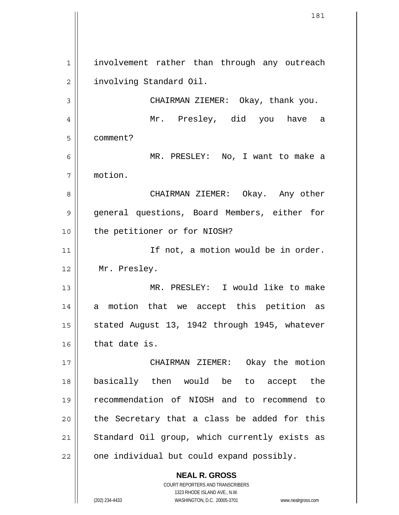**NEAL R. GROSS** COURT REPORTERS AND TRANSCRIBERS 1 2 3 4 5 6 7 8 9 10 11 12 13 14 15 16 17 18 19 20 21 22 involvement rather than through any outreach involving Standard Oil. CHAIRMAN ZIEMER: Okay, thank you. Mr. Presley, did you have a comment? MR. PRESLEY: No, I want to make a motion. CHAIRMAN ZIEMER: Okay. Any other general questions, Board Members, either for the petitioner or for NIOSH? If not, a motion would be in order. Mr. Presley. MR. PRESLEY: I would like to make a motion that we accept this petition as stated August 13, 1942 through 1945, whatever that date is. CHAIRMAN ZIEMER: Okay the motion basically then would be to accept the recommendation of NIOSH and to recommend to the Secretary that a class be added for this Standard Oil group, which currently exists as one individual but could expand possibly.

1323 RHODE ISLAND AVE., N.W.

(202) 234-4433 WASHINGTON, D.C. 20005-3701 www.nealrgross.com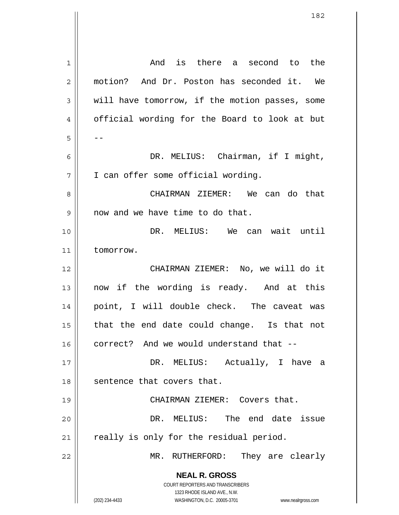| 1  | And is there a second to the                                        |
|----|---------------------------------------------------------------------|
| 2  | motion? And Dr. Poston has seconded it. We                          |
| 3  | will have tomorrow, if the motion passes, some                      |
| 4  | official wording for the Board to look at but                       |
| 5  |                                                                     |
| 6  | DR. MELIUS: Chairman, if I might,                                   |
| 7  | I can offer some official wording.                                  |
| 8  | CHAIRMAN ZIEMER: We can do that                                     |
| 9  | now and we have time to do that.                                    |
| 10 | DR. MELIUS: We can wait until                                       |
| 11 | tomorrow.                                                           |
| 12 | CHAIRMAN ZIEMER: No, we will do it                                  |
| 13 | now if the wording is ready. And at this                            |
| 14 | point, I will double check. The caveat was                          |
| 15 | that the end date could change. Is that not                         |
| 16 | correct? And we would understand that --                            |
| 17 | DR. MELIUS: Actually, I have a                                      |
| 18 | sentence that covers that.                                          |
| 19 | CHAIRMAN ZIEMER: Covers that.                                       |
| 20 | DR. MELIUS: The end date issue                                      |
| 21 | really is only for the residual period.                             |
| 22 | They are clearly<br>MR. RUTHERFORD:                                 |
|    | <b>NEAL R. GROSS</b>                                                |
|    | COURT REPORTERS AND TRANSCRIBERS<br>1323 RHODE ISLAND AVE., N.W.    |
|    | (202) 234-4433<br>WASHINGTON, D.C. 20005-3701<br>www.nealrgross.com |

 $\mathsf{I}$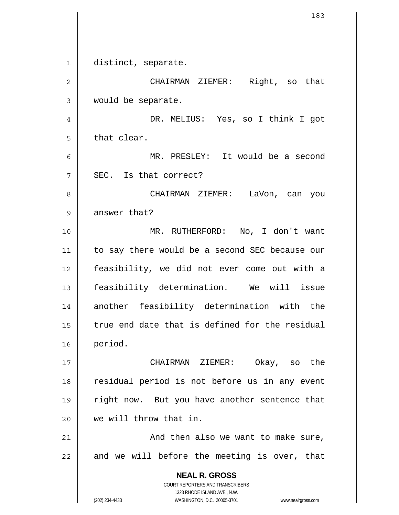**NEAL R. GROSS** COURT REPORTERS AND TRANSCRIBERS 1323 RHODE ISLAND AVE., N.W. (202) 234-4433 WASHINGTON, D.C. 20005-3701 www.nealrgross.com 1 2 3 4 5 6 7 8 9 10 11 12 13 14 15 16 17 18 19 20 21 22 distinct, separate. CHAIRMAN ZIEMER: Right, so that would be separate. DR. MELIUS: Yes, so I think I got that clear. MR. PRESLEY: It would be a second SEC. Is that correct? CHAIRMAN ZIEMER: LaVon, can you answer that? MR. RUTHERFORD: No, I don't want to say there would be a second SEC because our feasibility, we did not ever come out with a feasibility determination. We will issue another feasibility determination with the true end date that is defined for the residual period. CHAIRMAN ZIEMER: Okay, so the residual period is not before us in any event right now. But you have another sentence that we will throw that in. And then also we want to make sure, and we will before the meeting is over, that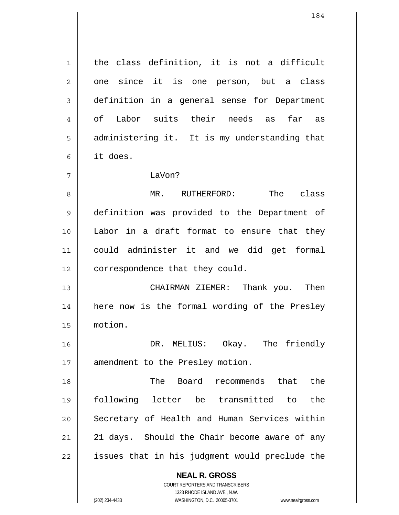the class definition, it is not a difficult one since it is one person, but a class definition in a general sense for Department of Labor suits their needs as far as administering it. It is my understanding that it does.

## LaVon?

1

2

3

4

5

6

7

8 9 10 11 12 MR. RUTHERFORD: The class definition was provided to the Department of Labor in a draft format to ensure that they could administer it and we did get formal correspondence that they could.

13 14 15 CHAIRMAN ZIEMER: Thank you. Then here now is the formal wording of the Presley motion.

16 17 DR. MELIUS: Okay. The friendly amendment to the Presley motion.

18 19 20 21 22 The Board recommends that the following letter be transmitted to the Secretary of Health and Human Services within 21 days. Should the Chair become aware of any issues that in his judgment would preclude the

## **NEAL R. GROSS**

COURT REPORTERS AND TRANSCRIBERS 1323 RHODE ISLAND AVE., N.W. (202) 234-4433 WASHINGTON, D.C. 20005-3701 www.nealrgross.com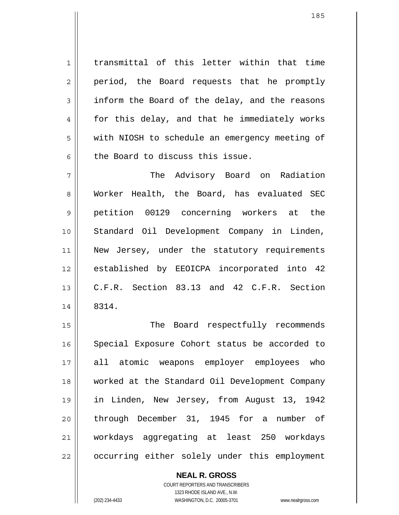transmittal of this letter within that time period, the Board requests that he promptly inform the Board of the delay, and the reasons for this delay, and that he immediately works with NIOSH to schedule an emergency meeting of the Board to discuss this issue.

7 8 9 10 11 12 13 14 The Advisory Board on Radiation Worker Health, the Board, has evaluated SEC petition 00129 concerning workers at the Standard Oil Development Company in Linden, New Jersey, under the statutory requirements established by EEOICPA incorporated into 42 C.F.R. Section 83.13 and 42 C.F.R. Section 8314.

15 16 17 18 19 20 21 22 The Board respectfully recommends Special Exposure Cohort status be accorded to all atomic weapons employer employees who worked at the Standard Oil Development Company in Linden, New Jersey, from August 13, 1942 through December 31, 1945 for a number of workdays aggregating at least 250 workdays occurring either solely under this employment

> **NEAL R. GROSS** COURT REPORTERS AND TRANSCRIBERS 1323 RHODE ISLAND AVE., N.W. (202) 234-4433 WASHINGTON, D.C. 20005-3701 www.nealrgross.com

1

2

3

4

5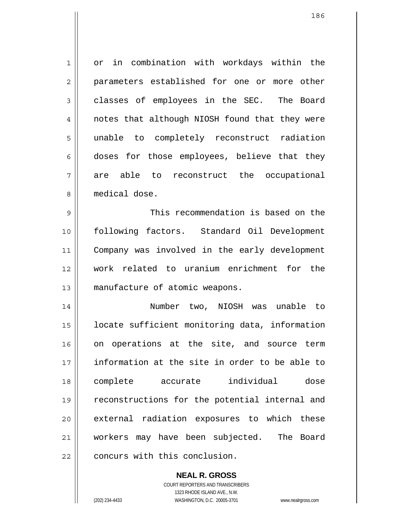1 2 3 4 5 6 7 8 9 10 or in combination with workdays within the parameters established for one or more other classes of employees in the SEC. The Board notes that although NIOSH found that they were unable to completely reconstruct radiation doses for those employees, believe that they are able to reconstruct the occupational medical dose. This recommendation is based on the following factors. Standard Oil Development

11 12 13 Company was involved in the early development work related to uranium enrichment for the manufacture of atomic weapons.

14 15 16 17 18 19 20 21 22 Number two, NIOSH was unable to locate sufficient monitoring data, information on operations at the site, and source term information at the site in order to be able to complete accurate individual dose reconstructions for the potential internal and external radiation exposures to which these workers may have been subjected. The Board concurs with this conclusion.

> **NEAL R. GROSS** COURT REPORTERS AND TRANSCRIBERS 1323 RHODE ISLAND AVE., N.W. (202) 234-4433 WASHINGTON, D.C. 20005-3701 www.nealrgross.com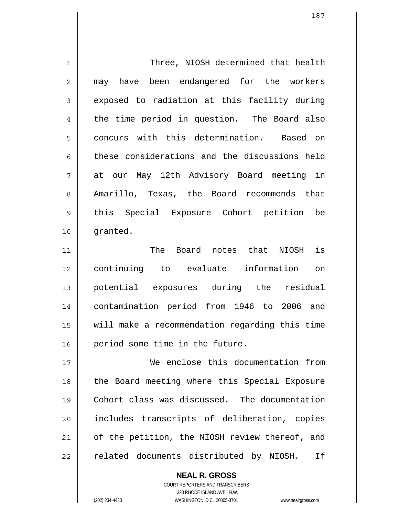| $\mathbf 1$    | Three, NIOSH determined that health            |
|----------------|------------------------------------------------|
| $\overline{2}$ | may have been endangered for the workers       |
| 3              | exposed to radiation at this facility during   |
| 4              | the time period in question. The Board also    |
| 5              | concurs with this determination. Based on      |
| 6              | these considerations and the discussions held  |
| 7              | at our May 12th Advisory Board meeting in      |
| 8              | Amarillo, Texas, the Board recommends that     |
| 9              | this Special Exposure Cohort petition be       |
| 10             | granted.                                       |
| 11             | Board notes that NIOSH is<br>The               |
| 12             | continuing to evaluate information<br>on       |
| 13             | potential exposures during the residual        |
| 14             | contamination period from 1946 to 2006 and     |
| 15             | will make a recommendation regarding this time |
| 16             | period some time in the future.                |
| 17             | We enclose this documentation from             |
| 18             | the Board meeting where this Special Exposure  |
| 19             | Cohort class was discussed. The documentation  |
| 20             | includes transcripts of deliberation, copies   |
| 21             | of the petition, the NIOSH review thereof, and |
| 22             | related documents distributed by NIOSH.<br>Ιf  |

COURT REPORTERS AND TRANSCRIBERS 1323 RHODE ISLAND AVE., N.W. (202) 234-4433 WASHINGTON, D.C. 20005-3701 www.nealrgross.com

**NEAL R. GROSS**

 $\mathsf{II}$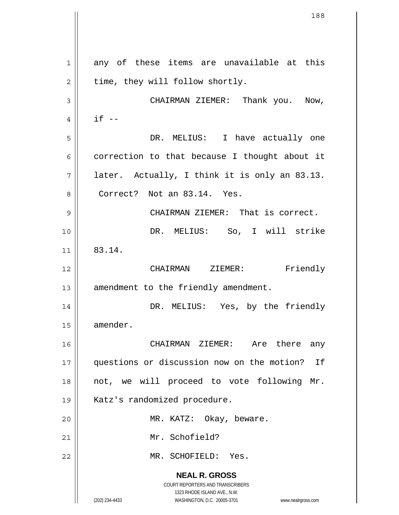**NEAL R. GROSS** COURT REPORTERS AND TRANSCRIBERS 1323 RHODE ISLAND AVE., N.W. (202) 234-4433 WASHINGTON, D.C. 20005-3701 www.nealrgross.com 1 2 3 4 5 6 7 8 9 10 11 12 13 14 15 16 17 18 19 20 21 22 any of these items are unavailable at this time, they will follow shortly. CHAIRMAN ZIEMER: Thank you. Now,  $if --$  DR. MELIUS: I have actually one correction to that because I thought about it later. Actually, I think it is only an 83.13. Correct? Not an 83.14. Yes. CHAIRMAN ZIEMER: That is correct. DR. MELIUS: So, I will strike 83.14. CHAIRMAN ZIEMER: Friendly amendment to the friendly amendment. DR. MELIUS: Yes, by the friendly amender. CHAIRMAN ZIEMER: Are there any questions or discussion now on the motion? If not, we will proceed to vote following Mr. Katz's randomized procedure. MR. KATZ: Okay, beware. Mr. Schofield? MR. SCHOFIELD: Yes.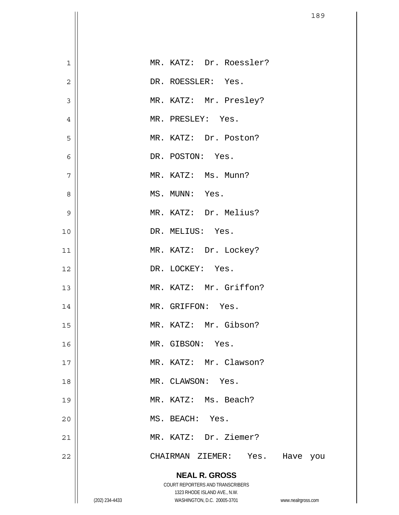| $\mathbf 1$    |                | MR. KATZ: Dr. Roessler?                                     |                    |
|----------------|----------------|-------------------------------------------------------------|--------------------|
| $\overline{c}$ |                | DR. ROESSLER: Yes.                                          |                    |
| 3              |                | MR. KATZ: Mr. Presley?                                      |                    |
| $\overline{4}$ |                | MR. PRESLEY: Yes.                                           |                    |
| 5              |                | MR. KATZ: Dr. Poston?                                       |                    |
| $\epsilon$     |                | DR. POSTON: Yes.                                            |                    |
| 7              |                | MR. KATZ: Ms. Munn?                                         |                    |
| 8              |                | MS. MUNN: Yes.                                              |                    |
| 9              |                | MR. KATZ: Dr. Melius?                                       |                    |
| $10$           |                | DR. MELIUS: Yes.                                            |                    |
| 11             |                | MR. KATZ: Dr. Lockey?                                       |                    |
| 12             |                | DR. LOCKEY: Yes.                                            |                    |
| 13             |                | MR. KATZ: Mr. Griffon?                                      |                    |
| 14             |                | MR. GRIFFON: Yes.                                           |                    |
| 15             |                | MR. KATZ: Mr. Gibson?                                       |                    |
| 16             |                | MR. GIBSON: Yes.                                            |                    |
| 17             |                | MR. KATZ: Mr. Clawson?                                      |                    |
| 18             |                | MR. CLAWSON: Yes.                                           |                    |
| 19             |                | MR. KATZ: Ms. Beach?                                        |                    |
| 20             |                | MS. BEACH: Yes.                                             |                    |
| 21             |                | MR. KATZ: Dr. Ziemer?                                       |                    |
| 22             |                | CHAIRMAN ZIEMER: Yes.                                       | Have<br>you        |
|                |                | <b>NEAL R. GROSS</b>                                        |                    |
|                |                | COURT REPORTERS AND TRANSCRIBERS                            |                    |
|                | (202) 234-4433 | 1323 RHODE ISLAND AVE., N.W.<br>WASHINGTON, D.C. 20005-3701 | www.nealrgross.com |

 $\mathsf{I}$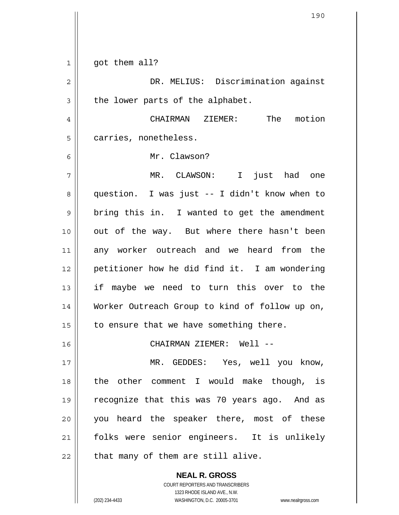| 1  | got them all?                                  |
|----|------------------------------------------------|
| 2  | DR. MELIUS: Discrimination against             |
| 3  | the lower parts of the alphabet.               |
| 4  | The motion<br>CHAIRMAN ZIEMER:                 |
| 5  | carries, nonetheless.                          |
| 6  | Mr. Clawson?                                   |
| 7  | MR. CLAWSON: I<br>just had one                 |
| 8  | question. I was just -- I didn't know when to  |
| 9  | bring this in. I wanted to get the amendment   |
| 10 | out of the way. But where there hasn't been    |
| 11 | any worker outreach and we heard from the      |
| 12 | petitioner how he did find it. I am wondering  |
| 13 | if maybe we need to turn this over to the      |
| 14 | Worker Outreach Group to kind of follow up on, |
| 15 | to ensure that we have something there.        |
| 16 | CHAIRMAN ZIEMER: Well --                       |
| 17 | MR. GEDDES: Yes, well you know,                |
| 18 | the other comment I would make though, is      |
| 19 | recognize that this was 70 years ago. And as   |
| 20 | you heard the speaker there, most of these     |
| 21 | folks were senior engineers. It is unlikely    |
| 22 | that many of them are still alive.             |
|    | <b>NEAL R. GROSS</b>                           |

 $\mathsf{II}$ 

 $\mathsf{I}$ 

1323 RHODE ISLAND AVE., N.W. (202) 234-4433 WASHINGTON, D.C. 20005-3701 www.nealrgross.com

COURT REPORTERS AND TRANSCRIBERS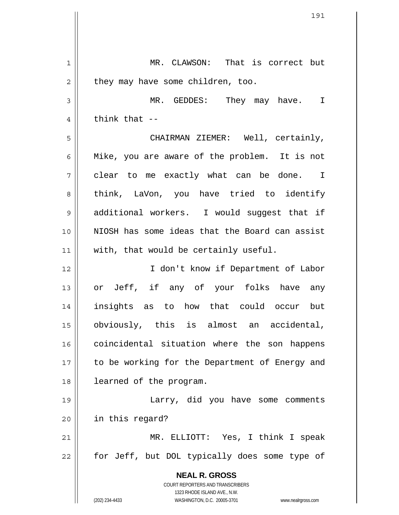|    | 191                                                                                              |
|----|--------------------------------------------------------------------------------------------------|
|    |                                                                                                  |
| 1  | MR. CLAWSON: That is correct but                                                                 |
| 2  | they may have some children, too.                                                                |
| 3  | MR. GEDDES: They may have. I                                                                     |
| 4  | think that $-$                                                                                   |
| 5  | CHAIRMAN ZIEMER: Well, certainly,                                                                |
| 6  | Mike, you are aware of the problem. It is not                                                    |
| 7  | clear to me exactly what can be done. I                                                          |
| 8  | think, LaVon, you have tried to identify                                                         |
| 9  | additional workers. I would suggest that if                                                      |
| 10 | NIOSH has some ideas that the Board can assist                                                   |
| 11 | with, that would be certainly useful.                                                            |
| 12 | I don't know if Department of Labor                                                              |
| 13 | or Jeff, if any of your folks have any                                                           |
| 14 | insights as to how that could occur but                                                          |
| 15 | obviously, this is almost an accidental,                                                         |
| 16 | coincidental situation where the son happens                                                     |
| 17 | to be working for the Department of Energy and                                                   |
| 18 | learned of the program.                                                                          |
| 19 | Larry, did you have some comments                                                                |
| 20 | in this regard?                                                                                  |
| 21 | MR. ELLIOTT: Yes, I think I speak                                                                |
| 22 | for Jeff, but DOL typically does some type of                                                    |
|    | <b>NEAL R. GROSS</b>                                                                             |
|    | COURT REPORTERS AND TRANSCRIBERS                                                                 |
|    | 1323 RHODE ISLAND AVE., N.W.<br>(202) 234-4433<br>WASHINGTON, D.C. 20005-3701 www.nealrgross.com |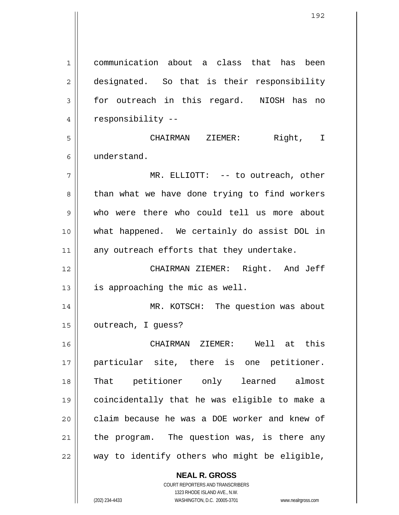1 2 3 4 5 6 7 8 9 10 11 12 13 14 15 16 17 18 19 20 21 22 communication about a class that has been designated. So that is their responsibility for outreach in this regard. NIOSH has no responsibility -- CHAIRMAN ZIEMER: Right, I understand. MR. ELLIOTT: -- to outreach, other than what we have done trying to find workers who were there who could tell us more about what happened. We certainly do assist DOL in any outreach efforts that they undertake. CHAIRMAN ZIEMER: Right. And Jeff is approaching the mic as well. MR. KOTSCH: The question was about outreach, I guess? CHAIRMAN ZIEMER: Well at this particular site, there is one petitioner. That petitioner only learned almost coincidentally that he was eligible to make a claim because he was a DOE worker and knew of the program. The question was, is there any way to identify others who might be eligible,

> **NEAL R. GROSS** COURT REPORTERS AND TRANSCRIBERS

> > 1323 RHODE ISLAND AVE., N.W.

(202) 234-4433 WASHINGTON, D.C. 20005-3701 www.nealrgross.com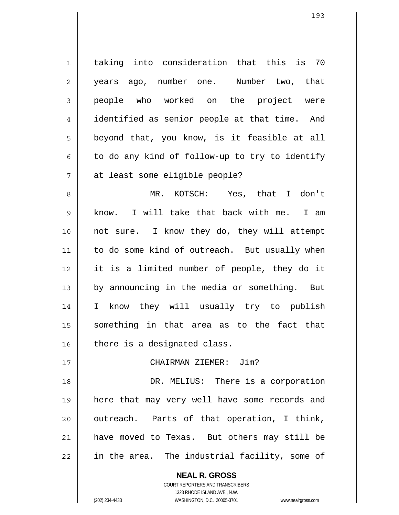1 2 3 4 5 6 7 taking into consideration that this is 70 years ago, number one. Number two, that people who worked on the project were identified as senior people at that time. And beyond that, you know, is it feasible at all to do any kind of follow-up to try to identify at least some eligible people?

8 9 10 11 12 13 14 15 16 MR. KOTSCH: Yes, that I don't know. I will take that back with me. I am not sure. I know they do, they will attempt to do some kind of outreach. But usually when it is a limited number of people, they do it by announcing in the media or something. But I know they will usually try to publish something in that area as to the fact that there is a designated class.

## CHAIRMAN ZIEMER: Jim?

18 19 20 21 22 DR. MELIUS: There is a corporation here that may very well have some records and outreach. Parts of that operation, I think, have moved to Texas. But others may still be in the area. The industrial facility, some of

**NEAL R. GROSS**

17

COURT REPORTERS AND TRANSCRIBERS 1323 RHODE ISLAND AVE., N.W. (202) 234-4433 WASHINGTON, D.C. 20005-3701 www.nealrgross.com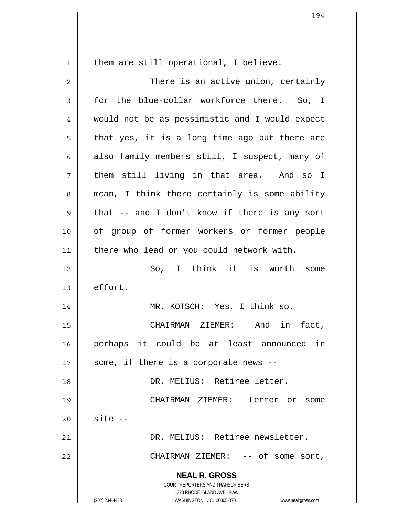them are still operational, I believe.

1

**NEAL R. GROSS** COURT REPORTERS AND TRANSCRIBERS 1323 RHODE ISLAND AVE., N.W. (202) 234-4433 WASHINGTON, D.C. 20005-3701 www.nealrgross.com 2 3 4 5 6 7 8 9 10 11 12 13 14 15 16 17 18 19 20 21 22 There is an active union, certainly for the blue-collar workforce there. So, I would not be as pessimistic and I would expect that yes, it is a long time ago but there are also family members still, I suspect, many of them still living in that area. And so I mean, I think there certainly is some ability that -- and I don't know if there is any sort of group of former workers or former people there who lead or you could network with. So, I think it is worth some effort. MR. KOTSCH: Yes, I think so. CHAIRMAN ZIEMER: And in fact, perhaps it could be at least announced in some, if there is a corporate news -- DR. MELIUS: Retiree letter. CHAIRMAN ZIEMER: Letter or some site -- DR. MELIUS: Retiree newsletter. CHAIRMAN ZIEMER: -- of some sort,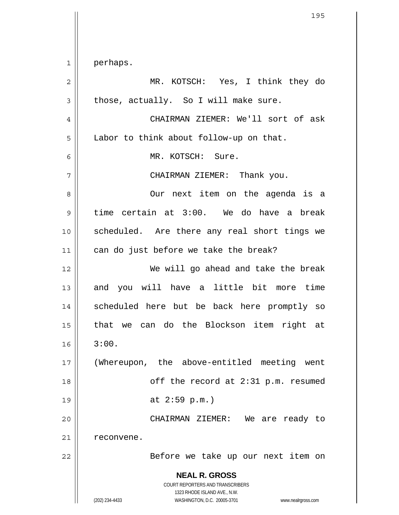**NEAL R. GROSS** COURT REPORTERS AND TRANSCRIBERS 1323 RHODE ISLAND AVE., N.W. (202) 234-4433 WASHINGTON, D.C. 20005-3701 www.nealrgross.com 1 2 3 4 5 6 7 8 9 10 11 12 13 14 15 16 17 18 19 20 21 22 perhaps. MR. KOTSCH: Yes, I think they do those, actually. So I will make sure. CHAIRMAN ZIEMER: We'll sort of ask Labor to think about follow-up on that. MR. KOTSCH: Sure. CHAIRMAN ZIEMER: Thank you. Our next item on the agenda is a time certain at 3:00. We do have a break scheduled. Are there any real short tings we can do just before we take the break? We will go ahead and take the break and you will have a little bit more time scheduled here but be back here promptly so that we can do the Blockson item right at 3:00. (Whereupon, the above-entitled meeting went off the record at 2:31 p.m. resumed at 2:59 p.m.) CHAIRMAN ZIEMER: We are ready to reconvene. Before we take up our next item on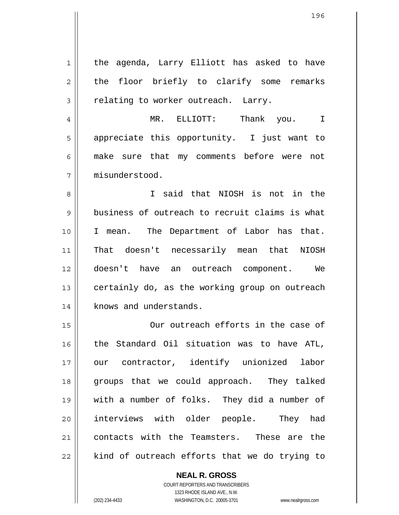1 2 3 4 5 6 7 8 9 10 11 12 13 14 15 16 17 18 19 20 21 22 the agenda, Larry Elliott has asked to have the floor briefly to clarify some remarks relating to worker outreach. Larry. MR. ELLIOTT: Thank you. I appreciate this opportunity. I just want to make sure that my comments before were not misunderstood. I said that NIOSH is not in the business of outreach to recruit claims is what I mean. The Department of Labor has that. That doesn't necessarily mean that NIOSH doesn't have an outreach component. We certainly do, as the working group on outreach knows and understands. Our outreach efforts in the case of the Standard Oil situation was to have ATL, our contractor, identify unionized labor groups that we could approach. They talked with a number of folks. They did a number of interviews with older people. They had contacts with the Teamsters. These are the kind of outreach efforts that we do trying to

> COURT REPORTERS AND TRANSCRIBERS 1323 RHODE ISLAND AVE., N.W. (202) 234-4433 WASHINGTON, D.C. 20005-3701 www.nealrgross.com

**NEAL R. GROSS**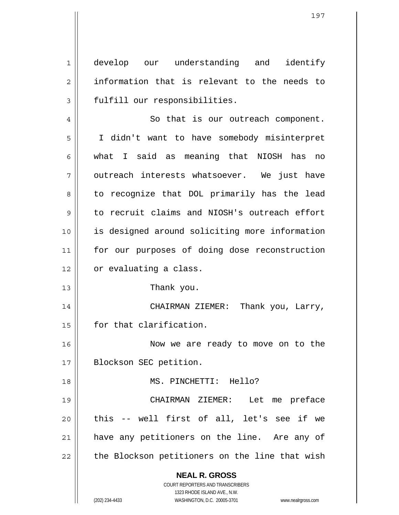1 2 3 develop our understanding and identify information that is relevant to the needs to fulfill our responsibilities.

4 5 6 7 8 9 10 11 12 13 So that is our outreach component. I didn't want to have somebody misinterpret what I said as meaning that NIOSH has no outreach interests whatsoever. We just have to recognize that DOL primarily has the lead to recruit claims and NIOSH's outreach effort is designed around soliciting more information for our purposes of doing dose reconstruction or evaluating a class.

Thank you.

14 15 CHAIRMAN ZIEMER: Thank you, Larry, for that clarification.

16 17 Now we are ready to move on to the Blockson SEC petition.

MS. PINCHETTI: Hello?

19 20 21 22 CHAIRMAN ZIEMER: Let me preface this -- well first of all, let's see if we have any petitioners on the line. Are any of the Blockson petitioners on the line that wish

> **NEAL R. GROSS** COURT REPORTERS AND TRANSCRIBERS

18

1323 RHODE ISLAND AVE., N.W. (202) 234-4433 WASHINGTON, D.C. 20005-3701 www.nealrgross.com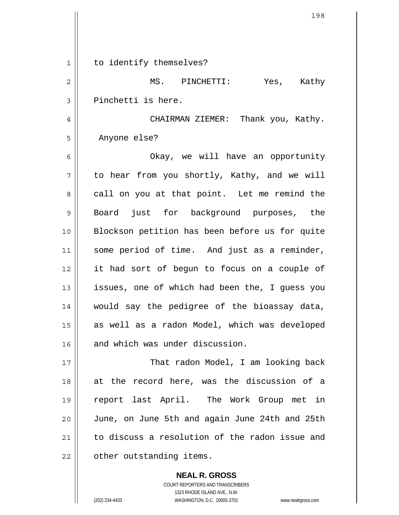| 1  | to identify themselves?                        |
|----|------------------------------------------------|
| 2  | MS. PINCHETTI:<br>Yes, Kathy                   |
| 3  | Pinchetti is here.                             |
| 4  | CHAIRMAN ZIEMER: Thank you, Kathy.             |
| 5  | Anyone else?                                   |
| 6  | Okay, we will have an opportunity              |
| 7  | to hear from you shortly, Kathy, and we will   |
| 8  | call on you at that point. Let me remind the   |
| 9  | Board just for background purposes, the        |
| 10 | Blockson petition has been before us for quite |
| 11 | some period of time. And just as a reminder,   |
| 12 | it had sort of begun to focus on a couple of   |
| 13 | issues, one of which had been the, I guess you |
| 14 | would say the pedigree of the bioassay data,   |
| 15 | as well as a radon Model, which was developed  |
| 16 | and which was under discussion.                |
| 17 | That radon Model, I am looking back            |
| 18 | at the record here, was the discussion of a    |
| 19 | report last April. The Work Group met in       |
| 20 | June, on June 5th and again June 24th and 25th |
| 21 | to discuss a resolution of the radon issue and |
| 22 | other outstanding items.                       |

**NEAL R. GROSS** COURT REPORTERS AND TRANSCRIBERS 1323 RHODE ISLAND AVE., N.W. (202) 234-4433 WASHINGTON, D.C. 20005-3701 www.nealrgross.com

 $\mathbf{I}$ 

 $\mathsf{I}$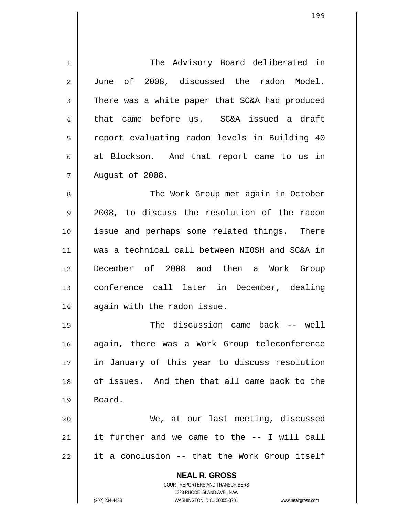| 1  | The Advisory Board deliberated in                                                                   |
|----|-----------------------------------------------------------------------------------------------------|
| 2  | June of 2008, discussed the radon Model.                                                            |
| 3  | There was a white paper that SC&A had produced                                                      |
| 4  | that came before us. SC&A issued a draft                                                            |
| 5  | report evaluating radon levels in Building 40                                                       |
| 6  | at Blockson. And that report came to us in                                                          |
| 7  | August of 2008.                                                                                     |
| 8  | The Work Group met again in October                                                                 |
| 9  | 2008, to discuss the resolution of the radon                                                        |
| 10 | issue and perhaps some related things. There                                                        |
| 11 | was a technical call between NIOSH and SC&A in                                                      |
| 12 | December of 2008 and then a Work Group                                                              |
| 13 | conference call later in December, dealing                                                          |
| 14 | again with the radon issue.                                                                         |
| 15 | discussion came back -- well<br>The                                                                 |
| 16 | again, there was a Work Group teleconference                                                        |
| 17 | in January of this year to discuss resolution                                                       |
| 18 | of issues. And then that all came back to the                                                       |
| 19 | Board.                                                                                              |
| 20 | We, at our last meeting, discussed                                                                  |
| 21 | it further and we came to the -- I will call                                                        |
| 22 | it a conclusion -- that the Work Group itself                                                       |
|    | <b>NEAL R. GROSS</b>                                                                                |
|    | COURT REPORTERS AND TRANSCRIBERS                                                                    |
|    | 1323 RHODE ISLAND AVE., N.W.<br>(202) 234-4433<br>WASHINGTON, D.C. 20005-3701<br>www.nealrgross.com |
|    |                                                                                                     |

 $\mathsf{I}$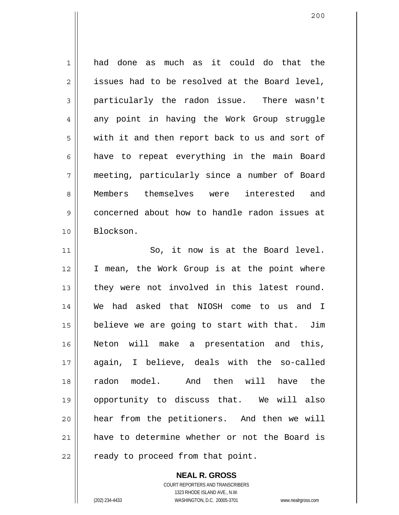1 2 3 4 5 6 7 8 9 10 11 had done as much as it could do that the issues had to be resolved at the Board level, particularly the radon issue. There wasn't any point in having the Work Group struggle with it and then report back to us and sort of have to repeat everything in the main Board meeting, particularly since a number of Board Members themselves were interested and concerned about how to handle radon issues at Blockson. So, it now is at the Board level. I mean, the Work Group is at the point where they were not involved in this latest round. We had asked that NIOSH come to us and I

12 13 14 15 16 17 18 19 20 21 22 believe we are going to start with that. Jim Neton will make a presentation and this, again, I believe, deals with the so-called radon model. And then will have the opportunity to discuss that. We will also hear from the petitioners. And then we will have to determine whether or not the Board is ready to proceed from that point.

> COURT REPORTERS AND TRANSCRIBERS 1323 RHODE ISLAND AVE., N.W. (202) 234-4433 WASHINGTON, D.C. 20005-3701 www.nealrgross.com

**NEAL R. GROSS**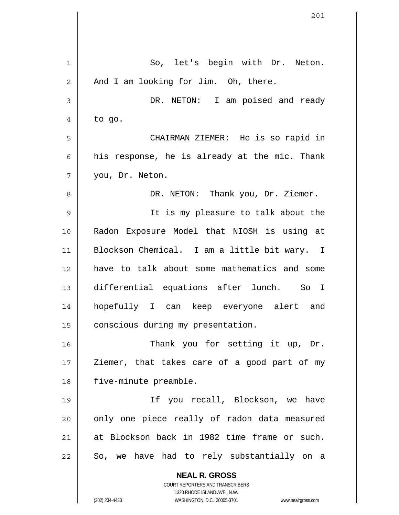| 1              | So, let's begin with Dr. Neton.                                     |
|----------------|---------------------------------------------------------------------|
| $\overline{2}$ | And I am looking for Jim. Oh, there.                                |
| 3              | DR. NETON: I am poised and ready                                    |
| 4              | to go.                                                              |
| 5              | CHAIRMAN ZIEMER: He is so rapid in                                  |
| 6              | his response, he is already at the mic. Thank                       |
| 7              | you, Dr. Neton.                                                     |
| 8              | DR. NETON: Thank you, Dr. Ziemer.                                   |
| 9              | It is my pleasure to talk about the                                 |
| 10             | Radon Exposure Model that NIOSH is using at                         |
| 11             | Blockson Chemical. I am a little bit wary. I                        |
| 12             | have to talk about some mathematics and some                        |
| 13             | differential equations after lunch. So I                            |
| 14             | hopefully I can keep everyone alert and                             |
| 15             | conscious during my presentation.                                   |
| 16             | Thank you for setting it up, Dr.                                    |
| 17             | Ziemer, that takes care of a good part of my                        |
| 18             | five-minute preamble.                                               |
| 19             | If you recall, Blockson, we have                                    |
| 20             | only one piece really of radon data measured                        |
| 21             | at Blockson back in 1982 time frame or such.                        |
| 22             | So, we have had to rely substantially on a                          |
|                | <b>NEAL R. GROSS</b>                                                |
|                | COURT REPORTERS AND TRANSCRIBERS<br>1323 RHODE ISLAND AVE., N.W.    |
|                | WASHINGTON, D.C. 20005-3701<br>(202) 234-4433<br>www.nealrgross.com |

 $\overline{\phantom{a}}$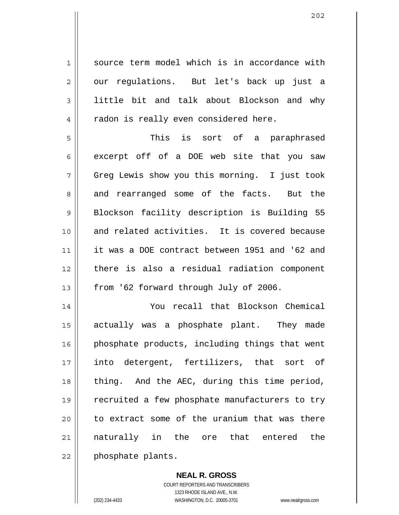source term model which is in accordance with our regulations. But let's back up just a little bit and talk about Blockson and why radon is really even considered here.

5 6 7 8 9 10 11 12 13 This is sort of a paraphrased excerpt off of a DOE web site that you saw Greg Lewis show you this morning. I just took and rearranged some of the facts. But the Blockson facility description is Building 55 and related activities. It is covered because it was a DOE contract between 1951 and '62 and there is also a residual radiation component from '62 forward through July of 2006.

14 15 16 17 18 19 20 21 22 You recall that Blockson Chemical actually was a phosphate plant. They made phosphate products, including things that went into detergent, fertilizers, that sort of thing. And the AEC, during this time period, recruited a few phosphate manufacturers to try to extract some of the uranium that was there naturally in the ore that entered the phosphate plants.

> **NEAL R. GROSS** COURT REPORTERS AND TRANSCRIBERS 1323 RHODE ISLAND AVE., N.W. (202) 234-4433 WASHINGTON, D.C. 20005-3701 www.nealrgross.com

1

2

3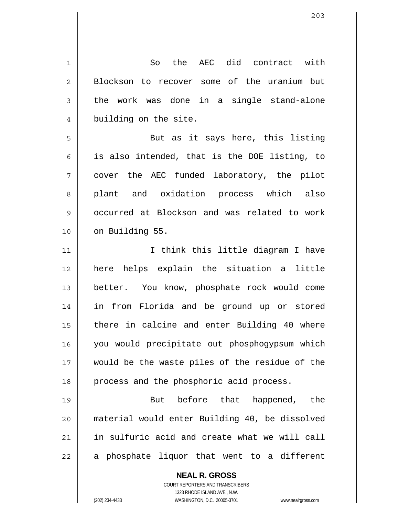**NEAL R. GROSS** COURT REPORTERS AND TRANSCRIBERS 1 2 3 4 5 6 7 8 9 10 11 12 13 14 15 16 17 18 19 20 21 22 So the AEC did contract with Blockson to recover some of the uranium but the work was done in a single stand-alone building on the site. But as it says here, this listing is also intended, that is the DOE listing, to cover the AEC funded laboratory, the pilot plant and oxidation process which also occurred at Blockson and was related to work on Building 55. I think this little diagram I have here helps explain the situation a little better. You know, phosphate rock would come in from Florida and be ground up or stored there in calcine and enter Building 40 where you would precipitate out phosphogypsum which would be the waste piles of the residue of the process and the phosphoric acid process. But before that happened, the material would enter Building 40, be dissolved in sulfuric acid and create what we will call a phosphate liquor that went to a different

1323 RHODE ISLAND AVE., N.W.

(202) 234-4433 WASHINGTON, D.C. 20005-3701 www.nealrgross.com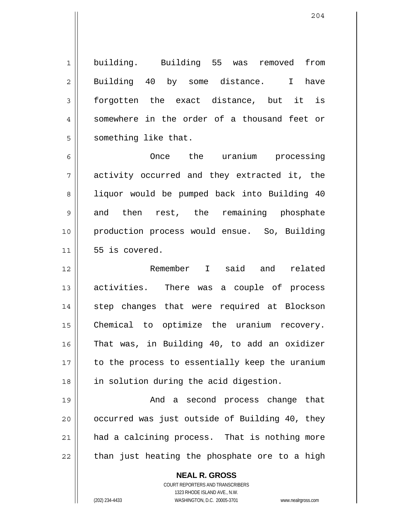1 2 3 4 5 building. Building 55 was removed from Building 40 by some distance. I have forgotten the exact distance, but it is somewhere in the order of a thousand feet or something like that.

6 7 8 9 10 11 Once the uranium processing activity occurred and they extracted it, the liquor would be pumped back into Building 40 and then rest, the remaining phosphate production process would ensue. So, Building 55 is covered.

12 13 14 15 16 17 18 Remember I said and related activities. There was a couple of process step changes that were required at Blockson Chemical to optimize the uranium recovery. That was, in Building 40, to add an oxidizer to the process to essentially keep the uranium in solution during the acid digestion.

19 20 21 22 And a second process change that occurred was just outside of Building 40, they had a calcining process. That is nothing more than just heating the phosphate ore to a high

> **NEAL R. GROSS** COURT REPORTERS AND TRANSCRIBERS 1323 RHODE ISLAND AVE., N.W. (202) 234-4433 WASHINGTON, D.C. 20005-3701 www.nealrgross.com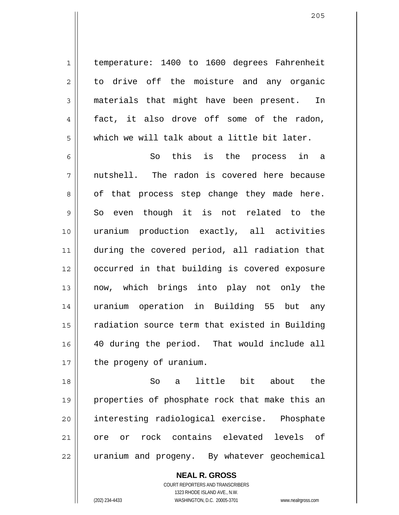temperature: 1400 to 1600 degrees Fahrenheit to drive off the moisture and any organic materials that might have been present. In fact, it also drove off some of the radon, which we will talk about a little bit later.

6 7 8 9 10 11 12 13 14 15 16 17 So this is the process in a nutshell. The radon is covered here because of that process step change they made here. So even though it is not related to the uranium production exactly, all activities during the covered period, all radiation that occurred in that building is covered exposure now, which brings into play not only the uranium operation in Building 55 but any radiation source term that existed in Building 40 during the period. That would include all the progeny of uranium.

18 19 20 21 22 So a little bit about the properties of phosphate rock that make this an interesting radiological exercise. Phosphate ore or rock contains elevated levels of uranium and progeny. By whatever geochemical

> **NEAL R. GROSS** COURT REPORTERS AND TRANSCRIBERS 1323 RHODE ISLAND AVE., N.W. (202) 234-4433 WASHINGTON, D.C. 20005-3701 www.nealrgross.com

1

2

3

4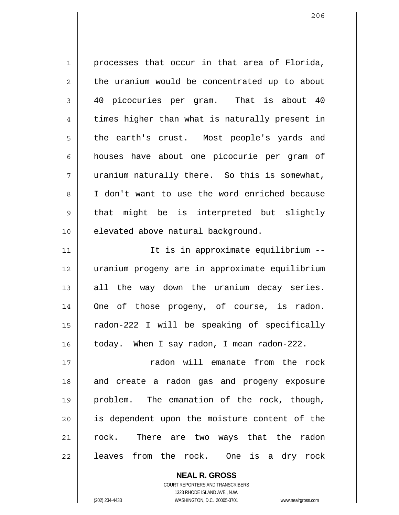1 2 3 4 5 6 7 8 9 10 11 12 13 14 15 16 17 18 19 20 21 22 processes that occur in that area of Florida, the uranium would be concentrated up to about 40 picocuries per gram. That is about 40 times higher than what is naturally present in the earth's crust. Most people's yards and houses have about one picocurie per gram of uranium naturally there. So this is somewhat, I don't want to use the word enriched because that might be is interpreted but slightly elevated above natural background. It is in approximate equilibrium - uranium progeny are in approximate equilibrium all the way down the uranium decay series. One of those progeny, of course, is radon. radon-222 I will be speaking of specifically today. When I say radon, I mean radon-222. radon will emanate from the rock and create a radon gas and progeny exposure problem. The emanation of the rock, though, is dependent upon the moisture content of the rock. There are two ways that the radon leaves from the rock. One is a dry rock

> COURT REPORTERS AND TRANSCRIBERS 1323 RHODE ISLAND AVE., N.W. (202) 234-4433 WASHINGTON, D.C. 20005-3701 www.nealrgross.com

**NEAL R. GROSS**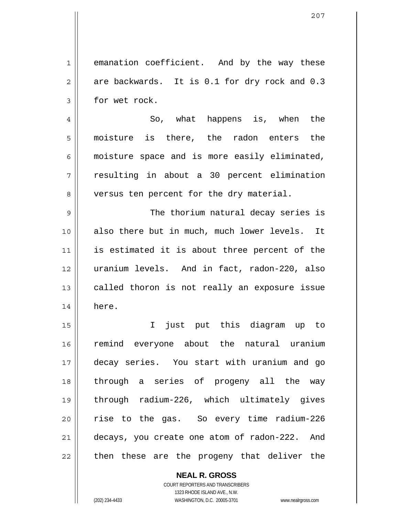1 2 3 emanation coefficient. And by the way these are backwards. It is 0.1 for dry rock and 0.3 for wet rock.

4 5 6 7 8 So, what happens is, when the moisture is there, the radon enters the moisture space and is more easily eliminated, resulting in about a 30 percent elimination versus ten percent for the dry material.

9 10 11 12 13 14 The thorium natural decay series is also there but in much, much lower levels. It is estimated it is about three percent of the uranium levels. And in fact, radon-220, also called thoron is not really an exposure issue here.

15 16 17 18 19 20 21 22 I just put this diagram up to remind everyone about the natural uranium decay series. You start with uranium and go through a series of progeny all the way through radium-226, which ultimately gives rise to the gas. So every time radium-226 decays, you create one atom of radon-222. And then these are the progeny that deliver the

> **NEAL R. GROSS** COURT REPORTERS AND TRANSCRIBERS 1323 RHODE ISLAND AVE., N.W. (202) 234-4433 WASHINGTON, D.C. 20005-3701 www.nealrgross.com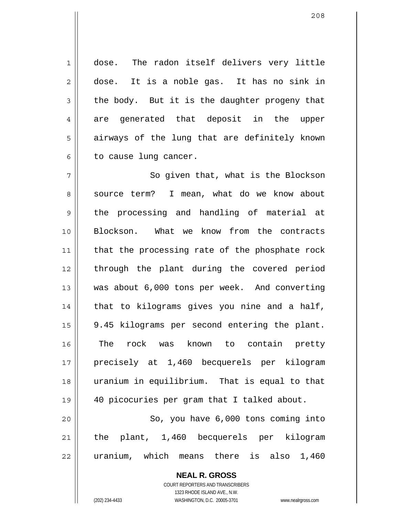dose. The radon itself delivers very little dose. It is a noble gas. It has no sink in the body. But it is the daughter progeny that are generated that deposit in the upper airways of the lung that are definitely known to cause lung cancer.

7 8 9 10 11 12 13 14 15 16 17 18 19 20 21 So given that, what is the Blockson source term? I mean, what do we know about the processing and handling of material at Blockson. What we know from the contracts that the processing rate of the phosphate rock through the plant during the covered period was about 6,000 tons per week. And converting that to kilograms gives you nine and a half, 9.45 kilograms per second entering the plant. The rock was known to contain pretty precisely at 1,460 becquerels per kilogram uranium in equilibrium. That is equal to that 40 picocuries per gram that I talked about. So, you have 6,000 tons coming into the plant, 1,460 becquerels per kilogram

22 uranium, which means there is also 1,460

> **NEAL R. GROSS** COURT REPORTERS AND TRANSCRIBERS 1323 RHODE ISLAND AVE., N.W.

1

2

3

4

5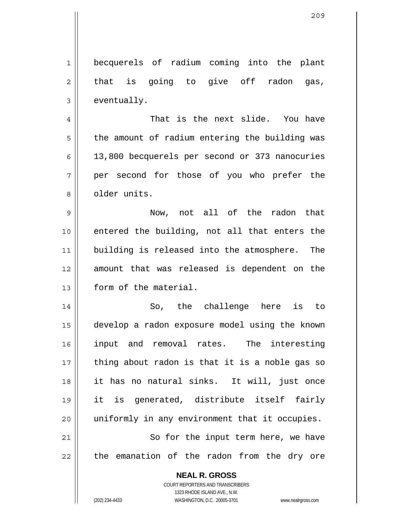**NEAL R. GROSS** 1 2 3 4 5 6 7 8 9 10 11 12 13 14 15 16 17 18 19 20 21 22 becquerels of radium coming into the plant that is going to give off radon gas, eventually. That is the next slide. You have the amount of radium entering the building was 13,800 becquerels per second or 373 nanocuries per second for those of you who prefer the older units. Now, not all of the radon that entered the building, not all that enters the building is released into the atmosphere. The amount that was released is dependent on the form of the material. So, the challenge here is to develop a radon exposure model using the known input and removal rates. The interesting thing about radon is that it is a noble gas so it has no natural sinks. It will, just once it is generated, distribute itself fairly uniformly in any environment that it occupies. So for the input term here, we have the emanation of the radon from the dry ore

> COURT REPORTERS AND TRANSCRIBERS 1323 RHODE ISLAND AVE., N.W.

(202) 234-4433 WASHINGTON, D.C. 20005-3701 www.nealrgross.com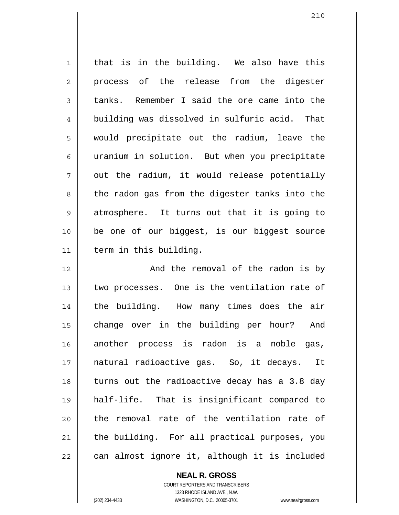| $\mathbf{1}$   | that is in the building. We also have this     |
|----------------|------------------------------------------------|
| $\overline{2}$ | process of the release from the digester       |
| 3              | tanks. Remember I said the ore came into the   |
| 4              | building was dissolved in sulfuric acid. That  |
| 5              | would precipitate out the radium, leave the    |
| 6              | uranium in solution. But when you precipitate  |
| 7              | out the radium, it would release potentially   |
| 8              | the radon gas from the digester tanks into the |
| $\mathsf 9$    | atmosphere. It turns out that it is going to   |
| 10             | be one of our biggest, is our biggest source   |
| 11             | term in this building.                         |
| 12             | And the removal of the radon is by             |
| 13             | two processes. One is the ventilation rate of  |
| 14             | the building. How many times does the air      |
| 15             | change over in the building per hour?<br>And   |
| 16             | another process is radon is a noble gas,       |
| 17             | natural radioactive gas. So, it decays.<br>It  |
| 18             | turns out the radioactive decay has a 3.8 day  |
| 19             | half-life. That is insignificant compared to   |
| 20             | the removal rate of the ventilation rate of    |
| 21             | the building. For all practical purposes, you  |
| 22             | can almost ignore it, although it is included  |

210

 $\prod$ 

COURT REPORTERS AND TRANSCRIBERS 1323 RHODE ISLAND AVE., N.W. (202) 234-4433 WASHINGTON, D.C. 20005-3701 www.nealrgross.com

**NEAL R. GROSS**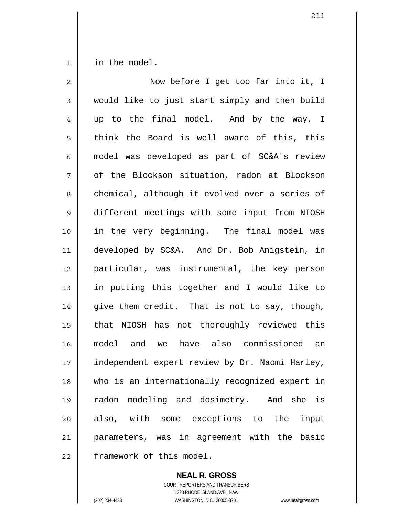1 in the model.

| $\overline{2}$ | Now before I get too far into it, I            |
|----------------|------------------------------------------------|
| 3              | would like to just start simply and then build |
| 4              | up to the final model. And by the way, I       |
| 5              | think the Board is well aware of this, this    |
| 6              | model was developed as part of SC&A's review   |
| 7              | of the Blockson situation, radon at Blockson   |
| 8              | chemical, although it evolved over a series of |
| $\mathsf 9$    | different meetings with some input from NIOSH  |
| 10             | in the very beginning. The final model was     |
| 11             | developed by SC&A. And Dr. Bob Anigstein, in   |
| 12             | particular, was instrumental, the key person   |
| 13             | in putting this together and I would like to   |
| 14             | give them credit. That is not to say, though,  |
| 15             | that NIOSH has not thoroughly reviewed this    |
| 16             | model and we have also commissioned an         |
| 17             | independent expert review by Dr. Naomi Harley, |
| 18             | who is an internationally recognized expert in |
| 19             | radon modeling and dosimetry. And she is       |
| 20             | also, with some exceptions to the input        |
| 21             | parameters, was in agreement with the basic    |
| 22             | framework of this model.                       |

**NEAL R. GROSS** COURT REPORTERS AND TRANSCRIBERS 1323 RHODE ISLAND AVE., N.W. (202) 234-4433 WASHINGTON, D.C. 20005-3701 www.nealrgross.com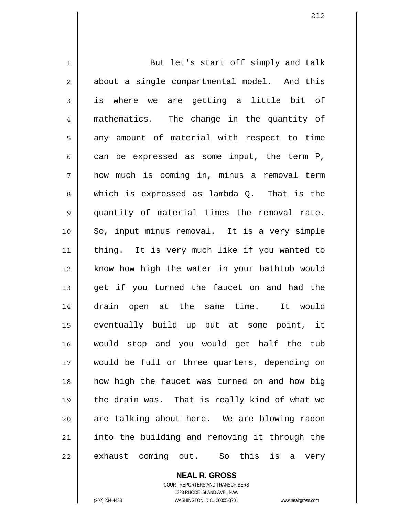1 2 3 4 5 6 7 8 9 10 11 12 13 14 15 16 17 18 19 20 21 22 But let's start off simply and talk about a single compartmental model. And this is where we are getting a little bit of mathematics. The change in the quantity of any amount of material with respect to time can be expressed as some input, the term P, how much is coming in, minus a removal term which is expressed as lambda Q. That is the quantity of material times the removal rate. So, input minus removal. It is a very simple thing. It is very much like if you wanted to know how high the water in your bathtub would get if you turned the faucet on and had the drain open at the same time. It would eventually build up but at some point, it would stop and you would get half the tub would be full or three quarters, depending on how high the faucet was turned on and how big the drain was. That is really kind of what we are talking about here. We are blowing radon into the building and removing it through the exhaust coming out. So this is a very

212

COURT REPORTERS AND TRANSCRIBERS 1323 RHODE ISLAND AVE., N.W. (202) 234-4433 WASHINGTON, D.C. 20005-3701 www.nealrgross.com

**NEAL R. GROSS**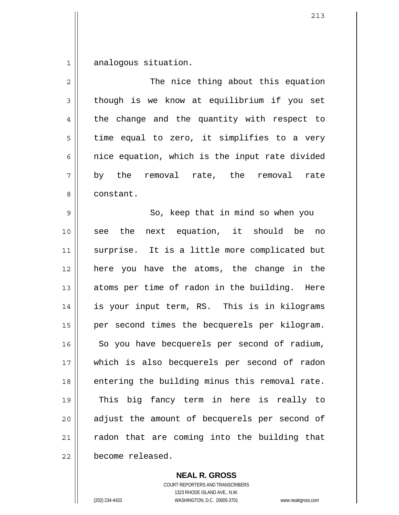1 analogous situation.

| $\overline{2}$ | The nice thing about this equation             |
|----------------|------------------------------------------------|
| 3              | though is we know at equilibrium if you set    |
| 4              | the change and the quantity with respect to    |
| 5              | time equal to zero, it simplifies to a very    |
| 6              | nice equation, which is the input rate divided |
| 7              | by the removal rate, the removal<br>rate       |
| 8              | constant.                                      |
| $\mathsf 9$    | So, keep that in mind so when you              |
| 10             | see the next equation, it should be no         |
| 11             | surprise. It is a little more complicated but  |
| 12             | here you have the atoms, the change in the     |
| 13             | atoms per time of radon in the building. Here  |
| 14             | is your input term, RS. This is in kilograms   |
| 15             | per second times the becquerels per kilogram.  |
| 16             | So you have becquerels per second of radium,   |
| 17             | which is also becquerels per second of radon   |
| 18             | entering the building minus this removal rate. |
| 19             | This big fancy term in here is really to       |
| 20             | adjust the amount of becquerels per second of  |
| 21             | radon that are coming into the building that   |
| 22             | become released.                               |

**NEAL R. GROSS** COURT REPORTERS AND TRANSCRIBERS 1323 RHODE ISLAND AVE., N.W. (202) 234-4433 WASHINGTON, D.C. 20005-3701 www.nealrgross.com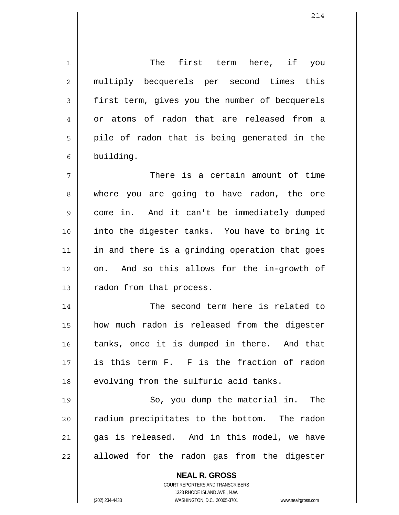**NEAL R. GROSS** 1 2 3 4 5 6 7 8 9 10 11 12 13 14 15 16 17 18 19 20 21 22 The first term here, if you multiply becquerels per second times this first term, gives you the number of becquerels or atoms of radon that are released from a pile of radon that is being generated in the building. There is a certain amount of time where you are going to have radon, the ore come in. And it can't be immediately dumped into the digester tanks. You have to bring it in and there is a grinding operation that goes on. And so this allows for the in-growth of radon from that process. The second term here is related to how much radon is released from the digester tanks, once it is dumped in there. And that is this term F. F is the fraction of radon evolving from the sulfuric acid tanks. So, you dump the material in. The radium precipitates to the bottom. The radon gas is released. And in this model, we have allowed for the radon gas from the digester

> COURT REPORTERS AND TRANSCRIBERS 1323 RHODE ISLAND AVE., N.W.

(202) 234-4433 WASHINGTON, D.C. 20005-3701 www.nealrgross.com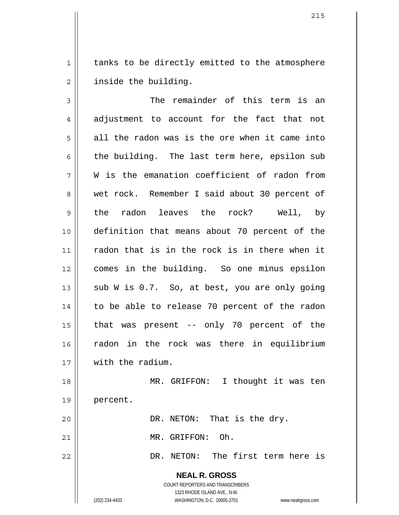1 2 tanks to be directly emitted to the atmosphere inside the building.

3 4 5 6 7 8 9 10 11 12 13 14 15 16 17 18 19 20 21 The remainder of this term is an adjustment to account for the fact that not all the radon was is the ore when it came into the building. The last term here, epsilon sub W is the emanation coefficient of radon from wet rock. Remember I said about 30 percent of the radon leaves the rock? Well, by definition that means about 70 percent of the radon that is in the rock is in there when it comes in the building. So one minus epsilon sub W is 0.7. So, at best, you are only going to be able to release 70 percent of the radon that was present -- only 70 percent of the radon in the rock was there in equilibrium with the radium. MR. GRIFFON: I thought it was ten percent. DR. NETON: That is the dry. MR. GRIFFON: Oh.

DR. NETON: The first term here is

**NEAL R. GROSS** COURT REPORTERS AND TRANSCRIBERS 1323 RHODE ISLAND AVE., N.W.

22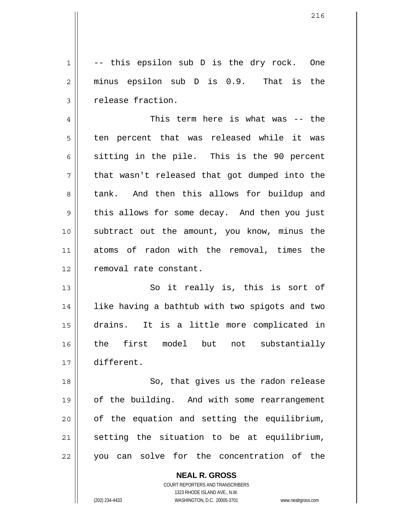-- this epsilon sub D is the dry rock. One minus epsilon sub D is 0.9. That is the release fraction.

4 5 6 7 8 9 10 11 12 This term here is what was -- the ten percent that was released while it was sitting in the pile. This is the 90 percent that wasn't released that got dumped into the tank. And then this allows for buildup and this allows for some decay. And then you just subtract out the amount, you know, minus the atoms of radon with the removal, times the removal rate constant.

13 14 15 16 17 So it really is, this is sort of like having a bathtub with two spigots and two drains. It is a little more complicated in the first model but not substantially different.

18 19 20 21 22 So, that gives us the radon release of the building. And with some rearrangement of the equation and setting the equilibrium, setting the situation to be at equilibrium, you can solve for the concentration of the

> **NEAL R. GROSS** COURT REPORTERS AND TRANSCRIBERS 1323 RHODE ISLAND AVE., N.W. (202) 234-4433 WASHINGTON, D.C. 20005-3701 www.nealrgross.com

1

2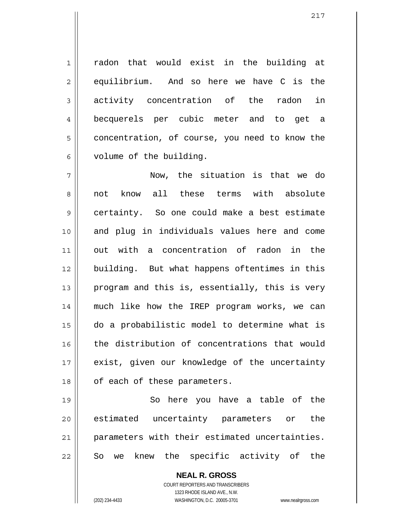radon that would exist in the building at equilibrium. And so here we have C is the activity concentration of the radon in becquerels per cubic meter and to get a concentration, of course, you need to know the volume of the building.

7 8 9 10 11 12 13 14 15 16 17 18 Now, the situation is that we do not know all these terms with absolute certainty. So one could make a best estimate and plug in individuals values here and come out with a concentration of radon in the building. But what happens oftentimes in this program and this is, essentially, this is very much like how the IREP program works, we can do a probabilistic model to determine what is the distribution of concentrations that would exist, given our knowledge of the uncertainty of each of these parameters.

19 20 21 22 So here you have a table of the estimated uncertainty parameters or the parameters with their estimated uncertainties. So we knew the specific activity of the

> **NEAL R. GROSS** COURT REPORTERS AND TRANSCRIBERS 1323 RHODE ISLAND AVE., N.W.

1

2

3

4

5

6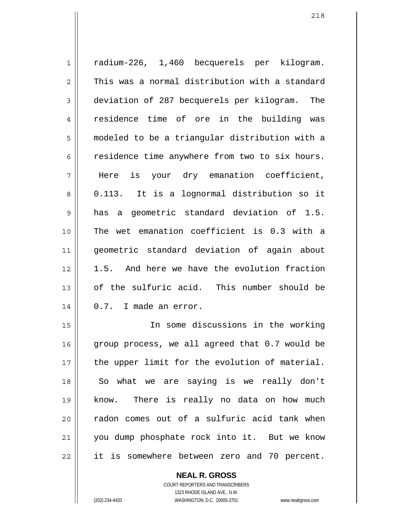1 2 3 4 5 6 7 8 9 10 11 12 13 14 15 radium-226, 1,460 becquerels per kilogram. This was a normal distribution with a standard deviation of 287 becquerels per kilogram. The residence time of ore in the building was modeled to be a triangular distribution with a residence time anywhere from two to six hours. Here is your dry emanation coefficient, 0.113. It is a lognormal distribution so it has a geometric standard deviation of 1.5. The wet emanation coefficient is 0.3 with a geometric standard deviation of again about 1.5. And here we have the evolution fraction of the sulfuric acid. This number should be 0.7. I made an error. In some discussions in the working

16 17 18 19 20 21 22 group process, we all agreed that 0.7 would be the upper limit for the evolution of material. So what we are saying is we really don't know. There is really no data on how much radon comes out of a sulfuric acid tank when you dump phosphate rock into it. But we know it is somewhere between zero and 70 percent.

> **NEAL R. GROSS** COURT REPORTERS AND TRANSCRIBERS 1323 RHODE ISLAND AVE., N.W.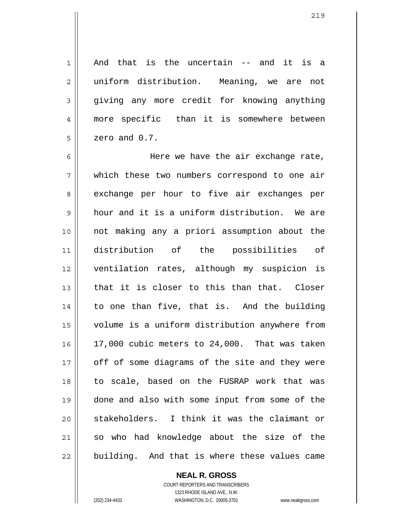And that is the uncertain -- and it is a uniform distribution. Meaning, we are not giving any more credit for knowing anything more specific than it is somewhere between

6 7 8 9 10 11 12 13 14 15 16 17 18 19 20 21 22 Here we have the air exchange rate, which these two numbers correspond to one air exchange per hour to five air exchanges per hour and it is a uniform distribution. We are not making any a priori assumption about the distribution of the possibilities of ventilation rates, although my suspicion is that it is closer to this than that. Closer to one than five, that is. And the building volume is a uniform distribution anywhere from 17,000 cubic meters to 24,000. That was taken off of some diagrams of the site and they were to scale, based on the FUSRAP work that was done and also with some input from some of the stakeholders. I think it was the claimant or so who had knowledge about the size of the building. And that is where these values came

> COURT REPORTERS AND TRANSCRIBERS 1323 RHODE ISLAND AVE., N.W. (202) 234-4433 WASHINGTON, D.C. 20005-3701 www.nealrgross.com

**NEAL R. GROSS**

1

2

3

4

5

zero and 0.7.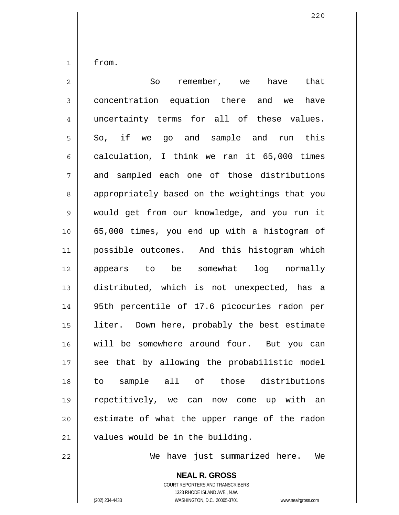1 2 3 4 5 6 7 8 9 10 11 12 13 14 15 16 17 18 19 20 21 from. So remember, we have that concentration equation there and we have uncertainty terms for all of these values. So, if we go and sample and run this calculation, I think we ran it 65,000 times and sampled each one of those distributions appropriately based on the weightings that you would get from our knowledge, and you run it 65,000 times, you end up with a histogram of possible outcomes. And this histogram which appears to be somewhat log normally distributed, which is not unexpected, has a 95th percentile of 17.6 picocuries radon per liter. Down here, probably the best estimate will be somewhere around four. But you can see that by allowing the probabilistic model to sample all of those distributions repetitively, we can now come up with an estimate of what the upper range of the radon values would be in the building.

We have just summarized here. We

COURT REPORTERS AND TRANSCRIBERS 1323 RHODE ISLAND AVE., N.W.

**NEAL R. GROSS**

22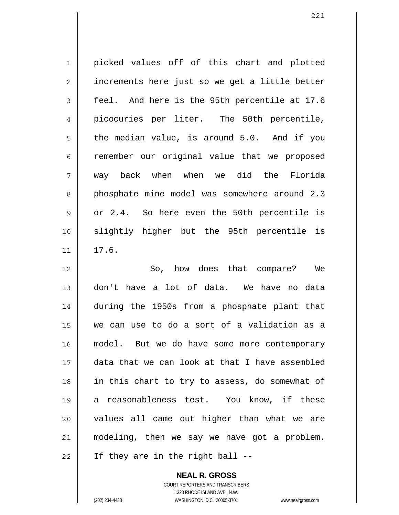1 2 3 4 5 6 7 8 9 10 11 12 13 14 15 16 17 18 19 20 21 22 picked values off of this chart and plotted increments here just so we get a little better feel. And here is the 95th percentile at 17.6 picocuries per liter. The 50th percentile, the median value, is around 5.0. And if you remember our original value that we proposed way back when when we did the Florida phosphate mine model was somewhere around 2.3 or 2.4. So here even the 50th percentile is slightly higher but the 95th percentile is 17.6. So, how does that compare? We don't have a lot of data. We have no data during the 1950s from a phosphate plant that we can use to do a sort of a validation as a model. But we do have some more contemporary data that we can look at that I have assembled in this chart to try to assess, do somewhat of a reasonableness test. You know, if these values all came out higher than what we are modeling, then we say we have got a problem. If they are in the right ball --

> **NEAL R. GROSS** COURT REPORTERS AND TRANSCRIBERS 1323 RHODE ISLAND AVE., N.W. (202) 234-4433 WASHINGTON, D.C. 20005-3701 www.nealrgross.com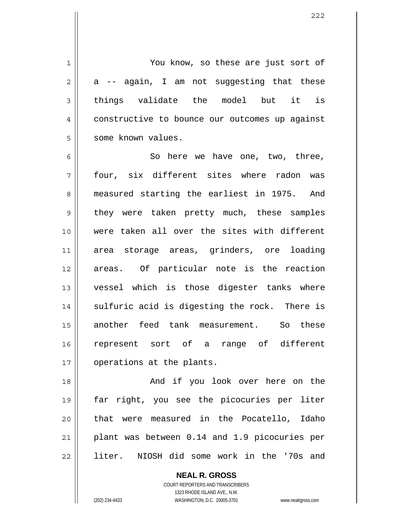You know, so these are just sort of a -- again, I am not suggesting that these things validate the model but it is constructive to bounce our outcomes up against some known values.

6 7 8 9 10 11 12 13 14 15 16 17 So here we have one, two, three, four, six different sites where radon was measured starting the earliest in 1975. And they were taken pretty much, these samples were taken all over the sites with different area storage areas, grinders, ore loading areas. Of particular note is the reaction vessel which is those digester tanks where sulfuric acid is digesting the rock. There is another feed tank measurement. So these represent sort of a range of different operations at the plants.

18 19 20 21 22 And if you look over here on the far right, you see the picocuries per liter that were measured in the Pocatello, Idaho plant was between 0.14 and 1.9 picocuries per liter. NIOSH did some work in the '70s and

> **NEAL R. GROSS** COURT REPORTERS AND TRANSCRIBERS 1323 RHODE ISLAND AVE., N.W.

1

2

3

4

5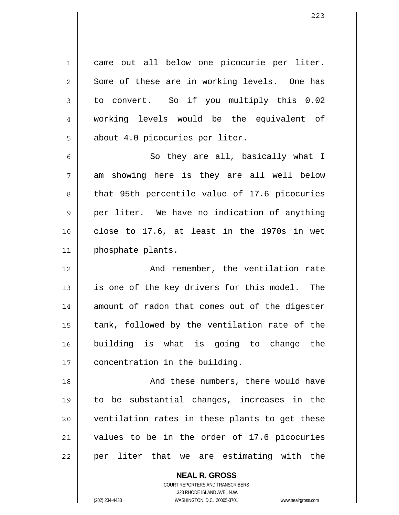1 2 3 4 5 came out all below one picocurie per liter. Some of these are in working levels. One has to convert. So if you multiply this 0.02 working levels would be the equivalent of about 4.0 picocuries per liter.

6 7 8 9 10 11 So they are all, basically what I am showing here is they are all well below that 95th percentile value of 17.6 picocuries per liter. We have no indication of anything close to 17.6, at least in the 1970s in wet phosphate plants.

12 13 14 15 16 17 And remember, the ventilation rate is one of the key drivers for this model. The amount of radon that comes out of the digester tank, followed by the ventilation rate of the building is what is going to change the concentration in the building.

18 19 20 21 22 And these numbers, there would have to be substantial changes, increases in the ventilation rates in these plants to get these values to be in the order of 17.6 picocuries per liter that we are estimating with the

> **NEAL R. GROSS** COURT REPORTERS AND TRANSCRIBERS 1323 RHODE ISLAND AVE., N.W. (202) 234-4433 WASHINGTON, D.C. 20005-3701 www.nealrgross.com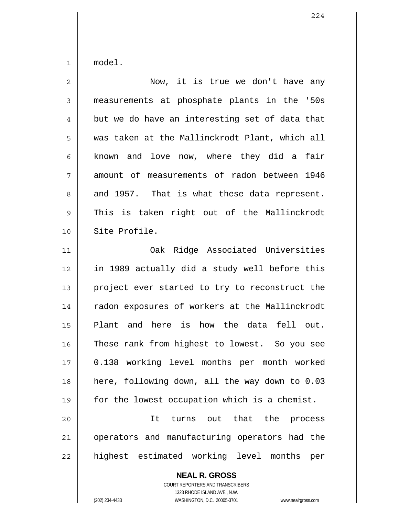1 model.

| $\overline{2}$ | Now, it is true we don't have any              |
|----------------|------------------------------------------------|
| 3              | measurements at phosphate plants in the '50s   |
| 4              | but we do have an interesting set of data that |
| 5              | was taken at the Mallinckrodt Plant, which all |
| 6              | known and love now, where they did a fair      |
| 7              | amount of measurements of radon between 1946   |
| 8              | and 1957. That is what these data represent.   |
| 9              | This is taken right out of the Mallinckrodt    |
| 10             | Site Profile.                                  |
| 11             | Oak Ridge Associated Universities              |
| 12             | in 1989 actually did a study well before this  |
| 13             | project ever started to try to reconstruct the |
| 14             | radon exposures of workers at the Mallinckrodt |
| 15             | Plant and here is how the data fell out.       |
| 16             | These rank from highest to lowest. So you see  |
| 17             | 0.138 working level months per month worked    |
| 18             | here, following down, all the way down to 0.03 |
| 19             | for the lowest occupation which is a chemist.  |
| 20             | turns out that the<br>It<br>process            |
| 21             | operators and manufacturing operators had the  |
| 22             | highest estimated working level months<br>per  |

**NEAL R. GROSS** COURT REPORTERS AND TRANSCRIBERS

1323 RHODE ISLAND AVE., N.W.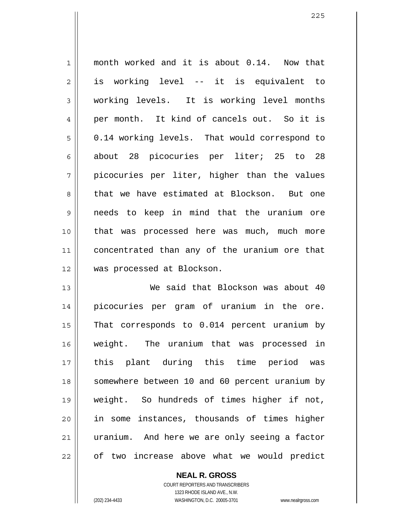1 2 3 4 5 6 7 8 9 10 11 12 month worked and it is about 0.14. Now that is working level -- it is equivalent to working levels. It is working level months per month. It kind of cancels out. So it is 0.14 working levels. That would correspond to about 28 picocuries per liter; 25 to 28 picocuries per liter, higher than the values that we have estimated at Blockson. But one needs to keep in mind that the uranium ore that was processed here was much, much more concentrated than any of the uranium ore that was processed at Blockson.

13 14 15 16 17 18 19 20 21 22 We said that Blockson was about 40 picocuries per gram of uranium in the ore. That corresponds to 0.014 percent uranium by weight. The uranium that was processed in this plant during this time period was somewhere between 10 and 60 percent uranium by weight. So hundreds of times higher if not, in some instances, thousands of times higher uranium. And here we are only seeing a factor of two increase above what we would predict

> **NEAL R. GROSS** COURT REPORTERS AND TRANSCRIBERS 1323 RHODE ISLAND AVE., N.W. (202) 234-4433 WASHINGTON, D.C. 20005-3701 www.nealrgross.com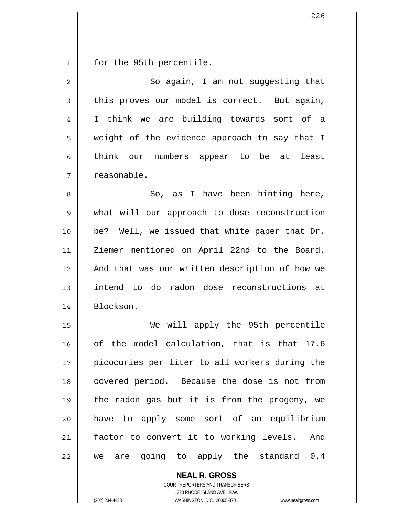1 for the 95th percentile.

| $\overline{2}$ | So again, I am not suggesting that             |
|----------------|------------------------------------------------|
| 3              | this proves our model is correct. But again,   |
| 4              | I think we are building towards sort of a      |
| 5              | weight of the evidence approach to say that I  |
| 6              | think our numbers appear to be at least        |
| 7              | reasonable.                                    |
| 8              | So, as I have been hinting here,               |
| 9              | what will our approach to dose reconstruction  |
| 10             | be? Well, we issued that white paper that Dr.  |
| 11             | Ziemer mentioned on April 22nd to the Board.   |
| 12             | And that was our written description of how we |
| 13             | intend to do radon dose reconstructions at     |
| 14             | Blockson.                                      |
| 15             | We will apply the 95th percentile              |
| 16             | of the model calculation, that is that 17.6    |
| 17             | picocuries per liter to all workers during the |
| 18             | covered period. Because the dose is not from   |
| 19             | the radon gas but it is from the progeny, we   |
| 20             | have to apply some sort of an equilibrium      |
| 21             | factor to convert it to working levels. And    |
| 22             | we are going to apply the standard 0.4         |

**NEAL R. GROSS** COURT REPORTERS AND TRANSCRIBERS

1323 RHODE ISLAND AVE., N.W.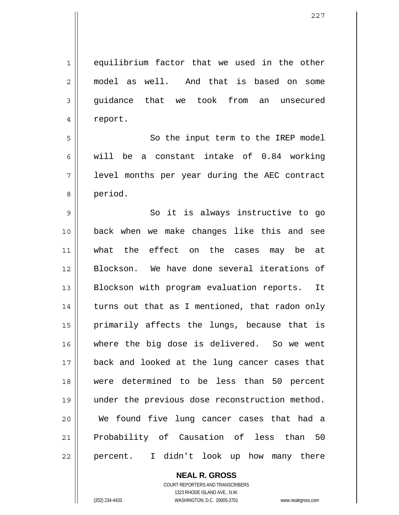227

1 2 3 4 5 6 7 8 9 10 11 12 13 14 15 16 17 18 19 20 21 22 equilibrium factor that we used in the other model as well. And that is based on some guidance that we took from an unsecured report. So the input term to the IREP model will be a constant intake of 0.84 working level months per year during the AEC contract period. So it is always instructive to go back when we make changes like this and see what the effect on the cases may be at Blockson. We have done several iterations of Blockson with program evaluation reports. It turns out that as I mentioned, that radon only primarily affects the lungs, because that is where the big dose is delivered. So we went back and looked at the lung cancer cases that were determined to be less than 50 percent under the previous dose reconstruction method. We found five lung cancer cases that had a Probability of Causation of less than 50 percent. I didn't look up how many there

> **NEAL R. GROSS** COURT REPORTERS AND TRANSCRIBERS

1323 RHODE ISLAND AVE., N.W. (202) 234-4433 WASHINGTON, D.C. 20005-3701 www.nealrgross.com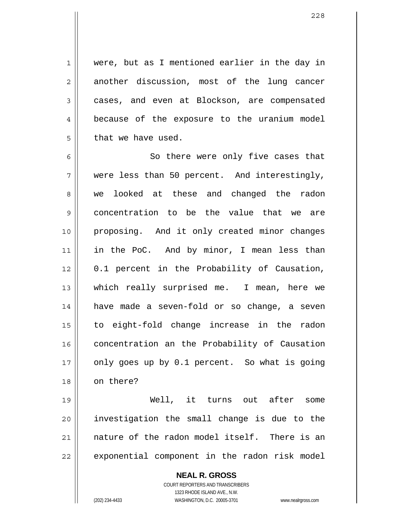were, but as I mentioned earlier in the day in another discussion, most of the lung cancer cases, and even at Blockson, are compensated because of the exposure to the uranium model that we have used.

6 7 8 9 10 11 12 13 14 15 16 17 18 So there were only five cases that were less than 50 percent. And interestingly, we looked at these and changed the radon concentration to be the value that we are proposing. And it only created minor changes in the PoC. And by minor, I mean less than 0.1 percent in the Probability of Causation, which really surprised me. I mean, here we have made a seven-fold or so change, a seven to eight-fold change increase in the radon concentration an the Probability of Causation only goes up by 0.1 percent. So what is going on there?

19 20 21 22 Well, it turns out after some investigation the small change is due to the nature of the radon model itself. There is an exponential component in the radon risk model

> **NEAL R. GROSS** COURT REPORTERS AND TRANSCRIBERS 1323 RHODE ISLAND AVE., N.W. (202) 234-4433 WASHINGTON, D.C. 20005-3701 www.nealrgross.com

1

2

3

4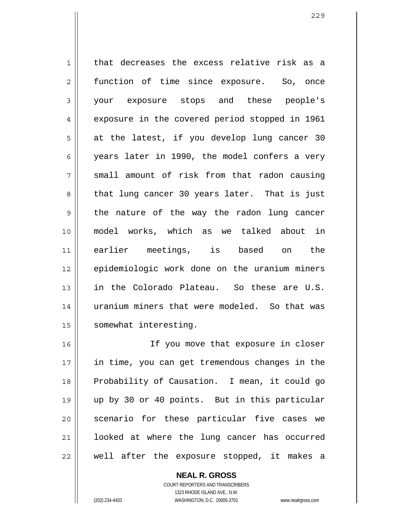1 2 3 4 5 6 7 8 9 10 11 12 13 14 15 that decreases the excess relative risk as a function of time since exposure. So, once your exposure stops and these people's exposure in the covered period stopped in 1961 at the latest, if you develop lung cancer 30 years later in 1990, the model confers a very small amount of risk from that radon causing that lung cancer 30 years later. That is just the nature of the way the radon lung cancer model works, which as we talked about in earlier meetings, is based on the epidemiologic work done on the uranium miners in the Colorado Plateau. So these are U.S. uranium miners that were modeled. So that was somewhat interesting.

16 17 18 19 20 21 22 If you move that exposure in closer in time, you can get tremendous changes in the Probability of Causation. I mean, it could go up by 30 or 40 points. But in this particular scenario for these particular five cases we looked at where the lung cancer has occurred well after the exposure stopped, it makes a

> **NEAL R. GROSS** COURT REPORTERS AND TRANSCRIBERS 1323 RHODE ISLAND AVE., N.W. (202) 234-4433 WASHINGTON, D.C. 20005-3701 www.nealrgross.com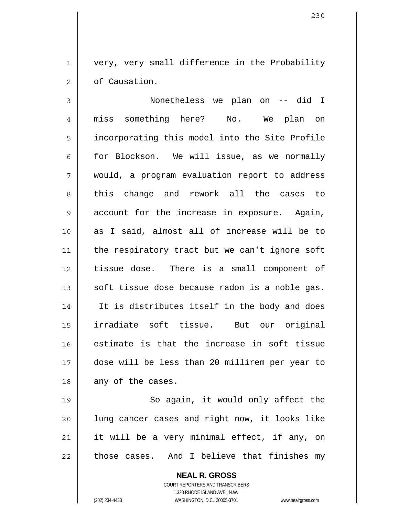very, very small difference in the Probability of Causation.

3 4 5 6 7 8 9 10 11 12 13 14 15 16 17 18 Nonetheless we plan on -- did I miss something here? No. We plan on incorporating this model into the Site Profile for Blockson. We will issue, as we normally would, a program evaluation report to address this change and rework all the cases to account for the increase in exposure. Again, as I said, almost all of increase will be to the respiratory tract but we can't ignore soft tissue dose. There is a small component of soft tissue dose because radon is a noble gas. It is distributes itself in the body and does irradiate soft tissue. But our original estimate is that the increase in soft tissue dose will be less than 20 millirem per year to any of the cases.

19 20 21 22 So again, it would only affect the lung cancer cases and right now, it looks like it will be a very minimal effect, if any, on those cases. And I believe that finishes my

> **NEAL R. GROSS** COURT REPORTERS AND TRANSCRIBERS 1323 RHODE ISLAND AVE., N.W. (202) 234-4433 WASHINGTON, D.C. 20005-3701 www.nealrgross.com

1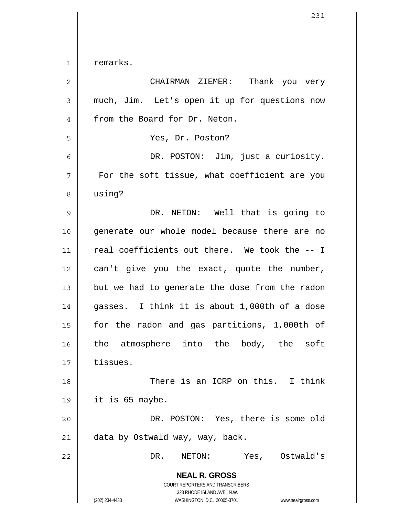1 remarks.

| $\overline{2}$ | CHAIRMAN ZIEMER:<br>Thank you very                                                                                                                              |
|----------------|-----------------------------------------------------------------------------------------------------------------------------------------------------------------|
| 3              | much, Jim. Let's open it up for questions now                                                                                                                   |
| 4              | from the Board for Dr. Neton.                                                                                                                                   |
| 5              | Yes, Dr. Poston?                                                                                                                                                |
| 6              | DR. POSTON: Jim, just a curiosity.                                                                                                                              |
| 7              | For the soft tissue, what coefficient are you                                                                                                                   |
| 8              | using?                                                                                                                                                          |
| 9              | DR. NETON: Well that is going to                                                                                                                                |
| 10             | generate our whole model because there are no                                                                                                                   |
| 11             | real coefficients out there. We took the -- I                                                                                                                   |
| 12             | can't give you the exact, quote the number,                                                                                                                     |
| 13             | but we had to generate the dose from the radon                                                                                                                  |
| 14             | gasses. I think it is about 1,000th of a dose                                                                                                                   |
| 15             | for the radon and gas partitions, 1,000th of                                                                                                                    |
| 16             | the atmosphere into the body, the soft                                                                                                                          |
| 17             | tissues.                                                                                                                                                        |
| 18             | There is an ICRP on this. I think                                                                                                                               |
| 19             | it is 65 maybe.                                                                                                                                                 |
| 20             | DR. POSTON: Yes, there is some old                                                                                                                              |
| 21             | data by Ostwald way, way, back.                                                                                                                                 |
| 22             | DR.<br>NETON:<br>Yes, Ostwald's                                                                                                                                 |
|                | <b>NEAL R. GROSS</b><br>COURT REPORTERS AND TRANSCRIBERS<br>1323 RHODE ISLAND AVE., N.W.<br>(202) 234-4433<br>WASHINGTON, D.C. 20005-3701<br>www.nealrgross.com |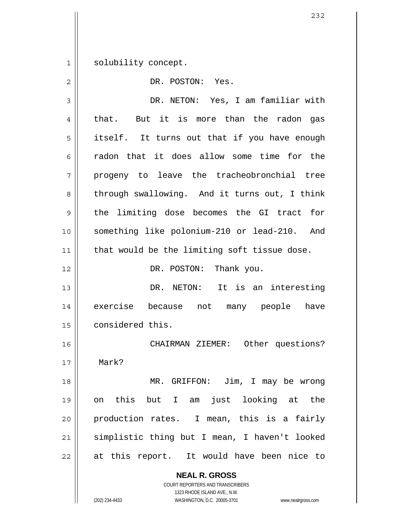1 solubility concept.

| $\overline{2}$ | DR. POSTON: Yes.                                         |
|----------------|----------------------------------------------------------|
| 3              | DR. NETON: Yes, I am familiar with                       |
| 4              | But it is more than the radon gas<br>that.               |
| 5              | itself. It turns out that if you have enough             |
| 6              | radon that it does allow some time for the               |
| 7              | progeny to leave the tracheobronchial tree               |
| 8              | through swallowing. And it turns out, I think            |
| 9              | the limiting dose becomes the GI tract for               |
| 10             | something like polonium-210 or lead-210. And             |
| 11             | that would be the limiting soft tissue dose.             |
| 12             | DR. POSTON: Thank you.                                   |
| 13             | DR. NETON: It is an interesting                          |
| 14             | exercise<br>because not many people have                 |
| 15             | considered this.                                         |
| 16             | CHAIRMAN ZIEMER: Other questions?                        |
| 17             | Mark?                                                    |
| 18             | MR. GRIFFON: Jim, I may be wrong                         |
| 19             | on this but I am just looking at the                     |
| 20             | production rates. I mean, this is a fairly               |
| 21             | simplistic thing but I mean, I haven't looked            |
| 22             | at this report. It would have been nice to               |
|                | <b>NEAL R. GROSS</b><br>COURT REPORTERS AND TRANSCRIBERS |

1323 RHODE ISLAND AVE., N.W.

 $\mathop{\text{||}}$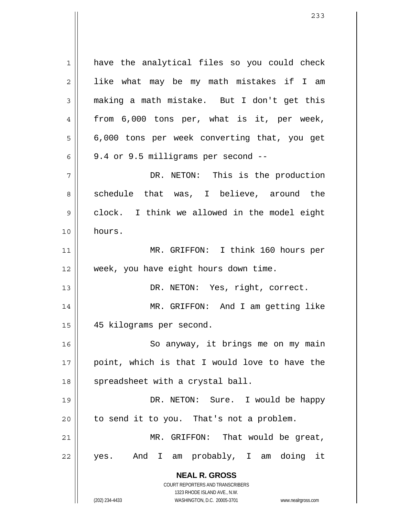**NEAL R. GROSS** COURT REPORTERS AND TRANSCRIBERS 1323 RHODE ISLAND AVE., N.W. 1 2 3 4 5 6 7 8 9 10 11 12 13 14 15 16 17 18 19 20 21 22 have the analytical files so you could check like what may be my math mistakes if I am making a math mistake. But I don't get this from 6,000 tons per, what is it, per week, 6,000 tons per week converting that, you get 9.4 or 9.5 milligrams per second -- DR. NETON: This is the production schedule that was, I believe, around the clock. I think we allowed in the model eight hours. MR. GRIFFON: I think 160 hours per week, you have eight hours down time. DR. NETON: Yes, right, correct. MR. GRIFFON: And I am getting like 45 kilograms per second. So anyway, it brings me on my main point, which is that I would love to have the spreadsheet with a crystal ball. DR. NETON: Sure. I would be happy to send it to you. That's not a problem. MR. GRIFFON: That would be great, yes. And I am probably, I am doing it

(202) 234-4433 WASHINGTON, D.C. 20005-3701 www.nealrgross.com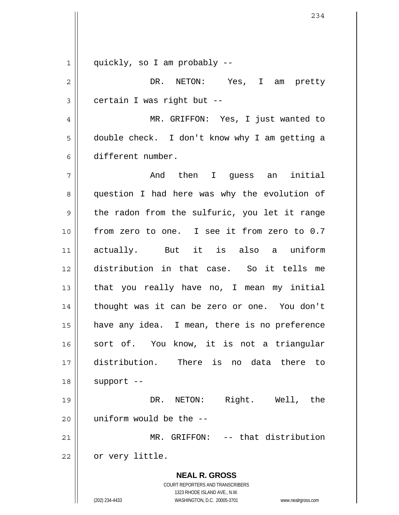1 quickly, so I am probably --

**NEAL R. GROSS** COURT REPORTERS AND TRANSCRIBERS 2 3 4 5 6 7 8 9 10 11 12 13 14 15 16 17 18 19 20 21 22 DR. NETON: Yes, I am pretty certain I was right but -- MR. GRIFFON: Yes, I just wanted to double check. I don't know why I am getting a different number. And then I guess an initial question I had here was why the evolution of the radon from the sulfuric, you let it range from zero to one. I see it from zero to 0.7 actually. But it is also a uniform distribution in that case. So it tells me that you really have no, I mean my initial thought was it can be zero or one. You don't have any idea. I mean, there is no preference sort of. You know, it is not a triangular distribution. There is no data there to support -- DR. NETON: Right. Well, the uniform would be the -- MR. GRIFFON: -- that distribution or very little.

1323 RHODE ISLAND AVE., N.W.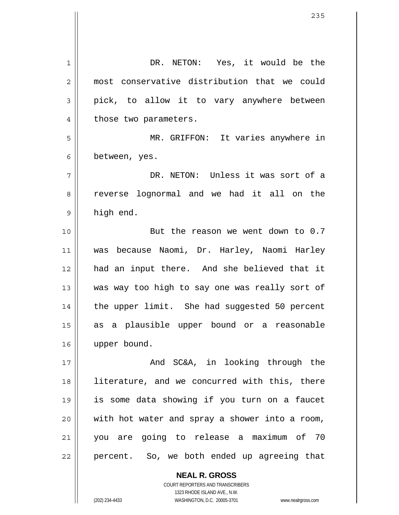1 2 3 4 5 6 7 8 9 10 11 12 13 14 15 16 17 18 19 20 21 22 DR. NETON: Yes, it would be the most conservative distribution that we could pick, to allow it to vary anywhere between those two parameters. MR. GRIFFON: It varies anywhere in between, yes. DR. NETON: Unless it was sort of a reverse lognormal and we had it all on the high end. But the reason we went down to 0.7 was because Naomi, Dr. Harley, Naomi Harley had an input there. And she believed that it was way too high to say one was really sort of the upper limit. She had suggested 50 percent as a plausible upper bound or a reasonable upper bound. And SC&A, in looking through the literature, and we concurred with this, there is some data showing if you turn on a faucet with hot water and spray a shower into a room, you are going to release a maximum of 70 percent. So, we both ended up agreeing that

> **NEAL R. GROSS** COURT REPORTERS AND TRANSCRIBERS 1323 RHODE ISLAND AVE., N.W.

(202) 234-4433 WASHINGTON, D.C. 20005-3701 www.nealrgross.com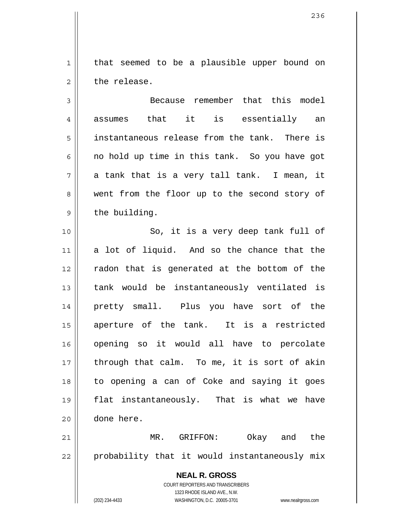that seemed to be a plausible upper bound on the release.

1

2

3 4 5 6 7 8 9 Because remember that this model assumes that it is essentially an instantaneous release from the tank. There is no hold up time in this tank. So you have got a tank that is a very tall tank. I mean, it went from the floor up to the second story of the building.

10 11 12 13 14 15 16 17 18 19 20 So, it is a very deep tank full of a lot of liquid. And so the chance that the radon that is generated at the bottom of the tank would be instantaneously ventilated is pretty small. Plus you have sort of the aperture of the tank. It is a restricted opening so it would all have to percolate through that calm. To me, it is sort of akin to opening a can of Coke and saying it goes flat instantaneously. That is what we have done here.

21 22 MR. GRIFFON: Okay and the probability that it would instantaneously mix

> **NEAL R. GROSS** COURT REPORTERS AND TRANSCRIBERS 1323 RHODE ISLAND AVE., N.W. (202) 234-4433 WASHINGTON, D.C. 20005-3701 www.nealrgross.com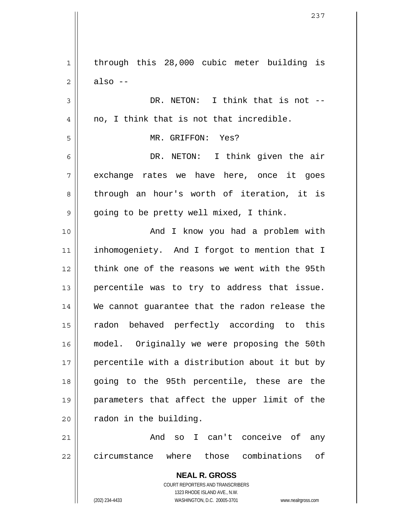**NEAL R. GROSS** COURT REPORTERS AND TRANSCRIBERS 1323 RHODE ISLAND AVE., N.W. (202) 234-4433 WASHINGTON, D.C. 20005-3701 www.nealrgross.com 1 2 3 4 5 6 7 8 9 10 11 12 13 14 15 16 17 18 19 20 21 22 through this 28,000 cubic meter building is also -- DR. NETON: I think that is not -no, I think that is not that incredible. MR. GRIFFON: Yes? DR. NETON: I think given the air exchange rates we have here, once it goes through an hour's worth of iteration, it is going to be pretty well mixed, I think. And I know you had a problem with inhomogeniety. And I forgot to mention that I think one of the reasons we went with the 95th percentile was to try to address that issue. We cannot guarantee that the radon release the radon behaved perfectly according to this model. Originally we were proposing the 50th percentile with a distribution about it but by going to the 95th percentile, these are the parameters that affect the upper limit of the radon in the building. And so I can't conceive of any circumstance where those combinations of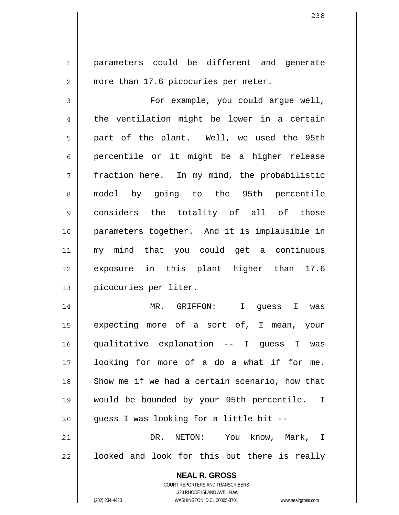parameters could be different and generate more than 17.6 picocuries per meter.

3 4 5 6 7 8 9 10 11 12 13 For example, you could argue well, the ventilation might be lower in a certain part of the plant. Well, we used the 95th percentile or it might be a higher release fraction here. In my mind, the probabilistic model by going to the 95th percentile considers the totality of all of those parameters together. And it is implausible in my mind that you could get a continuous exposure in this plant higher than 17.6 picocuries per liter.

14 15 16 17 18 19 20 21 MR. GRIFFON: I guess I was expecting more of a sort of, I mean, your qualitative explanation -- I guess I was looking for more of a do a what if for me. Show me if we had a certain scenario, how that would be bounded by your 95th percentile. I guess I was looking for a little bit -- DR. NETON: You know, Mark, I

22 looked and look for this but there is really

> **NEAL R. GROSS** COURT REPORTERS AND TRANSCRIBERS 1323 RHODE ISLAND AVE., N.W. (202) 234-4433 WASHINGTON, D.C. 20005-3701 www.nealrgross.com

1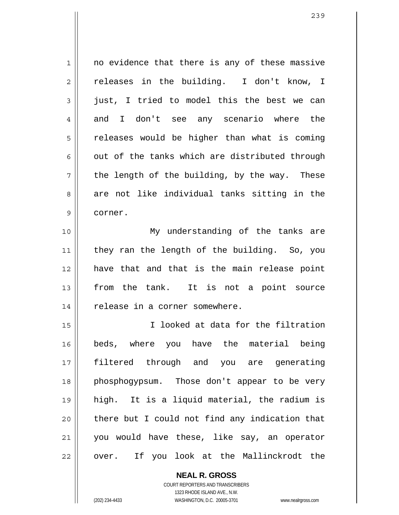1 2 3 4 5 6 7 8 9 no evidence that there is any of these massive releases in the building. I don't know, I just, I tried to model this the best we can and I don't see any scenario where the releases would be higher than what is coming out of the tanks which are distributed through the length of the building, by the way. These are not like individual tanks sitting in the corner.

10 11 12 13 14 My understanding of the tanks are they ran the length of the building. So, you have that and that is the main release point from the tank. It is not a point source release in a corner somewhere.

15 16 17 18 19 20 21 22 I looked at data for the filtration beds, where you have the material being filtered through and you are generating phosphogypsum. Those don't appear to be very high. It is a liquid material, the radium is there but I could not find any indication that you would have these, like say, an operator over. If you look at the Mallinckrodt the

> COURT REPORTERS AND TRANSCRIBERS 1323 RHODE ISLAND AVE., N.W. (202) 234-4433 WASHINGTON, D.C. 20005-3701 www.nealrgross.com

**NEAL R. GROSS**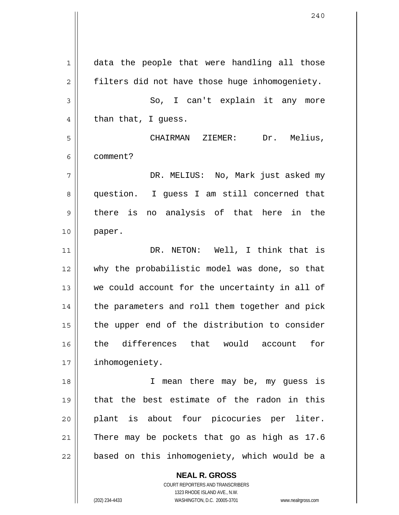1 2 3 4 5 6 7 8 9 10 11 12 13 14 15 16 17 18 19 20 21 22 data the people that were handling all those filters did not have those huge inhomogeniety. So, I can't explain it any more than that, I guess. CHAIRMAN ZIEMER: Dr. Melius, comment? DR. MELIUS: No, Mark just asked my question. I guess I am still concerned that there is no analysis of that here in the paper. DR. NETON: Well, I think that is why the probabilistic model was done, so that we could account for the uncertainty in all of the parameters and roll them together and pick the upper end of the distribution to consider the differences that would account for inhomogeniety. I mean there may be, my guess is that the best estimate of the radon in this plant is about four picocuries per liter. There may be pockets that go as high as 17.6 based on this inhomogeniety, which would be a

> **NEAL R. GROSS** COURT REPORTERS AND TRANSCRIBERS 1323 RHODE ISLAND AVE., N.W.

(202) 234-4433 WASHINGTON, D.C. 20005-3701 www.nealrgross.com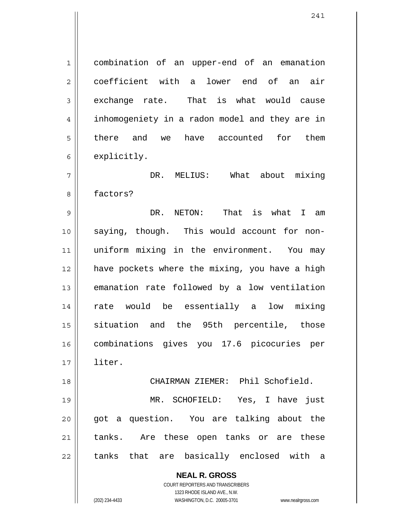combination of an upper-end of an emanation coefficient with a lower end of an air exchange rate. That is what would cause inhomogeniety in a radon model and they are in there and we have accounted for them explicitly.

7 8 DR. MELIUS: What about mixing factors?

9 10 11 12 13 14 15 16 17 DR. NETON: That is what I am saying, though. This would account for nonuniform mixing in the environment. You may have pockets where the mixing, you have a high emanation rate followed by a low ventilation rate would be essentially a low mixing situation and the 95th percentile, those combinations gives you 17.6 picocuries per liter.

CHAIRMAN ZIEMER: Phil Schofield.

19 20 21 22 MR. SCHOFIELD: Yes, I have just got a question. You are talking about the tanks. Are these open tanks or are these tanks that are basically enclosed with a

> **NEAL R. GROSS** COURT REPORTERS AND TRANSCRIBERS

> > 1323 RHODE ISLAND AVE., N.W.

1

2

3

4

5

6

18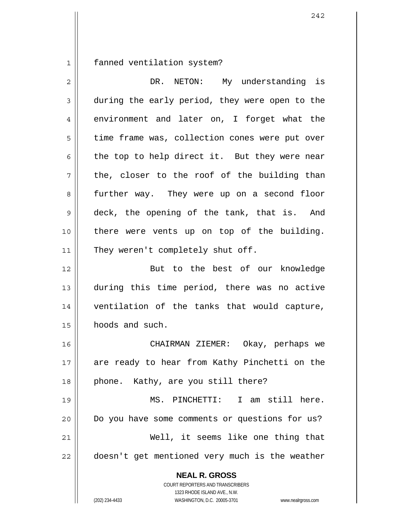1 fanned ventilation system?

| $\overline{2}$ | DR. NETON: My understanding is                                                                                                                                         |
|----------------|------------------------------------------------------------------------------------------------------------------------------------------------------------------------|
| 3              | during the early period, they were open to the                                                                                                                         |
| 4              | environment and later on, I forget what the                                                                                                                            |
| 5              | time frame was, collection cones were put over                                                                                                                         |
| 6              | the top to help direct it. But they were near                                                                                                                          |
| 7              | the, closer to the roof of the building than                                                                                                                           |
| 8              | further way. They were up on a second floor                                                                                                                            |
| $\mathsf 9$    | deck, the opening of the tank, that is. And                                                                                                                            |
| 10             | there were vents up on top of the building.                                                                                                                            |
| 11             | They weren't completely shut off.                                                                                                                                      |
| 12             | But to the best of our knowledge                                                                                                                                       |
| 13             | during this time period, there was no active                                                                                                                           |
| 14             | ventilation of the tanks that would capture,                                                                                                                           |
| 15             | hoods and such.                                                                                                                                                        |
| 16             | CHAIRMAN ZIEMER: Okay, perhaps we                                                                                                                                      |
| 17             | are ready to hear from Kathy Pinchetti on the                                                                                                                          |
| 18             | phone. Kathy, are you still there?                                                                                                                                     |
| 19             | MS. PINCHETTI: I am still here.                                                                                                                                        |
| 20             | Do you have some comments or questions for us?                                                                                                                         |
| 21             | Well, it seems like one thing that                                                                                                                                     |
| 22             | doesn't get mentioned very much is the weather                                                                                                                         |
|                | <b>NEAL R. GROSS</b><br><b>COURT REPORTERS AND TRANSCRIBERS</b><br>1323 RHODE ISLAND AVE., N.W.<br>(202) 234-4433<br>WASHINGTON, D.C. 20005-3701<br>www.nealrgross.com |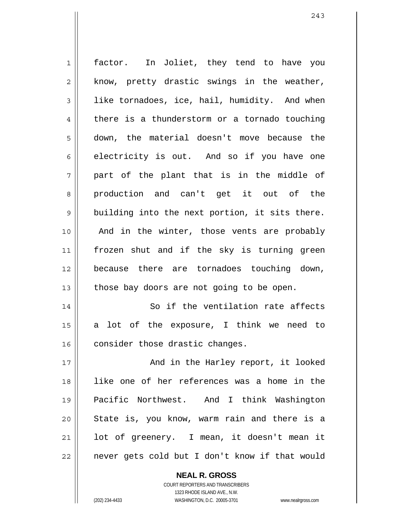| $\mathbf 1$    | factor. In Joliet, they tend to have you       |
|----------------|------------------------------------------------|
| $\mathbf 2$    | know, pretty drastic swings in the weather,    |
| $\mathfrak{Z}$ | like tornadoes, ice, hail, humidity. And when  |
| $\overline{4}$ | there is a thunderstorm or a tornado touching  |
| 5              | down, the material doesn't move because the    |
| 6              | electricity is out. And so if you have one     |
| 7              | part of the plant that is in the middle of     |
| 8              | production and can't get it out of the         |
| 9              | building into the next portion, it sits there. |
| 10             | And in the winter, those vents are probably    |
| 11             | frozen shut and if the sky is turning green    |
| 12             | because there are tornadoes touching down,     |
| 13             | those bay doors are not going to be open.      |
| 14             | So if the ventilation rate affects             |
| 15             | lot of the exposure, I think we need to<br>a   |
| 16             | consider those drastic changes.                |
| 17             | And in the Harley report, it looked            |
| 18             | like one of her references was a home in the   |
| 19             | Pacific Northwest. And I think Washington      |
| 20             | State is, you know, warm rain and there is a   |
| 21             | lot of greenery. I mean, it doesn't mean it    |
| 22             | never gets cold but I don't know if that would |

243

 $\mathsf{II}$ 

COURT REPORTERS AND TRANSCRIBERS 1323 RHODE ISLAND AVE., N.W. (202) 234-4433 WASHINGTON, D.C. 20005-3701 www.nealrgross.com

**NEAL R. GROSS**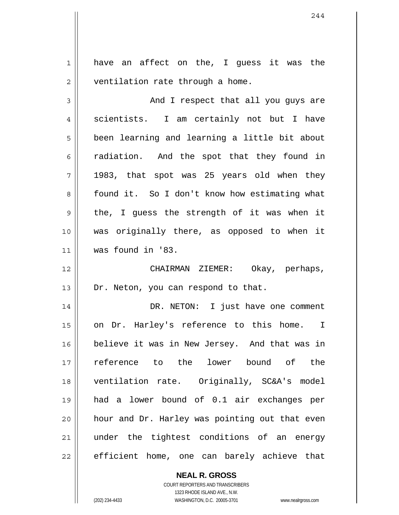1 2 have an affect on the, I guess it was the ventilation rate through a home.

3 4 5 6 7 8 9 10 11 And I respect that all you guys are scientists. I am certainly not but I have been learning and learning a little bit about radiation. And the spot that they found in 1983, that spot was 25 years old when they found it. So I don't know how estimating what the, I guess the strength of it was when it was originally there, as opposed to when it was found in '83.

12 13 CHAIRMAN ZIEMER: Okay, perhaps, Dr. Neton, you can respond to that.

14 15 16 17 18 19 20 21 22 DR. NETON: I just have one comment on Dr. Harley's reference to this home. I believe it was in New Jersey. And that was in reference to the lower bound of the ventilation rate. Originally, SC&A's model had a lower bound of 0.1 air exchanges per hour and Dr. Harley was pointing out that even under the tightest conditions of an energy efficient home, one can barely achieve that

**NEAL R. GROSS**

COURT REPORTERS AND TRANSCRIBERS 1323 RHODE ISLAND AVE., N.W. (202) 234-4433 WASHINGTON, D.C. 20005-3701 www.nealrgross.com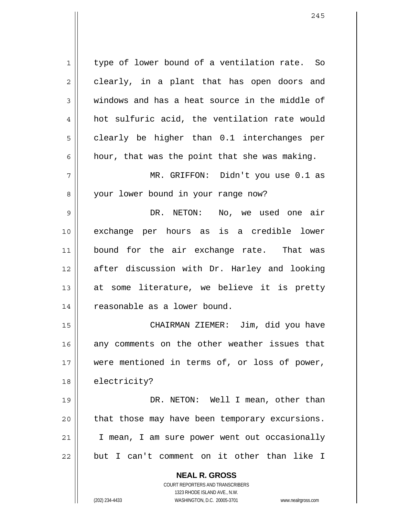1 2 3 4 5 6 7 8 9 10 11 12 13 14 15 16 17 18 19 type of lower bound of a ventilation rate. So clearly, in a plant that has open doors and windows and has a heat source in the middle of hot sulfuric acid, the ventilation rate would clearly be higher than 0.1 interchanges per hour, that was the point that she was making. MR. GRIFFON: Didn't you use 0.1 as your lower bound in your range now? DR. NETON: No, we used one air exchange per hours as is a credible lower bound for the air exchange rate. That was after discussion with Dr. Harley and looking at some literature, we believe it is pretty reasonable as a lower bound. CHAIRMAN ZIEMER: Jim, did you have any comments on the other weather issues that were mentioned in terms of, or loss of power, electricity? DR. NETON: Well I mean, other than

21

20

22

**NEAL R. GROSS** COURT REPORTERS AND TRANSCRIBERS

that those may have been temporary excursions.

I mean, I am sure power went out occasionally

but I can't comment on it other than like I

1323 RHODE ISLAND AVE., N.W.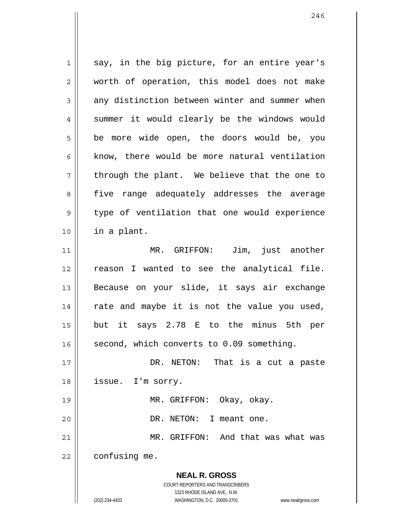**NEAL R. GROSS** COURT REPORTERS AND TRANSCRIBERS 1323 RHODE ISLAND AVE., N.W. (202) 234-4433 WASHINGTON, D.C. 20005-3701 www.nealrgross.com 1 2 3 4 5 6 7 8 9 10 11 12 13 14 15 16 17 18 19 20 21 22 say, in the big picture, for an entire year's worth of operation, this model does not make any distinction between winter and summer when summer it would clearly be the windows would be more wide open, the doors would be, you know, there would be more natural ventilation through the plant. We believe that the one to five range adequately addresses the average type of ventilation that one would experience in a plant. MR. GRIFFON: Jim, just another reason I wanted to see the analytical file. Because on your slide, it says air exchange rate and maybe it is not the value you used, but it says 2.78 E to the minus 5th per second, which converts to 0.09 something. DR. NETON: That is a cut a paste issue. I'm sorry. MR. GRIFFON: Okay, okay. DR. NETON: I meant one. MR. GRIFFON: And that was what was confusing me.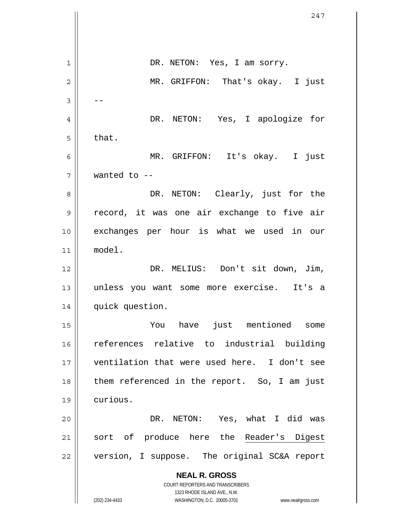|    | 247                                                                 |
|----|---------------------------------------------------------------------|
|    |                                                                     |
| 1  | DR. NETON: Yes, I am sorry.                                         |
| 2  | MR. GRIFFON: That's okay. I just                                    |
| 3  |                                                                     |
| 4  | DR. NETON: Yes, I apologize for                                     |
|    |                                                                     |
| 5  | that.                                                               |
| 6  | MR. GRIFFON: It's okay. I just                                      |
| 7  | wanted to $-$                                                       |
| 8  | DR. NETON: Clearly, just for the                                    |
| 9  | record, it was one air exchange to five air                         |
| 10 | exchanges per hour is what we used in our                           |
| 11 | model.                                                              |
| 12 | DR. MELIUS: Don't sit down, Jim,                                    |
| 13 | unless you want some more exercise. It's a                          |
| 14 | quick question.                                                     |
| 15 | just mentioned some<br>You<br>have                                  |
| 16 | references relative to industrial building                          |
| 17 | ventilation that were used here. I don't see                        |
| 18 | them referenced in the report. So, I am just                        |
|    |                                                                     |
| 19 | curious.                                                            |
| 20 | DR. NETON: Yes, what I did was                                      |
| 21 | sort of produce here the Reader's Digest                            |
| 22 | version, I suppose. The original SC&A report                        |
|    | <b>NEAL R. GROSS</b>                                                |
|    | COURT REPORTERS AND TRANSCRIBERS<br>1323 RHODE ISLAND AVE., N.W.    |
|    | (202) 234-4433<br>WASHINGTON, D.C. 20005-3701<br>www.nealrgross.com |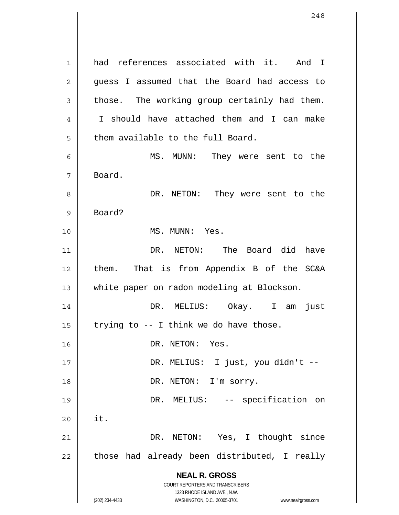**NEAL R. GROSS** COURT REPORTERS AND TRANSCRIBERS 1323 RHODE ISLAND AVE., N.W. 1 2 3 4 5 6 7 8 9 10 11 12 13 14 15 16 17 18 19 20 21 22 had references associated with it. And I guess I assumed that the Board had access to those. The working group certainly had them. I should have attached them and I can make them available to the full Board. MS. MUNN: They were sent to the Board. DR. NETON: They were sent to the Board? MS. MUNN: Yes. DR. NETON: The Board did have them. That is from Appendix B of the SC&A white paper on radon modeling at Blockson. DR. MELIUS: Okay. I am just trying to -- I think we do have those. DR. NETON: Yes. DR. MELIUS: I just, you didn't -- DR. NETON: I'm sorry. DR. MELIUS: -- specification on it. DR. NETON: Yes, I thought since those had already been distributed, I really

(202) 234-4433 WASHINGTON, D.C. 20005-3701 www.nealrgross.com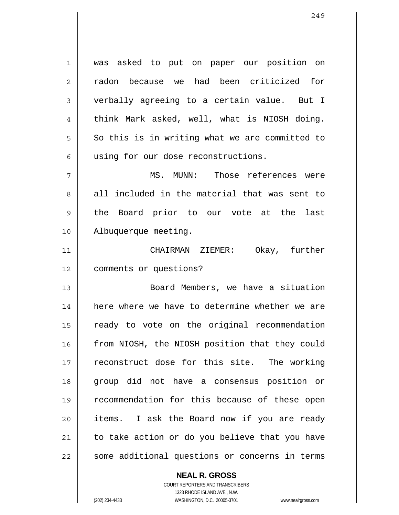1 2 3 4 5 6 was asked to put on paper our position on radon because we had been criticized for verbally agreeing to a certain value. But I think Mark asked, well, what is NIOSH doing. So this is in writing what we are committed to using for our dose reconstructions.

7 8 9 10 MS. MUNN: Those references were all included in the material that was sent to the Board prior to our vote at the last Albuquerque meeting.

11 12 CHAIRMAN ZIEMER: Okay, further comments or questions?

13 14 15 16 17 18 19 20 21 22 Board Members, we have a situation here where we have to determine whether we are ready to vote on the original recommendation from NIOSH, the NIOSH position that they could reconstruct dose for this site. The working group did not have a consensus position or recommendation for this because of these open items. I ask the Board now if you are ready to take action or do you believe that you have some additional questions or concerns in terms

**NEAL R. GROSS**

COURT REPORTERS AND TRANSCRIBERS 1323 RHODE ISLAND AVE., N.W. (202) 234-4433 WASHINGTON, D.C. 20005-3701 www.nealrgross.com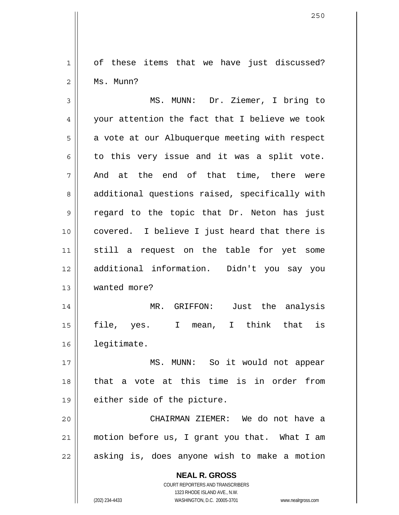1 2 of these items that we have just discussed? Ms. Munn?

3 4 5 6 7 8 9 10 11 12 13 14 15 16 17 18 19 20 21 MS. MUNN: Dr. Ziemer, I bring to your attention the fact that I believe we took a vote at our Albuquerque meeting with respect to this very issue and it was a split vote. And at the end of that time, there were additional questions raised, specifically with regard to the topic that Dr. Neton has just covered. I believe I just heard that there is still a request on the table for yet some additional information. Didn't you say you wanted more? MR. GRIFFON: Just the analysis file, yes. I mean, I think that is legitimate. MS. MUNN: So it would not appear that a vote at this time is in order from either side of the picture. CHAIRMAN ZIEMER: We do not have a motion before us, I grant you that. What I am

22 asking is, does anyone wish to make a motion

> **NEAL R. GROSS** COURT REPORTERS AND TRANSCRIBERS

> > 1323 RHODE ISLAND AVE., N.W.

(202) 234-4433 WASHINGTON, D.C. 20005-3701 www.nealrgross.com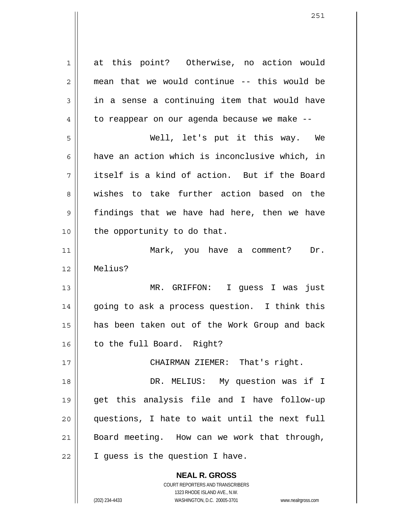**NEAL R. GROSS** COURT REPORTERS AND TRANSCRIBERS 1323 RHODE ISLAND AVE., N.W. 1 2 3 4 5 6 7 8 9 10 11 12 13 14 15 16 17 18 19 20 21 22 at this point? Otherwise, no action would mean that we would continue -- this would be in a sense a continuing item that would have to reappear on our agenda because we make -- Well, let's put it this way. We have an action which is inconclusive which, in itself is a kind of action. But if the Board wishes to take further action based on the findings that we have had here, then we have the opportunity to do that. Mark, you have a comment? Dr. Melius? MR. GRIFFON: I guess I was just going to ask a process question. I think this has been taken out of the Work Group and back to the full Board. Right? CHAIRMAN ZIEMER: That's right. DR. MELIUS: My question was if I get this analysis file and I have follow-up questions, I hate to wait until the next full Board meeting. How can we work that through, I guess is the question I have.

(202) 234-4433 WASHINGTON, D.C. 20005-3701 www.nealrgross.com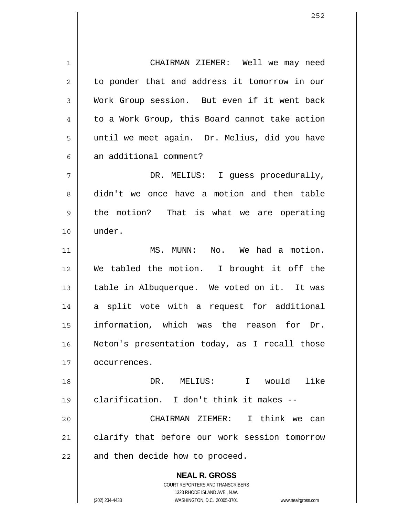**NEAL R. GROSS** COURT REPORTERS AND TRANSCRIBERS 1323 RHODE ISLAND AVE., N.W. 1 2 3 4 5 6 7 8 9 10 11 12 13 14 15 16 17 18 19 20 21 22 CHAIRMAN ZIEMER: Well we may need to ponder that and address it tomorrow in our Work Group session. But even if it went back to a Work Group, this Board cannot take action until we meet again. Dr. Melius, did you have an additional comment? DR. MELIUS: I quess procedurally, didn't we once have a motion and then table the motion? That is what we are operating under. MS. MUNN: No. We had a motion. We tabled the motion. I brought it off the table in Albuquerque. We voted on it. It was a split vote with a request for additional information, which was the reason for Dr. Neton's presentation today, as I recall those occurrences. DR. MELIUS: I would like clarification. I don't think it makes -- CHAIRMAN ZIEMER: I think we can clarify that before our work session tomorrow and then decide how to proceed.

(202) 234-4433 WASHINGTON, D.C. 20005-3701 www.nealrgross.com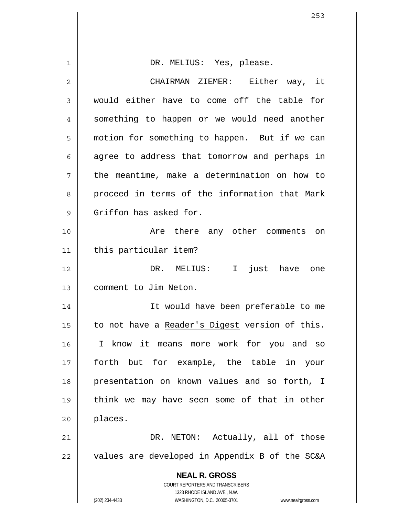| 1              | DR. MELIUS: Yes, please.                                                                            |
|----------------|-----------------------------------------------------------------------------------------------------|
| $\overline{2}$ | CHAIRMAN ZIEMER: Either way, it                                                                     |
| 3              | would either have to come off the table for                                                         |
| 4              | something to happen or we would need another                                                        |
| 5              | motion for something to happen. But if we can                                                       |
| 6              | agree to address that tomorrow and perhaps in                                                       |
| 7              | the meantime, make a determination on how to                                                        |
| 8              | proceed in terms of the information that Mark                                                       |
| 9              | Griffon has asked for.                                                                              |
| 10             | Are there any other comments<br>on                                                                  |
| 11             | this particular item?                                                                               |
| 12             | DR. MELIUS: I just have one                                                                         |
| 13             | comment to Jim Neton.                                                                               |
| 14             | It would have been preferable to me                                                                 |
| 15             | to not have a Reader's Digest version of this.                                                      |
| 16             | I know it means more work for you and so                                                            |
| 17             | forth but for example, the table in your                                                            |
| 18             | presentation on known values and so forth, I                                                        |
| 19             | think we may have seen some of that in other                                                        |
| 20             | places.                                                                                             |
| 21             | DR. NETON: Actually, all of those                                                                   |
| 22             | values are developed in Appendix B of the SC&A                                                      |
|                | <b>NEAL R. GROSS</b>                                                                                |
|                | <b>COURT REPORTERS AND TRANSCRIBERS</b>                                                             |
|                | 1323 RHODE ISLAND AVE., N.W.<br>(202) 234-4433<br>WASHINGTON, D.C. 20005-3701<br>www.nealrgross.com |

 $\mathsf{I}$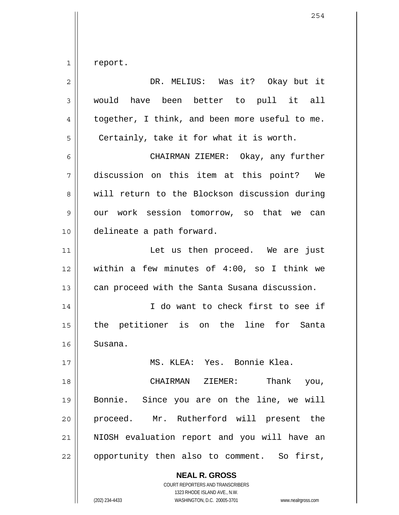1 report.

| $\overline{2}$ | DR. MELIUS: Was it? Okay but it                          |
|----------------|----------------------------------------------------------|
| 3              | would have been better to pull it all                    |
| 4              | together, I think, and been more useful to me.           |
| 5              | Certainly, take it for what it is worth.                 |
| 6              | CHAIRMAN ZIEMER: Okay, any further                       |
| 7              | discussion on this item at this point? We                |
| 8              | will return to the Blockson discussion during            |
| 9              | our work session tomorrow, so that we can                |
| 10             | delineate a path forward.                                |
| 11             | Let us then proceed. We are just                         |
| 12             | within a few minutes of $4:00$ , so I think we           |
| 13             | can proceed with the Santa Susana discussion.            |
| 14             | I do want to check first to see if                       |
| 15             | the petitioner is on the line for Santa                  |
| 16             | Susana.                                                  |
| 17             | MS. KLEA: Yes. Bonnie Klea.                              |
| 18             | CHAIRMAN ZIEMER:<br>Thank you,                           |
| 19             | Bonnie. Since you are on the line, we will               |
| 20             | proceed. Mr. Rutherford will present the                 |
| 21             | NIOSH evaluation report and you will have an             |
| 22             | opportunity then also to comment. So first,              |
|                | <b>NEAL R. GROSS</b><br>COURT REPORTERS AND TRANSCRIBERS |

1323 RHODE ISLAND AVE., N.W.

 $\begin{array}{c} \hline \end{array}$ 

(202) 234-4433 WASHINGTON, D.C. 20005-3701 www.nealrgross.com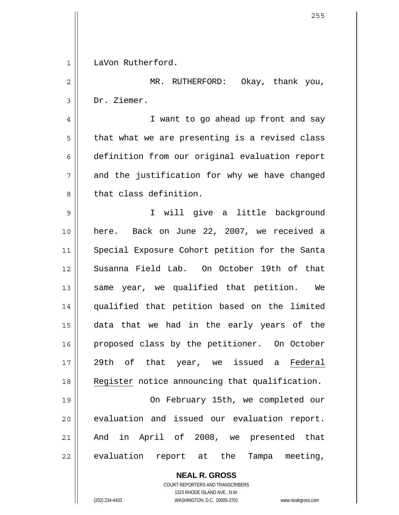**NEAL R. GROSS** 1 2 3 4 5 6 7 8 9 10 11 12 13 14 15 16 LaVon Rutherford. MR. RUTHERFORD: Okay, thank you, Dr. Ziemer. I want to go ahead up front and say that what we are presenting is a revised class definition from our original evaluation report and the justification for why we have changed that class definition. I will give a little background here. Back on June 22, 2007, we received a Special Exposure Cohort petition for the Santa Susanna Field Lab. On October 19th of that same year, we qualified that petition. We qualified that petition based on the limited data that we had in the early years of the proposed class by the petitioner. On October 17 29th of that year, we issued a Federal 18 Register notice announcing that qualification. 19 20 21 22 On February 15th, we completed our evaluation and issued our evaluation report. And in April of 2008, we presented that evaluation report at the Tampa meeting,

> COURT REPORTERS AND TRANSCRIBERS 1323 RHODE ISLAND AVE., N.W.

(202) 234-4433 WASHINGTON, D.C. 20005-3701 www.nealrgross.com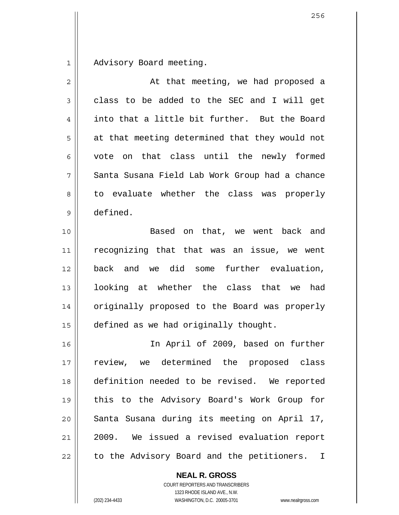1 Advisory Board meeting.

| 2  | At that meeting, we had proposed a             |
|----|------------------------------------------------|
| 3  | class to be added to the SEC and I will get    |
| 4  | into that a little bit further. But the Board  |
| 5  | at that meeting determined that they would not |
| 6  | vote on that class until the newly formed      |
| 7  | Santa Susana Field Lab Work Group had a chance |
| 8  | to evaluate whether the class was properly     |
| 9  | defined.                                       |
| 10 | Based on that, we went back and                |
| 11 | recognizing that that was an issue, we went    |
| 12 | back and we did some further evaluation,       |
| 13 | looking at whether the class that we<br>had    |
| 14 | originally proposed to the Board was properly  |
| 15 | defined as we had originally thought.          |
| 16 | In April of 2009, based on further             |
| 17 | review, we determined the proposed class       |
| 18 | definition needed to be revised. We reported   |
| 19 | this to the Advisory Board's Work Group for    |
| 20 | Santa Susana during its meeting on April 17,   |
| 21 | 2009. We issued a revised evaluation report    |
| 22 | to the Advisory Board and the petitioners. I   |

**NEAL R. GROSS**

COURT REPORTERS AND TRANSCRIBERS 1323 RHODE ISLAND AVE., N.W. (202) 234-4433 WASHINGTON, D.C. 20005-3701 www.nealrgross.com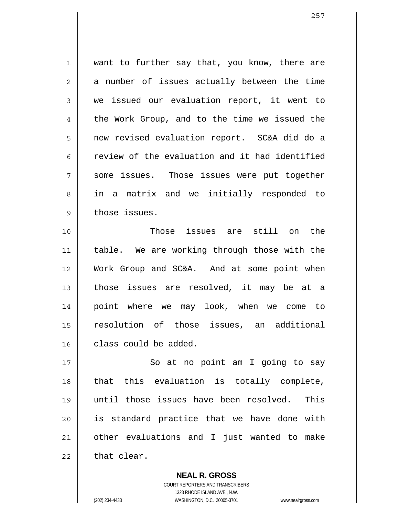1 2 3 4 5 6 7 8 9 want to further say that, you know, there are a number of issues actually between the time we issued our evaluation report, it went to the Work Group, and to the time we issued the new revised evaluation report. SC&A did do a review of the evaluation and it had identified some issues. Those issues were put together in a matrix and we initially responded to those issues.

10 11 12 13 14 15 16 Those issues are still on the table. We are working through those with the Work Group and SC&A. And at some point when those issues are resolved, it may be at a point where we may look, when we come to resolution of those issues, an additional class could be added.

17 18 19 20 21 22 So at no point am I going to say that this evaluation is totally complete, until those issues have been resolved. This is standard practice that we have done with other evaluations and I just wanted to make that clear.

> **NEAL R. GROSS** COURT REPORTERS AND TRANSCRIBERS 1323 RHODE ISLAND AVE., N.W. (202) 234-4433 WASHINGTON, D.C. 20005-3701 www.nealrgross.com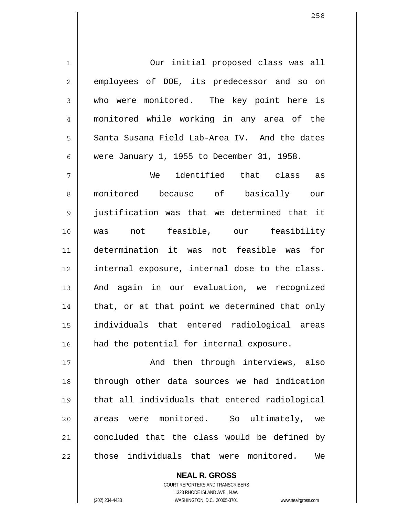Our initial proposed class was all employees of DOE, its predecessor and so on who were monitored. The key point here is monitored while working in any area of the Santa Susana Field Lab-Area IV. And the dates were January 1, 1955 to December 31, 1958.

7 8 9 10 11 12 13 14 15 16 We identified that class as monitored because of basically our justification was that we determined that it was not feasible, our feasibility determination it was not feasible was for internal exposure, internal dose to the class. And again in our evaluation, we recognized that, or at that point we determined that only individuals that entered radiological areas had the potential for internal exposure.

17 18 19 20 21 22 And then through interviews, also through other data sources we had indication that all individuals that entered radiological areas were monitored. So ultimately, we concluded that the class would be defined by those individuals that were monitored. We

> **NEAL R. GROSS** COURT REPORTERS AND TRANSCRIBERS 1323 RHODE ISLAND AVE., N.W. (202) 234-4433 WASHINGTON, D.C. 20005-3701 www.nealrgross.com

1

2

3

4

5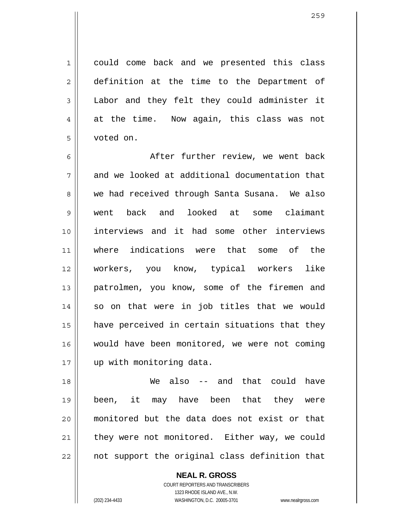could come back and we presented this class definition at the time to the Department of Labor and they felt they could administer it at the time. Now again, this class was not voted on.

6 7 8 9 10 11 12 13 14 15 16 17 After further review, we went back and we looked at additional documentation that we had received through Santa Susana. We also went back and looked at some claimant interviews and it had some other interviews where indications were that some of the workers, you know, typical workers like patrolmen, you know, some of the firemen and so on that were in job titles that we would have perceived in certain situations that they would have been monitored, we were not coming up with monitoring data.

18 19 20 21 22 We also -- and that could have been, it may have been that they were monitored but the data does not exist or that they were not monitored. Either way, we could not support the original class definition that

> COURT REPORTERS AND TRANSCRIBERS 1323 RHODE ISLAND AVE., N.W. (202) 234-4433 WASHINGTON, D.C. 20005-3701 www.nealrgross.com

**NEAL R. GROSS**

1

2

3

4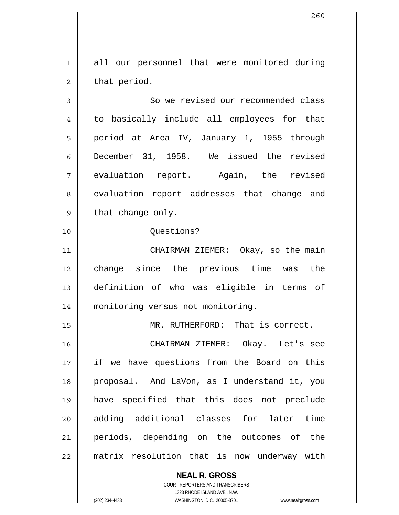1 2 all our personnel that were monitored during that period.

3 4 5 6 7 8 9 So we revised our recommended class to basically include all employees for that period at Area IV, January 1, 1955 through December 31, 1958. We issued the revised evaluation report. Again, the revised evaluation report addresses that change and that change only.

Questions?

11 12 13 14 CHAIRMAN ZIEMER: Okay, so the main change since the previous time was the definition of who was eligible in terms of monitoring versus not monitoring.

MR. RUTHERFORD: That is correct.

16 17 18 19 20 21 22 CHAIRMAN ZIEMER: Okay. Let's see if we have questions from the Board on this proposal. And LaVon, as I understand it, you have specified that this does not preclude adding additional classes for later time periods, depending on the outcomes of the matrix resolution that is now underway with

> **NEAL R. GROSS** COURT REPORTERS AND TRANSCRIBERS 1323 RHODE ISLAND AVE., N.W.

10

15

(202) 234-4433 WASHINGTON, D.C. 20005-3701 www.nealrgross.com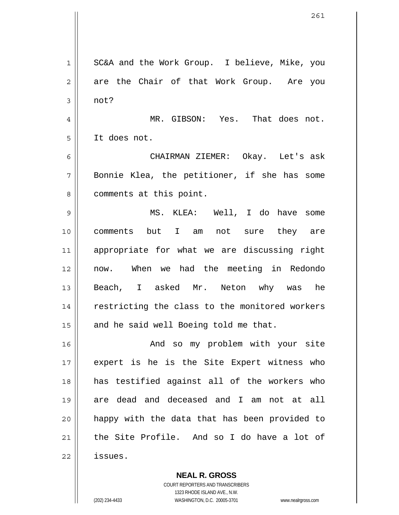1 2 3 4 5 6 7 8 9 10 11 12 13 14 15 16 17 18 19 20 21 22 SC&A and the Work Group. I believe, Mike, you are the Chair of that Work Group. Are you not? MR. GIBSON: Yes. That does not. It does not. CHAIRMAN ZIEMER: Okay. Let's ask Bonnie Klea, the petitioner, if she has some comments at this point. MS. KLEA: Well, I do have some comments but I am not sure they are appropriate for what we are discussing right now. When we had the meeting in Redondo Beach, I asked Mr. Neton why was he restricting the class to the monitored workers and he said well Boeing told me that. And so my problem with your site expert is he is the Site Expert witness who has testified against all of the workers who are dead and deceased and I am not at all happy with the data that has been provided to the Site Profile. And so I do have a lot of issues.

> COURT REPORTERS AND TRANSCRIBERS 1323 RHODE ISLAND AVE., N.W. (202) 234-4433 WASHINGTON, D.C. 20005-3701 www.nealrgross.com

**NEAL R. GROSS**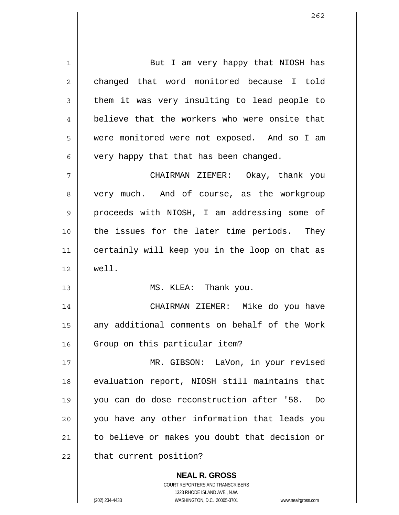**NEAL R. GROSS** 1 2 3 4 5 6 7 8 9 10 11 12 13 14 15 16 17 18 19 20 21 22 But I am very happy that NIOSH has changed that word monitored because I told them it was very insulting to lead people to believe that the workers who were onsite that were monitored were not exposed. And so I am very happy that that has been changed. CHAIRMAN ZIEMER: Okay, thank you very much. And of course, as the workgroup proceeds with NIOSH, I am addressing some of the issues for the later time periods. They certainly will keep you in the loop on that as well. MS. KLEA: Thank you. CHAIRMAN ZIEMER: Mike do you have any additional comments on behalf of the Work Group on this particular item? MR. GIBSON: LaVon, in your revised evaluation report, NIOSH still maintains that you can do dose reconstruction after '58. Do you have any other information that leads you to believe or makes you doubt that decision or that current position?

> COURT REPORTERS AND TRANSCRIBERS 1323 RHODE ISLAND AVE., N.W.

(202) 234-4433 WASHINGTON, D.C. 20005-3701 www.nealrgross.com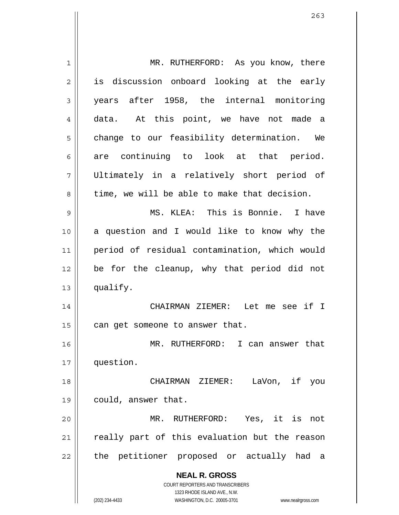| 1  | MR. RUTHERFORD: As you know, there                                      |
|----|-------------------------------------------------------------------------|
| 2  | is discussion onboard looking at the early                              |
| 3  | years after 1958, the internal monitoring                               |
| 4  | data. At this point, we have not made a                                 |
| 5  | change to our feasibility determination. We                             |
| 6  | are continuing to look at that period.                                  |
| 7  | Ultimately in a relatively short period of                              |
| 8  | time, we will be able to make that decision.                            |
| 9  | MS. KLEA: This is Bonnie. I have                                        |
| 10 | a question and I would like to know why the                             |
| 11 | period of residual contamination, which would                           |
| 12 | be for the cleanup, why that period did not                             |
| 13 | qualify.                                                                |
| 14 | CHAIRMAN ZIEMER: Let me see if I                                        |
| 15 | can get someone to answer that.                                         |
| 16 | MR. RUTHERFORD: I can answer that                                       |
| 17 | question.                                                               |
| 18 | if<br>CHAIRMAN ZIEMER:<br>LaVon,<br>you                                 |
| 19 | could, answer that.                                                     |
| 20 | Yes, it is<br>MR. RUTHERFORD:<br>not                                    |
| 21 | really part of this evaluation but the reason                           |
| 22 | the petitioner proposed or actually had<br>- a                          |
|    | <b>NEAL R. GROSS</b>                                                    |
|    | <b>COURT REPORTERS AND TRANSCRIBERS</b><br>1323 RHODE ISLAND AVE., N.W. |
|    | (202) 234-4433<br>WASHINGTON, D.C. 20005-3701<br>www.nealrgross.com     |

 $\mathsf{I}$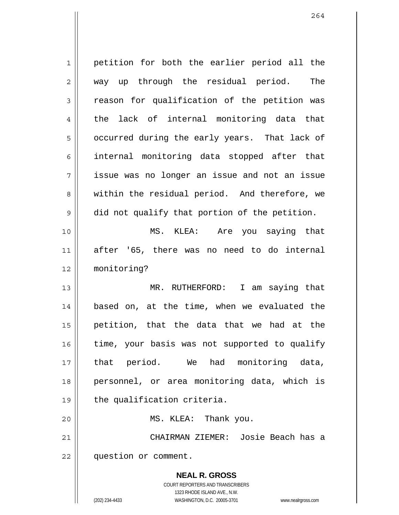**NEAL R. GROSS** 1 2 3 4 5 6 7 8 9 10 11 12 13 14 15 16 17 18 19 20 21 22 petition for both the earlier period all the way up through the residual period. The reason for qualification of the petition was the lack of internal monitoring data that occurred during the early years. That lack of internal monitoring data stopped after that issue was no longer an issue and not an issue within the residual period. And therefore, we did not qualify that portion of the petition. MS. KLEA: Are you saying that after '65, there was no need to do internal monitoring? MR. RUTHERFORD: I am saying that based on, at the time, when we evaluated the petition, that the data that we had at the time, your basis was not supported to qualify that period. We had monitoring data, personnel, or area monitoring data, which is the qualification criteria. MS. KLEA: Thank you. CHAIRMAN ZIEMER: Josie Beach has a question or comment.

> COURT REPORTERS AND TRANSCRIBERS 1323 RHODE ISLAND AVE., N.W.

(202) 234-4433 WASHINGTON, D.C. 20005-3701 www.nealrgross.com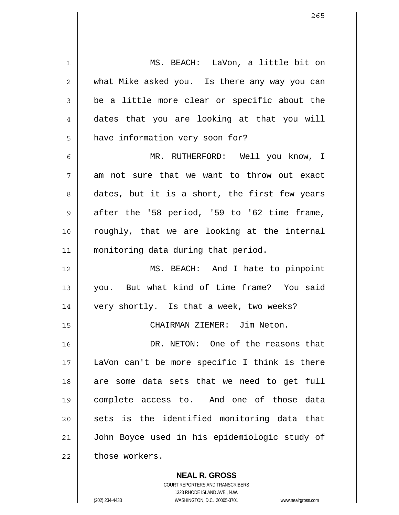1 2 3 4 5 6 7 8 9 10 11 12 13 14 15 16 17 18 19 20 21 22 MS. BEACH: LaVon, a little bit on what Mike asked you. Is there any way you can be a little more clear or specific about the dates that you are looking at that you will have information very soon for? MR. RUTHERFORD: Well you know, I am not sure that we want to throw out exact dates, but it is a short, the first few years after the '58 period, '59 to '62 time frame, roughly, that we are looking at the internal monitoring data during that period. MS. BEACH: And I hate to pinpoint you. But what kind of time frame? You said very shortly. Is that a week, two weeks? CHAIRMAN ZIEMER: Jim Neton. DR. NETON: One of the reasons that LaVon can't be more specific I think is there are some data sets that we need to get full complete access to. And one of those data sets is the identified monitoring data that John Boyce used in his epidemiologic study of those workers.

> **NEAL R. GROSS** COURT REPORTERS AND TRANSCRIBERS 1323 RHODE ISLAND AVE., N.W.

(202) 234-4433 WASHINGTON, D.C. 20005-3701 www.nealrgross.com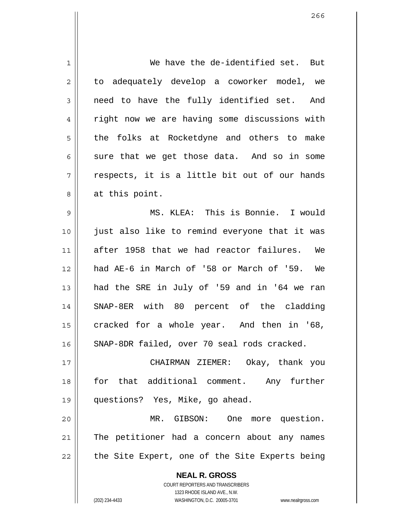| 1  | We have the de-identified set. But                       |
|----|----------------------------------------------------------|
| 2  | to adequately develop a coworker model, we               |
| 3  | need to have the fully identified set. And               |
| 4  | right now we are having some discussions with            |
| 5  | the folks at Rocketdyne and others to make               |
| 6  | sure that we get those data. And so in some              |
| 7  | respects, it is a little bit out of our hands            |
| 8  | at this point.                                           |
| 9  | MS. KLEA: This is Bonnie. I would                        |
| 10 | just also like to remind everyone that it was            |
| 11 | after 1958 that we had reactor failures. We              |
| 12 | had AE-6 in March of '58 or March of '59. We             |
| 13 | had the SRE in July of '59 and in '64 we ran             |
| 14 | SNAP-8ER with 80 percent of the cladding                 |
| 15 | cracked for a whole year. And then in '68,               |
| 16 | SNAP-8DR failed, over 70 seal rods cracked.              |
| 17 | CHAIRMAN ZIEMER: Okay, thank you                         |
| 18 | for that additional comment. Any further                 |
| 19 | questions? Yes, Mike, go ahead.                          |
| 20 | MR. GIBSON: One more question.                           |
| 21 | The petitioner had a concern about any names             |
| 22 | the Site Expert, one of the Site Experts being           |
|    |                                                          |
|    | <b>NEAL R. GROSS</b><br>COURT REPORTERS AND TRANSCRIBERS |

1323 RHODE ISLAND AVE., N.W.

 $\prod$ 

(202) 234-4433 WASHINGTON, D.C. 20005-3701 www.nealrgross.com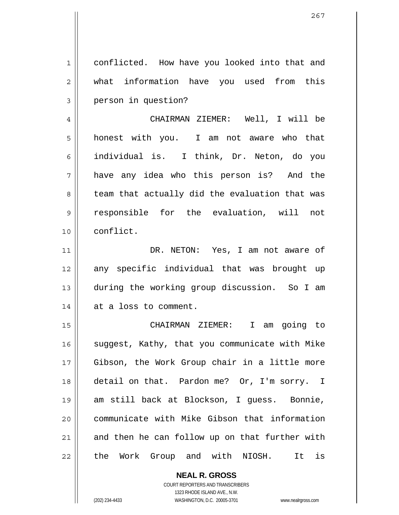1 2 3 conflicted. How have you looked into that and what information have you used from this person in question?

4 5 6 7 8 9 10 CHAIRMAN ZIEMER: Well, I will be honest with you. I am not aware who that individual is. I think, Dr. Neton, do you have any idea who this person is? And the team that actually did the evaluation that was responsible for the evaluation, will not conflict.

 DR. NETON: Yes, I am not aware of any specific individual that was brought up during the working group discussion. So I am at a loss to comment.

15 16 17 18 19 20 21 22 CHAIRMAN ZIEMER: I am going to suggest, Kathy, that you communicate with Mike Gibson, the Work Group chair in a little more detail on that. Pardon me? Or, I'm sorry. I am still back at Blockson, I guess. Bonnie, communicate with Mike Gibson that information and then he can follow up on that further with the Work Group and with NIOSH. It is

> **NEAL R. GROSS** COURT REPORTERS AND TRANSCRIBERS 1323 RHODE ISLAND AVE., N.W. (202) 234-4433 WASHINGTON, D.C. 20005-3701 www.nealrgross.com

11

12

13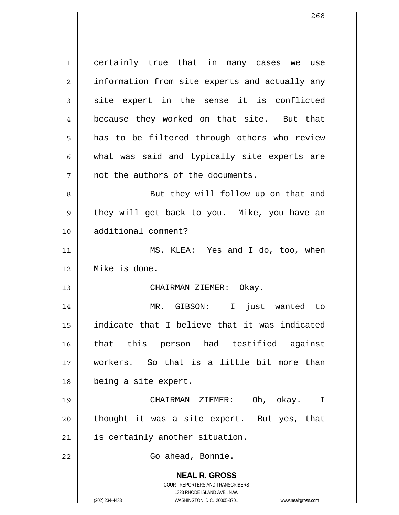**NEAL R. GROSS** COURT REPORTERS AND TRANSCRIBERS 1323 RHODE ISLAND AVE., N.W. (202) 234-4433 WASHINGTON, D.C. 20005-3701 www.nealrgross.com 1 2 3 4 5 6 7 8 9 10 11 12 13 14 15 16 17 18 19 20 21 22 certainly true that in many cases we use information from site experts and actually any site expert in the sense it is conflicted because they worked on that site. But that has to be filtered through others who review what was said and typically site experts are not the authors of the documents. But they will follow up on that and they will get back to you. Mike, you have an additional comment? MS. KLEA: Yes and I do, too, when Mike is done. CHAIRMAN ZIEMER: Okay. MR. GIBSON: I just wanted to indicate that I believe that it was indicated that this person had testified against workers. So that is a little bit more than being a site expert. CHAIRMAN ZIEMER: Oh, okay. I thought it was a site expert. But yes, that is certainly another situation. Go ahead, Bonnie.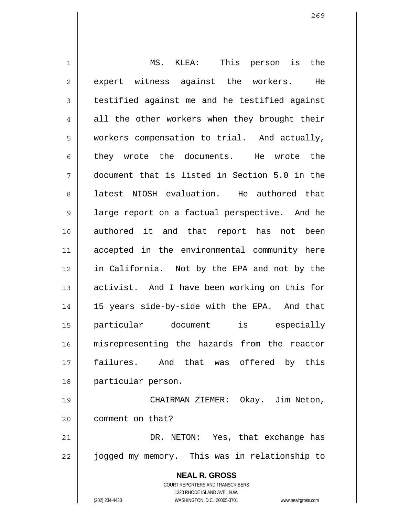**NEAL R. GROSS** COURT REPORTERS AND TRANSCRIBERS 1323 RHODE ISLAND AVE., N.W. (202) 234-4433 WASHINGTON, D.C. 20005-3701 www.nealrgross.com 1 2 3 4 5 6 7 8 9 10 11 12 13 14 15 16 17 18 19 20 21 22 MS. KLEA: This person is the expert witness against the workers. He testified against me and he testified against all the other workers when they brought their workers compensation to trial. And actually, they wrote the documents. He wrote the document that is listed in Section 5.0 in the latest NIOSH evaluation. He authored that large report on a factual perspective. And he authored it and that report has not been accepted in the environmental community here in California. Not by the EPA and not by the activist. And I have been working on this for 15 years side-by-side with the EPA. And that particular document is especially misrepresenting the hazards from the reactor failures. And that was offered by this particular person. CHAIRMAN ZIEMER: Okay. Jim Neton, comment on that? DR. NETON: Yes, that exchange has jogged my memory. This was in relationship to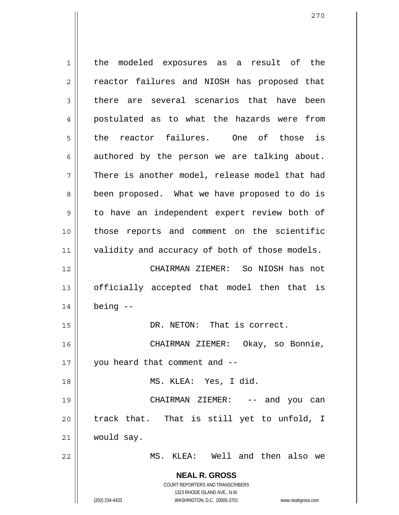**NEAL R. GROSS** COURT REPORTERS AND TRANSCRIBERS 1323 RHODE ISLAND AVE., N.W. 1 2 3 4 5 6 7 8 9 10 11 12 13 14 15 16 17 18 19 20 21 22 the modeled exposures as a result of the reactor failures and NIOSH has proposed that there are several scenarios that have been postulated as to what the hazards were from the reactor failures. One of those is authored by the person we are talking about. There is another model, release model that had been proposed. What we have proposed to do is to have an independent expert review both of those reports and comment on the scientific validity and accuracy of both of those models. CHAIRMAN ZIEMER: So NIOSH has not officially accepted that model then that is being -- DR. NETON: That is correct. CHAIRMAN ZIEMER: Okay, so Bonnie, you heard that comment and -- MS. KLEA: Yes, I did. CHAIRMAN ZIEMER: -- and you can track that. That is still yet to unfold, I would say. MS. KLEA: Well and then also we

(202) 234-4433 WASHINGTON, D.C. 20005-3701 www.nealrgross.com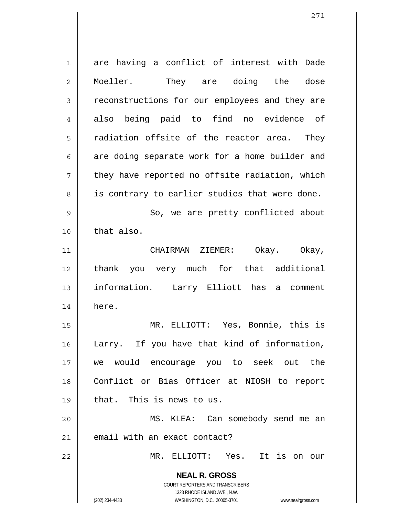**NEAL R. GROSS** COURT REPORTERS AND TRANSCRIBERS 1323 RHODE ISLAND AVE., N.W. (202) 234-4433 WASHINGTON, D.C. 20005-3701 www.nealrgross.com 1 2 3 4 5 6 7 8 9 10 11 12 13 14 15 16 17 18 19 20 21 22 are having a conflict of interest with Dade Moeller. They are doing the dose reconstructions for our employees and they are also being paid to find no evidence of radiation offsite of the reactor area. They are doing separate work for a home builder and they have reported no offsite radiation, which is contrary to earlier studies that were done. So, we are pretty conflicted about that also. CHAIRMAN ZIEMER: Okay. Okay, thank you very much for that additional information. Larry Elliott has a comment here. MR. ELLIOTT: Yes, Bonnie, this is Larry. If you have that kind of information, we would encourage you to seek out the Conflict or Bias Officer at NIOSH to report that. This is news to us. MS. KLEA: Can somebody send me an email with an exact contact? MR. ELLIOTT: Yes. It is on our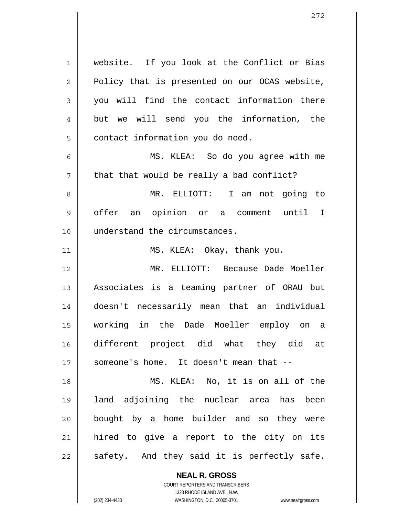1 2 3 4 5 6 7 8 9 10 11 12 13 14 15 16 17 18 19 20 21 22 website. If you look at the Conflict or Bias Policy that is presented on our OCAS website, you will find the contact information there but we will send you the information, the contact information you do need. MS. KLEA: So do you agree with me that that would be really a bad conflict? MR. ELLIOTT: I am not going to offer an opinion or a comment until I understand the circumstances. MS. KLEA: Okay, thank you. MR. ELLIOTT: Because Dade Moeller Associates is a teaming partner of ORAU but doesn't necessarily mean that an individual working in the Dade Moeller employ on a different project did what they did at someone's home. It doesn't mean that -- MS. KLEA: No, it is on all of the land adjoining the nuclear area has been bought by a home builder and so they were hired to give a report to the city on its safety. And they said it is perfectly safe.

> **NEAL R. GROSS** COURT REPORTERS AND TRANSCRIBERS

> > 1323 RHODE ISLAND AVE., N.W.

(202) 234-4433 WASHINGTON, D.C. 20005-3701 www.nealrgross.com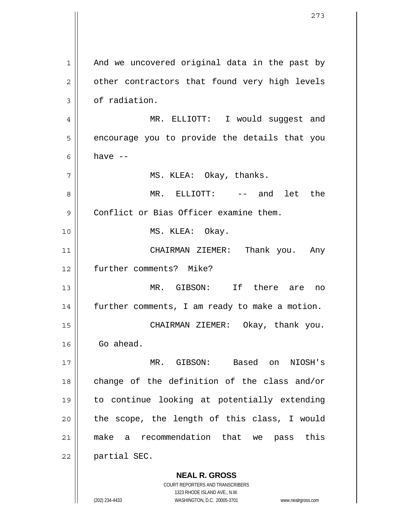**NEAL R. GROSS** 1 2 3 4 5 6 7 8 9 10 11 12 13 14 15 16 17 18 19 20 21 22 And we uncovered original data in the past by other contractors that found very high levels of radiation. MR. ELLIOTT: I would suggest and encourage you to provide the details that you have  $--$  MS. KLEA: Okay, thanks. MR. ELLIOTT: -- and let the Conflict or Bias Officer examine them. MS. KLEA: Okay. CHAIRMAN ZIEMER: Thank you. Any further comments? Mike? MR. GIBSON: If there are no further comments, I am ready to make a motion. CHAIRMAN ZIEMER: Okay, thank you. Go ahead. MR. GIBSON: Based on NIOSH's change of the definition of the class and/or to continue looking at potentially extending the scope, the length of this class, I would make a recommendation that we pass this partial SEC.

> COURT REPORTERS AND TRANSCRIBERS 1323 RHODE ISLAND AVE., N.W.

(202) 234-4433 WASHINGTON, D.C. 20005-3701 www.nealrgross.com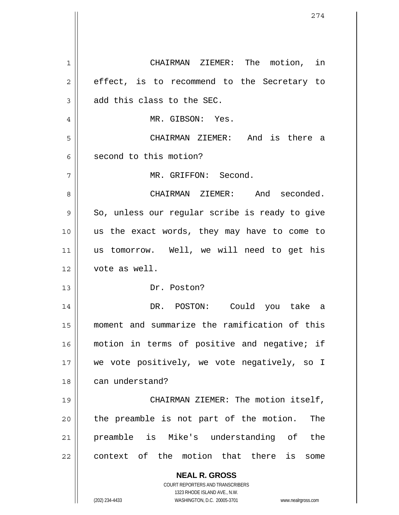**NEAL R. GROSS** COURT REPORTERS AND TRANSCRIBERS 1323 RHODE ISLAND AVE., N.W. 1 2 3 4 5 6 7 8 9 10 11 12 13 14 15 16 17 18 19 20 21 22 CHAIRMAN ZIEMER: The motion, in effect, is to recommend to the Secretary to add this class to the SEC. MR. GIBSON: Yes. CHAIRMAN ZIEMER: And is there a second to this motion? MR. GRIFFON: Second. CHAIRMAN ZIEMER: And seconded. So, unless our regular scribe is ready to give us the exact words, they may have to come to us tomorrow. Well, we will need to get his vote as well. Dr. Poston? DR. POSTON: Could you take a moment and summarize the ramification of this motion in terms of positive and negative; if we vote positively, we vote negatively, so I can understand? CHAIRMAN ZIEMER: The motion itself, the preamble is not part of the motion. The preamble is Mike's understanding of the context of the motion that there is some

(202) 234-4433 WASHINGTON, D.C. 20005-3701 www.nealrgross.com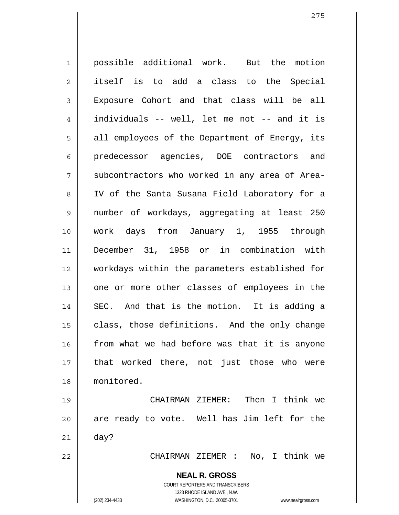1 2 3 4 5 6 7 8 9 10 11 12 13 14 15 16 17 18 19 possible additional work. But the motion itself is to add a class to the Special Exposure Cohort and that class will be all individuals -- well, let me not -- and it is all employees of the Department of Energy, its predecessor agencies, DOE contractors and subcontractors who worked in any area of Area-IV of the Santa Susana Field Laboratory for a number of workdays, aggregating at least 250 work days from January 1, 1955 through December 31, 1958 or in combination with workdays within the parameters established for one or more other classes of employees in the SEC. And that is the motion. It is adding a class, those definitions. And the only change from what we had before was that it is anyone that worked there, not just those who were monitored. CHAIRMAN ZIEMER: Then I think we

20 21 are ready to vote. Well has Jim left for the day?

CHAIRMAN ZIEMER : No, I think we

**NEAL R. GROSS** COURT REPORTERS AND TRANSCRIBERS

1323 RHODE ISLAND AVE., N.W.

(202) 234-4433 WASHINGTON, D.C. 20005-3701 www.nealrgross.com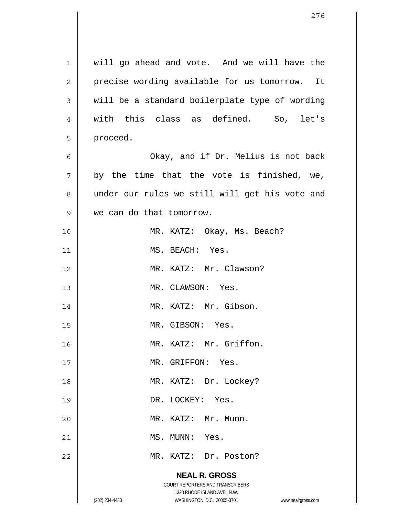|                | 276                                                                 |
|----------------|---------------------------------------------------------------------|
|                |                                                                     |
| $\mathbf 1$    | will go ahead and vote. And we will have the                        |
| $\overline{2}$ | precise wording available for us tomorrow. It                       |
| 3              | will be a standard boilerplate type of wording                      |
| 4              | with this class as defined.<br>So, let's                            |
| 5              | proceed.                                                            |
| 6              | Okay, and if Dr. Melius is not back                                 |
| 7              |                                                                     |
|                | by the time that the vote is finished, we,                          |
| 8              | under our rules we still will get his vote and                      |
| 9              | we can do that tomorrow.                                            |
| 10             | MR. KATZ: Okay, Ms. Beach?                                          |
| 11             | MS. BEACH: Yes.                                                     |
| 12             | MR. KATZ: Mr. Clawson?                                              |
| 13             | MR. CLAWSON: Yes.                                                   |
| 14             | MR. KATZ: Mr. Gibson.                                               |
| 15             | MR. GIBSON: Yes.                                                    |
| 16             | MR. KATZ: Mr. Griffon.                                              |
| 17             | MR. GRIFFON: Yes.                                                   |
| 18             | MR. KATZ: Dr. Lockey?                                               |
| 19             | DR. LOCKEY: Yes.                                                    |
| 20             | MR. KATZ: Mr. Munn.                                                 |
| 21             | MS. MUNN: Yes.                                                      |
| 22             | MR. KATZ: Dr. Poston?                                               |
|                | <b>NEAL R. GROSS</b>                                                |
|                | COURT REPORTERS AND TRANSCRIBERS<br>1323 RHODE ISLAND AVE., N.W.    |
|                | (202) 234-4433<br>WASHINGTON, D.C. 20005-3701<br>www.nealrgross.com |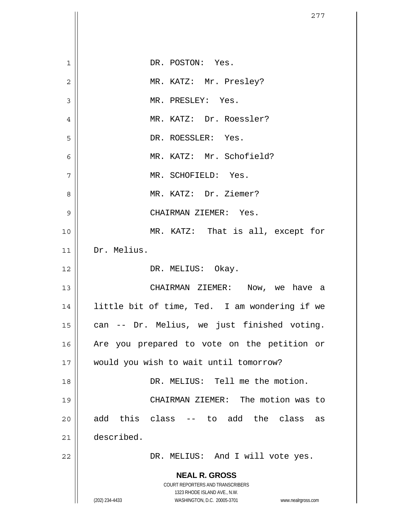| $\mathbf 1$    | DR. POSTON: Yes.                                                    |
|----------------|---------------------------------------------------------------------|
| $\overline{c}$ | MR. KATZ: Mr. Presley?                                              |
| 3              | MR. PRESLEY: Yes.                                                   |
| $\overline{4}$ | MR. KATZ: Dr. Roessler?                                             |
| 5              | DR. ROESSLER: Yes.                                                  |
| 6              | MR. KATZ: Mr. Schofield?                                            |
| 7              | MR. SCHOFIELD: Yes.                                                 |
| 8              | MR. KATZ: Dr. Ziemer?                                               |
| 9              | CHAIRMAN ZIEMER: Yes.                                               |
| 10             | MR. KATZ: That is all, except for                                   |
| 11             | Dr. Melius.                                                         |
| 12             | DR. MELIUS: Okay.                                                   |
| 13             | CHAIRMAN ZIEMER: Now, we have a                                     |
| 14             | little bit of time, Ted. I am wondering if we                       |
| 15             | can -- Dr. Melius, we just finished voting.                         |
| 16             | Are you prepared to vote on the petition or                         |
| 17             | would you wish to wait until tomorrow?                              |
| 18             | DR. MELIUS: Tell me the motion.                                     |
| 19             | CHAIRMAN ZIEMER: The motion was to                                  |
| 20             | add this class<br>-- to add the class<br>as                         |
| 21             | described.                                                          |
| 22             | DR. MELIUS: And I will vote yes.                                    |
|                | <b>NEAL R. GROSS</b>                                                |
|                | COURT REPORTERS AND TRANSCRIBERS<br>1323 RHODE ISLAND AVE., N.W.    |
|                | (202) 234-4433<br>WASHINGTON, D.C. 20005-3701<br>www.nealrgross.com |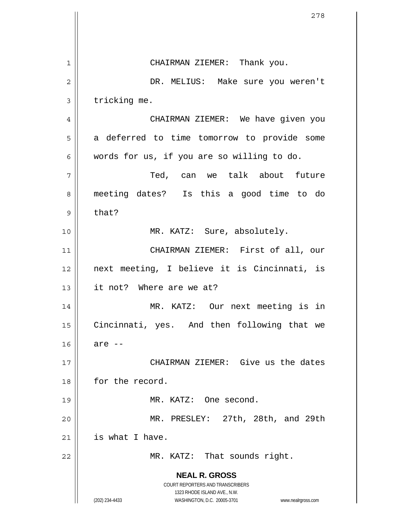**NEAL R. GROSS** COURT REPORTERS AND TRANSCRIBERS 1323 RHODE ISLAND AVE., N.W. (202) 234-4433 WASHINGTON, D.C. 20005-3701 www.nealrgross.com 1 2 3 4 5 6 7 8 9 10 11 12 13 14 15 16 17 18 19 20 21 22 CHAIRMAN ZIEMER: Thank you. DR. MELIUS: Make sure you weren't tricking me. CHAIRMAN ZIEMER: We have given you a deferred to time tomorrow to provide some words for us, if you are so willing to do. Ted, can we talk about future meeting dates? Is this a good time to do that? MR. KATZ: Sure, absolutely. CHAIRMAN ZIEMER: First of all, our next meeting, I believe it is Cincinnati, is it not? Where are we at? MR. KATZ: Our next meeting is in Cincinnati, yes. And then following that we are -- CHAIRMAN ZIEMER: Give us the dates for the record. MR. KATZ: One second. MR. PRESLEY: 27th, 28th, and 29th is what I have. MR. KATZ: That sounds right.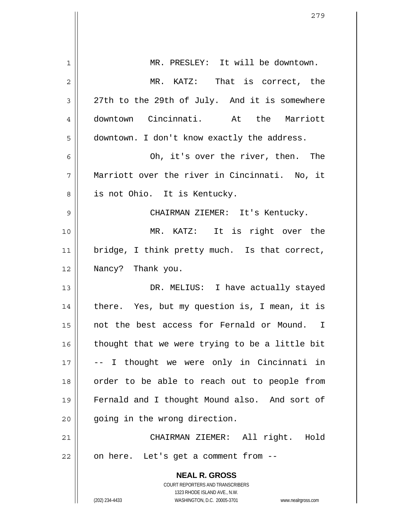| $\mathbf 1$    | MR. PRESLEY: It will be downtown.                                   |
|----------------|---------------------------------------------------------------------|
|                |                                                                     |
| $\overline{2}$ | MR. KATZ: That is correct, the                                      |
| 3              | 27th to the 29th of July. And it is somewhere                       |
| 4              | downtown Cincinnati. At the Marriott                                |
| 5              | downtown. I don't know exactly the address.                         |
| 6              | Oh, it's over the river, then. The                                  |
| 7              | Marriott over the river in Cincinnati. No, it                       |
| 8              | is not Ohio. It is Kentucky.                                        |
| 9              | CHAIRMAN ZIEMER: It's Kentucky.                                     |
| 10             | MR. KATZ: It is right over the                                      |
| 11             | bridge, I think pretty much. Is that correct,                       |
| 12             | Nancy? Thank you.                                                   |
| 13             | DR. MELIUS: I have actually stayed                                  |
| 14             | there. Yes, but my question is, I mean, it is                       |
| 15             | not the best access for Fernald or Mound. I                         |
| 16             | thought that we were trying to be a little bit                      |
| 17             | -- I thought we were only in Cincinnati in                          |
| 18             | order to be able to reach out to people from                        |
| 19             | Fernald and I thought Mound also. And sort of                       |
| 20             | going in the wrong direction.                                       |
| 21             | CHAIRMAN ZIEMER: All right. Hold                                    |
| 22             | on here. Let's get a comment from --                                |
|                | <b>NEAL R. GROSS</b>                                                |
|                | COURT REPORTERS AND TRANSCRIBERS<br>1323 RHODE ISLAND AVE., N.W.    |
|                | WASHINGTON, D.C. 20005-3701<br>(202) 234-4433<br>www.nealrgross.com |

Ħ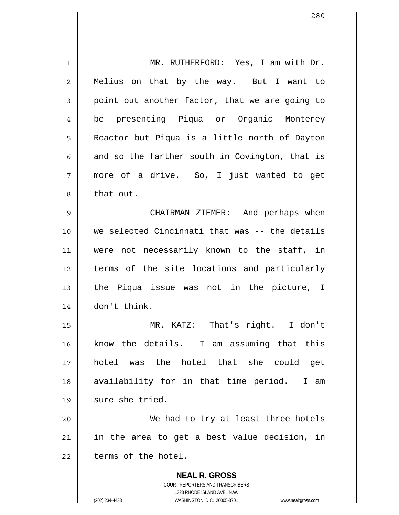**NEAL R. GROSS** COURT REPORTERS AND TRANSCRIBERS 1 2 3 4 5 6 7 8 9 10 11 12 13 14 15 16 17 18 19 20 21 22 MR. RUTHERFORD: Yes, I am with Dr. Melius on that by the way. But I want to point out another factor, that we are going to be presenting Piqua or Organic Monterey Reactor but Piqua is a little north of Dayton and so the farther south in Covington, that is more of a drive. So, I just wanted to get that out. CHAIRMAN ZIEMER: And perhaps when we selected Cincinnati that was -- the details were not necessarily known to the staff, in terms of the site locations and particularly the Piqua issue was not in the picture, I don't think. MR. KATZ: That's right. I don't know the details. I am assuming that this hotel was the hotel that she could get availability for in that time period. I am sure she tried. We had to try at least three hotels in the area to get a best value decision, in terms of the hotel.

1323 RHODE ISLAND AVE., N.W.

(202) 234-4433 WASHINGTON, D.C. 20005-3701 www.nealrgross.com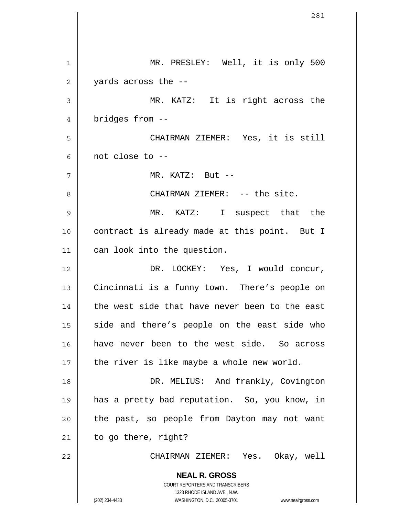**NEAL R. GROSS** COURT REPORTERS AND TRANSCRIBERS 1323 RHODE ISLAND AVE., N.W. (202) 234-4433 WASHINGTON, D.C. 20005-3701 www.nealrgross.com 1 2 3 4 5 6 7 8 9 10 11 12 13 14 15 16 17 18 19 20 21 22 MR. PRESLEY: Well, it is only 500 yards across the -- MR. KATZ: It is right across the bridges from -- CHAIRMAN ZIEMER: Yes, it is still not close to -- MR. KATZ: But -- CHAIRMAN ZIEMER: -- the site. MR. KATZ: I suspect that the contract is already made at this point. But I can look into the question. DR. LOCKEY: Yes, I would concur, Cincinnati is a funny town. There's people on the west side that have never been to the east side and there's people on the east side who have never been to the west side. So across the river is like maybe a whole new world. DR. MELIUS: And frankly, Covington has a pretty bad reputation. So, you know, in the past, so people from Dayton may not want to go there, right? CHAIRMAN ZIEMER: Yes. Okay, well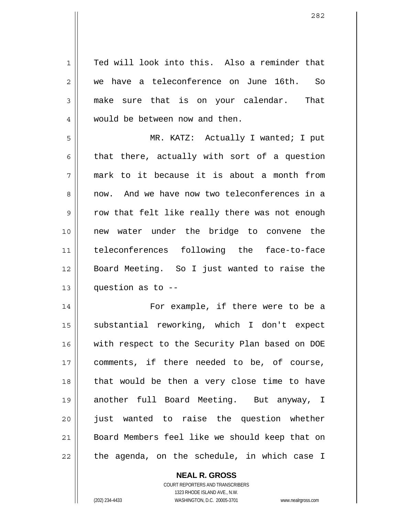1 2 3 4 5 6 7 8 9 10 11 12 13 14 15 16 17 18 19 20 21 22 Ted will look into this. Also a reminder that we have a teleconference on June 16th. So make sure that is on your calendar. That would be between now and then. MR. KATZ: Actually I wanted; I put that there, actually with sort of a question mark to it because it is about a month from now. And we have now two teleconferences in a row that felt like really there was not enough new water under the bridge to convene the teleconferences following the face-to-face Board Meeting. So I just wanted to raise the question as to -- For example, if there were to be a substantial reworking, which I don't expect with respect to the Security Plan based on DOE comments, if there needed to be, of course, that would be then a very close time to have another full Board Meeting. But anyway, I just wanted to raise the question whether Board Members feel like we should keep that on the agenda, on the schedule, in which case I

> **NEAL R. GROSS** COURT REPORTERS AND TRANSCRIBERS

> > 1323 RHODE ISLAND AVE., N.W.

(202) 234-4433 WASHINGTON, D.C. 20005-3701 www.nealrgross.com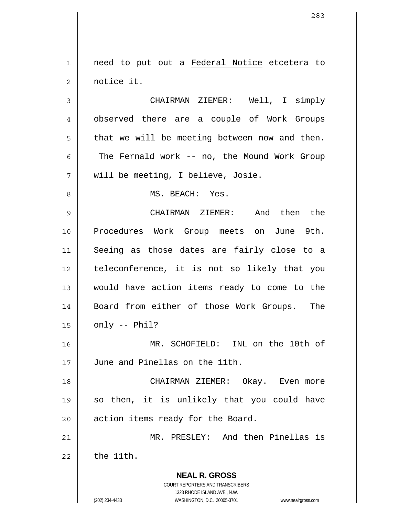need to put out a Federal Notice etcetera to notice it. 1 2

3 4 5 6 7 CHAIRMAN ZIEMER: Well, I simply observed there are a couple of Work Groups that we will be meeting between now and then. The Fernald work -- no, the Mound Work Group will be meeting, I believe, Josie.

MS. BEACH: Yes.

9 10 11 12 13 14 15 CHAIRMAN ZIEMER: And then the Procedures Work Group meets on June 9th. Seeing as those dates are fairly close to a teleconference, it is not so likely that you would have action items ready to come to the Board from either of those Work Groups. The only -- Phil?

16 17 MR. SCHOFIELD: INL on the 10th of June and Pinellas on the 11th.

18 19 20 CHAIRMAN ZIEMER: Okay. Even more so then, it is unlikely that you could have action items ready for the Board.

21 22 MR. PRESLEY: And then Pinellas is the 11th.

> COURT REPORTERS AND TRANSCRIBERS 1323 RHODE ISLAND AVE., N.W. (202) 234-4433 WASHINGTON, D.C. 20005-3701 www.nealrgross.com

**NEAL R. GROSS**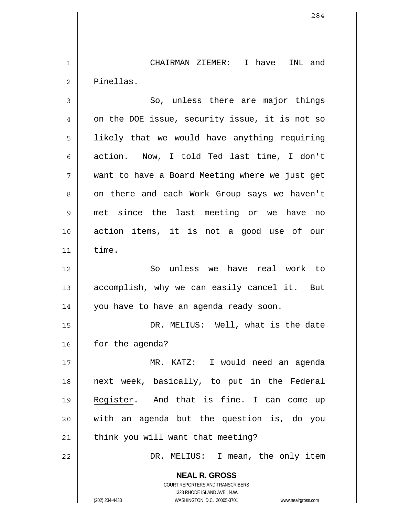1 2 CHAIRMAN ZIEMER: I have INL and Pinellas.

**NEAL R. GROSS** 3 4 5 6 7 8 9 10 11 12 13 14 15 16 17 So, unless there are major things on the DOE issue, security issue, it is not so likely that we would have anything requiring action. Now, I told Ted last time, I don't want to have a Board Meeting where we just get on there and each Work Group says we haven't met since the last meeting or we have no action items, it is not a good use of our time. So unless we have real work to accomplish, why we can easily cancel it. But you have to have an agenda ready soon. DR. MELIUS: Well, what is the date for the agenda? MR. KATZ: I would need an agenda 18 next week, basically, to put in the Federal Register. And that is fine. I can come up with an agenda but the question is, do you think you will want that meeting? 19 20 21 22 || DR. MELIUS: I mean, the only item

> COURT REPORTERS AND TRANSCRIBERS 1323 RHODE ISLAND AVE., N.W.

(202) 234-4433 WASHINGTON, D.C. 20005-3701 www.nealrgross.com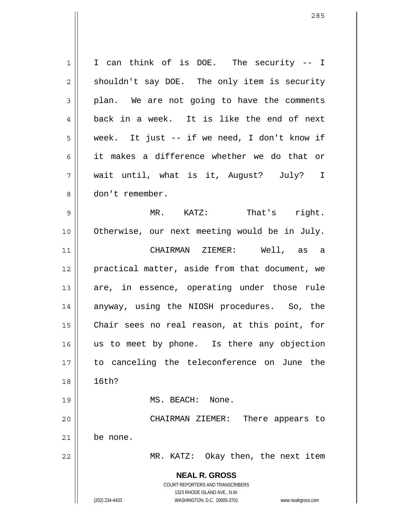**NEAL R. GROSS** COURT REPORTERS AND TRANSCRIBERS 1323 RHODE ISLAND AVE., N.W. (202) 234-4433 WASHINGTON, D.C. 20005-3701 www.nealrgross.com 1 2 3 4 5 6 7 8 9 10 11 12 13 14 15 16 17 18 19 20 21 22 I can think of is DOE. The security -- I shouldn't say DOE. The only item is security plan. We are not going to have the comments back in a week. It is like the end of next week. It just -- if we need, I don't know if it makes a difference whether we do that or wait until, what is it, August? July? I don't remember. MR. KATZ: That's right. Otherwise, our next meeting would be in July. CHAIRMAN ZIEMER: Well, as a practical matter, aside from that document, we are, in essence, operating under those rule anyway, using the NIOSH procedures. So, the Chair sees no real reason, at this point, for us to meet by phone. Is there any objection to canceling the teleconference on June the 16th? MS. BEACH: None. CHAIRMAN ZIEMER: There appears to be none. MR. KATZ: Okay then, the next item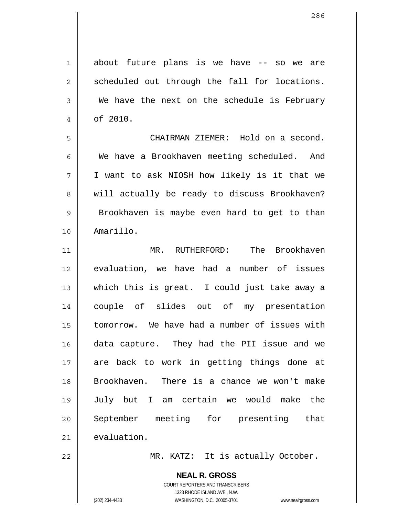1 2 3 4 about future plans is we have -- so we are scheduled out through the fall for locations. We have the next on the schedule is February of 2010.

7 CHAIRMAN ZIEMER: Hold on a second. We have a Brookhaven meeting scheduled. And I want to ask NIOSH how likely is it that we will actually be ready to discuss Brookhaven? Brookhaven is maybe even hard to get to than Amarillo.

11 12 13 14 15 16 17 18 19 20 21 MR. RUTHERFORD: The Brookhaven evaluation, we have had a number of issues which this is great. I could just take away a couple of slides out of my presentation tomorrow. We have had a number of issues with data capture. They had the PII issue and we are back to work in getting things done at Brookhaven. There is a chance we won't make July but I am certain we would make the September meeting for presenting that evaluation.

MR. KATZ: It is actually October.

**NEAL R. GROSS** COURT REPORTERS AND TRANSCRIBERS 1323 RHODE ISLAND AVE., N.W. (202) 234-4433 WASHINGTON, D.C. 20005-3701 www.nealrgross.com

5

6

8

9

10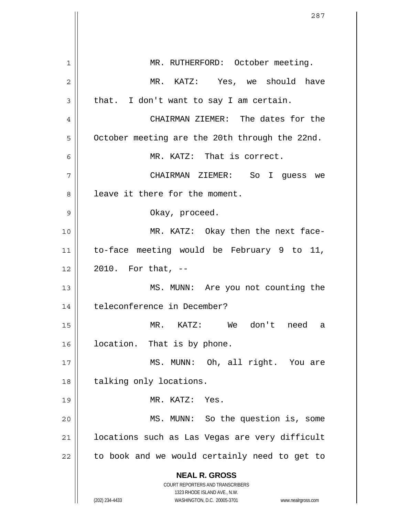|    | 287                                                                 |
|----|---------------------------------------------------------------------|
|    |                                                                     |
| 1  | MR. RUTHERFORD: October meeting.                                    |
| 2  | MR. KATZ: Yes, we should have                                       |
| 3  | that. I don't want to say I am certain.                             |
| 4  | CHAIRMAN ZIEMER: The dates for the                                  |
| 5  | October meeting are the 20th through the 22nd.                      |
| 6  | MR. KATZ: That is correct.                                          |
| 7  | CHAIRMAN ZIEMER: So I guess we                                      |
| 8  | leave it there for the moment.                                      |
| 9  | Okay, proceed.                                                      |
| 10 | MR. KATZ: Okay then the next face-                                  |
| 11 | to-face meeting would be February 9 to 11,                          |
| 12 | 2010. For that, --                                                  |
| 13 | MS. MUNN: Are you not counting the                                  |
| 14 | teleconference in December?                                         |
| 15 | KATZ: We don't need<br>MR.<br>a                                     |
| 16 | location. That is by phone.                                         |
| 17 | MS. MUNN: Oh, all right. You are                                    |
| 18 | talking only locations.                                             |
| 19 | MR. KATZ: Yes.                                                      |
| 20 | MS. MUNN: So the question is, some                                  |
| 21 | locations such as Las Vegas are very difficult                      |
| 22 | to book and we would certainly need to get to                       |
|    | <b>NEAL R. GROSS</b><br>COURT REPORTERS AND TRANSCRIBERS            |
|    | 1323 RHODE ISLAND AVE., N.W.                                        |
|    | (202) 234-4433<br>WASHINGTON, D.C. 20005-3701<br>www.nealrgross.com |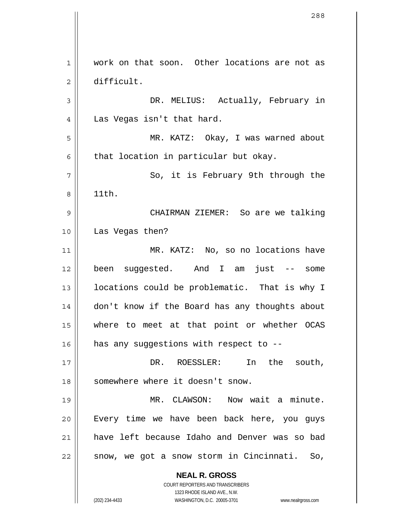**NEAL R. GROSS** COURT REPORTERS AND TRANSCRIBERS 1323 RHODE ISLAND AVE., N.W. 1 2 3 4 5 6 7 8 9 10 11 12 13 14 15 16 17 18 19 20 21 22 work on that soon. Other locations are not as difficult. DR. MELIUS: Actually, February in Las Vegas isn't that hard. MR. KATZ: Okay, I was warned about that location in particular but okay. So, it is February 9th through the 11th. CHAIRMAN ZIEMER: So are we talking Las Vegas then? MR. KATZ: No, so no locations have been suggested. And I am just -- some locations could be problematic. That is why I don't know if the Board has any thoughts about where to meet at that point or whether OCAS has any suggestions with respect to --DR. ROESSLER: In the south, somewhere where it doesn't snow. MR. CLAWSON: Now wait a minute. Every time we have been back here, you guys have left because Idaho and Denver was so bad snow, we got a snow storm in Cincinnati. So,

(202) 234-4433 WASHINGTON, D.C. 20005-3701 www.nealrgross.com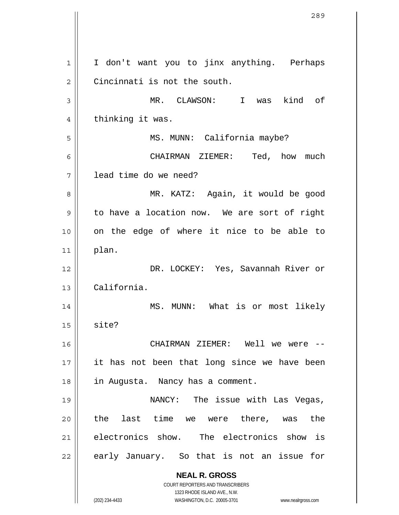**NEAL R. GROSS** COURT REPORTERS AND TRANSCRIBERS 1323 RHODE ISLAND AVE., N.W. (202) 234-4433 WASHINGTON, D.C. 20005-3701 www.nealrgross.com 1 2 3 4 5 6 7 8 9 10 11 12 13 14 15 16 17 18 19 20 21 22 I don't want you to jinx anything. Perhaps Cincinnati is not the south. MR. CLAWSON: I was kind of thinking it was. MS. MUNN: California maybe? CHAIRMAN ZIEMER: Ted, how much lead time do we need? MR. KATZ: Again, it would be good to have a location now. We are sort of right on the edge of where it nice to be able to plan. DR. LOCKEY: Yes, Savannah River or California. MS. MUNN: What is or most likely site? CHAIRMAN ZIEMER: Well we were - it has not been that long since we have been in Augusta. Nancy has a comment. NANCY: The issue with Las Vegas, the last time we were there, was the electronics show. The electronics show is early January. So that is not an issue for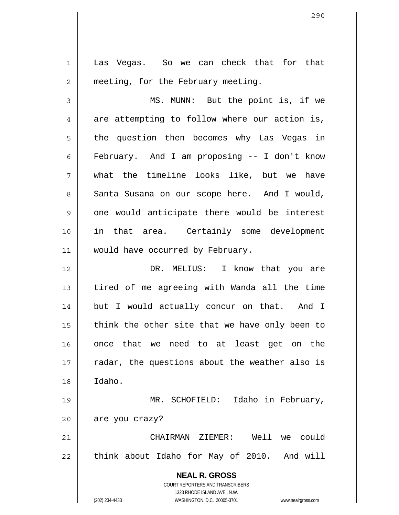1 2 3 4 Las Vegas. So we can check that for that meeting, for the February meeting. MS. MUNN: But the point is, if we are attempting to follow where our action is,

5 6 7 8 9 10 11 the question then becomes why Las Vegas in February. And I am proposing -- I don't know what the timeline looks like, but we have Santa Susana on our scope here. And I would, one would anticipate there would be interest in that area. Certainly some development would have occurred by February.

12 13 14 15 16 17 18 DR. MELIUS: I know that you are tired of me agreeing with Wanda all the time but I would actually concur on that. And I think the other site that we have only been to once that we need to at least get on the radar, the questions about the weather also is Idaho.

19 20 MR. SCHOFIELD: Idaho in February, are you crazy?

21 22 CHAIRMAN ZIEMER: Well we could think about Idaho for May of 2010. And will

> **NEAL R. GROSS** COURT REPORTERS AND TRANSCRIBERS 1323 RHODE ISLAND AVE., N.W.

(202) 234-4433 WASHINGTON, D.C. 20005-3701 www.nealrgross.com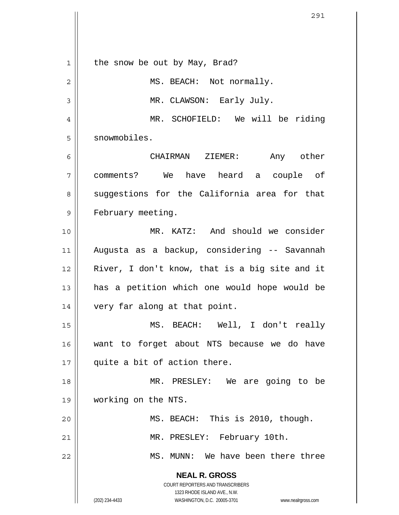**NEAL R. GROSS** COURT REPORTERS AND TRANSCRIBERS 1323 RHODE ISLAND AVE., N.W. (202) 234-4433 WASHINGTON, D.C. 20005-3701 www.nealrgross.com 1 2 3 4 5 6 7 8 9 10 11 12 13 14 15 16 17 18 19 20 21 22 the snow be out by May, Brad? MS. BEACH: Not normally. MR. CLAWSON: Early July. MR. SCHOFIELD: We will be riding snowmobiles. CHAIRMAN ZIEMER: Any other comments? We have heard a couple of suggestions for the California area for that February meeting. MR. KATZ: And should we consider Augusta as a backup, considering -- Savannah River, I don't know, that is a big site and it has a petition which one would hope would be very far along at that point. MS. BEACH: Well, I don't really want to forget about NTS because we do have quite a bit of action there. MR. PRESLEY: We are going to be working on the NTS. MS. BEACH: This is 2010, though. MR. PRESLEY: February 10th. MS. MUNN: We have been there three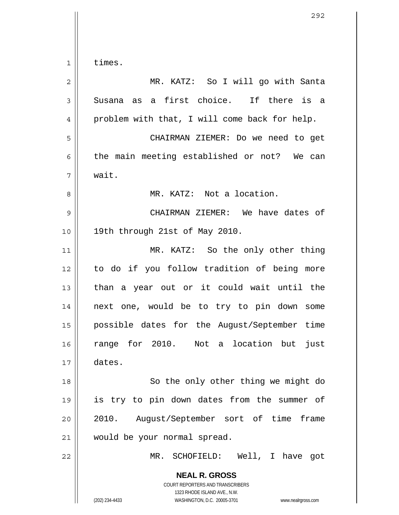1 2 3 4 5 6 7 8 9 10 11 12 13 14 15 16 17 18 times. MR. KATZ: So I will go with Santa Susana as a first choice. If there is a problem with that, I will come back for help. CHAIRMAN ZIEMER: Do we need to get the main meeting established or not? We can wait. MR. KATZ: Not a location. 19th through 21st of May 2010. dates.

 CHAIRMAN ZIEMER: We have dates of MR. KATZ: So the only other thing to do if you follow tradition of being more than a year out or it could wait until the next one, would be to try to pin down some possible dates for the August/September time range for 2010. Not a location but just So the only other thing we might do is try to pin down dates from the summer of 2010. August/September sort of time frame would be your normal spread.

**NEAL R. GROSS** COURT REPORTERS AND TRANSCRIBERS MR. SCHOFIELD: Well, I have got

1323 RHODE ISLAND AVE., N.W.

19

20

21

22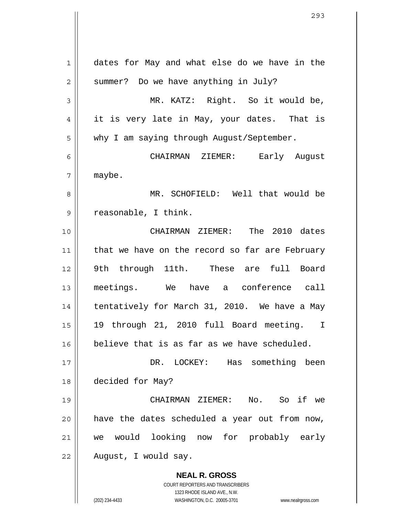**NEAL R. GROSS** COURT REPORTERS AND TRANSCRIBERS 1323 RHODE ISLAND AVE., N.W. 1 2 3 4 5 6 7 8 9 10 11 12 13 14 15 16 17 18 19 20 21 22 dates for May and what else do we have in the summer? Do we have anything in July? MR. KATZ: Right. So it would be, it is very late in May, your dates. That is why I am saying through August/September. CHAIRMAN ZIEMER: Early August maybe. MR. SCHOFIELD: Well that would be reasonable, I think. CHAIRMAN ZIEMER: The 2010 dates that we have on the record so far are February 9th through 11th. These are full Board meetings. We have a conference call tentatively for March 31, 2010. We have a May 19 through 21, 2010 full Board meeting. I believe that is as far as we have scheduled. DR. LOCKEY: Has something been decided for May? CHAIRMAN ZIEMER: No. So if we have the dates scheduled a year out from now, we would looking now for probably early August, I would say.

(202) 234-4433 WASHINGTON, D.C. 20005-3701 www.nealrgross.com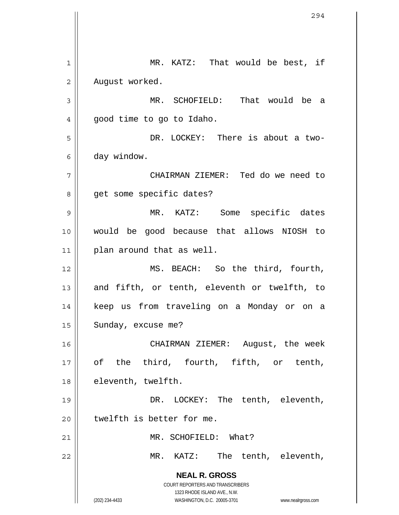**NEAL R. GROSS** COURT REPORTERS AND TRANSCRIBERS 1323 RHODE ISLAND AVE., N.W. (202) 234-4433 WASHINGTON, D.C. 20005-3701 www.nealrgross.com 1 2 3 4 5 6 7 8 9 10 11 12 13 14 15 16 17 18 19 20 21 22 MR. KATZ: That would be best, if August worked. MR. SCHOFIELD: That would be a good time to go to Idaho. DR. LOCKEY: There is about a twoday window. CHAIRMAN ZIEMER: Ted do we need to get some specific dates? MR. KATZ: Some specific dates would be good because that allows NIOSH to plan around that as well. MS. BEACH: So the third, fourth, and fifth, or tenth, eleventh or twelfth, to keep us from traveling on a Monday or on a Sunday, excuse me? CHAIRMAN ZIEMER: August, the week of the third, fourth, fifth, or tenth, eleventh, twelfth. DR. LOCKEY: The tenth, eleventh, twelfth is better for me. MR. SCHOFIELD: What? MR. KATZ: The tenth, eleventh,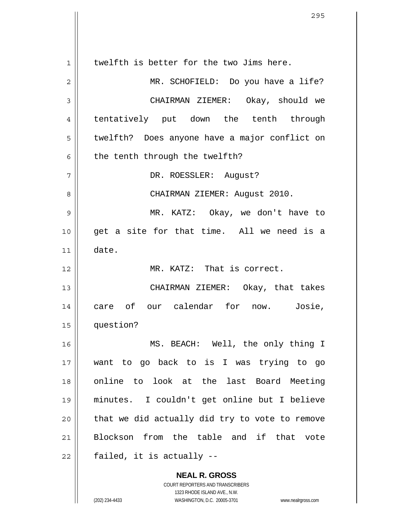1 2 3 4 5 6 7 8 9 10 11 12 13 14 15 16 17 18 19 20 21 22 twelfth is better for the two Jims here. MR. SCHOFIELD: Do you have a life? CHAIRMAN ZIEMER: Okay, should we tentatively put down the tenth through twelfth? Does anyone have a major conflict on the tenth through the twelfth? DR. ROESSLER: August? CHAIRMAN ZIEMER: August 2010. MR. KATZ: Okay, we don't have to get a site for that time. All we need is a date. MR. KATZ: That is correct. CHAIRMAN ZIEMER: Okay, that takes care of our calendar for now. Josie, question? MS. BEACH: Well, the only thing I want to go back to is I was trying to go online to look at the last Board Meeting minutes. I couldn't get online but I believe that we did actually did try to vote to remove Blockson from the table and if that vote failed, it is actually --

> **NEAL R. GROSS** COURT REPORTERS AND TRANSCRIBERS 1323 RHODE ISLAND AVE., N.W.

(202) 234-4433 WASHINGTON, D.C. 20005-3701 www.nealrgross.com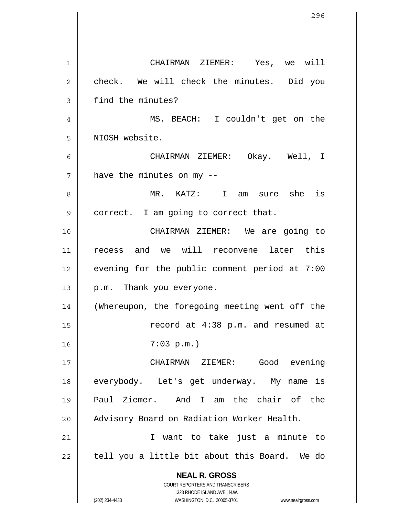**NEAL R. GROSS** COURT REPORTERS AND TRANSCRIBERS 1323 RHODE ISLAND AVE., N.W. (202) 234-4433 WASHINGTON, D.C. 20005-3701 www.nealrgross.com 1 2 3 4 5 6 7 8 9 10 11 12 13 14 15 16 17 18 19 20 21 22 CHAIRMAN ZIEMER: Yes, we will check. We will check the minutes. Did you find the minutes? MS. BEACH: I couldn't get on the NIOSH website. CHAIRMAN ZIEMER: Okay. Well, I have the minutes on my -- MR. KATZ: I am sure she is correct. I am going to correct that. CHAIRMAN ZIEMER: We are going to recess and we will reconvene later this evening for the public comment period at 7:00 p.m. Thank you everyone. (Whereupon, the foregoing meeting went off the record at 4:38 p.m. and resumed at 7:03 p.m.) CHAIRMAN ZIEMER: Good evening everybody. Let's get underway. My name is Paul Ziemer. And I am the chair of the Advisory Board on Radiation Worker Health. I want to take just a minute to tell you a little bit about this Board. We do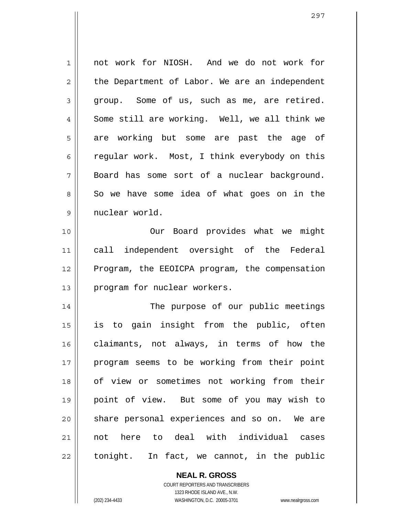| $\mathbf 1$    | not work for NIOSH. And we do not work for     |
|----------------|------------------------------------------------|
| $\overline{2}$ | the Department of Labor. We are an independent |
| 3              | group. Some of us, such as me, are retired.    |
| 4              | Some still are working. Well, we all think we  |
| 5              | are working but some are past the age of       |
| 6              | regular work. Most, I think everybody on this  |
| 7              | Board has some sort of a nuclear background.   |
| 8              | So we have some idea of what goes on in the    |
| 9              | nuclear world.                                 |
| 10             | Our Board provides what we might               |
| 11             | call independent oversight of the Federal      |
| 12             | Program, the EEOICPA program, the compensation |
| 13             | program for nuclear workers.                   |
| 14             | The purpose of our public meetings             |
| 15             | is to gain insight from the public, often      |
| 16             | claimants, not always, in terms of how the     |
| 17             | program seems to be working from their point   |
| 18             | of view or sometimes not working from their    |
| 19             | point of view. But some of you may wish to     |
| 20             | share personal experiences and so on. We are   |
| 21             | not here to deal with individual cases         |
| 22             | tonight. In fact, we cannot, in the public     |

**NEAL R. GROSS** COURT REPORTERS AND TRANSCRIBERS 1323 RHODE ISLAND AVE., N.W.

(202) 234-4433 WASHINGTON, D.C. 20005-3701 www.nealrgross.com

 $\mathsf{II}$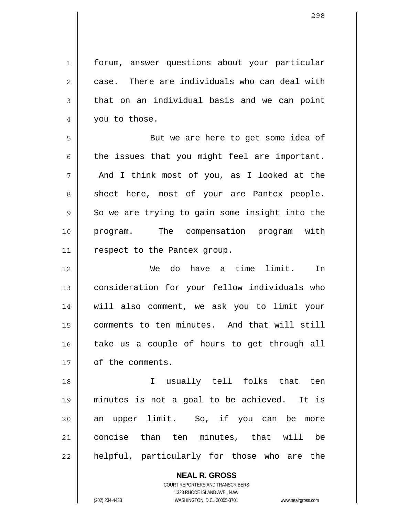forum, answer questions about your particular case. There are individuals who can deal with that on an individual basis and we can point you to those.

5 6 7 8 9 10 11 But we are here to get some idea of the issues that you might feel are important. And I think most of you, as I looked at the sheet here, most of your are Pantex people. So we are trying to gain some insight into the program. The compensation program with respect to the Pantex group.

12 13 14 15 16 17 We do have a time limit. In consideration for your fellow individuals who will also comment, we ask you to limit your comments to ten minutes. And that will still take us a couple of hours to get through all of the comments.

18 19 20 21 22 I usually tell folks that ten minutes is not a goal to be achieved. It is an upper limit. So, if you can be more concise than ten minutes, that will be helpful, particularly for those who are the

> **NEAL R. GROSS** COURT REPORTERS AND TRANSCRIBERS 1323 RHODE ISLAND AVE., N.W. (202) 234-4433 WASHINGTON, D.C. 20005-3701 www.nealrgross.com

1

2

3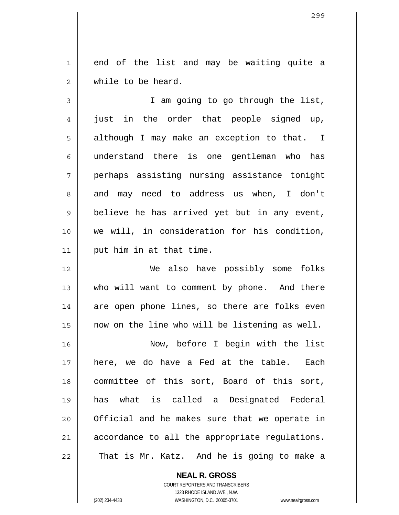1 2 end of the list and may be waiting quite a while to be heard.

3 4 5 6 7 8 9 10 11 I am going to go through the list, just in the order that people signed up, although I may make an exception to that. I understand there is one gentleman who has perhaps assisting nursing assistance tonight and may need to address us when, I don't believe he has arrived yet but in any event, we will, in consideration for his condition, put him in at that time.

 We also have possibly some folks who will want to comment by phone. And there are open phone lines, so there are folks even now on the line who will be listening as well.

16 17 18 19 20 21 22 Now, before I begin with the list here, we do have a Fed at the table. Each committee of this sort, Board of this sort, has what is called a Designated Federal Official and he makes sure that we operate in accordance to all the appropriate regulations. That is Mr. Katz. And he is going to make a

> **NEAL R. GROSS** COURT REPORTERS AND TRANSCRIBERS 1323 RHODE ISLAND AVE., N.W. (202) 234-4433 WASHINGTON, D.C. 20005-3701 www.nealrgross.com

12

13

14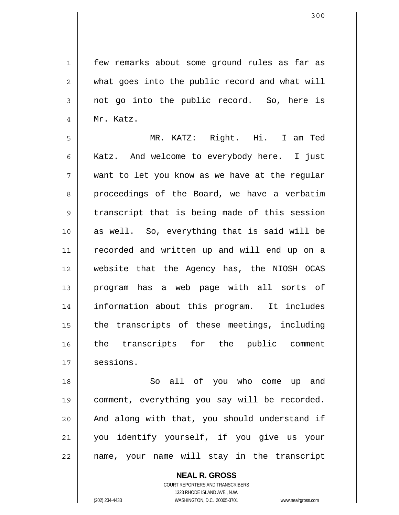300

1 2 3 4 few remarks about some ground rules as far as what goes into the public record and what will not go into the public record. So, here is Mr. Katz.

5 6 7 8 9 10 11 12 13 14 15 16 17 MR. KATZ: Right. Hi. I am Ted Katz. And welcome to everybody here. I just want to let you know as we have at the regular proceedings of the Board, we have a verbatim transcript that is being made of this session as well. So, everything that is said will be recorded and written up and will end up on a website that the Agency has, the NIOSH OCAS program has a web page with all sorts of information about this program. It includes the transcripts of these meetings, including the transcripts for the public comment sessions.

18 19 20 21 22 So all of you who come up and comment, everything you say will be recorded. And along with that, you should understand if you identify yourself, if you give us your name, your name will stay in the transcript

> **NEAL R. GROSS** COURT REPORTERS AND TRANSCRIBERS 1323 RHODE ISLAND AVE., N.W. (202) 234-4433 WASHINGTON, D.C. 20005-3701 www.nealrgross.com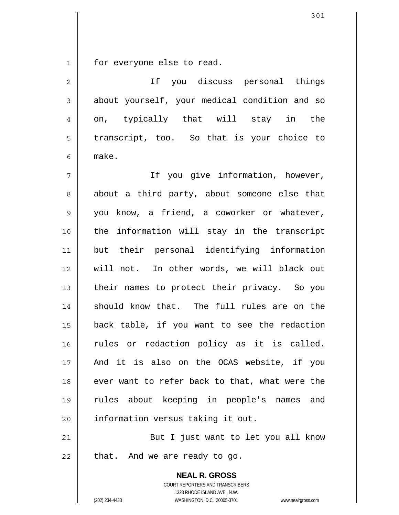1 for everyone else to read.

**NEAL R. GROSS** 2 3 4 5 6 7 8 9 10 11 12 13 14 15 16 17 18 19 20 21 22 If you discuss personal things about yourself, your medical condition and so on, typically that will stay in the transcript, too. So that is your choice to make. If you give information, however, about a third party, about someone else that you know, a friend, a coworker or whatever, the information will stay in the transcript but their personal identifying information will not. In other words, we will black out their names to protect their privacy. So you should know that. The full rules are on the back table, if you want to see the redaction rules or redaction policy as it is called. And it is also on the OCAS website, if you ever want to refer back to that, what were the rules about keeping in people's names and information versus taking it out. But I just want to let you all know that. And we are ready to go.

> COURT REPORTERS AND TRANSCRIBERS 1323 RHODE ISLAND AVE., N.W.

(202) 234-4433 WASHINGTON, D.C. 20005-3701 www.nealrgross.com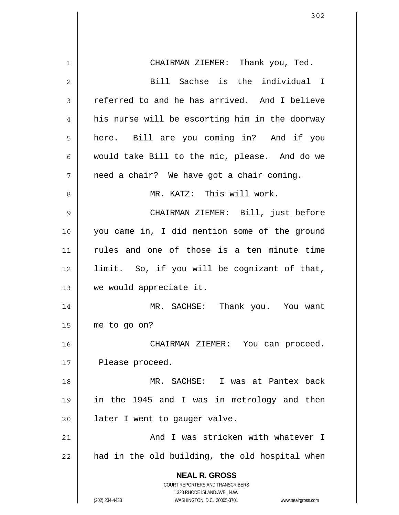| 1  | CHAIRMAN ZIEMER: Thank you, Ted.                                                                    |
|----|-----------------------------------------------------------------------------------------------------|
| 2  | Bill Sachse is the individual I                                                                     |
| 3  | referred to and he has arrived. And I believe                                                       |
| 4  | his nurse will be escorting him in the doorway                                                      |
| 5  | here. Bill are you coming in? And if you                                                            |
| 6  | would take Bill to the mic, please. And do we                                                       |
| 7  | need a chair? We have got a chair coming.                                                           |
| 8  | MR. KATZ: This will work.                                                                           |
| 9  | CHAIRMAN ZIEMER: Bill, just before                                                                  |
| 10 | you came in, I did mention some of the ground                                                       |
| 11 | rules and one of those is a ten minute time                                                         |
| 12 | limit. So, if you will be cognizant of that,                                                        |
| 13 | we would appreciate it.                                                                             |
| 14 | MR. SACHSE: Thank you. You want                                                                     |
| 15 | me to go on?                                                                                        |
| 16 | CHAIRMAN ZIEMER: You can proceed.                                                                   |
| 17 | Please proceed.                                                                                     |
| 18 | MR. SACHSE: I was at Pantex back                                                                    |
| 19 | in the 1945 and I was in metrology and then                                                         |
| 20 | later I went to gauger valve.                                                                       |
| 21 | And I was stricken with whatever I                                                                  |
| 22 | had in the old building, the old hospital when                                                      |
|    | <b>NEAL R. GROSS</b>                                                                                |
|    | <b>COURT REPORTERS AND TRANSCRIBERS</b>                                                             |
|    | 1323 RHODE ISLAND AVE., N.W.<br>(202) 234-4433<br>WASHINGTON, D.C. 20005-3701<br>www.nealrgross.com |
|    |                                                                                                     |

 $\overline{\phantom{a}}$ 

 $\mathbb{I}$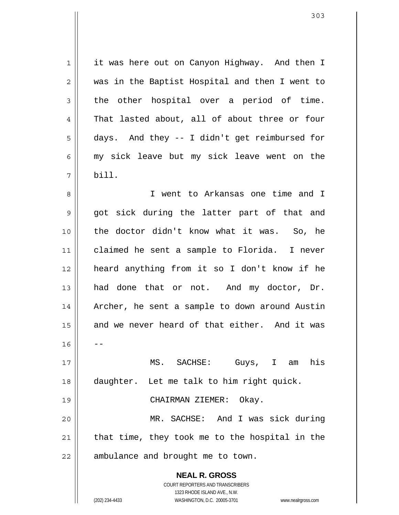1 2 3 4 5 6 7 it was here out on Canyon Highway. And then I was in the Baptist Hospital and then I went to the other hospital over a period of time. That lasted about, all of about three or four days. And they -- I didn't get reimbursed for my sick leave but my sick leave went on the bill.

8 9 10 11 12 13 14 15 16 17 18 19 20 21 I went to Arkansas one time and I got sick during the latter part of that and the doctor didn't know what it was. So, he claimed he sent a sample to Florida. I never heard anything from it so I don't know if he had done that or not. And my doctor, Dr. Archer, he sent a sample to down around Austin and we never heard of that either. And it was -- MS. SACHSE: Guys, I am his daughter. Let me talk to him right quick. CHAIRMAN ZIEMER: Okay. MR. SACHSE: And I was sick during that time, they took me to the hospital in the

22 ambulance and brought me to town.

> **NEAL R. GROSS** COURT REPORTERS AND TRANSCRIBERS

> > 1323 RHODE ISLAND AVE., N.W.

(202) 234-4433 WASHINGTON, D.C. 20005-3701 www.nealrgross.com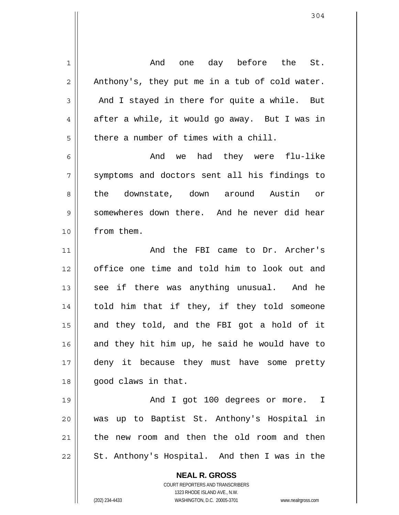**NEAL R. GROSS** COURT REPORTERS AND TRANSCRIBERS 1323 RHODE ISLAND AVE., N.W. (202) 234-4433 WASHINGTON, D.C. 20005-3701 www.nealrgross.com 1 2 3 4 5 6 7 8 9 10 11 12 13 14 15 16 17 18 19 20 21 22 And one day before the St. Anthony's, they put me in a tub of cold water. And I stayed in there for quite a while. But after a while, it would go away. But I was in there a number of times with a chill. And we had they were flu-like symptoms and doctors sent all his findings to the downstate, down around Austin or somewheres down there. And he never did hear from them. And the FBI came to Dr. Archer's office one time and told him to look out and see if there was anything unusual. And he told him that if they, if they told someone and they told, and the FBI got a hold of it and they hit him up, he said he would have to deny it because they must have some pretty good claws in that. And I got 100 degrees or more. I was up to Baptist St. Anthony's Hospital in the new room and then the old room and then St. Anthony's Hospital. And then I was in the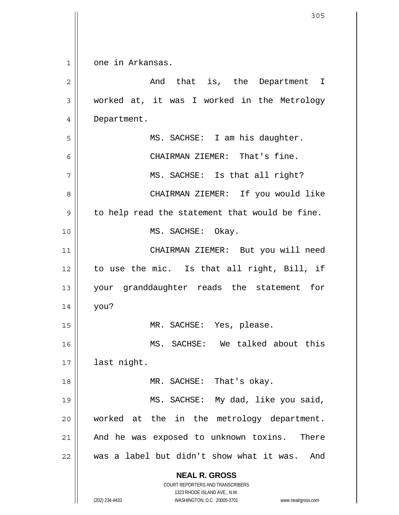| $\mathbf 1$    | one in Arkansas.                                                                                    |
|----------------|-----------------------------------------------------------------------------------------------------|
| $\overline{c}$ | And that is, the Department I                                                                       |
| 3              | worked at, it was I worked in the Metrology                                                         |
| 4              | Department.                                                                                         |
| 5              | MS. SACHSE: I am his daughter.                                                                      |
| 6              | CHAIRMAN ZIEMER: That's fine.                                                                       |
| 7              | MS. SACHSE: Is that all right?                                                                      |
| 8              | CHAIRMAN ZIEMER: If you would like                                                                  |
| 9              | to help read the statement that would be fine.                                                      |
| 10             | MS. SACHSE: Okay.                                                                                   |
| 11             | CHAIRMAN ZIEMER: But you will need                                                                  |
| 12             | to use the mic. Is that all right, Bill, if                                                         |
| 13             | your granddaughter reads the statement for                                                          |
| 14             | you?                                                                                                |
| 15             | MR. SACHSE: Yes, please.                                                                            |
| 16             | MS. SACHSE: We talked about this                                                                    |
| 17             | last night.                                                                                         |
| 18             | MR. SACHSE: That's okay.                                                                            |
| 19             | MS. SACHSE: My dad, like you said,                                                                  |
| 20             | worked at the in the metrology department.                                                          |
| 21             | And he was exposed to unknown toxins. There                                                         |
| 22             | was a label but didn't show what it was.<br>And                                                     |
|                | <b>NEAL R. GROSS</b>                                                                                |
|                | <b>COURT REPORTERS AND TRANSCRIBERS</b>                                                             |
|                | 1323 RHODE ISLAND AVE., N.W.<br>(202) 234-4433<br>WASHINGTON, D.C. 20005-3701<br>www.nealrgross.com |

 $\mathbf{I}$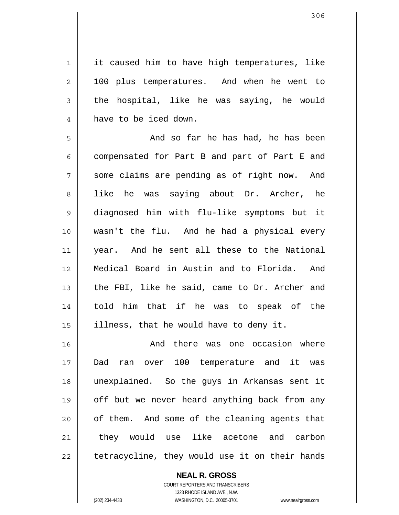1 2 3 4 it caused him to have high temperatures, like 100 plus temperatures. And when he went to the hospital, like he was saying, he would have to be iced down.

5 6 7 8 9 10 11 12 13 14 15 And so far he has had, he has been compensated for Part B and part of Part E and some claims are pending as of right now. And like he was saying about Dr. Archer, he diagnosed him with flu-like symptoms but it wasn't the flu. And he had a physical every year. And he sent all these to the National Medical Board in Austin and to Florida. And the FBI, like he said, came to Dr. Archer and told him that if he was to speak of the illness, that he would have to deny it.

16 17 18 19 20 21 22 And there was one occasion where Dad ran over 100 temperature and it was unexplained. So the guys in Arkansas sent it off but we never heard anything back from any of them. And some of the cleaning agents that they would use like acetone and carbon tetracycline, they would use it on their hands

> **NEAL R. GROSS** COURT REPORTERS AND TRANSCRIBERS 1323 RHODE ISLAND AVE., N.W. (202) 234-4433 WASHINGTON, D.C. 20005-3701 www.nealrgross.com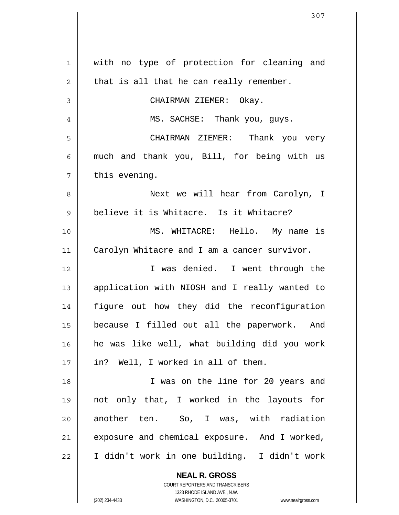| $\mathbf 1$    | with no type of protection for cleaning and   |
|----------------|-----------------------------------------------|
| $\overline{2}$ | that is all that he can really remember.      |
| 3              | CHAIRMAN ZIEMER: Okay.                        |
| 4              | MS. SACHSE: Thank you, guys.                  |
| 5              | CHAIRMAN ZIEMER: Thank you very               |
| 6              | much and thank you, Bill, for being with us   |
| 7              | this evening.                                 |
| 8              | Next we will hear from Carolyn, I             |
| 9              | believe it is Whitacre. Is it Whitacre?       |
| 10             | MS. WHITACRE: Hello. My name is               |
| 11             | Carolyn Whitacre and I am a cancer survivor.  |
| 12             | I was denied. I went through the              |
| 13             | application with NIOSH and I really wanted to |
| 14             | figure out how they did the reconfiguration   |
| 15             | because I filled out all the paperwork. And   |
| 16             | he was like well, what building did you work  |
| 17             | in? Well, I worked in all of them.            |
| 18             | I was on the line for 20 years and            |
| 19             | not only that, I worked in the layouts for    |
| 20             | another ten. So, I was, with radiation        |
| 21             | exposure and chemical exposure. And I worked, |
| 22             | I didn't work in one building. I didn't work  |
|                | <b>NEAL R. GROSS</b>                          |

COURT REPORTERS AND TRANSCRIBERS 1323 RHODE ISLAND AVE., N.W.

(202) 234-4433 WASHINGTON, D.C. 20005-3701 www.nealrgross.com

 $\mathbf{\mathsf{I}}$ 

 $\overline{\phantom{a}}$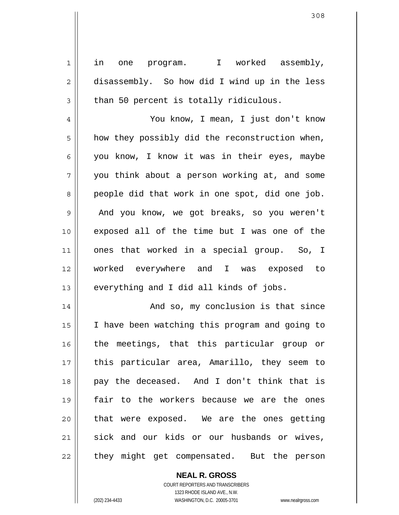in one program. I worked assembly, disassembly. So how did I wind up in the less than 50 percent is totally ridiculous.

4 5 6 7 8 9 10 11 12 13 You know, I mean, I just don't know how they possibly did the reconstruction when, you know, I know it was in their eyes, maybe you think about a person working at, and some people did that work in one spot, did one job. And you know, we got breaks, so you weren't exposed all of the time but I was one of the ones that worked in a special group. So, I worked everywhere and I was exposed to everything and I did all kinds of jobs.

14 15 16 17 18 19 20 21 22 And so, my conclusion is that since I have been watching this program and going to the meetings, that this particular group or this particular area, Amarillo, they seem to pay the deceased. And I don't think that is fair to the workers because we are the ones that were exposed. We are the ones getting sick and our kids or our husbands or wives, they might get compensated. But the person

**NEAL R. GROSS**

COURT REPORTERS AND TRANSCRIBERS 1323 RHODE ISLAND AVE., N.W. (202) 234-4433 WASHINGTON, D.C. 20005-3701 www.nealrgross.com

1

2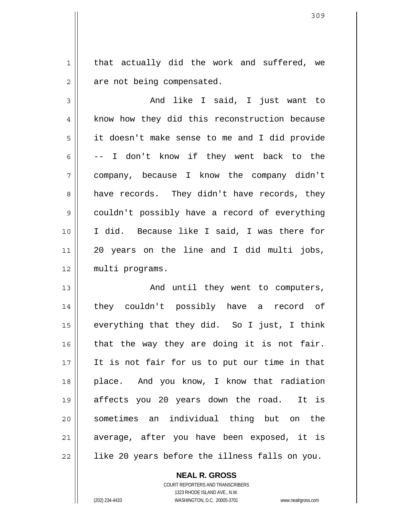that actually did the work and suffered, we are not being compensated.

3 4 5 6 7 8 9 10 11 12 And like I said, I just want to know how they did this reconstruction because it doesn't make sense to me and I did provide -- I don't know if they went back to the company, because I know the company didn't have records. They didn't have records, they couldn't possibly have a record of everything I did. Because like I said, I was there for 20 years on the line and I did multi jobs, multi programs.

13 14 15 16 17 18 19 20 21 22 And until they went to computers, they couldn't possibly have a record of everything that they did. So I just, I think that the way they are doing it is not fair. It is not fair for us to put our time in that place. And you know, I know that radiation affects you 20 years down the road. It is sometimes an individual thing but on the average, after you have been exposed, it is like 20 years before the illness falls on you.

> COURT REPORTERS AND TRANSCRIBERS 1323 RHODE ISLAND AVE., N.W. (202) 234-4433 WASHINGTON, D.C. 20005-3701 www.nealrgross.com

**NEAL R. GROSS**

1

2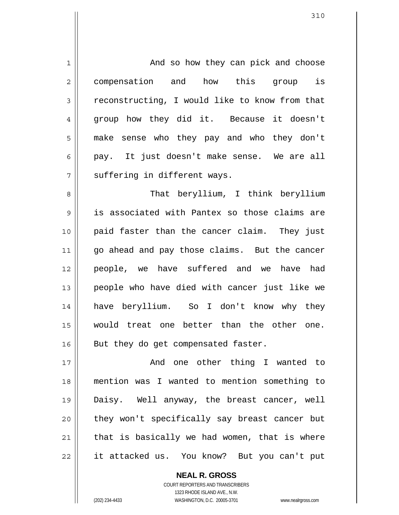1 2 3 4 5 6 7 8 9 10 11 12 13 14 15 16 17 18 19 20 21 22 And so how they can pick and choose compensation and how this group is reconstructing, I would like to know from that group how they did it. Because it doesn't make sense who they pay and who they don't pay. It just doesn't make sense. We are all suffering in different ways. That beryllium, I think beryllium is associated with Pantex so those claims are paid faster than the cancer claim. They just go ahead and pay those claims. But the cancer people, we have suffered and we have had people who have died with cancer just like we have beryllium. So I don't know why they would treat one better than the other one. But they do get compensated faster. And one other thing I wanted to mention was I wanted to mention something to Daisy. Well anyway, the breast cancer, well they won't specifically say breast cancer but that is basically we had women, that is where it attacked us. You know? But you can't put

> **NEAL R. GROSS** COURT REPORTERS AND TRANSCRIBERS

> > 1323 RHODE ISLAND AVE., N.W.

(202) 234-4433 WASHINGTON, D.C. 20005-3701 www.nealrgross.com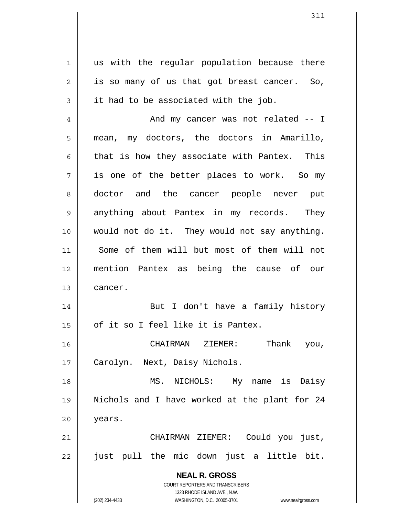**NEAL R. GROSS** COURT REPORTERS AND TRANSCRIBERS 1323 RHODE ISLAND AVE., N.W. 1 2 3 4 5 6 7 8 9 10 11 12 13 14 15 16 17 18 19 20 21 22 us with the regular population because there is so many of us that got breast cancer. So, it had to be associated with the job. And my cancer was not related -- I mean, my doctors, the doctors in Amarillo, that is how they associate with Pantex. This is one of the better places to work. So my doctor and the cancer people never put anything about Pantex in my records. They would not do it. They would not say anything. Some of them will but most of them will not mention Pantex as being the cause of our cancer. But I don't have a family history of it so I feel like it is Pantex. CHAIRMAN ZIEMER: Thank you, Carolyn. Next, Daisy Nichols. MS. NICHOLS: My name is Daisy Nichols and I have worked at the plant for 24 years. CHAIRMAN ZIEMER: Could you just, just pull the mic down just a little bit.

(202) 234-4433 WASHINGTON, D.C. 20005-3701 www.nealrgross.com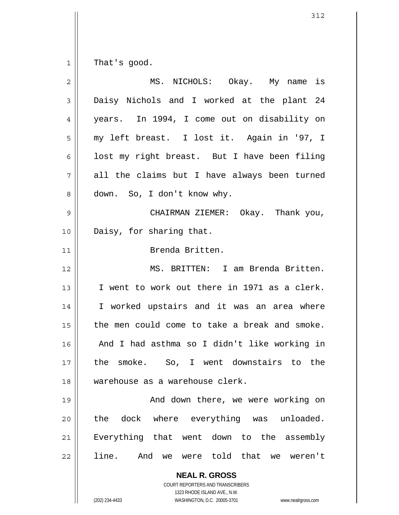1 That's good.

| 2              | MS. NICHOLS: Okay. My name is                            |
|----------------|----------------------------------------------------------|
| $\mathfrak{Z}$ | Daisy Nichols and I worked at the plant 24               |
| 4              | years. In 1994, I come out on disability on              |
| 5              | my left breast. I lost it. Again in '97, I               |
| 6              | lost my right breast. But I have been filing             |
| 7              | all the claims but I have always been turned             |
| 8              | down. So, I don't know why.                              |
| $\mathsf 9$    | CHAIRMAN ZIEMER: Okay. Thank you,                        |
| 10             | Daisy, for sharing that.                                 |
| 11             | Brenda Britten.                                          |
| 12             | MS. BRITTEN: I am Brenda Britten.                        |
| 13             | I went to work out there in 1971 as a clerk.             |
| 14             | I worked upstairs and it was an area where               |
| 15             | the men could come to take a break and smoke.            |
| 16             | And I had asthma so I didn't like working in             |
| 17             | the smoke. So, I went downstairs to the                  |
| 18             | warehouse as a warehouse clerk.                          |
| 19             | And down there, we were working on                       |
| 20             | the dock where everything was unloaded.                  |
| 21             | Everything that went down to the assembly                |
| 22             | line. And we were told that we weren't                   |
|                | <b>NEAL R. GROSS</b><br>COURT REPORTERS AND TRANSCRIBERS |

1323 RHODE ISLAND AVE., N.W.

 $\mathop{\text{||}}$ 

(202) 234-4433 WASHINGTON, D.C. 20005-3701 www.nealrgross.com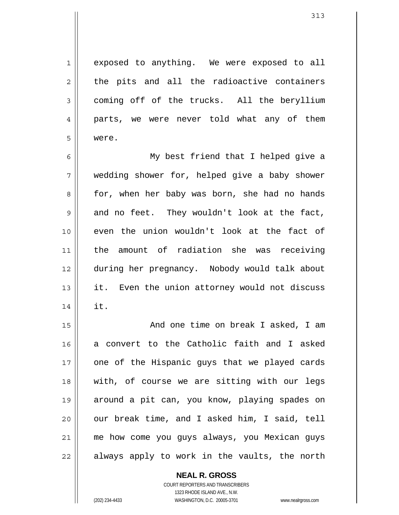313

exposed to anything. We were exposed to all the pits and all the radioactive containers coming off of the trucks. All the beryllium parts, we were never told what any of them were.

6 7 8 9 10 11 12 13 14 My best friend that I helped give a wedding shower for, helped give a baby shower for, when her baby was born, she had no hands and no feet. They wouldn't look at the fact, even the union wouldn't look at the fact of the amount of radiation she was receiving during her pregnancy. Nobody would talk about it. Even the union attorney would not discuss it.

15 16 17 18 19 20 21 22 And one time on break I asked, I am a convert to the Catholic faith and I asked one of the Hispanic guys that we played cards with, of course we are sitting with our legs around a pit can, you know, playing spades on our break time, and I asked him, I said, tell me how come you guys always, you Mexican guys always apply to work in the vaults, the north

**NEAL R. GROSS**

COURT REPORTERS AND TRANSCRIBERS 1323 RHODE ISLAND AVE., N.W. (202) 234-4433 WASHINGTON, D.C. 20005-3701 www.nealrgross.com

1

2

3

4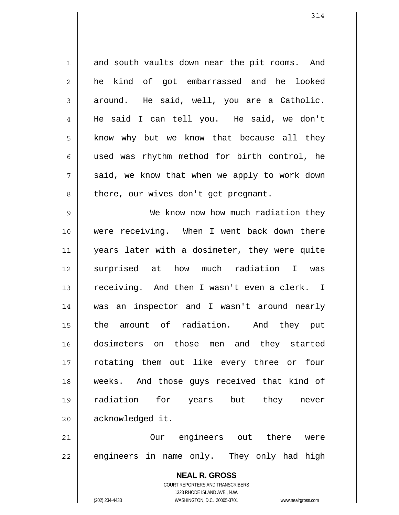1 2 3 4 5 6 7 8 and south vaults down near the pit rooms. And he kind of got embarrassed and he looked around. He said, well, you are a Catholic. He said I can tell you. He said, we don't know why but we know that because all they used was rhythm method for birth control, he said, we know that when we apply to work down there, our wives don't get pregnant.

9 10 11 12 13 14 15 16 17 18 19 20 We know now how much radiation they were receiving. When I went back down there years later with a dosimeter, they were quite surprised at how much radiation I was receiving. And then I wasn't even a clerk. I was an inspector and I wasn't around nearly the amount of radiation. And they put dosimeters on those men and they started rotating them out like every three or four weeks. And those guys received that kind of radiation for years but they never acknowledged it.

21 22 Our engineers out there were engineers in name only. They only had high

> **NEAL R. GROSS** COURT REPORTERS AND TRANSCRIBERS 1323 RHODE ISLAND AVE., N.W. (202) 234-4433 WASHINGTON, D.C. 20005-3701 www.nealrgross.com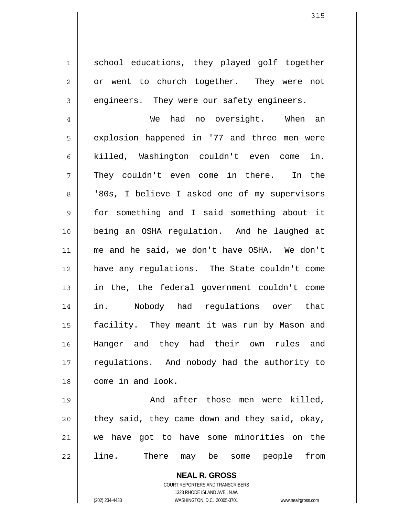school educations, they played golf together or went to church together. They were not engineers. They were our safety engineers.

4 5 6 7 8 9 10 11 12 13 14 15 16 17 18 We had no oversight. When an explosion happened in '77 and three men were killed, Washington couldn't even come in. They couldn't even come in there. In the '80s, I believe I asked one of my supervisors for something and I said something about it being an OSHA regulation. And he laughed at me and he said, we don't have OSHA. We don't have any regulations. The State couldn't come in the, the federal government couldn't come in. Nobody had regulations over that facility. They meant it was run by Mason and Hanger and they had their own rules and regulations. And nobody had the authority to come in and look.

19 20 21 22 And after those men were killed, they said, they came down and they said, okay, we have got to have some minorities on the line. There may be some people from

> **NEAL R. GROSS** COURT REPORTERS AND TRANSCRIBERS 1323 RHODE ISLAND AVE., N.W. (202) 234-4433 WASHINGTON, D.C. 20005-3701 www.nealrgross.com

1

2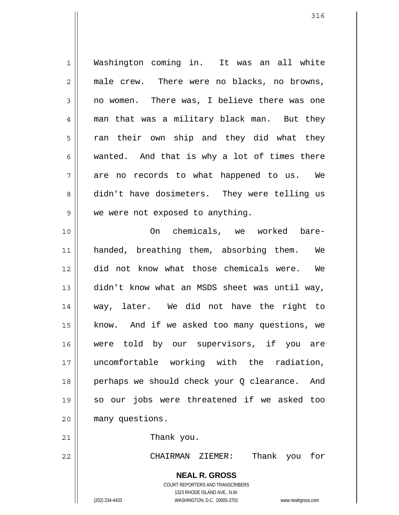1 2 3 4 5 6 7 8 9 10 11 12 13 14 15 16 17 18 19 20 Washington coming in. It was an all white male crew. There were no blacks, no browns, no women. There was, I believe there was one man that was a military black man. But they ran their own ship and they did what they wanted. And that is why a lot of times there are no records to what happened to us. We didn't have dosimeters. They were telling us we were not exposed to anything. On chemicals, we worked barehanded, breathing them, absorbing them. We did not know what those chemicals were. We didn't know what an MSDS sheet was until way, way, later. We did not have the right to know. And if we asked too many questions, we were told by our supervisors, if you are uncomfortable working with the radiation, perhaps we should check your Q clearance. And so our jobs were threatened if we asked too many questions.

21

22

Thank you.

CHAIRMAN ZIEMER: Thank you for

**NEAL R. GROSS**

COURT REPORTERS AND TRANSCRIBERS 1323 RHODE ISLAND AVE., N.W. (202) 234-4433 WASHINGTON, D.C. 20005-3701 www.nealrgross.com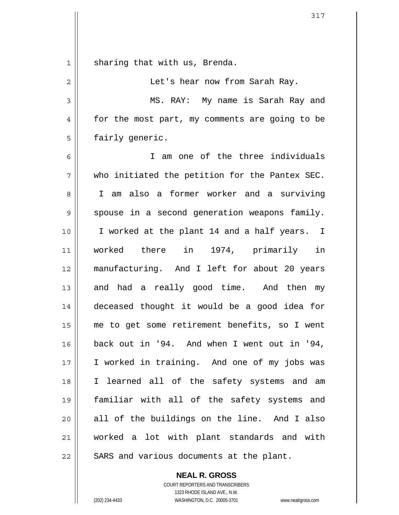| 1  | sharing that with us, Brenda.                  |
|----|------------------------------------------------|
| 2  | Let's hear now from Sarah Ray.                 |
| 3  | MS. RAY: My name is Sarah Ray and              |
| 4  | for the most part, my comments are going to be |
| 5  | fairly generic.                                |
| 6  | I am one of the three individuals              |
| 7  | who initiated the petition for the Pantex SEC. |
| 8  | I am also a former worker and a surviving      |
| 9  | spouse in a second generation weapons family.  |
| 10 | I worked at the plant 14 and a half years. I   |
| 11 | worked there in 1974, primarily in             |
| 12 | manufacturing. And I left for about 20 years   |
| 13 | and had a really good time. And then my        |
| 14 | deceased thought it would be a good idea for   |
| 15 | me to get some retirement benefits, so I went  |
| 16 | back out in '94. And when I went out in '94,   |
| 17 | I worked in training. And one of my jobs was   |
| 18 | I learned all of the safety systems and am     |
| 19 | familiar with all of the safety systems and    |
| 20 | all of the buildings on the line. And I also   |
| 21 | worked a lot with plant standards and with     |
| 22 | SARS and various documents at the plant.       |

317

 $\mathbf{I}$ 

 $\overline{\mathsf{I}}$  $\mathsf{l}$ 

> COURT REPORTERS AND TRANSCRIBERS 1323 RHODE ISLAND AVE., N.W. (202) 234-4433 WASHINGTON, D.C. 20005-3701 www.nealrgross.com

**NEAL R. GROSS**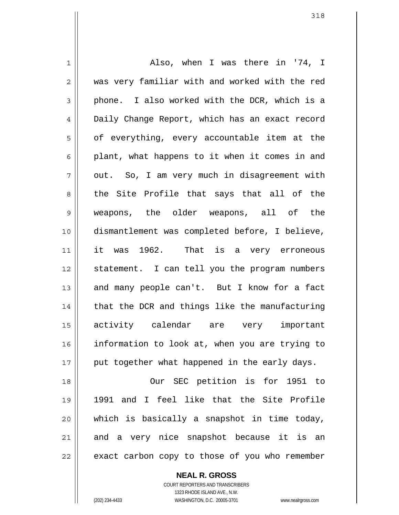1 2 3 4 5 6 7 8 9 10 11 12 13 14 15 16 17 18 19 20 21 22 Also, when I was there in '74, I was very familiar with and worked with the red phone. I also worked with the DCR, which is a Daily Change Report, which has an exact record of everything, every accountable item at the plant, what happens to it when it comes in and out. So, I am very much in disagreement with the Site Profile that says that all of the weapons, the older weapons, all of the dismantlement was completed before, I believe, it was 1962. That is a very erroneous statement. I can tell you the program numbers and many people can't. But I know for a fact that the DCR and things like the manufacturing activity calendar are very important information to look at, when you are trying to put together what happened in the early days. Our SEC petition is for 1951 to 1991 and I feel like that the Site Profile which is basically a snapshot in time today, and a very nice snapshot because it is an exact carbon copy to those of you who remember

**NEAL R. GROSS**

COURT REPORTERS AND TRANSCRIBERS 1323 RHODE ISLAND AVE., N.W. (202) 234-4433 WASHINGTON, D.C. 20005-3701 www.nealrgross.com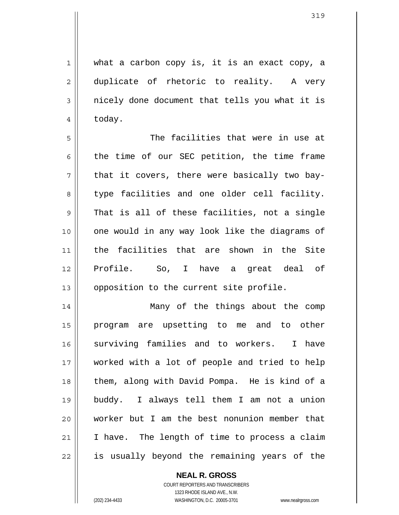what a carbon copy is, it is an exact copy, a

duplicate of rhetoric to reality. A very nicely done document that tells you what it is today.

5 6 7 8 9 10 11 12 13 The facilities that were in use at the time of our SEC petition, the time frame that it covers, there were basically two baytype facilities and one older cell facility. That is all of these facilities, not a single one would in any way look like the diagrams of the facilities that are shown in the Site Profile. So, I have a great deal of opposition to the current site profile.

14 15 16 17 18 19 20 21 22 Many of the things about the comp program are upsetting to me and to other surviving families and to workers. I have worked with a lot of people and tried to help them, along with David Pompa. He is kind of a buddy. I always tell them I am not a union worker but I am the best nonunion member that I have. The length of time to process a claim is usually beyond the remaining years of the

**NEAL R. GROSS**

COURT REPORTERS AND TRANSCRIBERS 1323 RHODE ISLAND AVE., N.W. (202) 234-4433 WASHINGTON, D.C. 20005-3701 www.nealrgross.com

1

2

3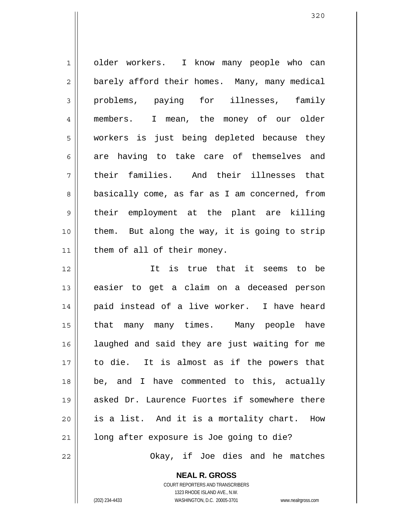| $\mathbf 1$    | older workers. I know many people who can      |
|----------------|------------------------------------------------|
| $\overline{2}$ | barely afford their homes. Many, many medical  |
| 3              | problems, paying for illnesses, family         |
| $\overline{4}$ | members. I mean, the money of our older        |
| 5              | workers is just being depleted because they    |
| 6              | are having to take care of themselves and      |
| 7              | their families. And their illnesses that       |
| 8              | basically come, as far as I am concerned, from |
| $\mathsf 9$    | their employment at the plant are killing      |
| 10             | them. But along the way, it is going to strip  |
| 11             | them of all of their money.                    |
| 12             | It is true that it seems to be                 |
| 13             | easier to get a claim on a deceased person     |
| 14             | paid instead of a live worker. I have heard    |
| 15             | that many many times. Many people have         |
| 16             | laughed and said they are just waiting for me  |
| 17             | to die. It is almost as if the powers that     |
| 18             | be, and I have commented to this, actually     |
| 19             | asked Dr. Laurence Fuortes if somewhere there  |
| 20             | is a list. And it is a mortality chart.<br>How |
| 21             | long after exposure is Joe going to die?       |
| 22             | Okay, if Joe dies and he matches               |

**NEAL R. GROSS** COURT REPORTERS AND TRANSCRIBERS

1323 RHODE ISLAND AVE., N.W.

(202) 234-4433 WASHINGTON, D.C. 20005-3701 www.nealrgross.com

 $\mathbf{\mathsf{I}}$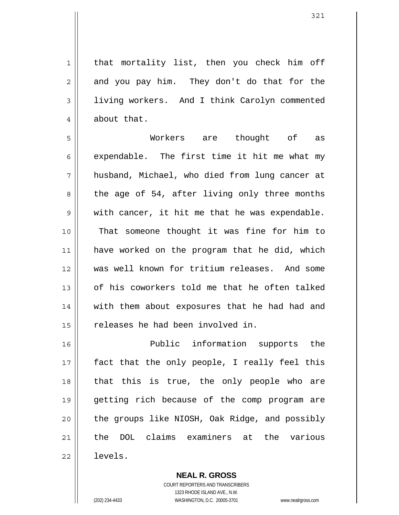that mortality list, then you check him off and you pay him. They don't do that for the living workers. And I think Carolyn commented about that.

5 6 7 8 9 10 11 12 13 14 15 Workers are thought of as expendable. The first time it hit me what my husband, Michael, who died from lung cancer at the age of 54, after living only three months with cancer, it hit me that he was expendable. That someone thought it was fine for him to have worked on the program that he did, which was well known for tritium releases. And some of his coworkers told me that he often talked with them about exposures that he had had and releases he had been involved in.

16 17 18 19 20 21 22 Public information supports the fact that the only people, I really feel this that this is true, the only people who are getting rich because of the comp program are the groups like NIOSH, Oak Ridge, and possibly the DOL claims examiners at the various levels.

> **NEAL R. GROSS** COURT REPORTERS AND TRANSCRIBERS 1323 RHODE ISLAND AVE., N.W. (202) 234-4433 WASHINGTON, D.C. 20005-3701 www.nealrgross.com

1

2

3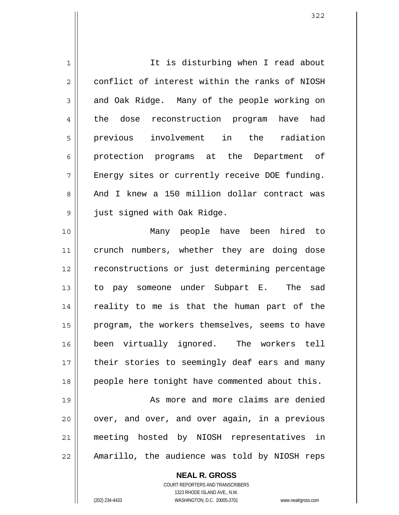| $\mathbf 1$    | It is disturbing when I read about             |
|----------------|------------------------------------------------|
| $\overline{2}$ | conflict of interest within the ranks of NIOSH |
| 3              | and Oak Ridge. Many of the people working on   |
| 4              | the dose reconstruction program have had       |
| 5              | previous involvement in the radiation          |
| 6              | protection programs at the Department of       |
| 7              | Energy sites or currently receive DOE funding. |
| 8              | And I knew a 150 million dollar contract was   |
| 9              | just signed with Oak Ridge.                    |
| 10             | Many people have been hired to                 |
| 11             | crunch numbers, whether they are doing dose    |
| 12             | reconstructions or just determining percentage |
| 13             | to pay someone under Subpart E. The sad        |
| 14             | reality to me is that the human part of the    |
| 15             | program, the workers themselves, seems to have |
| 16             | been virtually ignored. The workers tell       |
| 17             | their stories to seemingly deaf ears and many  |
| 18             | people here tonight have commented about this. |
| 19             | As more and more claims are denied             |
| 20             | over, and over, and over again, in a previous  |
| 21             | meeting hosted by NIOSH representatives in     |
| 22             | Amarillo, the audience was told by NIOSH reps  |

**NEAL R. GROSS** COURT REPORTERS AND TRANSCRIBERS 1323 RHODE ISLAND AVE., N.W.

 $\mathsf{I}$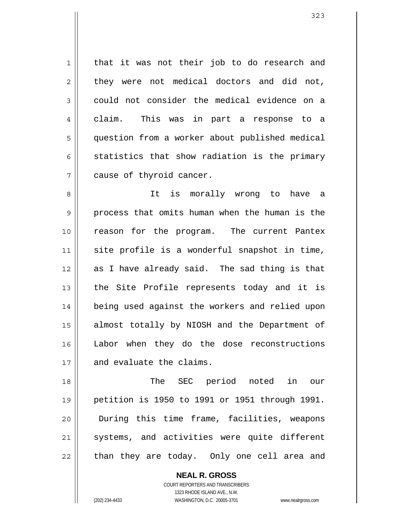that it was not their job to do research and they were not medical doctors and did not, could not consider the medical evidence on a claim. This was in part a response to a question from a worker about published medical statistics that show radiation is the primary cause of thyroid cancer.

8 9 10 11 12 13 14 15 16 17 It is morally wrong to have a process that omits human when the human is the reason for the program. The current Pantex site profile is a wonderful snapshot in time, as I have already said. The sad thing is that the Site Profile represents today and it is being used against the workers and relied upon almost totally by NIOSH and the Department of Labor when they do the dose reconstructions and evaluate the claims.

18 19 20 21 22 The SEC period noted in our petition is 1950 to 1991 or 1951 through 1991. During this time frame, facilities, weapons systems, and activities were quite different than they are today. Only one cell area and

> **NEAL R. GROSS** COURT REPORTERS AND TRANSCRIBERS 1323 RHODE ISLAND AVE., N.W. (202) 234-4433 WASHINGTON, D.C. 20005-3701 www.nealrgross.com

1

2

3

4

5

6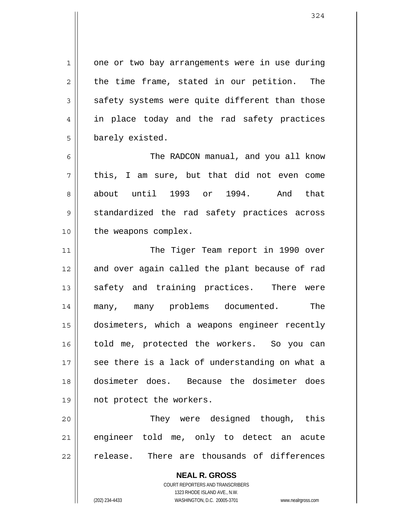1 2 3 4 5 6 7 8 9 10 11 12 13 14 15 16 17 18 19 20 one or two bay arrangements were in use during the time frame, stated in our petition. The safety systems were quite different than those in place today and the rad safety practices barely existed. The RADCON manual, and you all know this, I am sure, but that did not even come about until 1993 or 1994. And that standardized the rad safety practices across the weapons complex. The Tiger Team report in 1990 over and over again called the plant because of rad safety and training practices. There were many, many problems documented. The dosimeters, which a weapons engineer recently told me, protected the workers. So you can see there is a lack of understanding on what a dosimeter does. Because the dosimeter does not protect the workers. They were designed though, this

21 22 engineer told me, only to detect an acute release. There are thousands of differences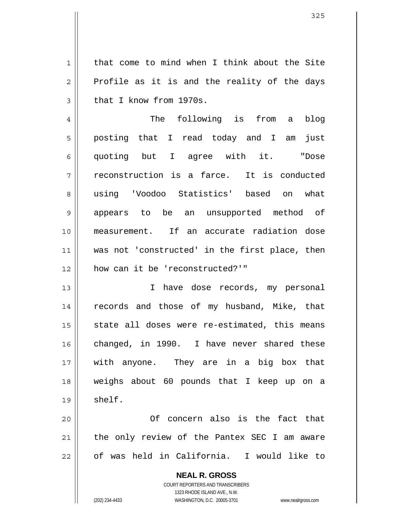that come to mind when I think about the Site Profile as it is and the reality of the days that I know from 1970s.

4 5 6 7 8 9 10 11 12 The following is from a blog posting that I read today and I am just quoting but I agree with it. "Dose reconstruction is a farce. It is conducted using 'Voodoo Statistics' based on what appears to be an unsupported method of measurement. If an accurate radiation dose was not 'constructed' in the first place, then how can it be 'reconstructed?'"

13 14 15 16 17 18 19 I have dose records, my personal records and those of my husband, Mike, that state all doses were re-estimated, this means changed, in 1990. I have never shared these with anyone. They are in a big box that weighs about 60 pounds that I keep up on a shelf.

20 21 22 Of concern also is the fact that the only review of the Pantex SEC I am aware of was held in California. I would like to

> **NEAL R. GROSS** COURT REPORTERS AND TRANSCRIBERS 1323 RHODE ISLAND AVE., N.W. (202) 234-4433 WASHINGTON, D.C. 20005-3701 www.nealrgross.com

1

2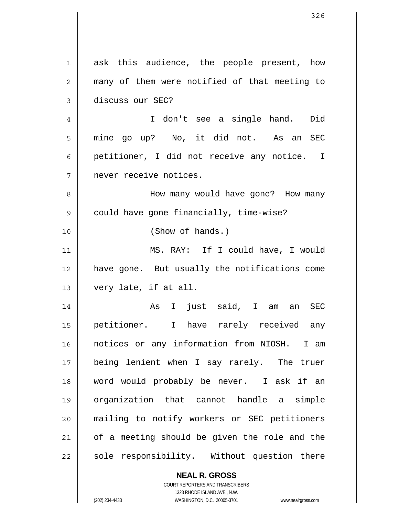| $\mathbf 1$ | ask this audience, the people present, how               |
|-------------|----------------------------------------------------------|
| 2           | many of them were notified of that meeting to            |
| 3           | discuss our SEC?                                         |
| 4           | I don't see a single hand. Did                           |
| 5           | mine go up? No, it did not. As an SEC                    |
| 6           | petitioner, I did not receive any notice. I              |
| 7           | never receive notices.                                   |
| 8           | How many would have gone? How many                       |
| 9           | could have gone financially, time-wise?                  |
| 10          | (Show of hands.)                                         |
| 11          | MS. RAY: If I could have, I would                        |
| 12          | have gone. But usually the notifications come            |
| 13          | very late, if at all.                                    |
| 14          | I just said, I am an SEC<br>As                           |
| 15          | petitioner. I have rarely received<br>any                |
| 16          | notices or any information from NIOSH. I am              |
| 17          | being lenient when I say rarely. The truer               |
| 18          | word would probably be never. I ask if an                |
| 19          | organization that cannot handle a simple                 |
| 20          | mailing to notify workers or SEC petitioners             |
| 21          | of a meeting should be given the role and the            |
| 22          | sole responsibility. Without question there              |
|             | <b>NEAL R. GROSS</b><br>COURT REPORTERS AND TRANSCRIBERS |

1323 RHODE ISLAND AVE., N.W.

 $\prod$ 

 $\mathsf{I}$ 

(202) 234-4433 WASHINGTON, D.C. 20005-3701 www.nealrgross.com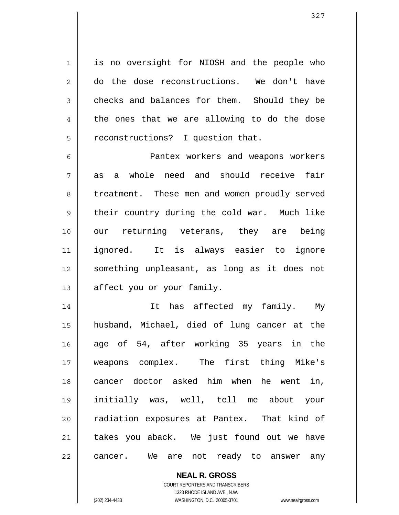1 2 3 4 5 is no oversight for NIOSH and the people who do the dose reconstructions. We don't have checks and balances for them. Should they be the ones that we are allowing to do the dose reconstructions? I question that.

6 7 8 9 10 11 12 13 Pantex workers and weapons workers as a whole need and should receive fair treatment. These men and women proudly served their country during the cold war. Much like our returning veterans, they are being ignored. It is always easier to ignore something unpleasant, as long as it does not affect you or your family.

14 15 16 17 18 19 20 21 22 It has affected my family. My husband, Michael, died of lung cancer at the age of 54, after working 35 years in the weapons complex. The first thing Mike's cancer doctor asked him when he went in, initially was, well, tell me about your radiation exposures at Pantex. That kind of takes you aback. We just found out we have cancer. We are not ready to answer any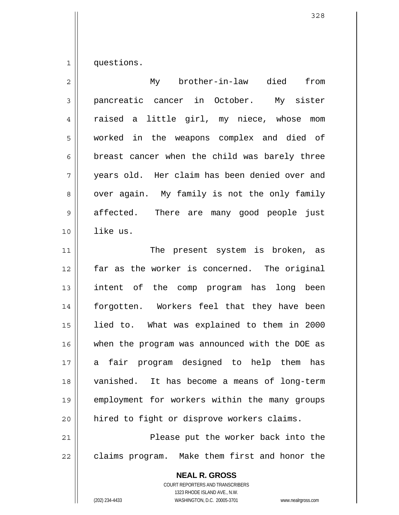1 questions.

| $\overline{2}$ | My brother-in-law died<br>from                                                                |
|----------------|-----------------------------------------------------------------------------------------------|
| 3              | pancreatic cancer in October. My sister                                                       |
| 4              | raised a little girl, my niece, whose mom                                                     |
| 5              | worked in the weapons complex and died of                                                     |
| 6              | breast cancer when the child was barely three                                                 |
| 7              | years old. Her claim has been denied over and                                                 |
| 8              | over again. My family is not the only family                                                  |
| $\mathsf 9$    | affected. There are many good people just                                                     |
| 10             | like us.                                                                                      |
| 11             | The present system is broken, as                                                              |
| 12             | far as the worker is concerned. The original                                                  |
| 13             | intent of the comp program has long been                                                      |
| 14             | forgotten. Workers feel that they have been                                                   |
| 15             | lied to. What was explained to them in 2000                                                   |
| 16             | when the program was announced with the DOE as                                                |
| 17             | a fair program designed to help them has                                                      |
| 18             | vanished. It has become a means of long-term                                                  |
| 19             | employment for workers within the many groups                                                 |
| 20             | hired to fight or disprove workers claims.                                                    |
| 21             | Please put the worker back into the                                                           |
| 22             | claims program. Make them first and honor the                                                 |
|                | <b>NEAL R. GROSS</b><br><b>COURT REPORTERS AND TRANSCRIBERS</b><br>1323 RHODE ISLAND AVE N.W. |

1323 RHODE ISLAND AVE., N.W.

 $\prod_{i=1}^{n}$ 

(202) 234-4433 WASHINGTON, D.C. 20005-3701 www.nealrgross.com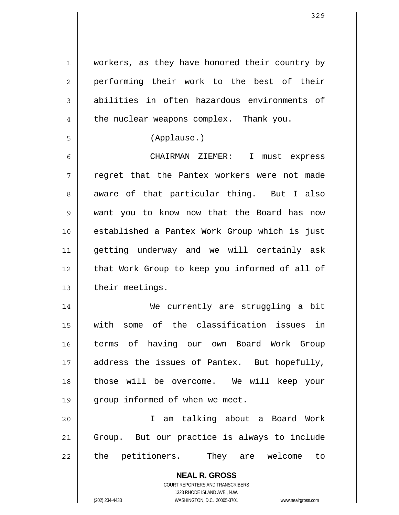1 2 3 4 workers, as they have honored their country by performing their work to the best of their abilities in often hazardous environments of the nuclear weapons complex. Thank you.

(Applause.)

5

6 7 8 9 10 11 12 13 CHAIRMAN ZIEMER: I must express regret that the Pantex workers were not made aware of that particular thing. But I also want you to know now that the Board has now established a Pantex Work Group which is just getting underway and we will certainly ask that Work Group to keep you informed of all of their meetings.

14 15 16 17 18 19 We currently are struggling a bit with some of the classification issues in terms of having our own Board Work Group address the issues of Pantex. But hopefully, those will be overcome. We will keep your group informed of when we meet.

20 21 22 I am talking about a Board Work Group. But our practice is always to include the petitioners. They are welcome to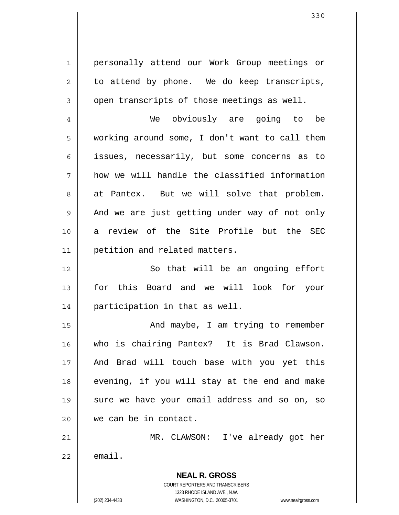**NEAL R. GROSS** COURT REPORTERS AND TRANSCRIBERS 1 2 3 4 5 6 7 8 9 10 11 12 13 14 15 16 17 18 19 20 21 22 personally attend our Work Group meetings or to attend by phone. We do keep transcripts, open transcripts of those meetings as well. We obviously are going to be working around some, I don't want to call them issues, necessarily, but some concerns as to how we will handle the classified information at Pantex. But we will solve that problem. And we are just getting under way of not only a review of the Site Profile but the SEC petition and related matters. So that will be an ongoing effort for this Board and we will look for your participation in that as well. And maybe, I am trying to remember who is chairing Pantex? It is Brad Clawson. And Brad will touch base with you yet this evening, if you will stay at the end and make sure we have your email address and so on, so we can be in contact. MR. CLAWSON: I've already got her email.

1323 RHODE ISLAND AVE., N.W.

(202) 234-4433 WASHINGTON, D.C. 20005-3701 www.nealrgross.com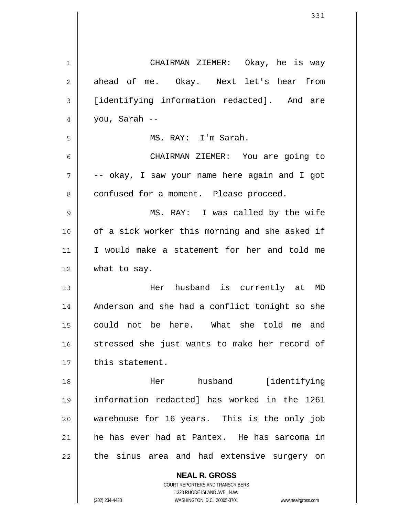| 1  | CHAIRMAN ZIEMER: Okay, he is way               |
|----|------------------------------------------------|
| 2  | ahead of me. Okay. Next let's hear from        |
| 3  | [identifying information redacted]. And are    |
| 4  | you, Sarah --                                  |
| 5  | MS. RAY: I'm Sarah.                            |
| 6  | CHAIRMAN ZIEMER: You are going to              |
| 7  | -- okay, I saw your name here again and I got  |
| 8  | confused for a moment. Please proceed.         |
| 9  | MS. RAY: I was called by the wife              |
| 10 | of a sick worker this morning and she asked if |
| 11 | I would make a statement for her and told me   |
| 12 | what to say.                                   |
| 13 | Her husband is currently at MD                 |
| 14 | Anderson and she had a conflict tonight so she |
| 15 | could not be here. What she told me and        |
| 16 | stressed she just wants to make her record of  |
| 17 | this statement.                                |
| 18 | husband [identifying<br>Her                    |
| 19 | information redacted] has worked in the 1261   |
| 20 | warehouse for 16 years. This is the only job   |
| 21 | he has ever had at Pantex. He has sarcoma in   |
| 22 | the sinus area and had extensive surgery on    |
|    | <b>NEAL R. GROSS</b>                           |

COURT REPORTERS AND TRANSCRIBERS 1323 RHODE ISLAND AVE., N.W.

 $\prod$ 

(202) 234-4433 WASHINGTON, D.C. 20005-3701 www.nealrgross.com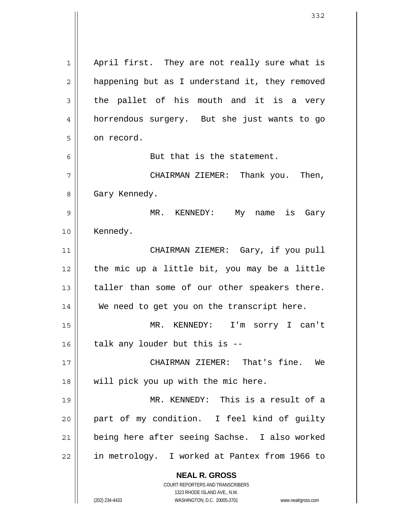**NEAL R. GROSS** COURT REPORTERS AND TRANSCRIBERS 1323 RHODE ISLAND AVE., N.W. 1 2 3 4 5 6 7 8 9 10 11 12 13 14 15 16 17 18 19 20 21 22 April first. They are not really sure what is happening but as I understand it, they removed the pallet of his mouth and it is a very horrendous surgery. But she just wants to go on record. But that is the statement. CHAIRMAN ZIEMER: Thank you. Then, Gary Kennedy. MR. KENNEDY: My name is Gary Kennedy. CHAIRMAN ZIEMER: Gary, if you pull the mic up a little bit, you may be a little taller than some of our other speakers there. We need to get you on the transcript here. MR. KENNEDY: I'm sorry I can't talk any louder but this is -- CHAIRMAN ZIEMER: That's fine. We will pick you up with the mic here. MR. KENNEDY: This is a result of a part of my condition. I feel kind of guilty being here after seeing Sachse. I also worked in metrology. I worked at Pantex from 1966 to

(202) 234-4433 WASHINGTON, D.C. 20005-3701 www.nealrgross.com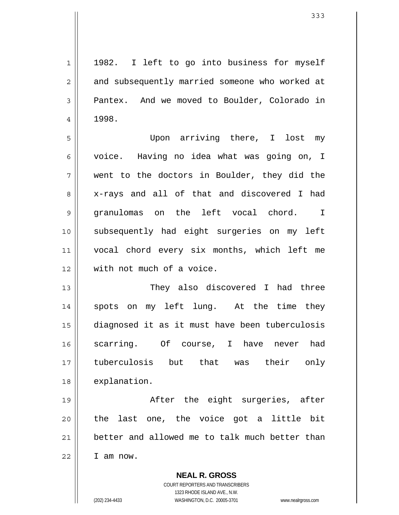**NEAL R. GROSS** 1 2 3 4 5 6 7 8 9 10 11 12 13 14 15 16 17 18 19 20 21 22 1982. I left to go into business for myself and subsequently married someone who worked at Pantex. And we moved to Boulder, Colorado in 1998. Upon arriving there, I lost my voice. Having no idea what was going on, I went to the doctors in Boulder, they did the x-rays and all of that and discovered I had granulomas on the left vocal chord. I subsequently had eight surgeries on my left vocal chord every six months, which left me with not much of a voice. They also discovered I had three spots on my left lung. At the time they diagnosed it as it must have been tuberculosis scarring. Of course, I have never had tuberculosis but that was their only explanation. After the eight surgeries, after the last one, the voice got a little bit better and allowed me to talk much better than I am now.

> COURT REPORTERS AND TRANSCRIBERS 1323 RHODE ISLAND AVE., N.W.

(202) 234-4433 WASHINGTON, D.C. 20005-3701 www.nealrgross.com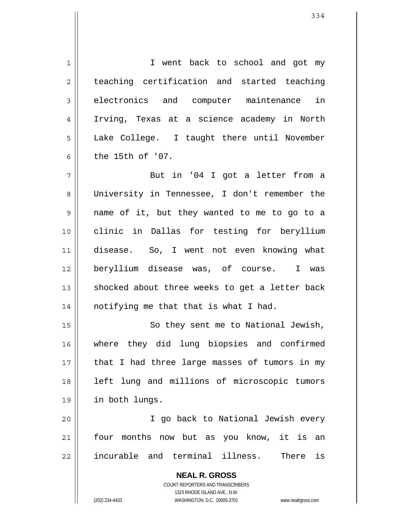**NEAL R. GROSS** COURT REPORTERS AND TRANSCRIBERS 1323 RHODE ISLAND AVE., N.W. 1 2 3 4 5 6 7 8 9 10 11 12 13 14 15 16 17 18 19 20 21 22 I went back to school and got my teaching certification and started teaching electronics and computer maintenance in Irving, Texas at a science academy in North Lake College. I taught there until November the 15th of '07. But in '04 I got a letter from a University in Tennessee, I don't remember the name of it, but they wanted to me to go to a clinic in Dallas for testing for beryllium disease. So, I went not even knowing what beryllium disease was, of course. I was shocked about three weeks to get a letter back notifying me that that is what I had. So they sent me to National Jewish, where they did lung biopsies and confirmed that I had three large masses of tumors in my left lung and millions of microscopic tumors in both lungs. I go back to National Jewish every four months now but as you know, it is an incurable and terminal illness. There is

(202) 234-4433 WASHINGTON, D.C. 20005-3701 www.nealrgross.com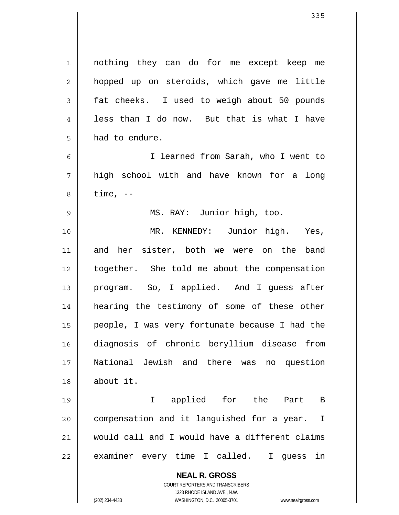**NEAL R. GROSS** COURT REPORTERS AND TRANSCRIBERS 1323 RHODE ISLAND AVE., N.W. 1 2 3 4 5 6 7 8 9 10 11 12 13 14 15 16 17 18 19 20 21 22 nothing they can do for me except keep me hopped up on steroids, which gave me little fat cheeks. I used to weigh about 50 pounds less than I do now. But that is what I have had to endure. I learned from Sarah, who I went to high school with and have known for a long time,  $-$  MS. RAY: Junior high, too. MR. KENNEDY: Junior high. Yes, and her sister, both we were on the band together. She told me about the compensation program. So, I applied. And I guess after hearing the testimony of some of these other people, I was very fortunate because I had the diagnosis of chronic beryllium disease from National Jewish and there was no question about it. I applied for the Part B compensation and it languished for a year. I would call and I would have a different claims examiner every time I called. I guess in

(202) 234-4433 WASHINGTON, D.C. 20005-3701 www.nealrgross.com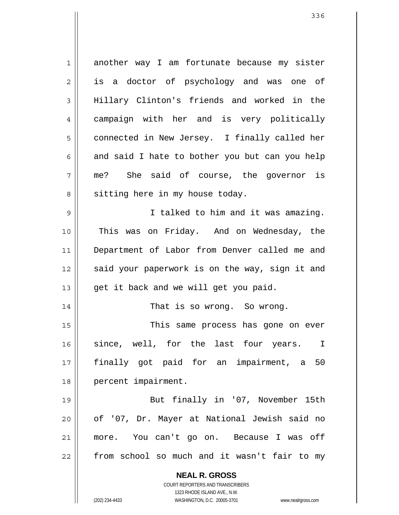**NEAL R. GROSS** COURT REPORTERS AND TRANSCRIBERS 1323 RHODE ISLAND AVE., N.W. 1 2 3 4 5 6 7 8 9 10 11 12 13 14 15 16 17 18 19 20 21 22 another way I am fortunate because my sister is a doctor of psychology and was one of Hillary Clinton's friends and worked in the campaign with her and is very politically connected in New Jersey. I finally called her and said I hate to bother you but can you help me? She said of course, the governor is sitting here in my house today. I talked to him and it was amazing. This was on Friday. And on Wednesday, the Department of Labor from Denver called me and said your paperwork is on the way, sign it and get it back and we will get you paid. That is so wrong. So wrong. This same process has gone on ever since, well, for the last four years. I finally got paid for an impairment, a 50 percent impairment. But finally in '07, November 15th of '07, Dr. Mayer at National Jewish said no more. You can't go on. Because I was off from school so much and it wasn't fair to my

(202) 234-4433 WASHINGTON, D.C. 20005-3701 www.nealrgross.com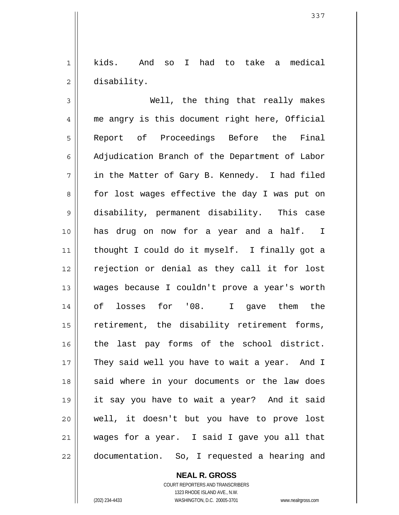1 2 kids. And so I had to take a medical disability.

3 4 5 6 7 8 9 10 11 12 13 14 15 16 17 18 19 20 21 22 Well, the thing that really makes me angry is this document right here, Official Report of Proceedings Before the Final Adjudication Branch of the Department of Labor in the Matter of Gary B. Kennedy. I had filed for lost wages effective the day I was put on disability, permanent disability. This case has drug on now for a year and a half. I thought I could do it myself. I finally got a rejection or denial as they call it for lost wages because I couldn't prove a year's worth of losses for '08. I gave them the retirement, the disability retirement forms, the last pay forms of the school district. They said well you have to wait a year. And I said where in your documents or the law does it say you have to wait a year? And it said well, it doesn't but you have to prove lost wages for a year. I said I gave you all that documentation. So, I requested a hearing and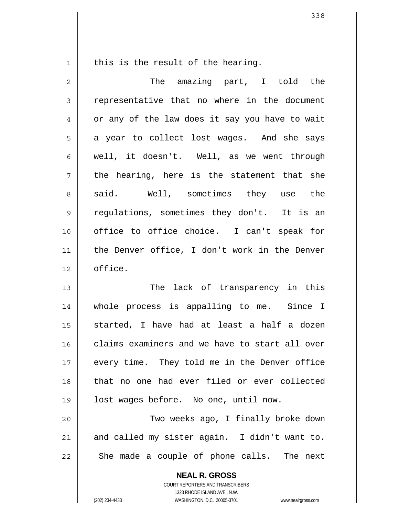1

this is the result of the hearing.

| $\overline{2}$ | The amazing part, I told the                   |
|----------------|------------------------------------------------|
| 3              | representative that no where in the document   |
| 4              | or any of the law does it say you have to wait |
| 5              | a year to collect lost wages. And she says     |
| 6              | well, it doesn't. Well, as we went through     |
| 7              | the hearing, here is the statement that she    |
| 8              | said. Well, sometimes they use the             |
| $\mathsf{S}$   | regulations, sometimes they don't. It is an    |
| 10             | office to office choice. I can't speak for     |
| 11             | the Denver office, I don't work in the Denver  |
| 12             | office.                                        |
| 13             | The lack of transparency in this               |
| 14             | whole process is appalling to me. Since I      |
| 15             | started, I have had at least a half a dozen    |
| 16             | claims examiners and we have to start all over |
| 17             | every time. They told me in the Denver office  |
| 18             | that no one had ever filed or ever collected   |
| 19             | lost wages before. No one, until now.          |
| 20             | Two weeks ago, I finally broke down            |
| 21             | and called my sister again. I didn't want to.  |
| 22             | She made a couple of phone calls. The next     |
|                | <b>NEAL R. GROSS</b>                           |

COURT REPORTERS AND TRANSCRIBERS 1323 RHODE ISLAND AVE., N.W.

(202) 234-4433 WASHINGTON, D.C. 20005-3701 www.nealrgross.com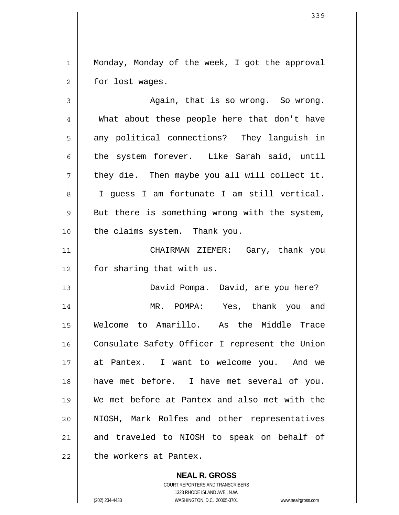1 2 Monday, Monday of the week, I got the approval for lost wages.

3 4 5 6 7 8 9 10 11 12 13 14 15 16 17 18 19 20 21 22 Again, that is so wrong. So wrong. What about these people here that don't have any political connections? They languish in the system forever. Like Sarah said, until they die. Then maybe you all will collect it. I guess I am fortunate I am still vertical. But there is something wrong with the system, the claims system. Thank you. CHAIRMAN ZIEMER: Gary, thank you for sharing that with us. David Pompa. David, are you here? MR. POMPA: Yes, thank you and Welcome to Amarillo. As the Middle Trace Consulate Safety Officer I represent the Union at Pantex. I want to welcome you. And we have met before. I have met several of you. We met before at Pantex and also met with the NIOSH, Mark Rolfes and other representatives and traveled to NIOSH to speak on behalf of the workers at Pantex.

> **NEAL R. GROSS** COURT REPORTERS AND TRANSCRIBERS 1323 RHODE ISLAND AVE., N.W. (202) 234-4433 WASHINGTON, D.C. 20005-3701 www.nealrgross.com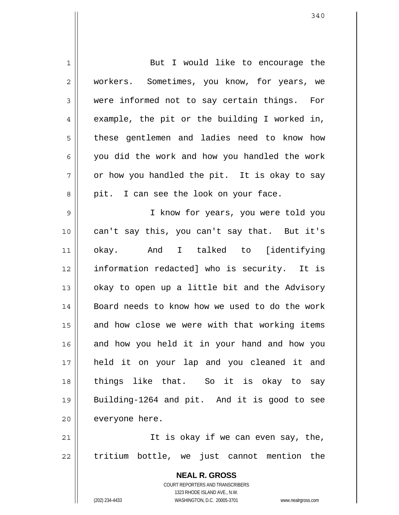| 1           | But I would like to encourage the                        |
|-------------|----------------------------------------------------------|
| 2           | workers. Sometimes, you know, for years, we              |
| 3           | were informed not to say certain things. For             |
| 4           | example, the pit or the building I worked in,            |
| 5           | these gentlemen and ladies need to know how              |
| 6           | you did the work and how you handled the work            |
| 7           | or how you handled the pit. It is okay to say            |
| 8           | pit. I can see the look on your face.                    |
| $\mathsf 9$ | I know for years, you were told you                      |
| 10          | can't say this, you can't say that. But it's             |
| 11          | okay. And I talked to [identifying                       |
| 12          | information redacted] who is security. It is             |
| 13          | okay to open up a little bit and the Advisory            |
| 14          | Board needs to know how we used to do the work           |
| 15          | and how close we were with that working items            |
| 16          | and how you held it in your hand and how you             |
| 17          | held it on your lap and you cleaned it and               |
| 18          | things like that. So it is okay to say                   |
| 19          | Building-1264 and pit. And it is good to see             |
| 20          | everyone here.                                           |
| 21          | It is okay if we can even say, the,                      |
| 22          | tritium bottle, we just cannot mention the               |
|             | <b>NEAL R. GROSS</b><br>COURT REPORTERS AND TRANSCRIBERS |

1323 RHODE ISLAND AVE., N.W.

 $\prod$ 

(202) 234-4433 WASHINGTON, D.C. 20005-3701 www.nealrgross.com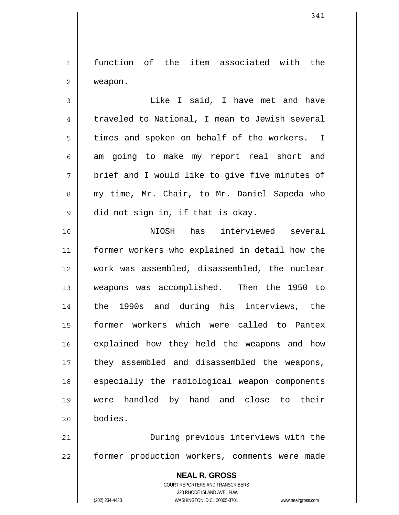1 2 function of the item associated with the weapon.

3 4 5 6 7 8 9 Like I said, I have met and have traveled to National, I mean to Jewish several times and spoken on behalf of the workers. I am going to make my report real short and brief and I would like to give five minutes of my time, Mr. Chair, to Mr. Daniel Sapeda who did not sign in, if that is okay.

10 11 12 13 14 15 16 17 18 19 20 NIOSH has interviewed several former workers who explained in detail how the work was assembled, disassembled, the nuclear weapons was accomplished. Then the 1950 to the 1990s and during his interviews, the former workers which were called to Pantex explained how they held the weapons and how they assembled and disassembled the weapons, especially the radiological weapon components were handled by hand and close to their bodies.

21 22 During previous interviews with the former production workers, comments were made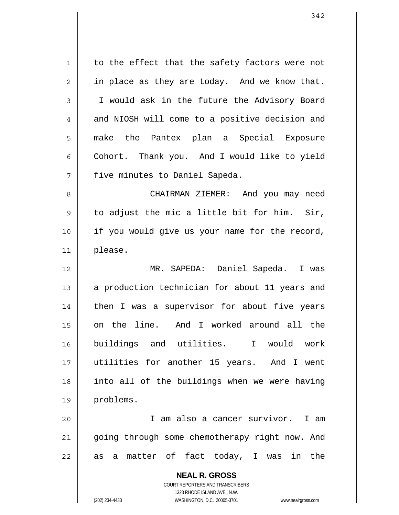1 2 3 4 5 6 7 8 9 10 11 12 13 14 15 16 17 18 19 20 21 22 to the effect that the safety factors were not in place as they are today. And we know that. I would ask in the future the Advisory Board and NIOSH will come to a positive decision and make the Pantex plan a Special Exposure Cohort. Thank you. And I would like to yield five minutes to Daniel Sapeda. CHAIRMAN ZIEMER: And you may need to adjust the mic a little bit for him. Sir, if you would give us your name for the record, please. MR. SAPEDA: Daniel Sapeda. I was a production technician for about 11 years and then I was a supervisor for about five years on the line. And I worked around all the buildings and utilities. I would work utilities for another 15 years. And I went into all of the buildings when we were having problems. I am also a cancer survivor. I am going through some chemotherapy right now. And as a matter of fact today, I was in the

> **NEAL R. GROSS** COURT REPORTERS AND TRANSCRIBERS 1323 RHODE ISLAND AVE., N.W.

(202) 234-4433 WASHINGTON, D.C. 20005-3701 www.nealrgross.com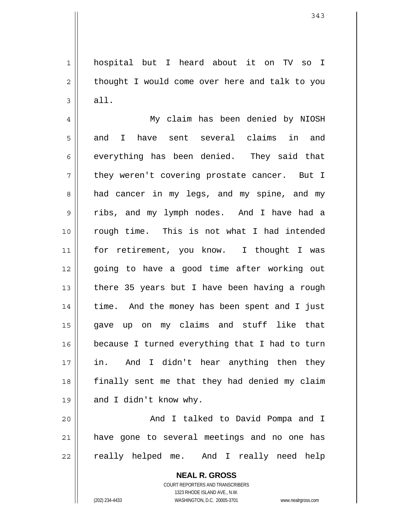1 2 3 hospital but I heard about it on TV so I thought I would come over here and talk to you all.

4 5 6 7 8 9 10 11 12 13 14 15 16 17 18 19 My claim has been denied by NIOSH and I have sent several claims in and everything has been denied. They said that they weren't covering prostate cancer. But I had cancer in my legs, and my spine, and my ribs, and my lymph nodes. And I have had a rough time. This is not what I had intended for retirement, you know. I thought I was going to have a good time after working out there 35 years but I have been having a rough time. And the money has been spent and I just gave up on my claims and stuff like that because I turned everything that I had to turn in. And I didn't hear anything then they finally sent me that they had denied my claim and I didn't know why.

20 21 22 And I talked to David Pompa and I have gone to several meetings and no one has really helped me. And I really need help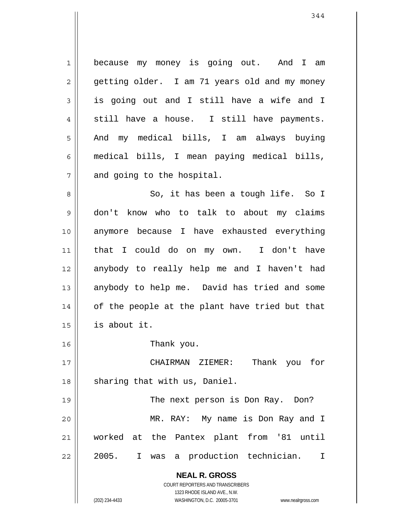1 2 3 4 5 6 7 8 because my money is going out. And I am getting older. I am 71 years old and my money is going out and I still have a wife and I still have a house. I still have payments. And my medical bills, I am always buying medical bills, I mean paying medical bills, and going to the hospital. So, it has been a tough life. So I

9 10 11 12 13 14 15 don't know who to talk to about my claims anymore because I have exhausted everything that I could do on my own. I don't have anybody to really help me and I haven't had anybody to help me. David has tried and some of the people at the plant have tried but that is about it.

Thank you.

17 18 CHAIRMAN ZIEMER: Thank you for sharing that with us, Daniel.

19 20 21 22 The next person is Don Ray. Don? MR. RAY: My name is Don Ray and I worked at the Pantex plant from '81 until 2005. I was a production technician. I

> **NEAL R. GROSS** COURT REPORTERS AND TRANSCRIBERS

> > 1323 RHODE ISLAND AVE., N.W.

16

(202) 234-4433 WASHINGTON, D.C. 20005-3701 www.nealrgross.com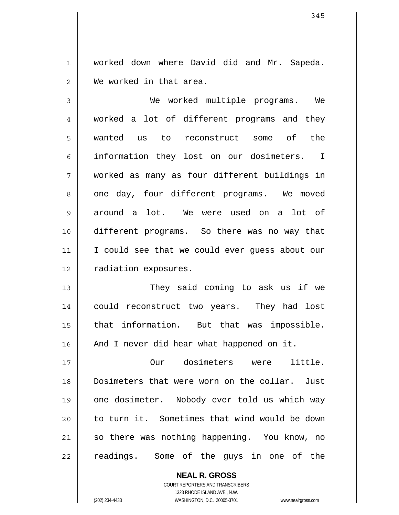1 2 worked down where David did and Mr. Sapeda. We worked in that area.

3 4 5 6 7 8 9 10 11 12 We worked multiple programs. We worked a lot of different programs and they wanted us to reconstruct some of the information they lost on our dosimeters. I worked as many as four different buildings in one day, four different programs. We moved around a lot. We were used on a lot of different programs. So there was no way that I could see that we could ever guess about our radiation exposures.

13 14 15 16 They said coming to ask us if we could reconstruct two years. They had lost that information. But that was impossible. And I never did hear what happened on it.

17 18 19 20 21 22 Our dosimeters were little. Dosimeters that were worn on the collar. Just one dosimeter. Nobody ever told us which way to turn it. Sometimes that wind would be down so there was nothing happening. You know, no readings. Some of the guys in one of the

> **NEAL R. GROSS** COURT REPORTERS AND TRANSCRIBERS 1323 RHODE ISLAND AVE., N.W. (202) 234-4433 WASHINGTON, D.C. 20005-3701 www.nealrgross.com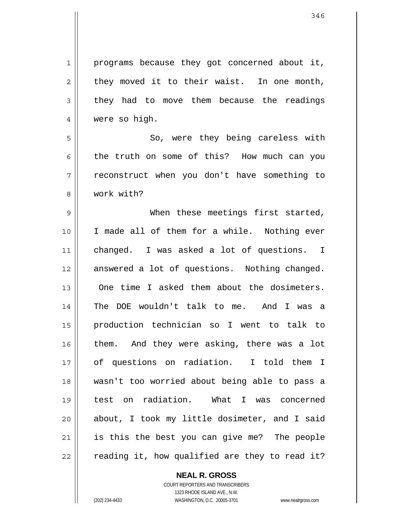1 2 3 4 programs because they got concerned about it, they moved it to their waist. In one month, they had to move them because the readings were so high.

5 6 7 8 So, were they being careless with the truth on some of this? How much can you reconstruct when you don't have something to work with?

9 10 11 12 13 14 15 16 17 18 19 20 21 22 When these meetings first started, I made all of them for a while. Nothing ever changed. I was asked a lot of questions. I answered a lot of questions. Nothing changed. One time I asked them about the dosimeters. The DOE wouldn't talk to me. And I was a production technician so I went to talk to them. And they were asking, there was a lot of questions on radiation. I told them I wasn't too worried about being able to pass a test on radiation. What I was concerned about, I took my little dosimeter, and I said is this the best you can give me? The people reading it, how qualified are they to read it?

> **NEAL R. GROSS** COURT REPORTERS AND TRANSCRIBERS

> > 1323 RHODE ISLAND AVE., N.W.

(202) 234-4433 WASHINGTON, D.C. 20005-3701 www.nealrgross.com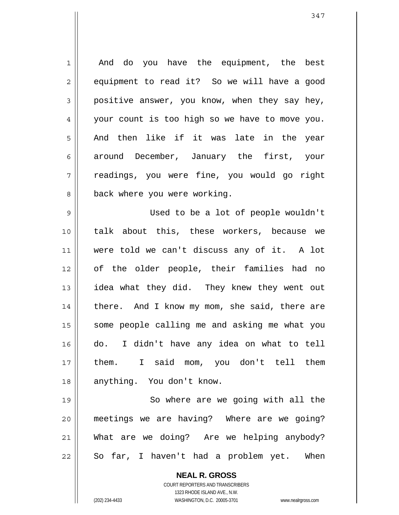1 2 3 4 5 6 7 8 And do you have the equipment, the best equipment to read it? So we will have a good positive answer, you know, when they say hey, your count is too high so we have to move you. And then like if it was late in the year around December, January the first, your readings, you were fine, you would go right back where you were working.

9 10 11 12 13 14 15 16 17 18 Used to be a lot of people wouldn't talk about this, these workers, because we were told we can't discuss any of it. A lot of the older people, their families had no idea what they did. They knew they went out there. And I know my mom, she said, there are some people calling me and asking me what you do. I didn't have any idea on what to tell them. I said mom, you don't tell them anything. You don't know.

19 20 21 22 So where are we going with all the meetings we are having? Where are we going? What are we doing? Are we helping anybody? So far, I haven't had a problem yet. When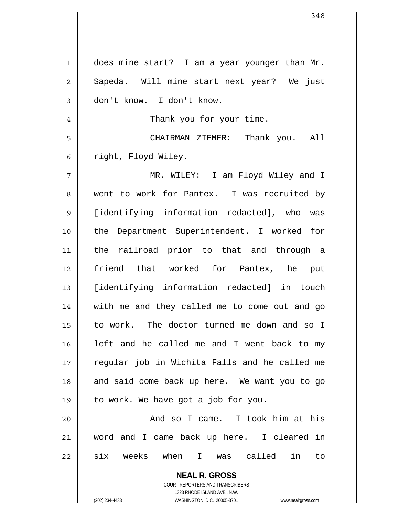| $\mathbf{1}$ | does mine start? I am a year younger than Mr.                                                       |
|--------------|-----------------------------------------------------------------------------------------------------|
| 2            | Sapeda. Will mine start next year? We just                                                          |
| 3            | don't know. I don't know.                                                                           |
| 4            | Thank you for your time.                                                                            |
| 5            | CHAIRMAN ZIEMER: Thank you. All                                                                     |
| 6            | right, Floyd Wiley.                                                                                 |
| 7            | MR. WILEY: I am Floyd Wiley and I                                                                   |
| 8            | went to work for Pantex. I was recruited by                                                         |
| 9            | [identifying information redacted], who was                                                         |
| 10           | the Department Superintendent. I worked for                                                         |
| 11           | the railroad prior to that and through a                                                            |
| 12           | friend that worked for Pantex, he put                                                               |
| 13           | [identifying information redacted] in touch                                                         |
| 14           | with me and they called me to come out and go                                                       |
| 15           | to work. The doctor turned me down and so I                                                         |
| 16           | left and he called me and I went back to my                                                         |
| 17           | regular job in Wichita Falls and he called me                                                       |
| 18           | and said come back up here. We want you to go                                                       |
| 19           | to work. We have got a job for you.                                                                 |
| 20           | And so I came. I took him at his                                                                    |
| 21           | word and I came back up here. I cleared in                                                          |
| 22           | six weeks when I was called<br>in<br>to                                                             |
|              | <b>NEAL R. GROSS</b>                                                                                |
|              | <b>COURT REPORTERS AND TRANSCRIBERS</b>                                                             |
|              | 1323 RHODE ISLAND AVE., N.W.<br>(202) 234-4433<br>WASHINGTON, D.C. 20005-3701<br>www.nealrgross.com |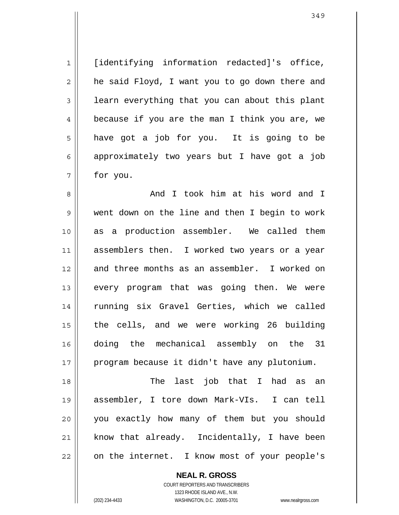[identifying information redacted]'s office, he said Floyd, I want you to go down there and learn everything that you can about this plant because if you are the man I think you are, we have got a job for you. It is going to be approximately two years but I have got a job for you.

8 9 10 11 12 13 14 15 16 17 And I took him at his word and I went down on the line and then I begin to work as a production assembler. We called them assemblers then. I worked two years or a year and three months as an assembler. I worked on every program that was going then. We were running six Gravel Gerties, which we called the cells, and we were working 26 building doing the mechanical assembly on the 31 program because it didn't have any plutonium.

18 19 20 21 22 The last job that I had as an assembler, I tore down Mark-VIs. I can tell you exactly how many of them but you should know that already. Incidentally, I have been on the internet. I know most of your people's

> **NEAL R. GROSS** COURT REPORTERS AND TRANSCRIBERS 1323 RHODE ISLAND AVE., N.W.

1

2

3

4

5

6

7

(202) 234-4433 WASHINGTON, D.C. 20005-3701 www.nealrgross.com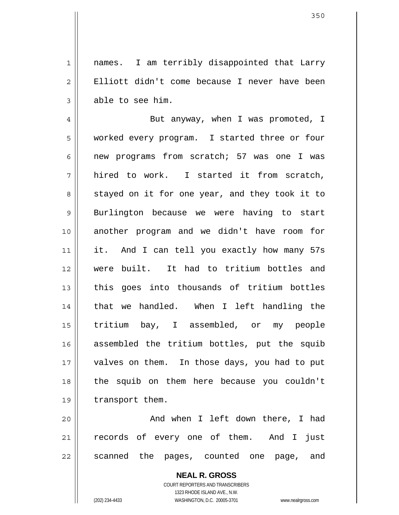1 2 3 names. I am terribly disappointed that Larry Elliott didn't come because I never have been able to see him.

4 5 6 7 8 9 10 11 12 13 14 15 16 17 18 19 But anyway, when I was promoted, I worked every program. I started three or four new programs from scratch; 57 was one I was hired to work. I started it from scratch, stayed on it for one year, and they took it to Burlington because we were having to start another program and we didn't have room for it. And I can tell you exactly how many 57s were built. It had to tritium bottles and this goes into thousands of tritium bottles that we handled. When I left handling the tritium bay, I assembled, or my people assembled the tritium bottles, put the squib valves on them. In those days, you had to put the squib on them here because you couldn't transport them.

20 21 22 And when I left down there, I had records of every one of them. And I just scanned the pages, counted one page, and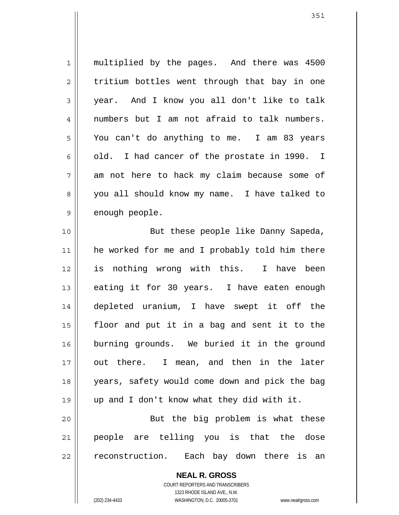1 2 3 4 5 6 7 8 9 multiplied by the pages. And there was 4500 tritium bottles went through that bay in one year. And I know you all don't like to talk numbers but I am not afraid to talk numbers. You can't do anything to me. I am 83 years old. I had cancer of the prostate in 1990. I am not here to hack my claim because some of you all should know my name. I have talked to enough people.

10 11 12 13 14 15 16 17 18 19 20 But these people like Danny Sapeda, he worked for me and I probably told him there is nothing wrong with this. I have been eating it for 30 years. I have eaten enough depleted uranium, I have swept it off the floor and put it in a bag and sent it to the burning grounds. We buried it in the ground out there. I mean, and then in the later years, safety would come down and pick the bag up and I don't know what they did with it. But the big problem is what these

21 22 people are telling you is that the dose reconstruction. Each bay down there is an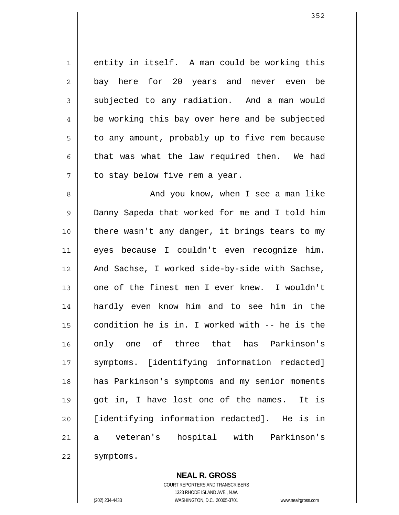1 2 3 4 5 6 7 entity in itself. A man could be working this bay here for 20 years and never even be subjected to any radiation. And a man would be working this bay over here and be subjected to any amount, probably up to five rem because that was what the law required then. We had to stay below five rem a year.

8 9 10 11 12 13 14 15 16 17 18 19 20 21 22 And you know, when I see a man like Danny Sapeda that worked for me and I told him there wasn't any danger, it brings tears to my eyes because I couldn't even recognize him. And Sachse, I worked side-by-side with Sachse, one of the finest men I ever knew. I wouldn't hardly even know him and to see him in the condition he is in. I worked with -- he is the only one of three that has Parkinson's symptoms. [identifying information redacted] has Parkinson's symptoms and my senior moments got in, I have lost one of the names. It is [identifying information redacted]. He is in a veteran's hospital with Parkinson's symptoms.

**NEAL R. GROSS**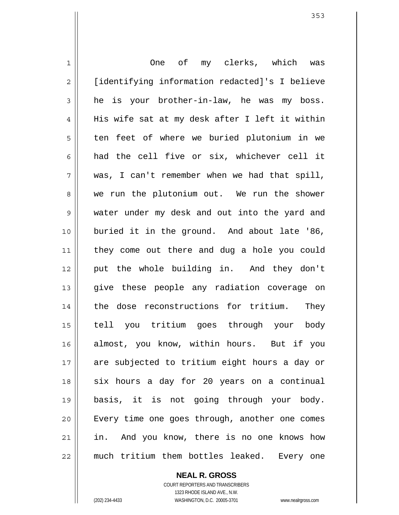1 2 3 4 5 6 7 8 9 10 11 12 13 14 15 16 17 18 19 20 21 22 One of my clerks, which was [identifying information redacted]'s I believe he is your brother-in-law, he was my boss. His wife sat at my desk after I left it within ten feet of where we buried plutonium in we had the cell five or six, whichever cell it was, I can't remember when we had that spill, we run the plutonium out. We run the shower water under my desk and out into the yard and buried it in the ground. And about late '86, they come out there and dug a hole you could put the whole building in. And they don't give these people any radiation coverage on the dose reconstructions for tritium. They tell you tritium goes through your body almost, you know, within hours. But if you are subjected to tritium eight hours a day or six hours a day for 20 years on a continual basis, it is not going through your body. Every time one goes through, another one comes in. And you know, there is no one knows how much tritium them bottles leaked. Every one

**NEAL R. GROSS**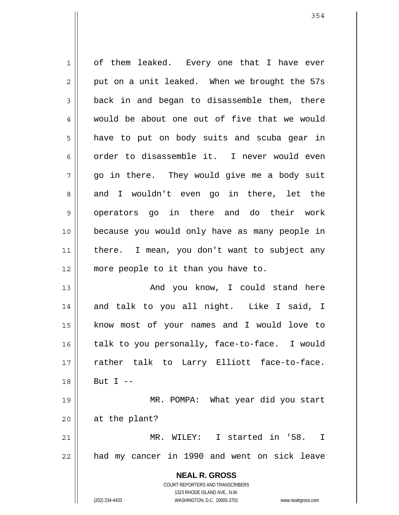**NEAL R. GROSS** COURT REPORTERS AND TRANSCRIBERS 1323 RHODE ISLAND AVE., N.W. 1 2 3 4 5 6 7 8 9 10 11 12 13 14 15 16 17 18 19 20 21 22 of them leaked. Every one that I have ever put on a unit leaked. When we brought the 57s back in and began to disassemble them, there would be about one out of five that we would have to put on body suits and scuba gear in order to disassemble it. I never would even go in there. They would give me a body suit and I wouldn't even go in there, let the operators go in there and do their work because you would only have as many people in there. I mean, you don't want to subject any more people to it than you have to. And you know, I could stand here and talk to you all night. Like I said, I know most of your names and I would love to talk to you personally, face-to-face. I would rather talk to Larry Elliott face-to-face. But  $I$  -- MR. POMPA: What year did you start at the plant? MR. WILEY: I started in '58. I had my cancer in 1990 and went on sick leave

(202) 234-4433 WASHINGTON, D.C. 20005-3701 www.nealrgross.com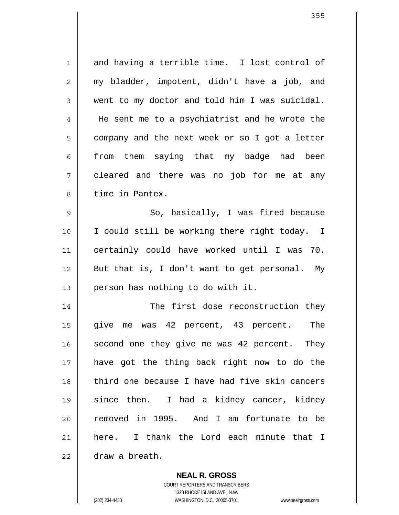1 2 3 4 5 6 7 8 9 10 11 12 13 14 15 16 and having a terrible time. I lost control of my bladder, impotent, didn't have a job, and went to my doctor and told him I was suicidal. He sent me to a psychiatrist and he wrote the company and the next week or so I got a letter from them saying that my badge had been cleared and there was no job for me at any time in Pantex. So, basically, I was fired because I could still be working there right today. I certainly could have worked until I was 70. But that is, I don't want to get personal. My person has nothing to do with it. The first dose reconstruction they give me was 42 percent, 43 percent. The second one they give me was 42 percent. They

have got the thing back right now to do the third one because I have had five skin cancers since then. I had a kidney cancer, kidney removed in 1995. And I am fortunate to be here. I thank the Lord each minute that I draw a breath.

22

17

18

19

20

21

**NEAL R. GROSS**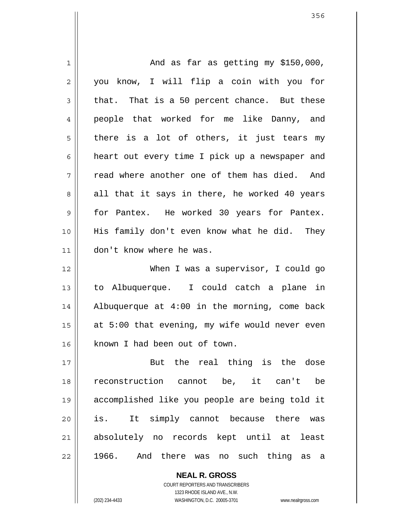1 2 3 4 5 6 7 8 9 10 11 12 13 14 15 16 17 18 19 20 21 22 And as far as getting my \$150,000, you know, I will flip a coin with you for that. That is a 50 percent chance. But these people that worked for me like Danny, and there is a lot of others, it just tears my heart out every time I pick up a newspaper and read where another one of them has died. And all that it says in there, he worked 40 years for Pantex. He worked 30 years for Pantex. His family don't even know what he did. They don't know where he was. When I was a supervisor, I could go to Albuquerque. I could catch a plane in Albuquerque at 4:00 in the morning, come back at 5:00 that evening, my wife would never even known I had been out of town. But the real thing is the dose reconstruction cannot be, it can't be accomplished like you people are being told it is. It simply cannot because there was absolutely no records kept until at least 1966. And there was no such thing as a

> COURT REPORTERS AND TRANSCRIBERS 1323 RHODE ISLAND AVE., N.W. (202) 234-4433 WASHINGTON, D.C. 20005-3701 www.nealrgross.com

**NEAL R. GROSS**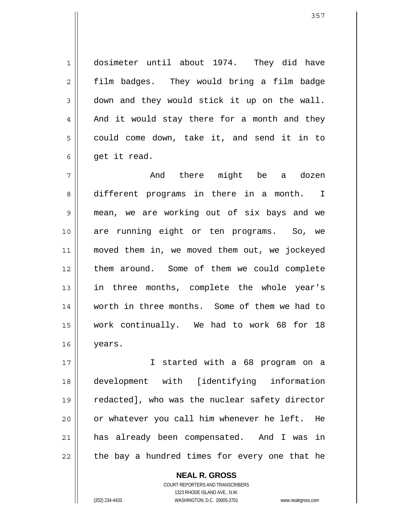dosimeter until about 1974. They did have film badges. They would bring a film badge down and they would stick it up on the wall. And it would stay there for a month and they could come down, take it, and send it in to get it read.

7 8 9 10 11 12 13 14 15 16 And there might be a dozen different programs in there in a month. I mean, we are working out of six bays and we are running eight or ten programs. So, we moved them in, we moved them out, we jockeyed them around. Some of them we could complete in three months, complete the whole year's worth in three months. Some of them we had to work continually. We had to work 68 for 18 years.

17 18 19 20 21 22 I started with a 68 program on a development with [identifying information redacted], who was the nuclear safety director or whatever you call him whenever he left. He has already been compensated. And I was in the bay a hundred times for every one that he

> **NEAL R. GROSS** COURT REPORTERS AND TRANSCRIBERS 1323 RHODE ISLAND AVE., N.W. (202) 234-4433 WASHINGTON, D.C. 20005-3701 www.nealrgross.com

1

2

3

4

5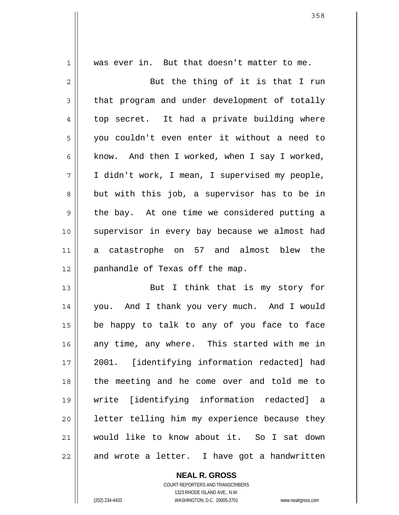1 2 3 4 5 6 7 8 9 10 11 12 13 14 15 16 17 18 19 20 21 22 was ever in. But that doesn't matter to me. But the thing of it is that I run that program and under development of totally top secret. It had a private building where you couldn't even enter it without a need to know. And then I worked, when I say I worked, I didn't work, I mean, I supervised my people, but with this job, a supervisor has to be in the bay. At one time we considered putting a supervisor in every bay because we almost had a catastrophe on 57 and almost blew the panhandle of Texas off the map. But I think that is my story for you. And I thank you very much. And I would be happy to talk to any of you face to face any time, any where. This started with me in 2001. [identifying information redacted] had the meeting and he come over and told me to write [identifying information redacted] a letter telling him my experience because they would like to know about it. So I sat down and wrote a letter. I have got a handwritten

> **NEAL R. GROSS** COURT REPORTERS AND TRANSCRIBERS 1323 RHODE ISLAND AVE., N.W. (202) 234-4433 WASHINGTON, D.C. 20005-3701 www.nealrgross.com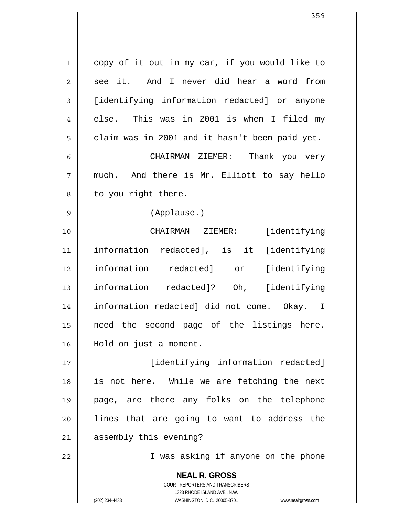| $\mathbf 1$    | copy of it out in my car, if you would like to                      |
|----------------|---------------------------------------------------------------------|
| $\overline{2}$ | And I never did hear a word from<br>see it.                         |
| 3              | [identifying information redacted] or anyone                        |
| 4              | else. This was in 2001 is when I filed my                           |
| 5              | claim was in 2001 and it hasn't been paid yet.                      |
| 6              | CHAIRMAN ZIEMER: Thank you very                                     |
| 7              | much. And there is Mr. Elliott to say hello                         |
| 8              | to you right there.                                                 |
| 9              | (Applause.)                                                         |
| 10             | CHAIRMAN ZIEMER: [identifying                                       |
| 11             | information redacted], is it [identifying                           |
| 12             | information redacted] or [identifying                               |
| 13             | information redacted]? Oh, [identifying                             |
| 14             | information redacted] did not come. Okay. I                         |
| 15             | need the second page of the listings here.                          |
| 16             | Hold on just a moment.                                              |
| 17             | [identifying information redacted]                                  |
| 18             | is not here. While we are fetching the next                         |
| 19             | page, are there any folks on the telephone                          |
| 20             | lines that are going to want to address the                         |
| 21             | assembly this evening?                                              |
| 22             | I was asking if anyone on the phone                                 |
|                | <b>NEAL R. GROSS</b>                                                |
|                | COURT REPORTERS AND TRANSCRIBERS<br>1323 RHODE ISLAND AVE., N.W.    |
|                | WASHINGTON, D.C. 20005-3701<br>(202) 234-4433<br>www.nealrgross.com |

 $\mathsf{I}$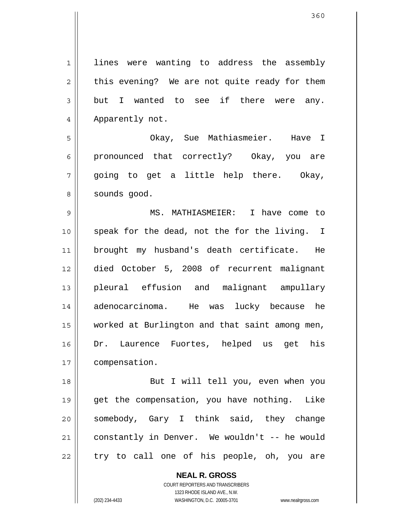1 2 3 4 5 6 7 8 9 10 11 12 13 14 15 16 17 18 19 20 21 22 lines were wanting to address the assembly this evening? We are not quite ready for them but I wanted to see if there were any. Apparently not. Okay, Sue Mathiasmeier. Have I pronounced that correctly? Okay, you are going to get a little help there. Okay, sounds good. MS. MATHIASMEIER: I have come to speak for the dead, not the for the living. I brought my husband's death certificate. He died October 5, 2008 of recurrent malignant pleural effusion and malignant ampullary adenocarcinoma. He was lucky because he worked at Burlington and that saint among men, Dr. Laurence Fuortes, helped us get his compensation. But I will tell you, even when you get the compensation, you have nothing. Like somebody, Gary I think said, they change constantly in Denver. We wouldn't -- he would try to call one of his people, oh, you are

> **NEAL R. GROSS** COURT REPORTERS AND TRANSCRIBERS 1323 RHODE ISLAND AVE., N.W.

(202) 234-4433 WASHINGTON, D.C. 20005-3701 www.nealrgross.com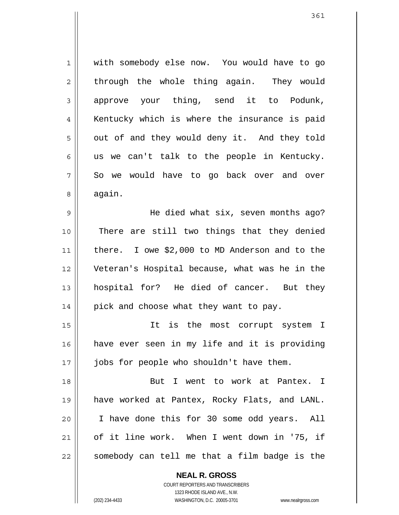1 2 3 4 5 6 7 8 9 10 11 12 13 14 15 16 17 18 19 20 21 22 with somebody else now. You would have to go through the whole thing again. They would approve your thing, send it to Podunk, Kentucky which is where the insurance is paid out of and they would deny it. And they told us we can't talk to the people in Kentucky. So we would have to go back over and over again. He died what six, seven months ago? There are still two things that they denied there. I owe \$2,000 to MD Anderson and to the Veteran's Hospital because, what was he in the hospital for? He died of cancer. But they pick and choose what they want to pay. It is the most corrupt system I have ever seen in my life and it is providing jobs for people who shouldn't have them. But I went to work at Pantex. I have worked at Pantex, Rocky Flats, and LANL. I have done this for 30 some odd years. All of it line work. When I went down in '75, if somebody can tell me that a film badge is the

COURT REPORTERS AND TRANSCRIBERS 1323 RHODE ISLAND AVE., N.W. (202) 234-4433 WASHINGTON, D.C. 20005-3701 www.nealrgross.com

**NEAL R. GROSS**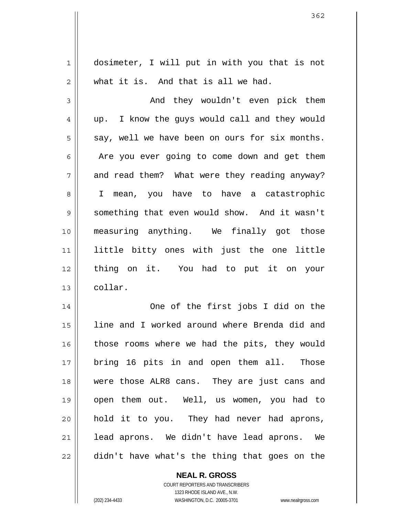| 1  | dosimeter, I will put in with you that is not    |
|----|--------------------------------------------------|
| 2  | what it is. And that is all we had.              |
| 3  | And they wouldn't even pick them                 |
| 4  | I know the guys would call and they would<br>up. |
| 5  | say, well we have been on ours for six months.   |
| 6  | Are you ever going to come down and get them     |
| 7  | and read them? What were they reading anyway?    |
| 8  | I mean, you have to have a catastrophic          |
| 9  | something that even would show. And it wasn't    |
| 10 | measuring anything. We finally got those         |
| 11 | little bitty ones with just the one little       |
| 12 | thing on it. You had to put it on your           |
| 13 | collar.                                          |
| 14 | One of the first jobs I did on the               |
| 15 | line and I worked around where Brenda did and    |
| 16 | those rooms where we had the pits, they would    |
| 17 | bring 16 pits in and open them all. Those        |
| 18 | were those ALR8 cans. They are just cans and     |
| 19 | open them out. Well, us women, you had to        |
| 20 | hold it to you. They had never had aprons,       |
| 21 | lead aprons. We didn't have lead aprons. We      |
| 22 | didn't have what's the thing that goes on the    |

**NEAL R. GROSS** COURT REPORTERS AND TRANSCRIBERS

1323 RHODE ISLAND AVE., N.W.

(202) 234-4433 WASHINGTON, D.C. 20005-3701 www.nealrgross.com

 $\mathbf{I}$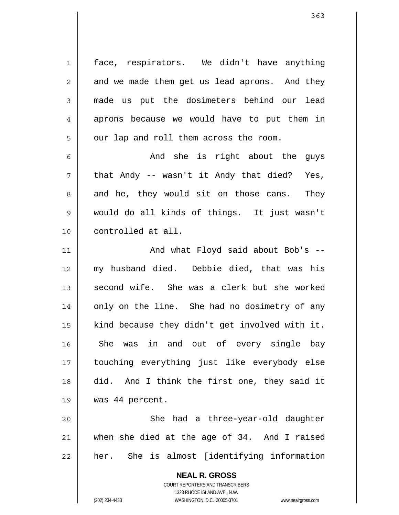face, respirators. We didn't have anything and we made them get us lead aprons. And they made us put the dosimeters behind our lead aprons because we would have to put them in our lap and roll them across the room.

7 And she is right about the guys that Andy -- wasn't it Andy that died? Yes, and he, they would sit on those cans. They would do all kinds of things. It just wasn't controlled at all.

11 12 13 14 15 16 17 18 19 And what Floyd said about Bob's - my husband died. Debbie died, that was his second wife. She was a clerk but she worked only on the line. She had no dosimetry of any kind because they didn't get involved with it. She was in and out of every single bay touching everything just like everybody else did. And I think the first one, they said it was 44 percent.

20 21 22 She had a three-year-old daughter when she died at the age of 34. And I raised her. She is almost [identifying information

> **NEAL R. GROSS** COURT REPORTERS AND TRANSCRIBERS 1323 RHODE ISLAND AVE., N.W. (202) 234-4433 WASHINGTON, D.C. 20005-3701 www.nealrgross.com

1

2

3

4

5

6

8

9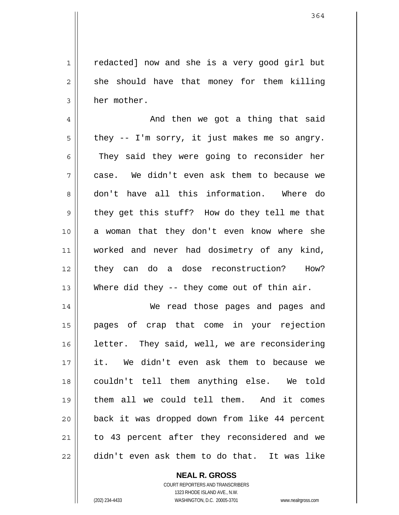redacted] now and she is a very good girl but she should have that money for them killing her mother.

4 5 6 7 8 9 10 11 12 13 And then we got a thing that said they -- I'm sorry, it just makes me so angry. They said they were going to reconsider her case. We didn't even ask them to because we don't have all this information. Where do they get this stuff? How do they tell me that a woman that they don't even know where she worked and never had dosimetry of any kind, they can do a dose reconstruction? How? Where did they -- they come out of thin air.

14 15 16 17 18 19 20 21 22 We read those pages and pages and pages of crap that come in your rejection letter. They said, well, we are reconsidering it. We didn't even ask them to because we couldn't tell them anything else. We told them all we could tell them. And it comes back it was dropped down from like 44 percent to 43 percent after they reconsidered and we didn't even ask them to do that. It was like

## **NEAL R. GROSS**

COURT REPORTERS AND TRANSCRIBERS 1323 RHODE ISLAND AVE., N.W. (202) 234-4433 WASHINGTON, D.C. 20005-3701 www.nealrgross.com

1

2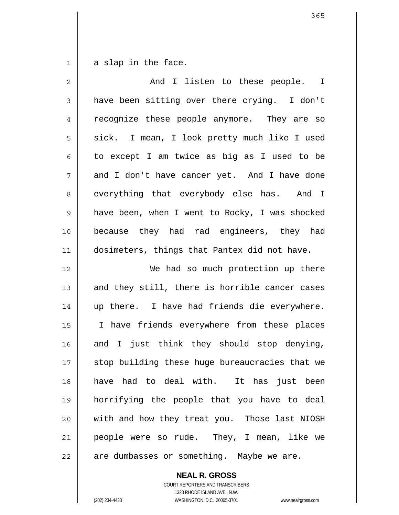1 a slap in the face.

| $\overline{2}$ | And I listen to these people. I                |
|----------------|------------------------------------------------|
| $\mathfrak{Z}$ | have been sitting over there crying. I don't   |
| 4              | recognize these people anymore. They are so    |
| 5              | sick. I mean, I look pretty much like I used   |
| 6              | to except I am twice as big as I used to be    |
| 7              | and I don't have cancer yet. And I have done   |
| 8              | everything that everybody else has. And I      |
| $\mathsf 9$    | have been, when I went to Rocky, I was shocked |
| 10             | because they had rad engineers, they had       |
| 11             | dosimeters, things that Pantex did not have.   |
| 12             | We had so much protection up there             |
| 13             | and they still, there is horrible cancer cases |
| 14             | up there. I have had friends die everywhere.   |
| 15             | I have friends everywhere from these places    |
| 16             | and I just think they should stop denying,     |
| 17             | stop building these huge bureaucracies that we |
| 18             | have had to deal with. It has just been        |
| 19             | horrifying the people that you have to deal    |
| 20             | with and how they treat you. Those last NIOSH  |
| 21             | people were so rude. They, I mean, like we     |
| 22             | are dumbasses or something. Maybe we are.      |

**NEAL R. GROSS** COURT REPORTERS AND TRANSCRIBERS 1323 RHODE ISLAND AVE., N.W.

(202) 234-4433 WASHINGTON, D.C. 20005-3701 www.nealrgross.com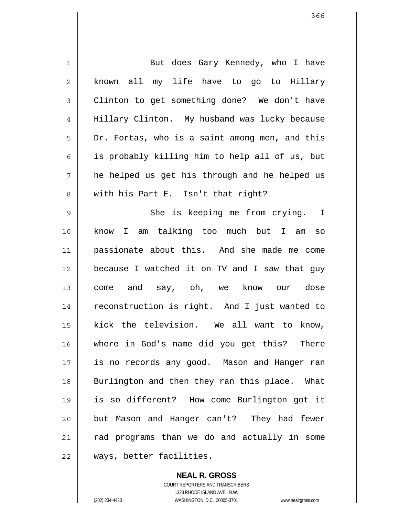| 1  | But does Gary Kennedy, who I have              |
|----|------------------------------------------------|
| 2  | known all my life have to go to Hillary        |
| 3  | Clinton to get something done? We don't have   |
| 4  | Hillary Clinton. My husband was lucky because  |
| 5  | Dr. Fortas, who is a saint among men, and this |
| 6  | is probably killing him to help all of us, but |
| 7  | he helped us get his through and he helped us  |
| 8  | with his Part E. Isn't that right?             |
| 9  | She is keeping me from crying. I               |
| 10 | I am talking too much but I am<br>know<br>SO   |
| 11 | passionate about this. And she made me come    |
| 12 | because I watched it on TV and I saw that guy  |
| 13 | come and say, oh, we know our dose             |
| 14 | reconstruction is right. And I just wanted to  |
| 15 | kick the television. We all want to know,      |
| 16 | where in God's name did you get this? There    |
| 17 | is no records any good. Mason and Hanger ran   |
| 18 | Burlington and then they ran this place. What  |
| 19 | is so different? How come Burlington got it    |
| 20 | but Mason and Hanger can't? They had fewer     |
| 21 | rad programs than we do and actually in some   |
| 22 | ways, better facilities.                       |

**NEAL R. GROSS** COURT REPORTERS AND TRANSCRIBERS 1323 RHODE ISLAND AVE., N.W. (202) 234-4433 WASHINGTON, D.C. 20005-3701 www.nealrgross.com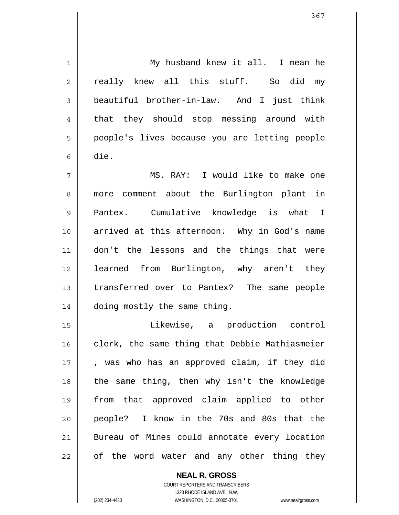1 2 3 4 5 6 7 8 9 10 11 12 13 14 15 16 17 18 19 20 21 22 My husband knew it all. I mean he really knew all this stuff. So did my beautiful brother-in-law. And I just think that they should stop messing around with people's lives because you are letting people die. MS. RAY: I would like to make one more comment about the Burlington plant in Pantex. Cumulative knowledge is what I arrived at this afternoon. Why in God's name don't the lessons and the things that were learned from Burlington, why aren't they transferred over to Pantex? The same people doing mostly the same thing. Likewise, a production control clerk, the same thing that Debbie Mathiasmeier , was who has an approved claim, if they did the same thing, then why isn't the knowledge from that approved claim applied to other people? I know in the 70s and 80s that the Bureau of Mines could annotate every location of the word water and any other thing they

> COURT REPORTERS AND TRANSCRIBERS 1323 RHODE ISLAND AVE., N.W. (202) 234-4433 WASHINGTON, D.C. 20005-3701 www.nealrgross.com

**NEAL R. GROSS**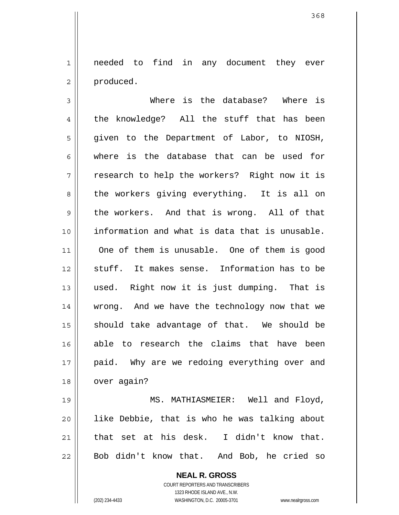1 2 needed to find in any document they ever produced.

3 4 5 6 7 8 9 10 11 12 13 14 15 16 17 18 19 20 Where is the database? Where is the knowledge? All the stuff that has been given to the Department of Labor, to NIOSH, where is the database that can be used for research to help the workers? Right now it is the workers giving everything. It is all on the workers. And that is wrong. All of that information and what is data that is unusable. One of them is unusable. One of them is good stuff. It makes sense. Information has to be used. Right now it is just dumping. That is wrong. And we have the technology now that we should take advantage of that. We should be able to research the claims that have been paid. Why are we redoing everything over and over again? MS. MATHIASMEIER: Well and Floyd, like Debbie, that is who he was talking about

21 22 that set at his desk. I didn't know that. Bob didn't know that. And Bob, he cried so

> **NEAL R. GROSS** COURT REPORTERS AND TRANSCRIBERS

> > 1323 RHODE ISLAND AVE., N.W.

(202) 234-4433 WASHINGTON, D.C. 20005-3701 www.nealrgross.com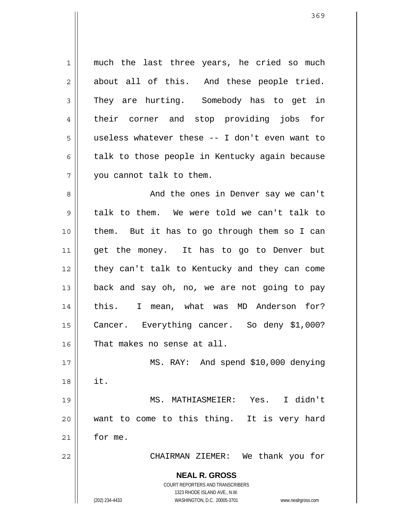| 1              | much the last three years, he cried so much                         |  |  |  |  |  |  |  |  |  |  |
|----------------|---------------------------------------------------------------------|--|--|--|--|--|--|--|--|--|--|
| $\overline{2}$ | about all of this. And these people tried.                          |  |  |  |  |  |  |  |  |  |  |
| 3              | They are hurting. Somebody has to get in                            |  |  |  |  |  |  |  |  |  |  |
| 4              | their corner and stop providing jobs for                            |  |  |  |  |  |  |  |  |  |  |
| 5              | useless whatever these -- I don't even want to                      |  |  |  |  |  |  |  |  |  |  |
| 6              | talk to those people in Kentucky again because                      |  |  |  |  |  |  |  |  |  |  |
| 7              | you cannot talk to them.                                            |  |  |  |  |  |  |  |  |  |  |
| 8              | And the ones in Denver say we can't                                 |  |  |  |  |  |  |  |  |  |  |
| $\mathsf 9$    | talk to them. We were told we can't talk to                         |  |  |  |  |  |  |  |  |  |  |
| 10             | them. But it has to go through them so I can                        |  |  |  |  |  |  |  |  |  |  |
| 11             | get the money. It has to go to Denver but                           |  |  |  |  |  |  |  |  |  |  |
| 12             | they can't talk to Kentucky and they can come                       |  |  |  |  |  |  |  |  |  |  |
| 13             | back and say oh, no, we are not going to pay                        |  |  |  |  |  |  |  |  |  |  |
| 14             | this. I mean, what was MD Anderson for?                             |  |  |  |  |  |  |  |  |  |  |
| 15             | Cancer. Everything cancer. So deny \$1,000?                         |  |  |  |  |  |  |  |  |  |  |
| 16             | That makes no sense at all.                                         |  |  |  |  |  |  |  |  |  |  |
| 17             | MS. RAY: And spend \$10,000 denying                                 |  |  |  |  |  |  |  |  |  |  |
| 18             | it.                                                                 |  |  |  |  |  |  |  |  |  |  |
| 19             | MS. MATHIASMEIER: Yes. I didn't                                     |  |  |  |  |  |  |  |  |  |  |
| 20             | want to come to this thing. It is very hard                         |  |  |  |  |  |  |  |  |  |  |
| 21             | for me.                                                             |  |  |  |  |  |  |  |  |  |  |
| 22             | CHAIRMAN ZIEMER: We thank you for                                   |  |  |  |  |  |  |  |  |  |  |
|                | <b>NEAL R. GROSS</b>                                                |  |  |  |  |  |  |  |  |  |  |
|                | <b>COURT REPORTERS AND TRANSCRIBERS</b>                             |  |  |  |  |  |  |  |  |  |  |
|                | 1323 RHODE ISLAND AVE., N.W.                                        |  |  |  |  |  |  |  |  |  |  |
|                | WASHINGTON, D.C. 20005-3701<br>(202) 234-4433<br>www.nealrgross.com |  |  |  |  |  |  |  |  |  |  |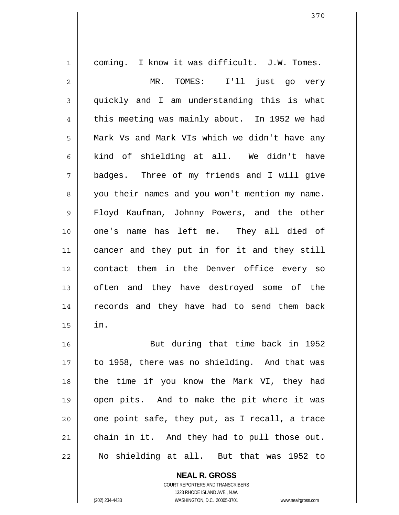1 2 3 4 5 6 7 8 9 10 11 12 13 14 15 16 17 18 19 20 21 22 coming. I know it was difficult. J.W. Tomes. MR. TOMES: I'll just go very quickly and I am understanding this is what this meeting was mainly about. In 1952 we had Mark Vs and Mark VIs which we didn't have any kind of shielding at all. We didn't have badges. Three of my friends and I will give you their names and you won't mention my name. Floyd Kaufman, Johnny Powers, and the other one's name has left me. They all died of cancer and they put in for it and they still contact them in the Denver office every so often and they have destroyed some of the records and they have had to send them back in. But during that time back in 1952 to 1958, there was no shielding. And that was the time if you know the Mark VI, they had open pits. And to make the pit where it was one point safe, they put, as I recall, a trace chain in it. And they had to pull those out. No shielding at all. But that was 1952 to

> **NEAL R. GROSS** COURT REPORTERS AND TRANSCRIBERS

> > 1323 RHODE ISLAND AVE., N.W.

(202) 234-4433 WASHINGTON, D.C. 20005-3701 www.nealrgross.com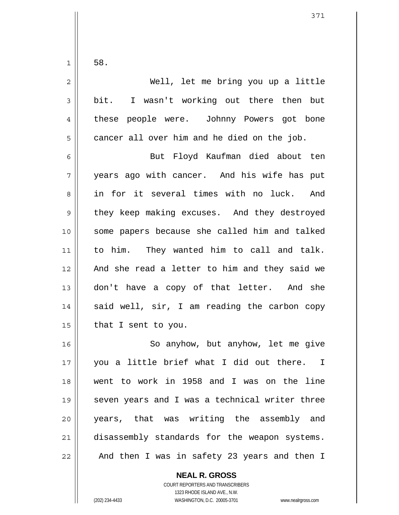1

| $\overline{2}$ | Well, let me bring you up a little             |
|----------------|------------------------------------------------|
| 3              | bit. I wasn't working out there then but       |
| 4              | these people were. Johnny Powers got bone      |
| 5              | cancer all over him and he died on the job.    |
| 6              | But Floyd Kaufman died about ten               |
| 7              | years ago with cancer. And his wife has put    |
| 8              | in for it several times with no luck. And      |
| $\mathsf 9$    | they keep making excuses. And they destroyed   |
| 10             | some papers because she called him and talked  |
| 11             | to him. They wanted him to call and talk.      |
| 12             | And she read a letter to him and they said we  |
| 13             | don't have a copy of that letter. And she      |
| 14             | said well, sir, I am reading the carbon copy   |
| 15             | that I sent to you.                            |
| 16             | So anyhow, but anyhow, let me give             |
| 17             | you a little brief what I did out there. I     |
| 18             | went to work in 1958 and I was on the line     |
| 19             | seven years and I was a technical writer three |
| 20             | years, that was writing the assembly and       |
| 21             | disassembly standards for the weapon systems.  |

And then I was in safety 23 years and then I

**NEAL R. GROSS** COURT REPORTERS AND TRANSCRIBERS 1323 RHODE ISLAND AVE., N.W.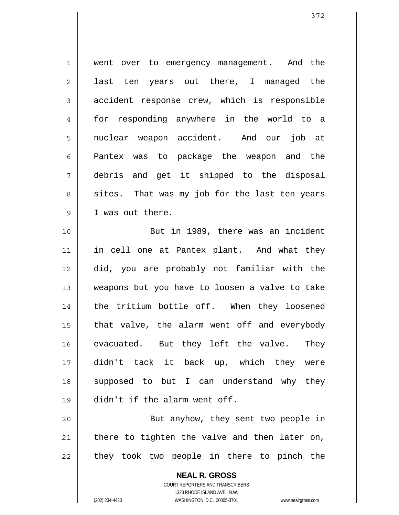1 2 3 4 5 6 7 8 9 went over to emergency management. And the last ten years out there, I managed the accident response crew, which is responsible for responding anywhere in the world to a nuclear weapon accident. And our job at Pantex was to package the weapon and the debris and get it shipped to the disposal sites. That was my job for the last ten years I was out there.

10 11 12 13 14 15 16 17 18 19 But in 1989, there was an incident in cell one at Pantex plant. And what they did, you are probably not familiar with the weapons but you have to loosen a valve to take the tritium bottle off. When they loosened that valve, the alarm went off and everybody evacuated. But they left the valve. They didn't tack it back up, which they were supposed to but I can understand why they didn't if the alarm went off.

20 21 22 But anyhow, they sent two people in there to tighten the valve and then later on, they took two people in there to pinch the

> **NEAL R. GROSS** COURT REPORTERS AND TRANSCRIBERS 1323 RHODE ISLAND AVE., N.W. (202) 234-4433 WASHINGTON, D.C. 20005-3701 www.nealrgross.com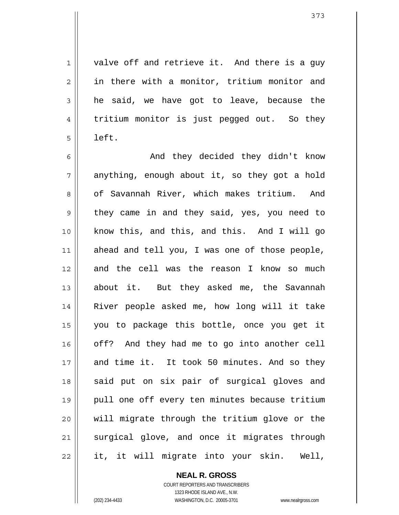valve off and retrieve it. And there is a guy in there with a monitor, tritium monitor and he said, we have got to leave, because the tritium monitor is just pegged out. So they left.

6 7 8 9 10 11 12 13 14 15 16 17 18 19 20 21 22 And they decided they didn't know anything, enough about it, so they got a hold of Savannah River, which makes tritium. And they came in and they said, yes, you need to know this, and this, and this. And I will go ahead and tell you, I was one of those people, and the cell was the reason I know so much about it. But they asked me, the Savannah River people asked me, how long will it take you to package this bottle, once you get it off? And they had me to go into another cell and time it. It took 50 minutes. And so they said put on six pair of surgical gloves and pull one off every ten minutes because tritium will migrate through the tritium glove or the surgical glove, and once it migrates through it, it will migrate into your skin. Well,

> **NEAL R. GROSS** COURT REPORTERS AND TRANSCRIBERS 1323 RHODE ISLAND AVE., N.W.

1

2

3

4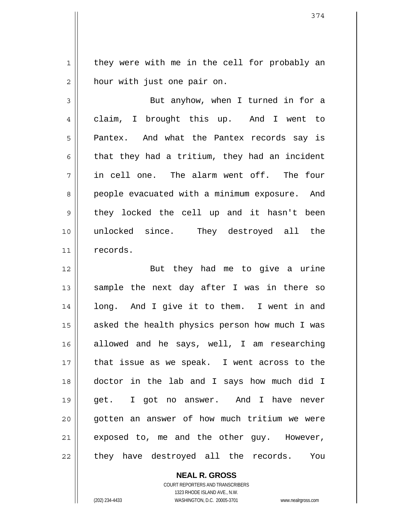1 2 they were with me in the cell for probably an hour with just one pair on.

3 4 5 6 7 8 9 10 11 But anyhow, when I turned in for a claim, I brought this up. And I went to Pantex. And what the Pantex records say is that they had a tritium, they had an incident in cell one. The alarm went off. The four people evacuated with a minimum exposure. And they locked the cell up and it hasn't been unlocked since. They destroyed all the records.

12 13 14 15 16 17 18 19 20 21 22 But they had me to give a urine sample the next day after I was in there so long. And I give it to them. I went in and asked the health physics person how much I was allowed and he says, well, I am researching that issue as we speak. I went across to the doctor in the lab and I says how much did I get. I got no answer. And I have never gotten an answer of how much tritium we were exposed to, me and the other guy. However, they have destroyed all the records. You

> **NEAL R. GROSS** COURT REPORTERS AND TRANSCRIBERS 1323 RHODE ISLAND AVE., N.W. (202) 234-4433 WASHINGTON, D.C. 20005-3701 www.nealrgross.com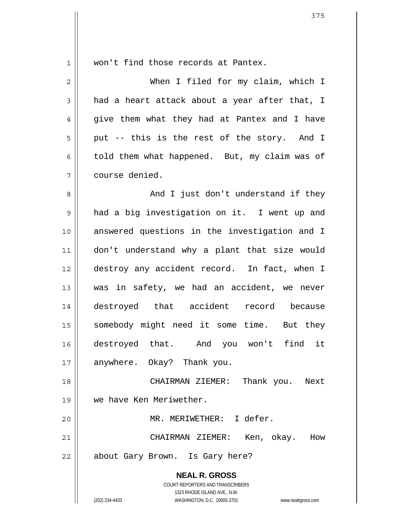| $\mathbf 1$    | won't find those records at Pantex.                                                                 |  |  |  |  |  |  |  |  |  |  |  |  |
|----------------|-----------------------------------------------------------------------------------------------------|--|--|--|--|--|--|--|--|--|--|--|--|
| $\overline{2}$ | When I filed for my claim, which I                                                                  |  |  |  |  |  |  |  |  |  |  |  |  |
| 3              | had a heart attack about a year after that, I                                                       |  |  |  |  |  |  |  |  |  |  |  |  |
| 4              | give them what they had at Pantex and I have                                                        |  |  |  |  |  |  |  |  |  |  |  |  |
| 5              | put -- this is the rest of the story. And I                                                         |  |  |  |  |  |  |  |  |  |  |  |  |
| 6              | told them what happened. But, my claim was of                                                       |  |  |  |  |  |  |  |  |  |  |  |  |
| 7              | course denied.                                                                                      |  |  |  |  |  |  |  |  |  |  |  |  |
| 8              | And I just don't understand if they                                                                 |  |  |  |  |  |  |  |  |  |  |  |  |
| 9              | had a big investigation on it. I went up and                                                        |  |  |  |  |  |  |  |  |  |  |  |  |
| 10             | answered questions in the investigation and I                                                       |  |  |  |  |  |  |  |  |  |  |  |  |
| 11             | don't understand why a plant that size would                                                        |  |  |  |  |  |  |  |  |  |  |  |  |
| 12             | destroy any accident record. In fact, when I                                                        |  |  |  |  |  |  |  |  |  |  |  |  |
| 13             | was in safety, we had an accident, we never                                                         |  |  |  |  |  |  |  |  |  |  |  |  |
| 14             | destroyed that accident record because                                                              |  |  |  |  |  |  |  |  |  |  |  |  |
| 15             | somebody might need it some time. But they                                                          |  |  |  |  |  |  |  |  |  |  |  |  |
| 16             | destroyed that. And you won't find it                                                               |  |  |  |  |  |  |  |  |  |  |  |  |
| 17             | anywhere. Okay? Thank you.                                                                          |  |  |  |  |  |  |  |  |  |  |  |  |
| 18             | CHAIRMAN ZIEMER: Thank you.<br>Next                                                                 |  |  |  |  |  |  |  |  |  |  |  |  |
| 19             | we have Ken Meriwether.                                                                             |  |  |  |  |  |  |  |  |  |  |  |  |
| 20             | MR. MERIWETHER: I defer.                                                                            |  |  |  |  |  |  |  |  |  |  |  |  |
| 21             | CHAIRMAN ZIEMER: Ken, okay. How                                                                     |  |  |  |  |  |  |  |  |  |  |  |  |
| 22             | about Gary Brown. Is Gary here?                                                                     |  |  |  |  |  |  |  |  |  |  |  |  |
|                | <b>NEAL R. GROSS</b>                                                                                |  |  |  |  |  |  |  |  |  |  |  |  |
|                | COURT REPORTERS AND TRANSCRIBERS                                                                    |  |  |  |  |  |  |  |  |  |  |  |  |
|                | 1323 RHODE ISLAND AVE., N.W.<br>(202) 234-4433<br>WASHINGTON, D.C. 20005-3701<br>www.nealrgross.com |  |  |  |  |  |  |  |  |  |  |  |  |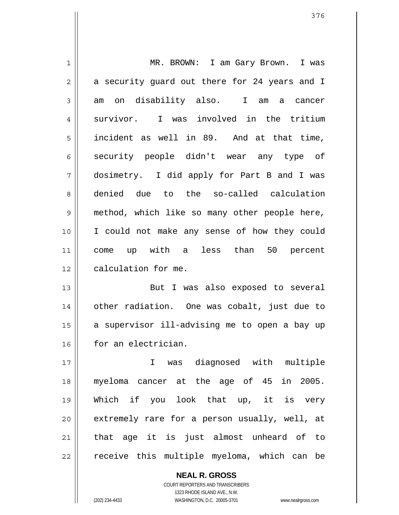1 2 3 4 5 6 7 8 9 10 11 12 13 14 15 16 MR. BROWN: I am Gary Brown. I was a security guard out there for 24 years and I am on disability also. I am a cancer survivor. I was involved in the tritium incident as well in 89. And at that time, security people didn't wear any type of dosimetry. I did apply for Part B and I was denied due to the so-called calculation method, which like so many other people here, I could not make any sense of how they could come up with a less than 50 percent calculation for me. But I was also exposed to several other radiation. One was cobalt, just due to a supervisor ill-advising me to open a bay up for an electrician.

17 18 19 20 21 22 I was diagnosed with multiple myeloma cancer at the age of 45 in 2005. Which if you look that up, it is very extremely rare for a person usually, well, at that age it is just almost unheard of to receive this multiple myeloma, which can be

> **NEAL R. GROSS** COURT REPORTERS AND TRANSCRIBERS 1323 RHODE ISLAND AVE., N.W. (202) 234-4433 WASHINGTON, D.C. 20005-3701 www.nealrgross.com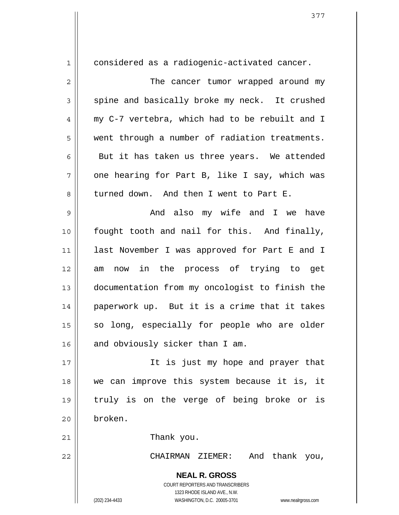**NEAL R. GROSS** 1 2 3 4 5 6 7 8 9 10 11 12 13 14 15 16 17 18 19 20 21 22 considered as a radiogenic-activated cancer. The cancer tumor wrapped around my spine and basically broke my neck. It crushed my C-7 vertebra, which had to be rebuilt and I went through a number of radiation treatments. But it has taken us three years. We attended one hearing for Part B, like I say, which was turned down. And then I went to Part E. And also my wife and I we have fought tooth and nail for this. And finally, last November I was approved for Part E and I am now in the process of trying to get documentation from my oncologist to finish the paperwork up. But it is a crime that it takes so long, especially for people who are older and obviously sicker than I am. It is just my hope and prayer that we can improve this system because it is, it truly is on the verge of being broke or is broken. Thank you. CHAIRMAN ZIEMER: And thank you,

> COURT REPORTERS AND TRANSCRIBERS 1323 RHODE ISLAND AVE., N.W.

(202) 234-4433 WASHINGTON, D.C. 20005-3701 www.nealrgross.com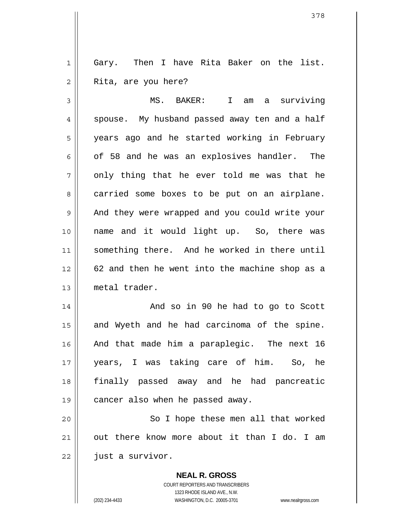1 2 Gary. Then I have Rita Baker on the list. Rita, are you here?

3 4 5 6 7 8 9 10 11 12 13 MS. BAKER: I am a surviving spouse. My husband passed away ten and a half years ago and he started working in February of 58 and he was an explosives handler. The only thing that he ever told me was that he carried some boxes to be put on an airplane. And they were wrapped and you could write your name and it would light up. So, there was something there. And he worked in there until 62 and then he went into the machine shop as a metal trader.

14 15 16 17 18 19 And so in 90 he had to go to Scott and Wyeth and he had carcinoma of the spine. And that made him a paraplegic. The next 16 years, I was taking care of him. So, he finally passed away and he had pancreatic cancer also when he passed away.

20 21 22 So I hope these men all that worked out there know more about it than I do. I am just a survivor.

> **NEAL R. GROSS** COURT REPORTERS AND TRANSCRIBERS 1323 RHODE ISLAND AVE., N.W. (202) 234-4433 WASHINGTON, D.C. 20005-3701 www.nealrgross.com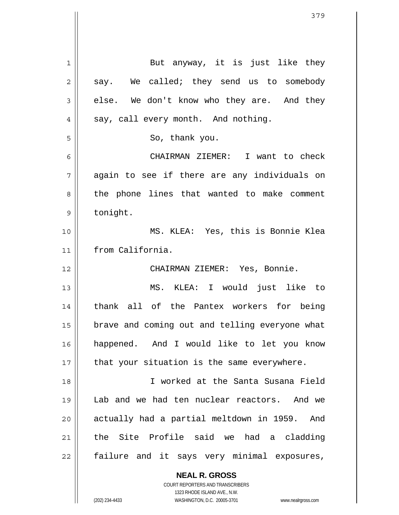| $\mathbf{1}$   | But anyway, it is just like they               |
|----------------|------------------------------------------------|
| $\overline{2}$ | say. We called; they send us to somebody       |
| 3              | else. We don't know who they are. And they     |
| $\overline{4}$ | say, call every month. And nothing.            |
| 5              | So, thank you.                                 |
| 6              | CHAIRMAN ZIEMER: I want to check               |
| 7              | again to see if there are any individuals on   |
| 8              | the phone lines that wanted to make comment    |
| 9              | tonight.                                       |
| 10             | MS. KLEA: Yes, this is Bonnie Klea             |
| 11             | from California.                               |
| 12             | CHAIRMAN ZIEMER: Yes, Bonnie.                  |
| 13             | MS. KLEA: I would just like to                 |
| 14             | thank all of the Pantex workers for being      |
| 15             | brave and coming out and telling everyone what |
| 16             | happened. And I would like to let you know     |
| 17             | that your situation is the same everywhere.    |
| 18             | I worked at the Santa Susana Field             |
| 19             | Lab and we had ten nuclear reactors. And we    |
| 20             | actually had a partial meltdown in 1959. And   |
| 21             | the Site Profile said we had a cladding        |
|                |                                                |

**NEAL R. GROSS** COURT REPORTERS AND TRANSCRIBERS

1323 RHODE ISLAND AVE., N.W.

(202) 234-4433 WASHINGTON, D.C. 20005-3701 www.nealrgross.com

 $\mathsf{I}$ 

 $\mathsf{I}$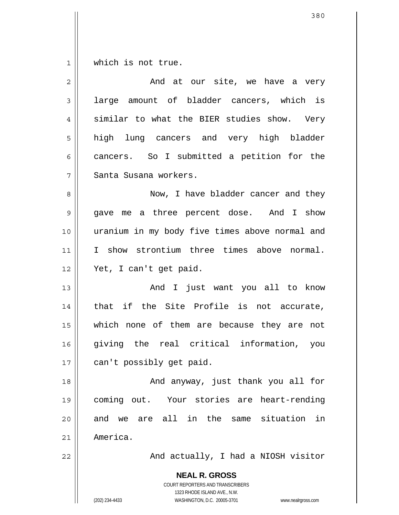1 which is not true.

| $\overline{2}$ | And at our site, we have a very                                                                                                                                 |  |  |  |  |  |  |  |  |  |  |  |
|----------------|-----------------------------------------------------------------------------------------------------------------------------------------------------------------|--|--|--|--|--|--|--|--|--|--|--|
| 3              | large amount of bladder cancers, which is                                                                                                                       |  |  |  |  |  |  |  |  |  |  |  |
| $\overline{4}$ | similar to what the BIER studies show. Very                                                                                                                     |  |  |  |  |  |  |  |  |  |  |  |
| 5              | high lung cancers and very high bladder                                                                                                                         |  |  |  |  |  |  |  |  |  |  |  |
| 6              | cancers. So I submitted a petition for the                                                                                                                      |  |  |  |  |  |  |  |  |  |  |  |
| 7              | Santa Susana workers.                                                                                                                                           |  |  |  |  |  |  |  |  |  |  |  |
| 8              | Now, I have bladder cancer and they                                                                                                                             |  |  |  |  |  |  |  |  |  |  |  |
| 9              | gave me a three percent dose. And I show                                                                                                                        |  |  |  |  |  |  |  |  |  |  |  |
| 10             | uranium in my body five times above normal and                                                                                                                  |  |  |  |  |  |  |  |  |  |  |  |
| 11             | I show strontium three times above normal.                                                                                                                      |  |  |  |  |  |  |  |  |  |  |  |
| 12             | Yet, I can't get paid.                                                                                                                                          |  |  |  |  |  |  |  |  |  |  |  |
| 13             | And I just want you all to know                                                                                                                                 |  |  |  |  |  |  |  |  |  |  |  |
| 14             | that if the Site Profile is not accurate,                                                                                                                       |  |  |  |  |  |  |  |  |  |  |  |
| 15             | which none of them are because they are not                                                                                                                     |  |  |  |  |  |  |  |  |  |  |  |
| 16             | giving the real critical information, you                                                                                                                       |  |  |  |  |  |  |  |  |  |  |  |
| 17             | can't possibly get paid.                                                                                                                                        |  |  |  |  |  |  |  |  |  |  |  |
| 18             | And anyway, just thank you all for                                                                                                                              |  |  |  |  |  |  |  |  |  |  |  |
| 19             | coming out. Your stories are heart-rending                                                                                                                      |  |  |  |  |  |  |  |  |  |  |  |
| 20             | and we are all in the same situation in                                                                                                                         |  |  |  |  |  |  |  |  |  |  |  |
| 21             | America.                                                                                                                                                        |  |  |  |  |  |  |  |  |  |  |  |
| 22             | And actually, I had a NIOSH visitor                                                                                                                             |  |  |  |  |  |  |  |  |  |  |  |
|                | <b>NEAL R. GROSS</b><br>COURT REPORTERS AND TRANSCRIBERS<br>1323 RHODE ISLAND AVE., N.W.<br>(202) 234-4433<br>WASHINGTON, D.C. 20005-3701<br>www.nealrgross.com |  |  |  |  |  |  |  |  |  |  |  |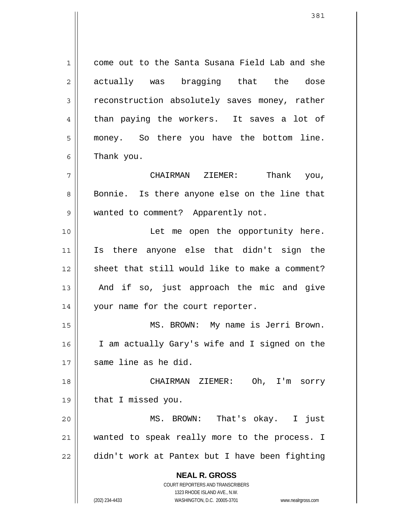**NEAL R. GROSS** COURT REPORTERS AND TRANSCRIBERS 1323 RHODE ISLAND AVE., N.W. 1 2 3 4 5 6 7 8 9 10 11 12 13 14 15 16 17 18 19 20 21 22 come out to the Santa Susana Field Lab and she actually was bragging that the dose reconstruction absolutely saves money, rather than paying the workers. It saves a lot of money. So there you have the bottom line. Thank you. CHAIRMAN ZIEMER: Thank you, Bonnie. Is there anyone else on the line that wanted to comment? Apparently not. Let me open the opportunity here. Is there anyone else that didn't sign the sheet that still would like to make a comment? And if so, just approach the mic and give your name for the court reporter. MS. BROWN: My name is Jerri Brown. I am actually Gary's wife and I signed on the same line as he did. CHAIRMAN ZIEMER: Oh, I'm sorry that I missed you. MS. BROWN: That's okay. I just wanted to speak really more to the process. I didn't work at Pantex but I have been fighting

(202) 234-4433 WASHINGTON, D.C. 20005-3701 www.nealrgross.com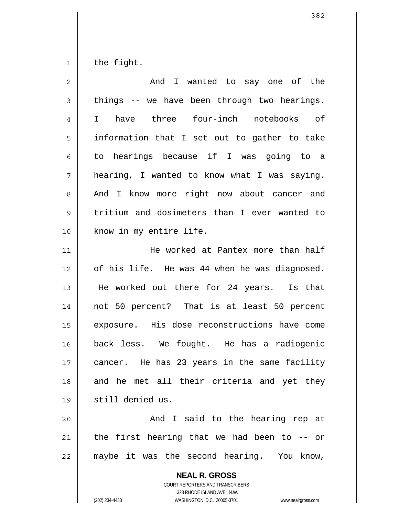1 the fight.

| $\overline{2}$ | And I wanted to say one of the                           |  |  |  |  |  |  |  |  |  |  |
|----------------|----------------------------------------------------------|--|--|--|--|--|--|--|--|--|--|
| 3              | things -- we have been through two hearings.             |  |  |  |  |  |  |  |  |  |  |
| 4              | three four-inch notebooks of<br>have<br>$\mathbf{I}$     |  |  |  |  |  |  |  |  |  |  |
| 5              | information that I set out to gather to take             |  |  |  |  |  |  |  |  |  |  |
| 6              | to hearings because if I was going to a                  |  |  |  |  |  |  |  |  |  |  |
| 7              | hearing, I wanted to know what I was saying.             |  |  |  |  |  |  |  |  |  |  |
| 8              | And I know more right now about cancer and               |  |  |  |  |  |  |  |  |  |  |
| 9              | tritium and dosimeters than I ever wanted to             |  |  |  |  |  |  |  |  |  |  |
| 10             | know in my entire life.                                  |  |  |  |  |  |  |  |  |  |  |
| 11             | He worked at Pantex more than half                       |  |  |  |  |  |  |  |  |  |  |
| 12             | of his life. He was 44 when he was diagnosed.            |  |  |  |  |  |  |  |  |  |  |
| 13             | He worked out there for 24 years. Is that                |  |  |  |  |  |  |  |  |  |  |
| 14             | not 50 percent? That is at least 50 percent              |  |  |  |  |  |  |  |  |  |  |
| 15             | exposure. His dose reconstructions have come             |  |  |  |  |  |  |  |  |  |  |
| 16             | back less. We fought. He has a radiogenic                |  |  |  |  |  |  |  |  |  |  |
| 17             | cancer. He has 23 years in the same facility             |  |  |  |  |  |  |  |  |  |  |
| 18             | and he met all their criteria and yet they               |  |  |  |  |  |  |  |  |  |  |
| 19             | still denied us.                                         |  |  |  |  |  |  |  |  |  |  |
| 20             | And I said to the hearing rep at                         |  |  |  |  |  |  |  |  |  |  |
| 21             | the first hearing that we had been to -- or              |  |  |  |  |  |  |  |  |  |  |
| 22             | maybe it was the second hearing. You know,               |  |  |  |  |  |  |  |  |  |  |
|                | <b>NEAL R. GROSS</b><br>COURT REPORTERS AND TRANSCRIBERS |  |  |  |  |  |  |  |  |  |  |

1323 RHODE ISLAND AVE., N.W.

382

 $\prod$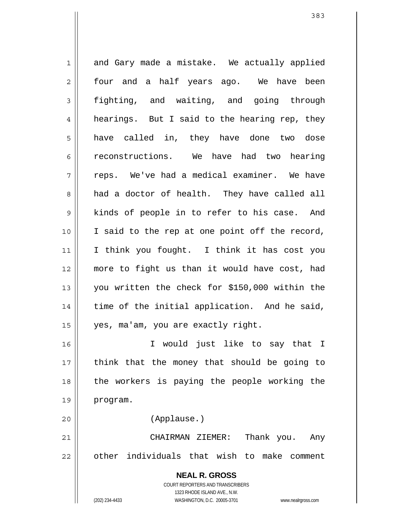**NEAL R. GROSS** COURT REPORTERS AND TRANSCRIBERS 1323 RHODE ISLAND AVE., N.W. 1 2 3 4 5 6 7 8 9 10 11 12 13 14 15 16 17 18 19 20 21 22 and Gary made a mistake. We actually applied four and a half years ago. We have been fighting, and waiting, and going through hearings. But I said to the hearing rep, they have called in, they have done two dose reconstructions. We have had two hearing reps. We've had a medical examiner. We have had a doctor of health. They have called all kinds of people in to refer to his case. And I said to the rep at one point off the record, I think you fought. I think it has cost you more to fight us than it would have cost, had you written the check for \$150,000 within the time of the initial application. And he said, yes, ma'am, you are exactly right. I would just like to say that I think that the money that should be going to the workers is paying the people working the program. (Applause.) CHAIRMAN ZIEMER: Thank you. Any other individuals that wish to make comment

(202) 234-4433 WASHINGTON, D.C. 20005-3701 www.nealrgross.com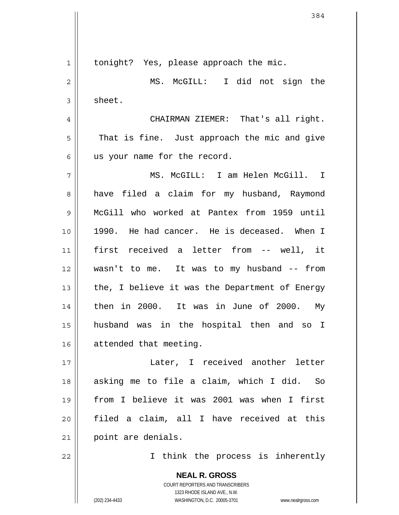**NEAL R. GROSS** COURT REPORTERS AND TRANSCRIBERS 1323 RHODE ISLAND AVE., N.W. 1 2 3 4 5 6 7 8 9 10 11 12 13 14 15 16 17 18 19 20 21 22 tonight? Yes, please approach the mic. MS. McGILL: I did not sign the sheet. CHAIRMAN ZIEMER: That's all right. That is fine. Just approach the mic and give us your name for the record. MS. McGILL: I am Helen McGill. I have filed a claim for my husband, Raymond McGill who worked at Pantex from 1959 until 1990. He had cancer. He is deceased. When I first received a letter from -- well, it wasn't to me. It was to my husband -- from the, I believe it was the Department of Energy then in 2000. It was in June of 2000. My husband was in the hospital then and so I attended that meeting. Later, I received another letter asking me to file a claim, which I did. So from I believe it was 2001 was when I first filed a claim, all I have received at this point are denials. I think the process is inherently

(202) 234-4433 WASHINGTON, D.C. 20005-3701 www.nealrgross.com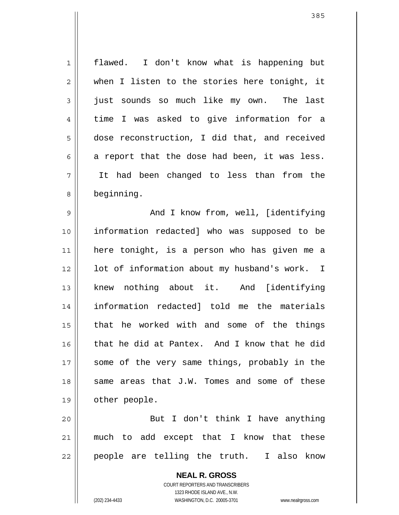1 2 3 4 5 6 7 8 9 10 11 12 13 14 15 16 17 18 19 20 21 22 flawed. I don't know what is happening but when I listen to the stories here tonight, it just sounds so much like my own. The last time I was asked to give information for a dose reconstruction, I did that, and received a report that the dose had been, it was less. It had been changed to less than from the beginning. And I know from, well, [identifying information redacted] who was supposed to be here tonight, is a person who has given me a lot of information about my husband's work. I knew nothing about it. And [identifying information redacted] told me the materials that he worked with and some of the things that he did at Pantex. And I know that he did some of the very same things, probably in the same areas that J.W. Tomes and some of these other people. But I don't think I have anything much to add except that I know that these people are telling the truth. I also know

> COURT REPORTERS AND TRANSCRIBERS 1323 RHODE ISLAND AVE., N.W. (202) 234-4433 WASHINGTON, D.C. 20005-3701 www.nealrgross.com

**NEAL R. GROSS**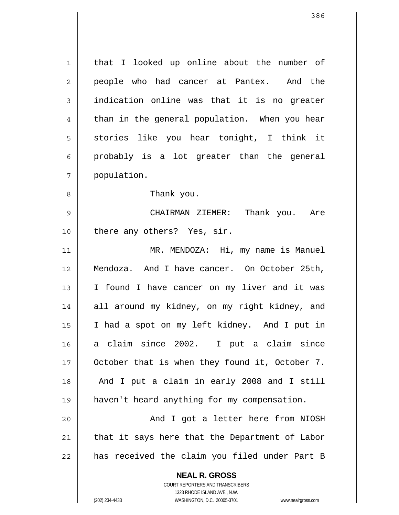1 2 3 4 5 6 7 that I looked up online about the number of people who had cancer at Pantex. And the indication online was that it is no greater than in the general population. When you hear stories like you hear tonight, I think it probably is a lot greater than the general population.

Thank you.

8

9 10 CHAIRMAN ZIEMER: Thank you. Are there any others? Yes, sir.

11 12 13 14 15 16 17 18 19 20 MR. MENDOZA: Hi, my name is Manuel Mendoza. And I have cancer. On October 25th, I found I have cancer on my liver and it was all around my kidney, on my right kidney, and I had a spot on my left kidney. And I put in a claim since 2002. I put a claim since October that is when they found it, October 7. And I put a claim in early 2008 and I still haven't heard anything for my compensation. And I got a letter here from NIOSH

21 22 that it says here that the Department of Labor has received the claim you filed under Part B

> **NEAL R. GROSS** COURT REPORTERS AND TRANSCRIBERS 1323 RHODE ISLAND AVE., N.W. (202) 234-4433 WASHINGTON, D.C. 20005-3701 www.nealrgross.com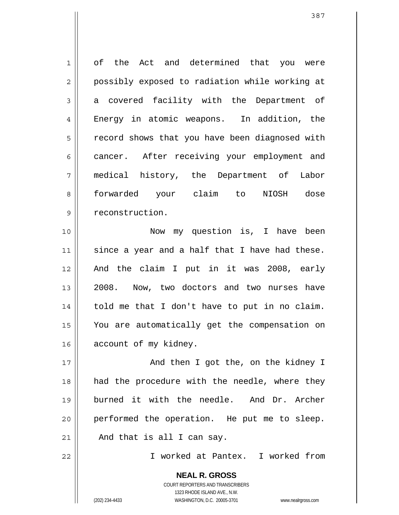1 2 3 4 5 6 7 8 9 10 11 12 13 14 15 16 17 of the Act and determined that you were possibly exposed to radiation while working at a covered facility with the Department of Energy in atomic weapons. In addition, the record shows that you have been diagnosed with cancer. After receiving your employment and medical history, the Department of Labor forwarded your claim to NIOSH dose reconstruction. Now my question is, I have been since a year and a half that I have had these. And the claim I put in it was 2008, early 2008. Now, two doctors and two nurses have told me that I don't have to put in no claim. You are automatically get the compensation on account of my kidney. And then I got the, on the kidney I

18 19 20 21 had the procedure with the needle, where they burned it with the needle. And Dr. Archer performed the operation. He put me to sleep. And that is all I can say.

22

I worked at Pantex. I worked from

**NEAL R. GROSS** COURT REPORTERS AND TRANSCRIBERS 1323 RHODE ISLAND AVE., N.W. (202) 234-4433 WASHINGTON, D.C. 20005-3701 www.nealrgross.com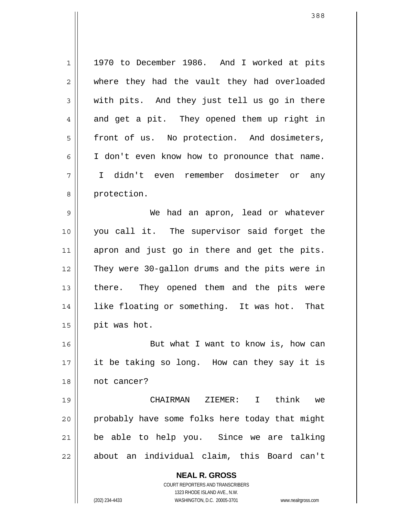**NEAL R. GROSS** 1 2 3 4 5 6 7 8 9 10 11 12 13 14 15 16 17 18 19 20 21 22 1970 to December 1986. And I worked at pits where they had the vault they had overloaded with pits. And they just tell us go in there and get a pit. They opened them up right in front of us. No protection. And dosimeters, I don't even know how to pronounce that name. I didn't even remember dosimeter or any protection. We had an apron, lead or whatever you call it. The supervisor said forget the apron and just go in there and get the pits. They were 30-gallon drums and the pits were in there. They opened them and the pits were like floating or something. It was hot. That pit was hot. But what I want to know is, how can it be taking so long. How can they say it is not cancer? CHAIRMAN ZIEMER: I think we probably have some folks here today that might be able to help you. Since we are talking about an individual claim, this Board can't

> COURT REPORTERS AND TRANSCRIBERS 1323 RHODE ISLAND AVE., N.W.

(202) 234-4433 WASHINGTON, D.C. 20005-3701 www.nealrgross.com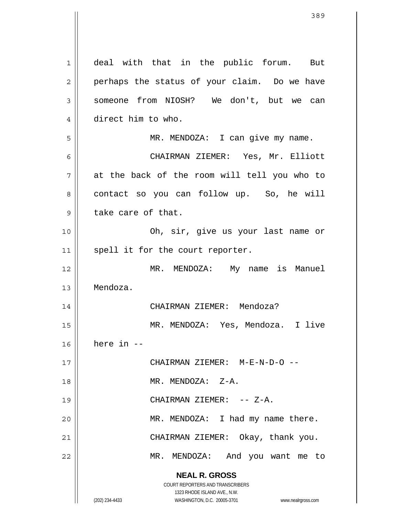**NEAL R. GROSS** COURT REPORTERS AND TRANSCRIBERS 1323 RHODE ISLAND AVE., N.W. (202) 234-4433 WASHINGTON, D.C. 20005-3701 www.nealrgross.com 1 2 3 4 5 6 7 8 9 10 11 12 13 14 15 16 17 18 19 20 21 22 deal with that in the public forum. But perhaps the status of your claim. Do we have someone from NIOSH? We don't, but we can direct him to who. MR. MENDOZA: I can give my name. CHAIRMAN ZIEMER: Yes, Mr. Elliott at the back of the room will tell you who to contact so you can follow up. So, he will take care of that. Oh, sir, give us your last name or spell it for the court reporter. MR. MENDOZA: My name is Manuel Mendoza. CHAIRMAN ZIEMER: Mendoza? MR. MENDOZA: Yes, Mendoza. I live here in -- CHAIRMAN ZIEMER: M-E-N-D-O -- MR. MENDOZA: Z-A. CHAIRMAN ZIEMER: -- Z-A. MR. MENDOZA: I had my name there. CHAIRMAN ZIEMER: Okay, thank you. MR. MENDOZA: And you want me to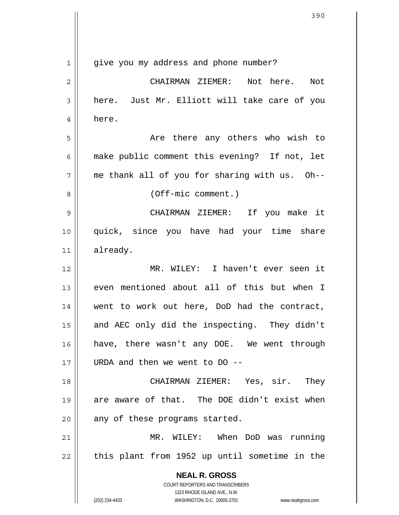| $\mathbf 1$ | give you my address and phone number?                               |
|-------------|---------------------------------------------------------------------|
| 2           | CHAIRMAN ZIEMER: Not here.<br>Not                                   |
| 3           | here. Just Mr. Elliott will take care of you                        |
| 4           | here.                                                               |
| 5           | Are there any others who wish to                                    |
| 6           | make public comment this evening? If not, let                       |
| 7           | me thank all of you for sharing with us. Oh--                       |
| 8           | $(Off-mic comment.)$                                                |
| 9           | CHAIRMAN ZIEMER: If you make it                                     |
| 10          | quick, since you have had your time share                           |
| 11          | already.                                                            |
| 12          | MR. WILEY: I haven't ever seen it                                   |
| 13          | even mentioned about all of this but when I                         |
| 14          | went to work out here, DoD had the contract,                        |
| 15          | and AEC only did the inspecting. They didn't                        |
| 16          | have, there wasn't any DOE. We went through                         |
| 17          | URDA and then we went to DO --                                      |
| 18          | CHAIRMAN ZIEMER: Yes, sir. They                                     |
| 19          | are aware of that. The DOE didn't exist when                        |
| 20          | any of these programs started.                                      |
| 21          | MR. WILEY: When DoD was running                                     |
| 22          | this plant from 1952 up until sometime in the                       |
|             | <b>NEAL R. GROSS</b>                                                |
|             | COURT REPORTERS AND TRANSCRIBERS<br>1323 RHODE ISLAND AVE., N.W.    |
|             | (202) 234-4433<br>WASHINGTON, D.C. 20005-3701<br>www.nealrgross.com |

 $\overline{\mathsf{I}}$  $\mathop{\text{||}}$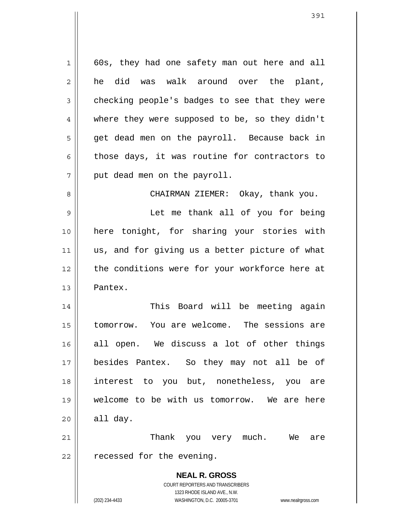1 2 3 4 5 6 7 8 9 10 11 12 13 14 60s, they had one safety man out here and all he did was walk around over the plant, checking people's badges to see that they were where they were supposed to be, so they didn't get dead men on the payroll. Because back in those days, it was routine for contractors to put dead men on the payroll. CHAIRMAN ZIEMER: Okay, thank you. Let me thank all of you for being here tonight, for sharing your stories with us, and for giving us a better picture of what the conditions were for your workforce here at Pantex. This Board will be meeting again

15 16 17 18 19 20 tomorrow. You are welcome. The sessions are all open. We discuss a lot of other things besides Pantex. So they may not all be of interest to you but, nonetheless, you are welcome to be with us tomorrow. We are here all day.

21 22 Thank you very much. We are recessed for the evening.

> **NEAL R. GROSS** COURT REPORTERS AND TRANSCRIBERS 1323 RHODE ISLAND AVE., N.W. (202) 234-4433 WASHINGTON, D.C. 20005-3701 www.nealrgross.com